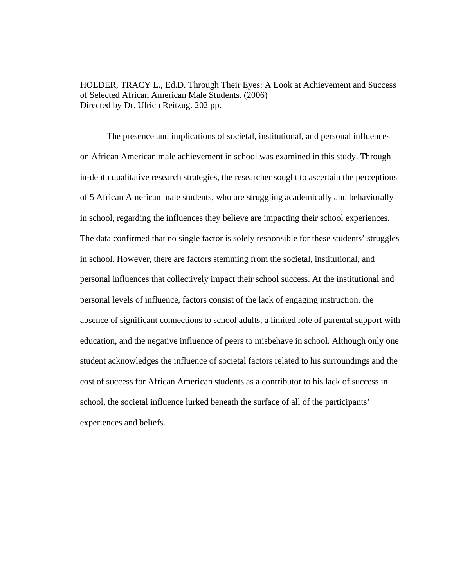HOLDER, TRACY L., Ed.D. Through Their Eyes: A Look at Achievement and Success of Selected African American Male Students. (2006) Directed by Dr. Ulrich Reitzug. 202 pp.

The presence and implications of societal, institutional, and personal influences on African American male achievement in school was examined in this study. Through in-depth qualitative research strategies, the researcher sought to ascertain the perceptions of 5 African American male students, who are struggling academically and behaviorally in school, regarding the influences they believe are impacting their school experiences. The data confirmed that no single factor is solely responsible for these students' struggles in school. However, there are factors stemming from the societal, institutional, and personal influences that collectively impact their school success. At the institutional and personal levels of influence, factors consist of the lack of engaging instruction, the absence of significant connections to school adults, a limited role of parental support with education, and the negative influence of peers to misbehave in school. Although only one student acknowledges the influence of societal factors related to his surroundings and the cost of success for African American students as a contributor to his lack of success in school, the societal influence lurked beneath the surface of all of the participants' experiences and beliefs.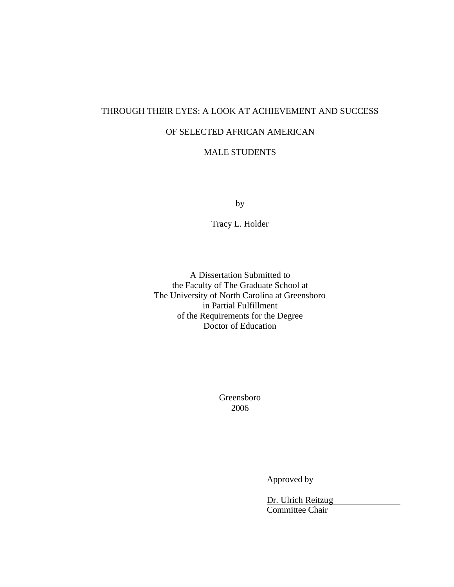# THROUGH THEIR EYES: A LOOK AT ACHIEVEMENT AND SUCCESS

# OF SELECTED AFRICAN AMERICAN

# MALE STUDENTS

by

Tracy L. Holder

A Dissertation Submitted to the Faculty of The Graduate School at The University of North Carolina at Greensboro in Partial Fulfillment of the Requirements for the Degree Doctor of Education

> Greensboro 2006

> > Approved by

Dr. Ulrich Reitzug Committee Chair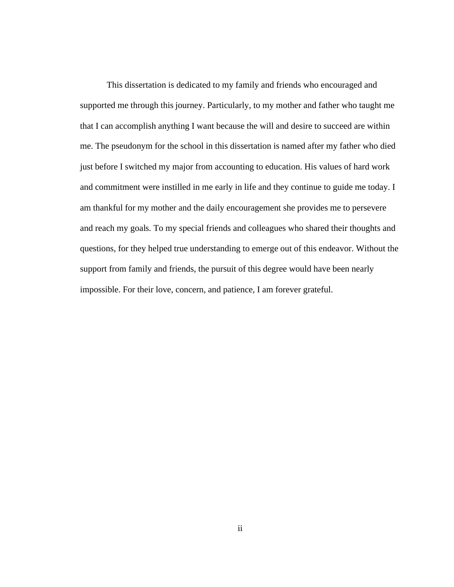This dissertation is dedicated to my family and friends who encouraged and supported me through this journey. Particularly, to my mother and father who taught me that I can accomplish anything I want because the will and desire to succeed are within me. The pseudonym for the school in this dissertation is named after my father who died just before I switched my major from accounting to education. His values of hard work and commitment were instilled in me early in life and they continue to guide me today. I am thankful for my mother and the daily encouragement she provides me to persevere and reach my goals. To my special friends and colleagues who shared their thoughts and questions, for they helped true understanding to emerge out of this endeavor. Without the support from family and friends, the pursuit of this degree would have been nearly impossible. For their love, concern, and patience, I am forever grateful.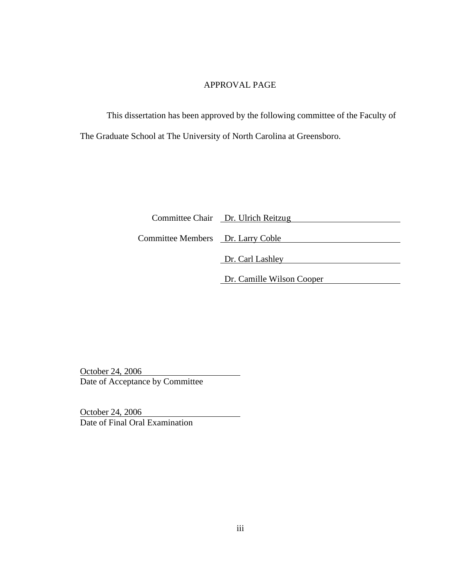# APPROVAL PAGE

This dissertation has been approved by the following committee of the Faculty of The Graduate School at The University of North Carolina at Greensboro.

|                                   | Committee Chair Dr. Ulrich Reitzug |
|-----------------------------------|------------------------------------|
| Committee Members Dr. Larry Coble |                                    |
|                                   | Dr. Carl Lashley                   |
|                                   | Dr. Camille Wilson Cooper          |

October 24, 2006 Date of Acceptance by Committee

October 24, 2006 Date of Final Oral Examination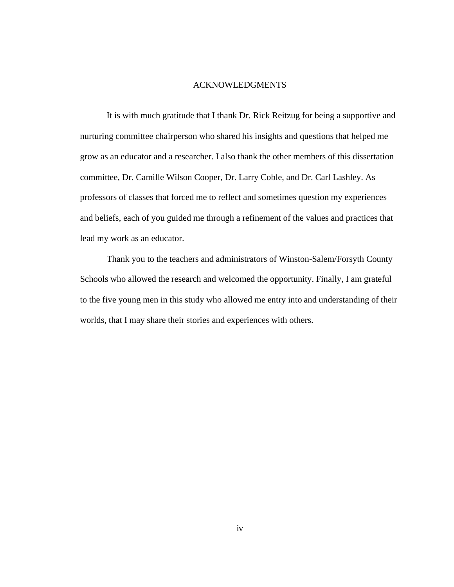#### ACKNOWLEDGMENTS

It is with much gratitude that I thank Dr. Rick Reitzug for being a supportive and nurturing committee chairperson who shared his insights and questions that helped me grow as an educator and a researcher. I also thank the other members of this dissertation committee, Dr. Camille Wilson Cooper, Dr. Larry Coble, and Dr. Carl Lashley. As professors of classes that forced me to reflect and sometimes question my experiences and beliefs, each of you guided me through a refinement of the values and practices that lead my work as an educator.

Thank you to the teachers and administrators of Winston-Salem/Forsyth County Schools who allowed the research and welcomed the opportunity. Finally, I am grateful to the five young men in this study who allowed me entry into and understanding of their worlds, that I may share their stories and experiences with others.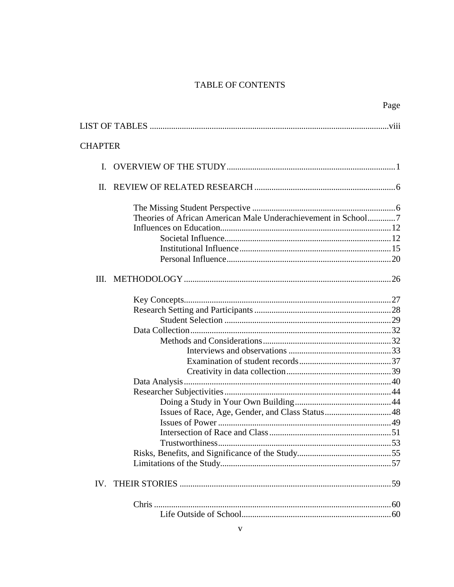# TABLE OF CONTENTS

| <b>CHAPTER</b> |                                                               |  |
|----------------|---------------------------------------------------------------|--|
|                |                                                               |  |
| $\mathbf{I}$ . |                                                               |  |
|                |                                                               |  |
|                |                                                               |  |
|                | Theories of African American Male Underachievement in School7 |  |
|                |                                                               |  |
|                |                                                               |  |
|                |                                                               |  |
|                |                                                               |  |
|                |                                                               |  |
|                |                                                               |  |
|                |                                                               |  |
|                |                                                               |  |
|                |                                                               |  |
|                |                                                               |  |
|                |                                                               |  |
|                |                                                               |  |
|                |                                                               |  |
|                |                                                               |  |
|                |                                                               |  |
|                |                                                               |  |
|                |                                                               |  |
|                |                                                               |  |
|                |                                                               |  |
|                |                                                               |  |
|                |                                                               |  |
|                |                                                               |  |
| IV.            |                                                               |  |
|                |                                                               |  |
|                |                                                               |  |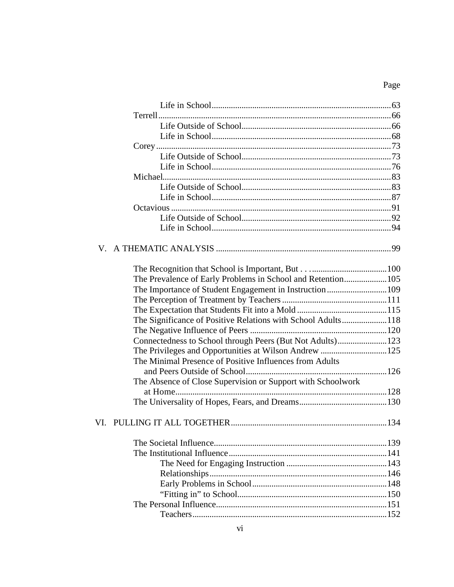# Page

| The Prevalence of Early Problems in School and Retention105  |  |
|--------------------------------------------------------------|--|
| The Importance of Student Engagement in Instruction109       |  |
|                                                              |  |
|                                                              |  |
| The Significance of Positive Relations with School Adults118 |  |
|                                                              |  |
| Connectedness to School through Peers (But Not Adults)123    |  |
|                                                              |  |
| The Minimal Presence of Positive Influences from Adults      |  |
|                                                              |  |
| The Absence of Close Supervision or Support with Schoolwork  |  |
|                                                              |  |
|                                                              |  |
|                                                              |  |
|                                                              |  |
|                                                              |  |
|                                                              |  |
|                                                              |  |
|                                                              |  |
|                                                              |  |
|                                                              |  |
|                                                              |  |
|                                                              |  |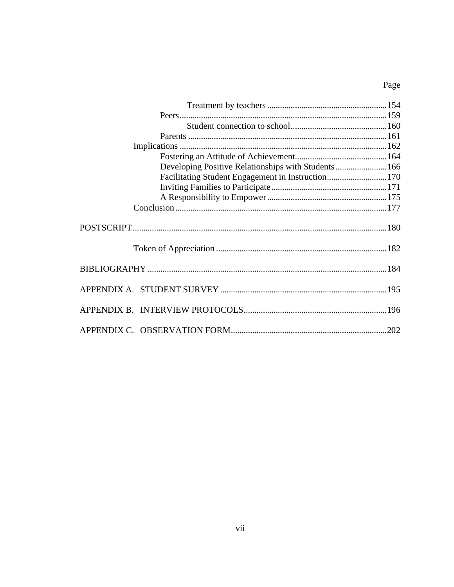# Page

| Developing Positive Relationships with Students166 |  |
|----------------------------------------------------|--|
| Facilitating Student Engagement in Instruction170  |  |
|                                                    |  |
|                                                    |  |
|                                                    |  |
|                                                    |  |
|                                                    |  |
|                                                    |  |
|                                                    |  |
|                                                    |  |
|                                                    |  |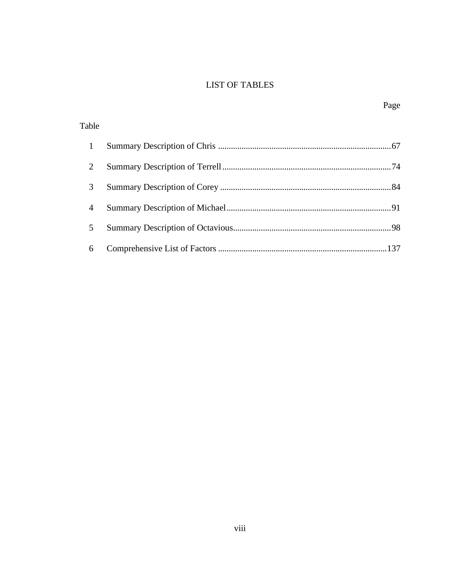# LIST OF TABLES

| Table |  |
|-------|--|
|       |  |
|       |  |
| 3     |  |
| 4     |  |
| 5     |  |
| 6     |  |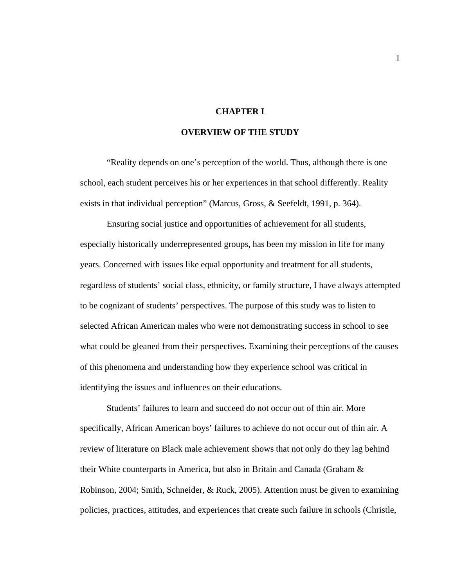## **CHAPTER I**

## **OVERVIEW OF THE STUDY**

"Reality depends on one's perception of the world. Thus, although there is one school, each student perceives his or her experiences in that school differently. Reality exists in that individual perception" (Marcus, Gross, & Seefeldt, 1991, p. 364).

Ensuring social justice and opportunities of achievement for all students, especially historically underrepresented groups, has been my mission in life for many years. Concerned with issues like equal opportunity and treatment for all students, regardless of students' social class, ethnicity, or family structure, I have always attempted to be cognizant of students' perspectives. The purpose of this study was to listen to selected African American males who were not demonstrating success in school to see what could be gleaned from their perspectives. Examining their perceptions of the causes of this phenomena and understanding how they experience school was critical in identifying the issues and influences on their educations.

Students' failures to learn and succeed do not occur out of thin air. More specifically, African American boys' failures to achieve do not occur out of thin air. A review of literature on Black male achievement shows that not only do they lag behind their White counterparts in America, but also in Britain and Canada (Graham & Robinson, 2004; Smith, Schneider, & Ruck, 2005). Attention must be given to examining policies, practices, attitudes, and experiences that create such failure in schools (Christle,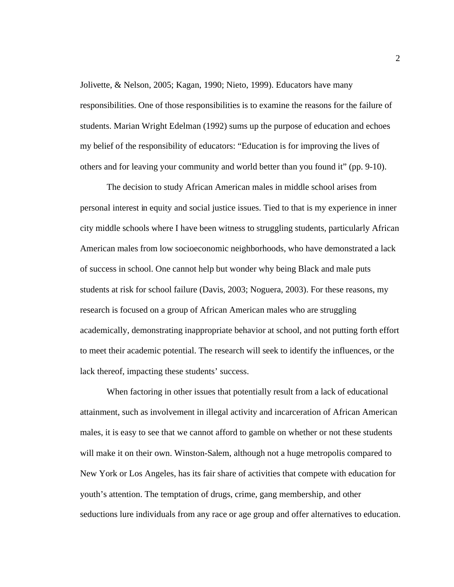Jolivette, & Nelson, 2005; Kagan, 1990; Nieto, 1999). Educators have many responsibilities. One of those responsibilities is to examine the reasons for the failure of students. Marian Wright Edelman (1992) sums up the purpose of education and echoes my belief of the responsibility of educators: "Education is for improving the lives of others and for leaving your community and world better than you found it" (pp. 9-10).

The decision to study African American males in middle school arises from personal interest in equity and social justice issues. Tied to that is my experience in inner city middle schools where I have been witness to struggling students, particularly African American males from low socioeconomic neighborhoods, who have demonstrated a lack of success in school. One cannot help but wonder why being Black and male puts students at risk for school failure (Davis, 2003; Noguera, 2003). For these reasons, my research is focused on a group of African American males who are struggling academically, demonstrating inappropriate behavior at school, and not putting forth effort to meet their academic potential. The research will seek to identify the influences, or the lack thereof, impacting these students' success.

When factoring in other issues that potentially result from a lack of educational attainment, such as involvement in illegal activity and incarceration of African American males, it is easy to see that we cannot afford to gamble on whether or not these students will make it on their own. Winston-Salem, although not a huge metropolis compared to New York or Los Angeles, has its fair share of activities that compete with education for youth's attention. The temptation of drugs, crime, gang membership, and other seductions lure individuals from any race or age group and offer alternatives to education.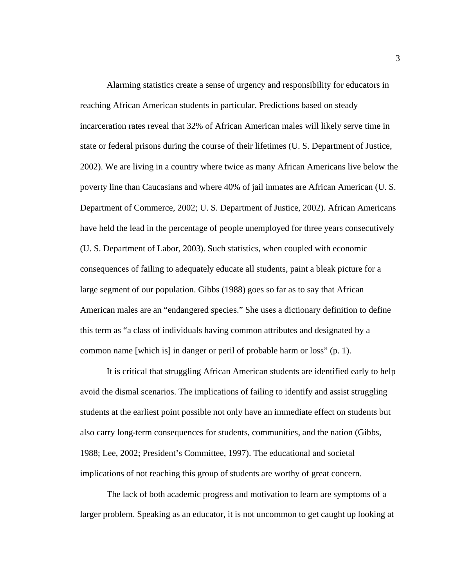Alarming statistics create a sense of urgency and responsibility for educators in reaching African American students in particular. Predictions based on steady incarceration rates reveal that 32% of African American males will likely serve time in state or federal prisons during the course of their lifetimes (U. S. Department of Justice, 2002). We are living in a country where twice as many African Americans live below the poverty line than Caucasians and where 40% of jail inmates are African American (U. S. Department of Commerce, 2002; U. S. Department of Justice, 2002). African Americans have held the lead in the percentage of people unemployed for three years consecutively (U. S. Department of Labor, 2003). Such statistics, when coupled with economic consequences of failing to adequately educate all students, paint a bleak picture for a large segment of our population. Gibbs (1988) goes so far as to say that African American males are an "endangered species." She uses a dictionary definition to define this term as "a class of individuals having common attributes and designated by a common name [which is] in danger or peril of probable harm or loss" (p. 1).

It is critical that struggling African American students are identified early to help avoid the dismal scenarios. The implications of failing to identify and assist struggling students at the earliest point possible not only have an immediate effect on students but also carry long-term consequences for students, communities, and the nation (Gibbs, 1988; Lee, 2002; President's Committee, 1997). The educational and societal implications of not reaching this group of students are worthy of great concern.

The lack of both academic progress and motivation to learn are symptoms of a larger problem. Speaking as an educator, it is not uncommon to get caught up looking at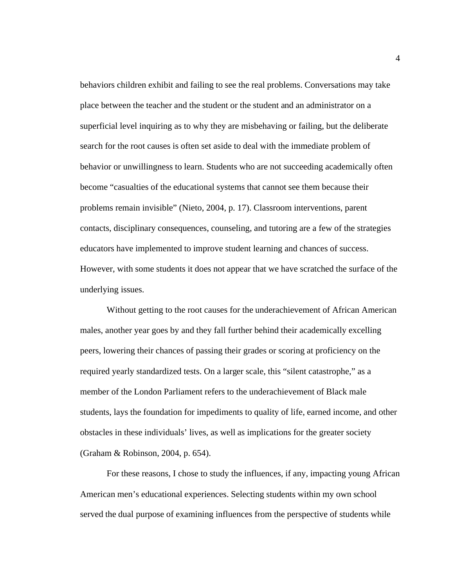behaviors children exhibit and failing to see the real problems. Conversations may take place between the teacher and the student or the student and an administrator on a superficial level inquiring as to why they are misbehaving or failing, but the deliberate search for the root causes is often set aside to deal with the immediate problem of behavior or unwillingness to learn. Students who are not succeeding academically often become "casualties of the educational systems that cannot see them because their problems remain invisible" (Nieto, 2004, p. 17). Classroom interventions, parent contacts, disciplinary consequences, counseling, and tutoring are a few of the strategies educators have implemented to improve student learning and chances of success. However, with some students it does not appear that we have scratched the surface of the underlying issues.

Without getting to the root causes for the underachievement of African American males, another year goes by and they fall further behind their academically excelling peers, lowering their chances of passing their grades or scoring at proficiency on the required yearly standardized tests. On a larger scale, this "silent catastrophe," as a member of the London Parliament refers to the underachievement of Black male students, lays the foundation for impediments to quality of life, earned income, and other obstacles in these individuals' lives, as well as implications for the greater society (Graham & Robinson, 2004, p. 654).

For these reasons, I chose to study the influences, if any, impacting young African American men's educational experiences. Selecting students within my own school served the dual purpose of examining influences from the perspective of students while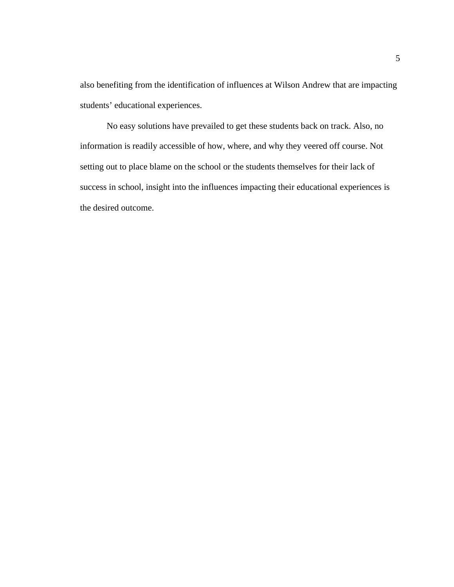also benefiting from the identification of influences at Wilson Andrew that are impacting students' educational experiences.

No easy solutions have prevailed to get these students back on track. Also, no information is readily accessible of how, where, and why they veered off course. Not setting out to place blame on the school or the students themselves for their lack of success in school, insight into the influences impacting their educational experiences is the desired outcome.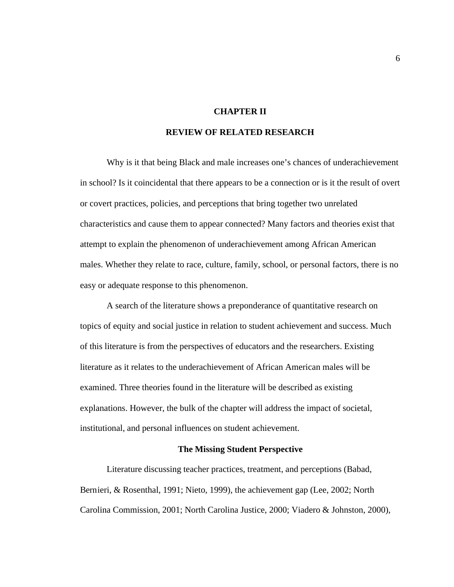#### **CHAPTER II**

## **REVIEW OF RELATED RESEARCH**

Why is it that being Black and male increases one's chances of underachievement in school? Is it coincidental that there appears to be a connection or is it the result of overt or covert practices, policies, and perceptions that bring together two unrelated characteristics and cause them to appear connected? Many factors and theories exist that attempt to explain the phenomenon of underachievement among African American males. Whether they relate to race, culture, family, school, or personal factors, there is no easy or adequate response to this phenomenon.

A search of the literature shows a preponderance of quantitative research on topics of equity and social justice in relation to student achievement and success. Much of this literature is from the perspectives of educators and the researchers. Existing literature as it relates to the underachievement of African American males will be examined. Three theories found in the literature will be described as existing explanations. However, the bulk of the chapter will address the impact of societal, institutional, and personal influences on student achievement.

#### **The Missing Student Perspective**

Literature discussing teacher practices, treatment, and perceptions (Babad, Bernieri, & Rosenthal, 1991; Nieto, 1999), the achievement gap (Lee, 2002; North Carolina Commission, 2001; North Carolina Justice, 2000; Viadero & Johnston, 2000),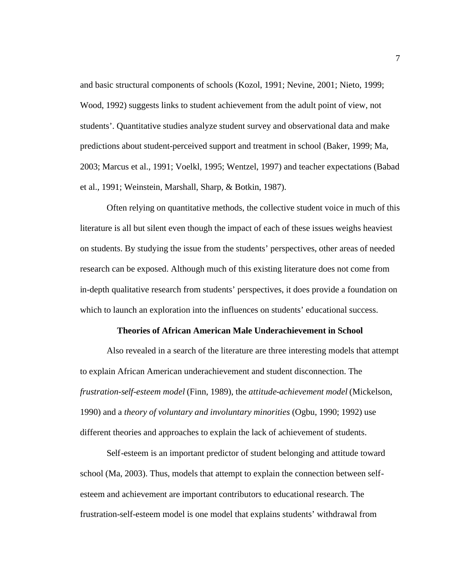and basic structural components of schools (Kozol, 1991; Nevine, 2001; Nieto, 1999; Wood, 1992) suggests links to student achievement from the adult point of view, not students'. Quantitative studies analyze student survey and observational data and make predictions about student-perceived support and treatment in school (Baker, 1999; Ma, 2003; Marcus et al., 1991; Voelkl, 1995; Wentzel, 1997) and teacher expectations (Babad et al., 1991; Weinstein, Marshall, Sharp, & Botkin, 1987).

Often relying on quantitative methods, the collective student voice in much of this literature is all but silent even though the impact of each of these issues weighs heaviest on students. By studying the issue from the students' perspectives, other areas of needed research can be exposed. Although much of this existing literature does not come from in-depth qualitative research from students' perspectives, it does provide a foundation on which to launch an exploration into the influences on students' educational success.

#### **Theories of African American Male Underachievement in School**

Also revealed in a search of the literature are three interesting models that attempt to explain African American underachievement and student disconnection. The *frustration-self-esteem model* (Finn, 1989), the *attitude-achievement model* (Mickelson, 1990) and a *theory of voluntary and involuntary minorities* (Ogbu, 1990; 1992) use different theories and approaches to explain the lack of achievement of students.

Self-esteem is an important predictor of student belonging and attitude toward school (Ma, 2003). Thus, models that attempt to explain the connection between selfesteem and achievement are important contributors to educational research. The frustration-self-esteem model is one model that explains students' withdrawal from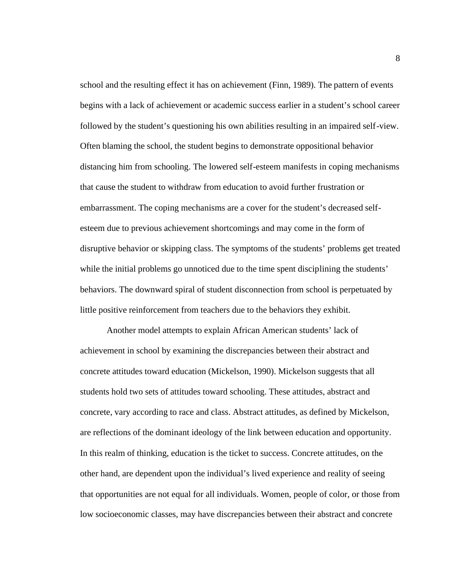school and the resulting effect it has on achievement (Finn, 1989). The pattern of events begins with a lack of achievement or academic success earlier in a student's school career followed by the student's questioning his own abilities resulting in an impaired self-view. Often blaming the school, the student begins to demonstrate oppositional behavior distancing him from schooling. The lowered self-esteem manifests in coping mechanisms that cause the student to withdraw from education to avoid further frustration or embarrassment. The coping mechanisms are a cover for the student's decreased selfesteem due to previous achievement shortcomings and may come in the form of disruptive behavior or skipping class. The symptoms of the students' problems get treated while the initial problems go unnoticed due to the time spent disciplining the students' behaviors. The downward spiral of student disconnection from school is perpetuated by little positive reinforcement from teachers due to the behaviors they exhibit.

Another model attempts to explain African American students' lack of achievement in school by examining the discrepancies between their abstract and concrete attitudes toward education (Mickelson, 1990). Mickelson suggests that all students hold two sets of attitudes toward schooling. These attitudes, abstract and concrete, vary according to race and class. Abstract attitudes, as defined by Mickelson, are reflections of the dominant ideology of the link between education and opportunity. In this realm of thinking, education is the ticket to success. Concrete attitudes, on the other hand, are dependent upon the individual's lived experience and reality of seeing that opportunities are not equal for all individuals. Women, people of color, or those from low socioeconomic classes, may have discrepancies between their abstract and concrete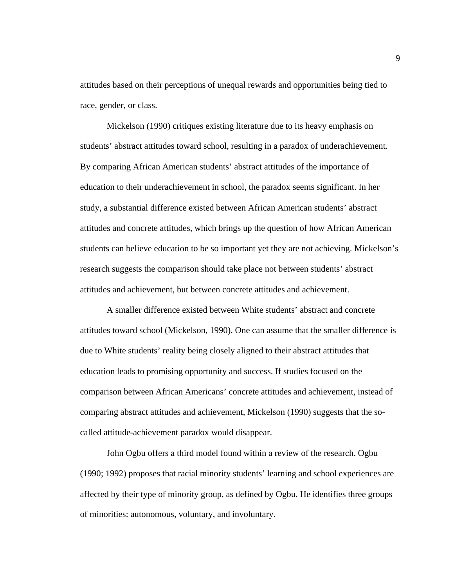attitudes based on their perceptions of unequal rewards and opportunities being tied to race, gender, or class.

Mickelson (1990) critiques existing literature due to its heavy emphasis on students' abstract attitudes toward school, resulting in a paradox of underachievement. By comparing African American students' abstract attitudes of the importance of education to their underachievement in school, the paradox seems significant. In her study, a substantial difference existed between African American students' abstract attitudes and concrete attitudes, which brings up the question of how African American students can believe education to be so important yet they are not achieving. Mickelson's research suggests the comparison should take place not between students' abstract attitudes and achievement, but between concrete attitudes and achievement.

A smaller difference existed between White students' abstract and concrete attitudes toward school (Mickelson, 1990). One can assume that the smaller difference is due to White students' reality being closely aligned to their abstract attitudes that education leads to promising opportunity and success. If studies focused on the comparison between African Americans' concrete attitudes and achievement, instead of comparing abstract attitudes and achievement, Mickelson (1990) suggests that the socalled attitude-achievement paradox would disappear.

John Ogbu offers a third model found within a review of the research. Ogbu (1990; 1992) proposes that racial minority students' learning and school experiences are affected by their type of minority group, as defined by Ogbu. He identifies three groups of minorities: autonomous, voluntary, and involuntary.

9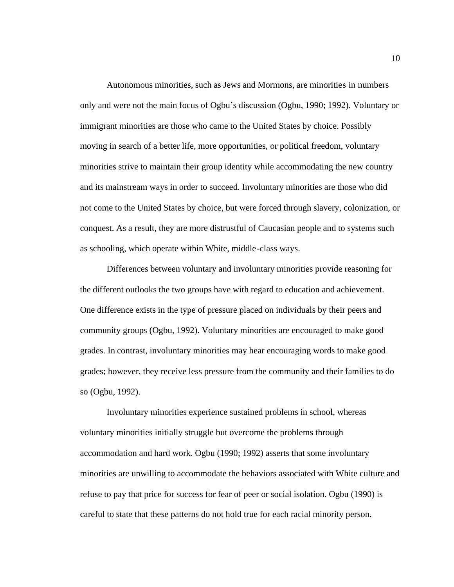Autonomous minorities, such as Jews and Mormons, are minorities in numbers only and were not the main focus of Ogbu's discussion (Ogbu, 1990; 1992). Voluntary or immigrant minorities are those who came to the United States by choice. Possibly moving in search of a better life, more opportunities, or political freedom, voluntary minorities strive to maintain their group identity while accommodating the new country and its mainstream ways in order to succeed. Involuntary minorities are those who did not come to the United States by choice, but were forced through slavery, colonization, or conquest. As a result, they are more distrustful of Caucasian people and to systems such as schooling, which operate within White, middle-class ways.

Differences between voluntary and involuntary minorities provide reasoning for the different outlooks the two groups have with regard to education and achievement. One difference exists in the type of pressure placed on individuals by their peers and community groups (Ogbu, 1992). Voluntary minorities are encouraged to make good grades. In contrast, involuntary minorities may hear encouraging words to make good grades; however, they receive less pressure from the community and their families to do so (Ogbu, 1992).

Involuntary minorities experience sustained problems in school, whereas voluntary minorities initially struggle but overcome the problems through accommodation and hard work. Ogbu (1990; 1992) asserts that some involuntary minorities are unwilling to accommodate the behaviors associated with White culture and refuse to pay that price for success for fear of peer or social isolation. Ogbu (1990) is careful to state that these patterns do not hold true for each racial minority person.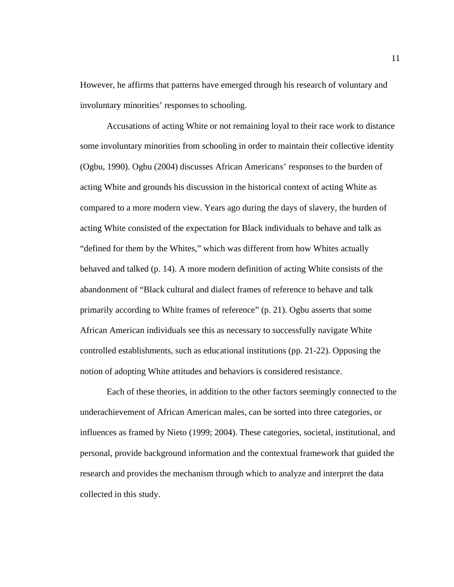However, he affirms that patterns have emerged through his research of voluntary and involuntary minorities' responses to schooling.

Accusations of acting White or not remaining loyal to their race work to distance some involuntary minorities from schooling in order to maintain their collective identity (Ogbu, 1990). Ogbu (2004) discusses African Americans' responses to the burden of acting White and grounds his discussion in the historical context of acting White as compared to a more modern view. Years ago during the days of slavery, the burden of acting White consisted of the expectation for Black individuals to behave and talk as "defined for them by the Whites," which was different from how Whites actually behaved and talked (p. 14). A more modern definition of acting White consists of the abandonment of "Black cultural and dialect frames of reference to behave and talk primarily according to White frames of reference" (p. 21). Ogbu asserts that some African American individuals see this as necessary to successfully navigate White controlled establishments, such as educational institutions (pp. 21-22). Opposing the notion of adopting White attitudes and behaviors is considered resistance.

Each of these theories, in addition to the other factors seemingly connected to the underachievement of African American males, can be sorted into three categories, or influences as framed by Nieto (1999; 2004). These categories, societal, institutional, and personal, provide background information and the contextual framework that guided the research and provides the mechanism through which to analyze and interpret the data collected in this study.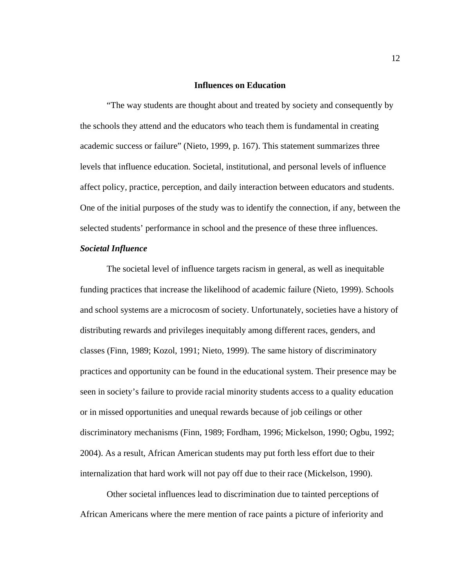### **Influences on Education**

"The way students are thought about and treated by society and consequently by the schools they attend and the educators who teach them is fundamental in creating academic success or failure" (Nieto, 1999, p. 167). This statement summarizes three levels that influence education. Societal, institutional, and personal levels of influence affect policy, practice, perception, and daily interaction between educators and students. One of the initial purposes of the study was to identify the connection, if any, between the selected students' performance in school and the presence of these three influences.

### *Societal Influence*

The societal level of influence targets racism in general, as well as inequitable funding practices that increase the likelihood of academic failure (Nieto, 1999). Schools and school systems are a microcosm of society. Unfortunately, societies have a history of distributing rewards and privileges inequitably among different races, genders, and classes (Finn, 1989; Kozol, 1991; Nieto, 1999). The same history of discriminatory practices and opportunity can be found in the educational system. Their presence may be seen in society's failure to provide racial minority students access to a quality education or in missed opportunities and unequal rewards because of job ceilings or other discriminatory mechanisms (Finn, 1989; Fordham, 1996; Mickelson, 1990; Ogbu, 1992; 2004). As a result, African American students may put forth less effort due to their internalization that hard work will not pay off due to their race (Mickelson, 1990).

Other societal influences lead to discrimination due to tainted perceptions of African Americans where the mere mention of race paints a picture of inferiority and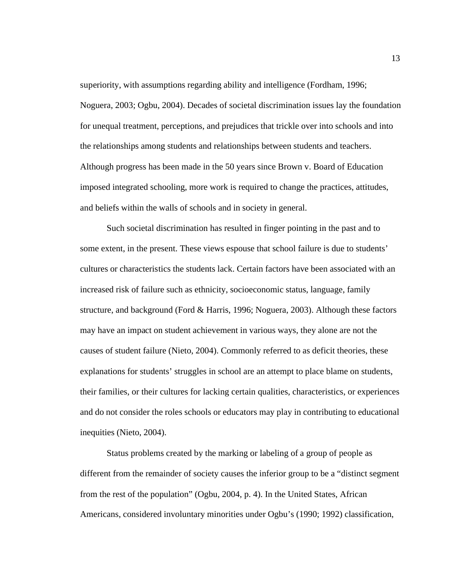superiority, with assumptions regarding ability and intelligence (Fordham, 1996; Noguera, 2003; Ogbu, 2004). Decades of societal discrimination issues lay the foundation for unequal treatment, perceptions, and prejudices that trickle over into schools and into the relationships among students and relationships between students and teachers. Although progress has been made in the 50 years since Brown v. Board of Education imposed integrated schooling, more work is required to change the practices, attitudes, and beliefs within the walls of schools and in society in general.

Such societal discrimination has resulted in finger pointing in the past and to some extent, in the present. These views espouse that school failure is due to students' cultures or characteristics the students lack. Certain factors have been associated with an increased risk of failure such as ethnicity, socioeconomic status, language, family structure, and background (Ford & Harris, 1996; Noguera, 2003). Although these factors may have an impact on student achievement in various ways, they alone are not the causes of student failure (Nieto, 2004). Commonly referred to as deficit theories, these explanations for students' struggles in school are an attempt to place blame on students, their families, or their cultures for lacking certain qualities, characteristics, or experiences and do not consider the roles schools or educators may play in contributing to educational inequities (Nieto, 2004).

Status problems created by the marking or labeling of a group of people as different from the remainder of society causes the inferior group to be a "distinct segment from the rest of the population" (Ogbu, 2004, p. 4). In the United States, African Americans, considered involuntary minorities under Ogbu's (1990; 1992) classification,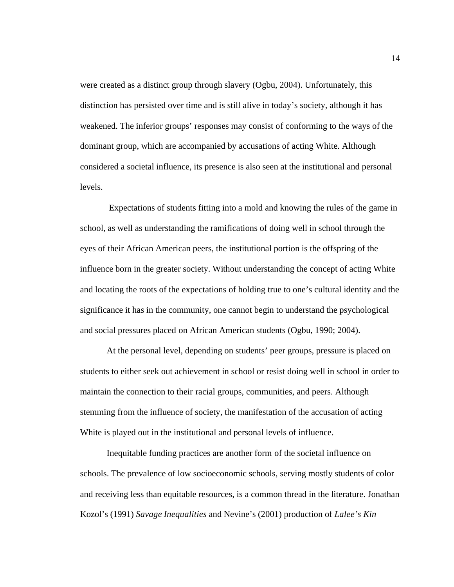were created as a distinct group through slavery (Ogbu, 2004). Unfortunately, this distinction has persisted over time and is still alive in today's society, although it has weakened. The inferior groups' responses may consist of conforming to the ways of the dominant group, which are accompanied by accusations of acting White. Although considered a societal influence, its presence is also seen at the institutional and personal levels.

 Expectations of students fitting into a mold and knowing the rules of the game in school, as well as understanding the ramifications of doing well in school through the eyes of their African American peers, the institutional portion is the offspring of the influence born in the greater society. Without understanding the concept of acting White and locating the roots of the expectations of holding true to one's cultural identity and the significance it has in the community, one cannot begin to understand the psychological and social pressures placed on African American students (Ogbu, 1990; 2004).

At the personal level, depending on students' peer groups, pressure is placed on students to either seek out achievement in school or resist doing well in school in order to maintain the connection to their racial groups, communities, and peers. Although stemming from the influence of society, the manifestation of the accusation of acting White is played out in the institutional and personal levels of influence.

Inequitable funding practices are another form of the societal influence on schools. The prevalence of low socioeconomic schools, serving mostly students of color and receiving less than equitable resources, is a common thread in the literature. Jonathan Kozol's (1991) *Savage Inequalities* and Nevine's (2001) production of *Lalee's Kin*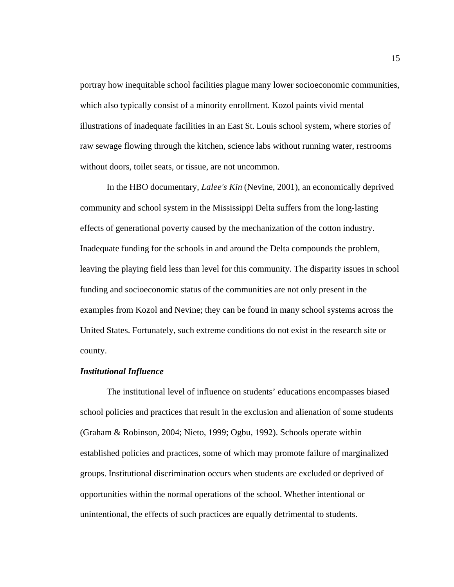portray how inequitable school facilities plague many lower socioeconomic communities, which also typically consist of a minority enrollment. Kozol paints vivid mental illustrations of inadequate facilities in an East St. Louis school system, where stories of raw sewage flowing through the kitchen, science labs without running water, restrooms without doors, toilet seats, or tissue, are not uncommon.

In the HBO documentary, *Lalee's Kin* (Nevine, 2001), an economically deprived community and school system in the Mississippi Delta suffers from the long-lasting effects of generational poverty caused by the mechanization of the cotton industry. Inadequate funding for the schools in and around the Delta compounds the problem, leaving the playing field less than level for this community. The disparity issues in school funding and socioeconomic status of the communities are not only present in the examples from Kozol and Nevine; they can be found in many school systems across the United States. Fortunately, such extreme conditions do not exist in the research site or county.

#### *Institutional Influence*

The institutional level of influence on students' educations encompasses biased school policies and practices that result in the exclusion and alienation of some students (Graham & Robinson, 2004; Nieto, 1999; Ogbu, 1992). Schools operate within established policies and practices, some of which may promote failure of marginalized groups. Institutional discrimination occurs when students are excluded or deprived of opportunities within the normal operations of the school. Whether intentional or unintentional, the effects of such practices are equally detrimental to students.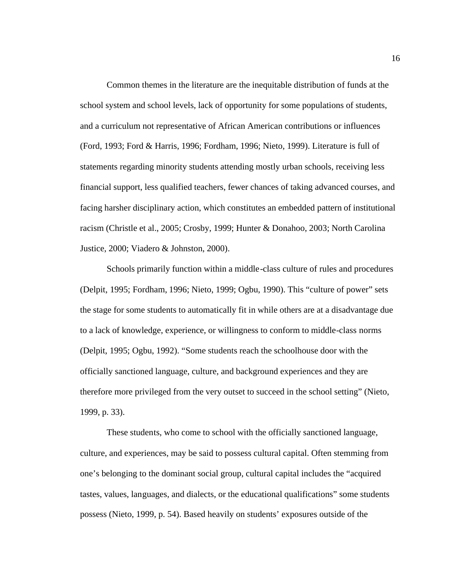Common themes in the literature are the inequitable distribution of funds at the school system and school levels, lack of opportunity for some populations of students, and a curriculum not representative of African American contributions or influences (Ford, 1993; Ford & Harris, 1996; Fordham, 1996; Nieto, 1999). Literature is full of statements regarding minority students attending mostly urban schools, receiving less financial support, less qualified teachers, fewer chances of taking advanced courses, and facing harsher disciplinary action, which constitutes an embedded pattern of institutional racism (Christle et al., 2005; Crosby, 1999; Hunter & Donahoo, 2003; North Carolina Justice, 2000; Viadero & Johnston, 2000).

Schools primarily function within a middle-class culture of rules and procedures (Delpit, 1995; Fordham, 1996; Nieto, 1999; Ogbu, 1990). This "culture of power" sets the stage for some students to automatically fit in while others are at a disadvantage due to a lack of knowledge, experience, or willingness to conform to middle-class norms (Delpit, 1995; Ogbu, 1992). "Some students reach the schoolhouse door with the officially sanctioned language, culture, and background experiences and they are therefore more privileged from the very outset to succeed in the school setting" (Nieto, 1999, p. 33).

These students, who come to school with the officially sanctioned language, culture, and experiences, may be said to possess cultural capital. Often stemming from one's belonging to the dominant social group, cultural capital includes the "acquired tastes, values, languages, and dialects, or the educational qualifications" some students possess (Nieto, 1999, p. 54). Based heavily on students' exposures outside of the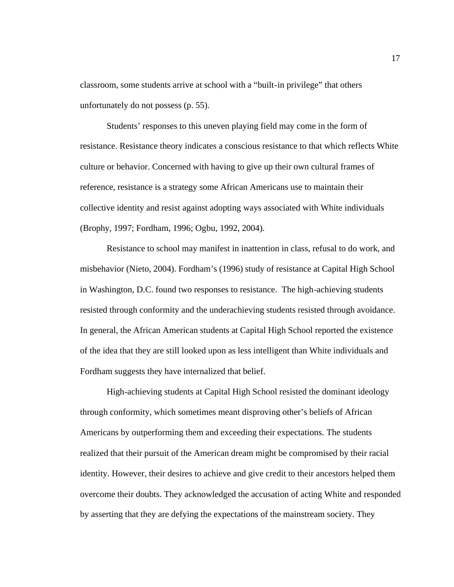classroom, some students arrive at school with a "built-in privilege" that others unfortunately do not possess (p. 55).

Students' responses to this uneven playing field may come in the form of resistance. Resistance theory indicates a conscious resistance to that which reflects White culture or behavior. Concerned with having to give up their own cultural frames of reference, resistance is a strategy some African Americans use to maintain their collective identity and resist against adopting ways associated with White individuals (Brophy, 1997; Fordham, 1996; Ogbu, 1992, 2004).

Resistance to school may manifest in inattention in class, refusal to do work, and misbehavior (Nieto, 2004). Fordham's (1996) study of resistance at Capital High School in Washington, D.C. found two responses to resistance. The high-achieving students resisted through conformity and the underachieving students resisted through avoidance. In general, the African American students at Capital High School reported the existence of the idea that they are still looked upon as less intelligent than White individuals and Fordham suggests they have internalized that belief.

High-achieving students at Capital High School resisted the dominant ideology through conformity, which sometimes meant disproving other's beliefs of African Americans by outperforming them and exceeding their expectations. The students realized that their pursuit of the American dream might be compromised by their racial identity. However, their desires to achieve and give credit to their ancestors helped them overcome their doubts. They acknowledged the accusation of acting White and responded by asserting that they are defying the expectations of the mainstream society. They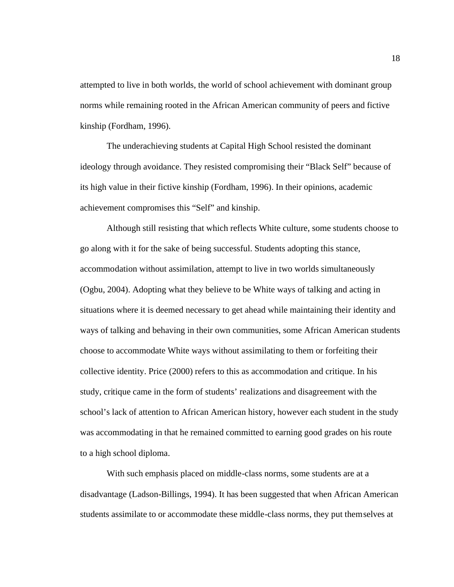attempted to live in both worlds, the world of school achievement with dominant group norms while remaining rooted in the African American community of peers and fictive kinship (Fordham, 1996).

The underachieving students at Capital High School resisted the dominant ideology through avoidance. They resisted compromising their "Black Self" because of its high value in their fictive kinship (Fordham, 1996). In their opinions, academic achievement compromises this "Self" and kinship.

Although still resisting that which reflects White culture, some students choose to go along with it for the sake of being successful. Students adopting this stance, accommodation without assimilation, attempt to live in two worlds simultaneously (Ogbu, 2004). Adopting what they believe to be White ways of talking and acting in situations where it is deemed necessary to get ahead while maintaining their identity and ways of talking and behaving in their own communities, some African American students choose to accommodate White ways without assimilating to them or forfeiting their collective identity. Price (2000) refers to this as accommodation and critique. In his study, critique came in the form of students' realizations and disagreement with the school's lack of attention to African American history, however each student in the study was accommodating in that he remained committed to earning good grades on his route to a high school diploma.

With such emphasis placed on middle-class norms, some students are at a disadvantage (Ladson-Billings, 1994). It has been suggested that when African American students assimilate to or accommodate these middle-class norms, they put themselves at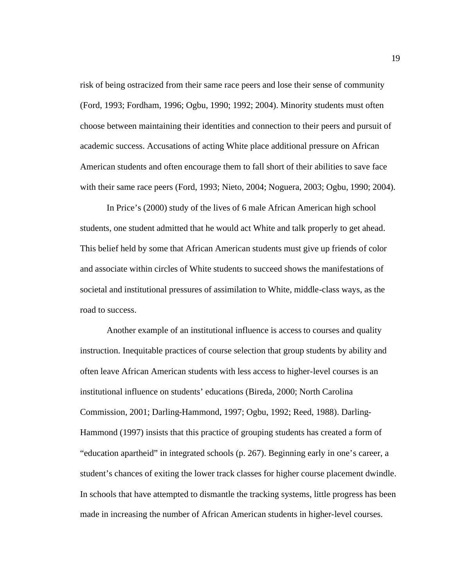risk of being ostracized from their same race peers and lose their sense of community (Ford, 1993; Fordham, 1996; Ogbu, 1990; 1992; 2004). Minority students must often choose between maintaining their identities and connection to their peers and pursuit of academic success. Accusations of acting White place additional pressure on African American students and often encourage them to fall short of their abilities to save face with their same race peers (Ford, 1993; Nieto, 2004; Noguera, 2003; Ogbu, 1990; 2004).

In Price's (2000) study of the lives of 6 male African American high school students, one student admitted that he would act White and talk properly to get ahead. This belief held by some that African American students must give up friends of color and associate within circles of White students to succeed shows the manifestations of societal and institutional pressures of assimilation to White, middle-class ways, as the road to success.

Another example of an institutional influence is access to courses and quality instruction. Inequitable practices of course selection that group students by ability and often leave African American students with less access to higher-level courses is an institutional influence on students' educations (Bireda, 2000; North Carolina Commission, 2001; Darling-Hammond, 1997; Ogbu, 1992; Reed, 1988). Darling-Hammond (1997) insists that this practice of grouping students has created a form of "education apartheid" in integrated schools (p. 267). Beginning early in one's career, a student's chances of exiting the lower track classes for higher course placement dwindle. In schools that have attempted to dismantle the tracking systems, little progress has been made in increasing the number of African American students in higher-level courses.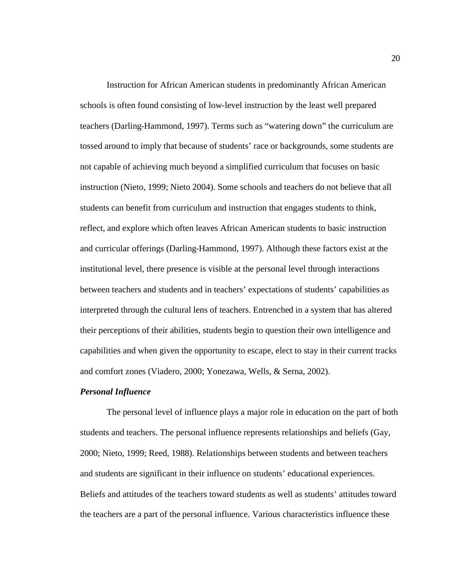Instruction for African American students in predominantly African American schools is often found consisting of low-level instruction by the least well prepared teachers (Darling-Hammond, 1997). Terms such as "watering down" the curriculum are tossed around to imply that because of students' race or backgrounds, some students are not capable of achieving much beyond a simplified curriculum that focuses on basic instruction (Nieto, 1999; Nieto 2004). Some schools and teachers do not believe that all students can benefit from curriculum and instruction that engages students to think, reflect, and explore which often leaves African American students to basic instruction and curricular offerings (Darling-Hammond, 1997). Although these factors exist at the institutional level, there presence is visible at the personal level through interactions between teachers and students and in teachers' expectations of students' capabilities as interpreted through the cultural lens of teachers. Entrenched in a system that has altered their perceptions of their abilities, students begin to question their own intelligence and capabilities and when given the opportunity to escape, elect to stay in their current tracks and comfort zones (Viadero, 2000; Yonezawa, Wells, & Serna, 2002).

#### *Personal Influence*

The personal level of influence plays a major role in education on the part of both students and teachers. The personal influence represents relationships and beliefs (Gay, 2000; Nieto, 1999; Reed, 1988). Relationships between students and between teachers and students are significant in their influence on students' educational experiences. Beliefs and attitudes of the teachers toward students as well as students' attitudes toward the teachers are a part of the personal influence. Various characteristics influence these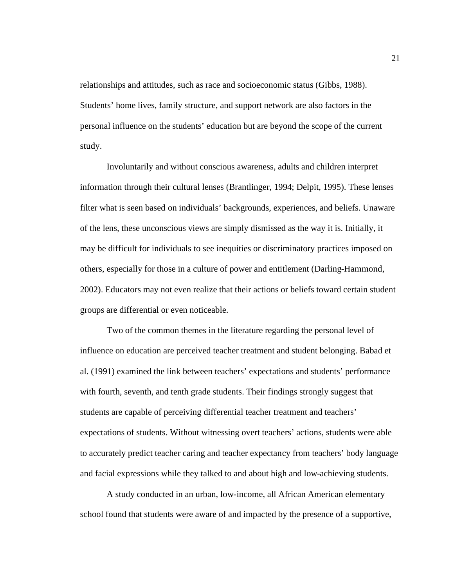relationships and attitudes, such as race and socioeconomic status (Gibbs, 1988). Students' home lives, family structure, and support network are also factors in the personal influence on the students' education but are beyond the scope of the current study.

Involuntarily and without conscious awareness, adults and children interpret information through their cultural lenses (Brantlinger, 1994; Delpit, 1995). These lenses filter what is seen based on individuals' backgrounds, experiences, and beliefs. Unaware of the lens, these unconscious views are simply dismissed as the way it is. Initially, it may be difficult for individuals to see inequities or discriminatory practices imposed on others, especially for those in a culture of power and entitlement (Darling-Hammond, 2002). Educators may not even realize that their actions or beliefs toward certain student groups are differential or even noticeable.

Two of the common themes in the literature regarding the personal level of influence on education are perceived teacher treatment and student belonging. Babad et al. (1991) examined the link between teachers' expectations and students' performance with fourth, seventh, and tenth grade students. Their findings strongly suggest that students are capable of perceiving differential teacher treatment and teachers' expectations of students. Without witnessing overt teachers' actions, students were able to accurately predict teacher caring and teacher expectancy from teachers' body language and facial expressions while they talked to and about high and low-achieving students.

A study conducted in an urban, low-income, all African American elementary school found that students were aware of and impacted by the presence of a supportive,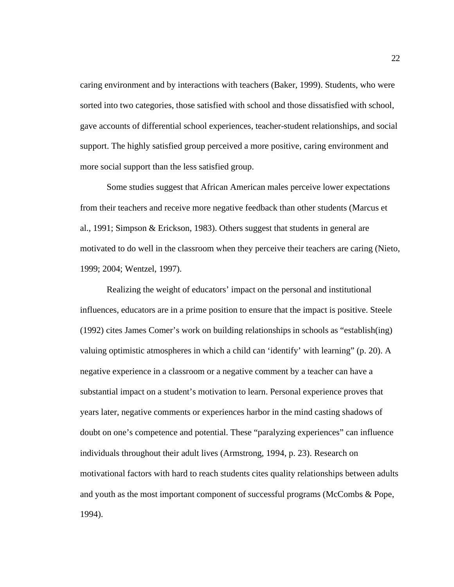caring environment and by interactions with teachers (Baker, 1999). Students, who were sorted into two categories, those satisfied with school and those dissatisfied with school, gave accounts of differential school experiences, teacher-student relationships, and social support. The highly satisfied group perceived a more positive, caring environment and more social support than the less satisfied group.

Some studies suggest that African American males perceive lower expectations from their teachers and receive more negative feedback than other students (Marcus et al., 1991; Simpson & Erickson, 1983). Others suggest that students in general are motivated to do well in the classroom when they perceive their teachers are caring (Nieto, 1999; 2004; Wentzel, 1997).

Realizing the weight of educators' impact on the personal and institutional influences, educators are in a prime position to ensure that the impact is positive. Steele (1992) cites James Comer's work on building relationships in schools as "establish(ing) valuing optimistic atmospheres in which a child can 'identify' with learning" (p. 20). A negative experience in a classroom or a negative comment by a teacher can have a substantial impact on a student's motivation to learn. Personal experience proves that years later, negative comments or experiences harbor in the mind casting shadows of doubt on one's competence and potential. These "paralyzing experiences" can influence individuals throughout their adult lives (Armstrong, 1994, p. 23). Research on motivational factors with hard to reach students cites quality relationships between adults and youth as the most important component of successful programs (McCombs & Pope, 1994).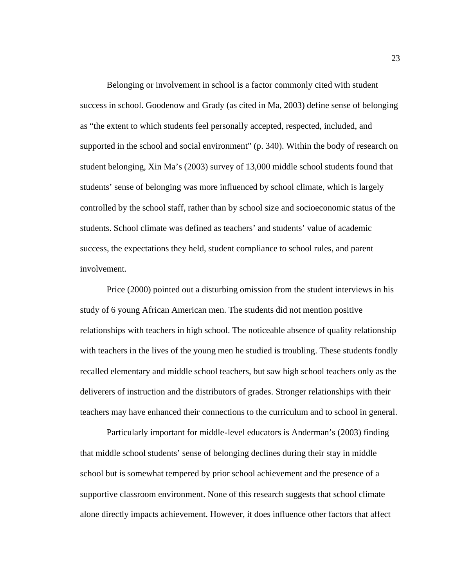Belonging or involvement in school is a factor commonly cited with student success in school. Goodenow and Grady (as cited in Ma, 2003) define sense of belonging as "the extent to which students feel personally accepted, respected, included, and supported in the school and social environment" (p. 340). Within the body of research on student belonging, Xin Ma's (2003) survey of 13,000 middle school students found that students' sense of belonging was more influenced by school climate, which is largely controlled by the school staff, rather than by school size and socioeconomic status of the students. School climate was defined as teachers' and students' value of academic success, the expectations they held, student compliance to school rules, and parent involvement.

Price (2000) pointed out a disturbing omission from the student interviews in his study of 6 young African American men. The students did not mention positive relationships with teachers in high school. The noticeable absence of quality relationship with teachers in the lives of the young men he studied is troubling. These students fondly recalled elementary and middle school teachers, but saw high school teachers only as the deliverers of instruction and the distributors of grades. Stronger relationships with their teachers may have enhanced their connections to the curriculum and to school in general.

Particularly important for middle-level educators is Anderman's (2003) finding that middle school students' sense of belonging declines during their stay in middle school but is somewhat tempered by prior school achievement and the presence of a supportive classroom environment. None of this research suggests that school climate alone directly impacts achievement. However, it does influence other factors that affect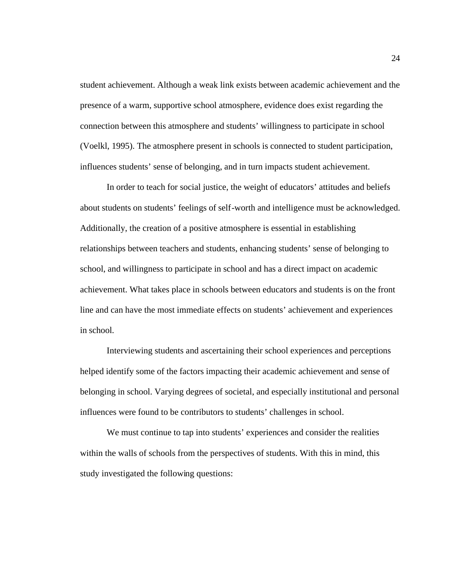student achievement. Although a weak link exists between academic achievement and the presence of a warm, supportive school atmosphere, evidence does exist regarding the connection between this atmosphere and students' willingness to participate in school (Voelkl, 1995). The atmosphere present in schools is connected to student participation, influences students' sense of belonging, and in turn impacts student achievement.

In order to teach for social justice, the weight of educators' attitudes and beliefs about students on students' feelings of self-worth and intelligence must be acknowledged. Additionally, the creation of a positive atmosphere is essential in establishing relationships between teachers and students, enhancing students' sense of belonging to school, and willingness to participate in school and has a direct impact on academic achievement. What takes place in schools between educators and students is on the front line and can have the most immediate effects on students' achievement and experiences in school.

Interviewing students and ascertaining their school experiences and perceptions helped identify some of the factors impacting their academic achievement and sense of belonging in school. Varying degrees of societal, and especially institutional and personal influences were found to be contributors to students' challenges in school.

We must continue to tap into students' experiences and consider the realities within the walls of schools from the perspectives of students. With this in mind, this study investigated the following questions: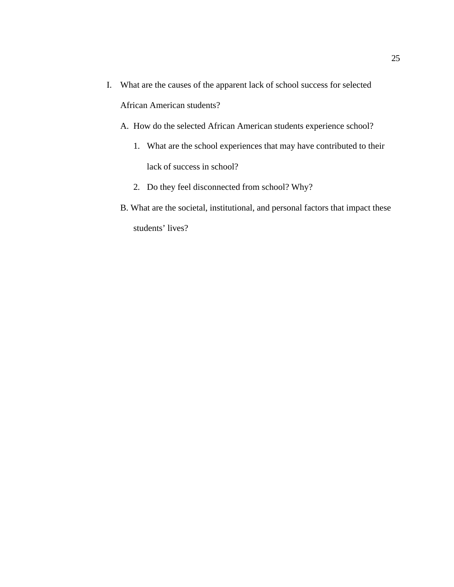I. What are the causes of the apparent lack of school success for selected

African American students?

- A. How do the selected African American students experience school?
	- 1. What are the school experiences that may have contributed to their lack of success in school?
	- 2. Do they feel disconnected from school? Why?
- B. What are the societal, institutional, and personal factors that impact these students' lives?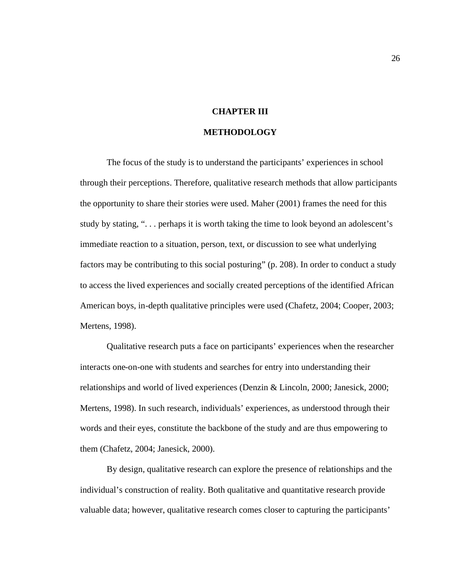# **CHAPTER III**

#### **METHODOLOGY**

The focus of the study is to understand the participants' experiences in school through their perceptions. Therefore, qualitative research methods that allow participants the opportunity to share their stories were used. Maher (2001) frames the need for this study by stating, ". . . perhaps it is worth taking the time to look beyond an adolescent's immediate reaction to a situation, person, text, or discussion to see what underlying factors may be contributing to this social posturing" (p. 208). In order to conduct a study to access the lived experiences and socially created perceptions of the identified African American boys, in-depth qualitative principles were used (Chafetz, 2004; Cooper, 2003; Mertens, 1998).

Qualitative research puts a face on participants' experiences when the researcher interacts one-on-one with students and searches for entry into understanding their relationships and world of lived experiences (Denzin & Lincoln, 2000; Janesick, 2000; Mertens, 1998). In such research, individuals' experiences, as understood through their words and their eyes, constitute the backbone of the study and are thus empowering to them (Chafetz, 2004; Janesick, 2000).

By design, qualitative research can explore the presence of relationships and the individual's construction of reality. Both qualitative and quantitative research provide valuable data; however, qualitative research comes closer to capturing the participants'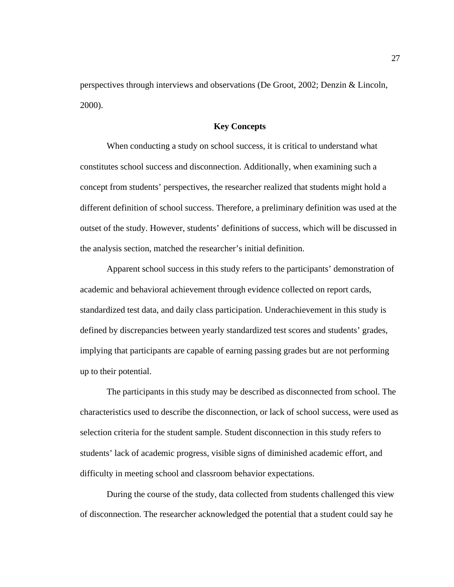perspectives through interviews and observations (De Groot, 2002; Denzin & Lincoln, 2000).

## **Key Concepts**

When conducting a study on school success, it is critical to understand what constitutes school success and disconnection. Additionally, when examining such a concept from students' perspectives, the researcher realized that students might hold a different definition of school success. Therefore, a preliminary definition was used at the outset of the study. However, students' definitions of success, which will be discussed in the analysis section, matched the researcher's initial definition.

Apparent school success in this study refers to the participants' demonstration of academic and behavioral achievement through evidence collected on report cards, standardized test data, and daily class participation. Underachievement in this study is defined by discrepancies between yearly standardized test scores and students' grades, implying that participants are capable of earning passing grades but are not performing up to their potential.

The participants in this study may be described as disconnected from school. The characteristics used to describe the disconnection, or lack of school success, were used as selection criteria for the student sample. Student disconnection in this study refers to students' lack of academic progress, visible signs of diminished academic effort, and difficulty in meeting school and classroom behavior expectations.

During the course of the study, data collected from students challenged this view of disconnection. The researcher acknowledged the potential that a student could say he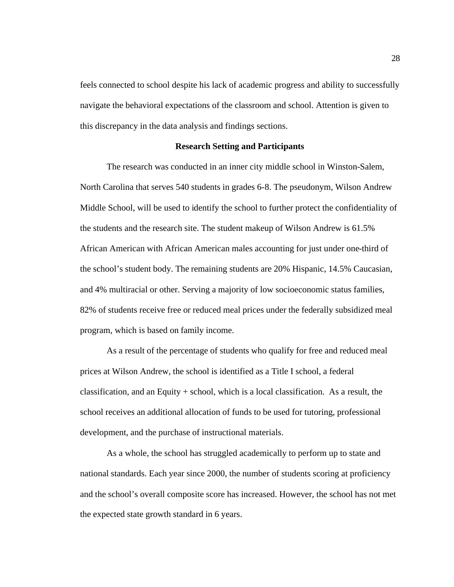feels connected to school despite his lack of academic progress and ability to successfully navigate the behavioral expectations of the classroom and school. Attention is given to this discrepancy in the data analysis and findings sections.

## **Research Setting and Participants**

The research was conducted in an inner city middle school in Winston-Salem, North Carolina that serves 540 students in grades 6-8. The pseudonym, Wilson Andrew Middle School, will be used to identify the school to further protect the confidentiality of the students and the research site. The student makeup of Wilson Andrew is 61.5% African American with African American males accounting for just under one-third of the school's student body. The remaining students are 20% Hispanic, 14.5% Caucasian, and 4% multiracial or other. Serving a majority of low socioeconomic status families, 82% of students receive free or reduced meal prices under the federally subsidized meal program, which is based on family income.

As a result of the percentage of students who qualify for free and reduced meal prices at Wilson Andrew, the school is identified as a Title I school, a federal classification, and an Equity + school, which is a local classification. As a result, the school receives an additional allocation of funds to be used for tutoring, professional development, and the purchase of instructional materials.

As a whole, the school has struggled academically to perform up to state and national standards. Each year since 2000, the number of students scoring at proficiency and the school's overall composite score has increased. However, the school has not met the expected state growth standard in 6 years.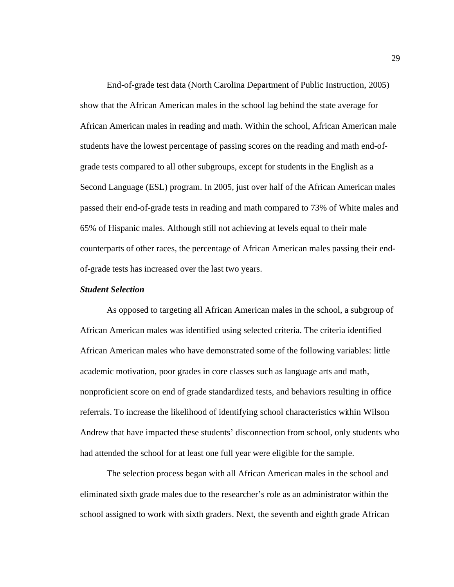End-of-grade test data (North Carolina Department of Public Instruction, 2005) show that the African American males in the school lag behind the state average for African American males in reading and math. Within the school, African American male students have the lowest percentage of passing scores on the reading and math end-ofgrade tests compared to all other subgroups, except for students in the English as a Second Language (ESL) program. In 2005, just over half of the African American males passed their end-of-grade tests in reading and math compared to 73% of White males and 65% of Hispanic males. Although still not achieving at levels equal to their male counterparts of other races, the percentage of African American males passing their endof-grade tests has increased over the last two years.

## *Student Selection*

As opposed to targeting all African American males in the school, a subgroup of African American males was identified using selected criteria. The criteria identified African American males who have demonstrated some of the following variables: little academic motivation, poor grades in core classes such as language arts and math, nonproficient score on end of grade standardized tests, and behaviors resulting in office referrals. To increase the likelihood of identifying school characteristics within Wilson Andrew that have impacted these students' disconnection from school, only students who had attended the school for at least one full year were eligible for the sample.

The selection process began with all African American males in the school and eliminated sixth grade males due to the researcher's role as an administrator within the school assigned to work with sixth graders. Next, the seventh and eighth grade African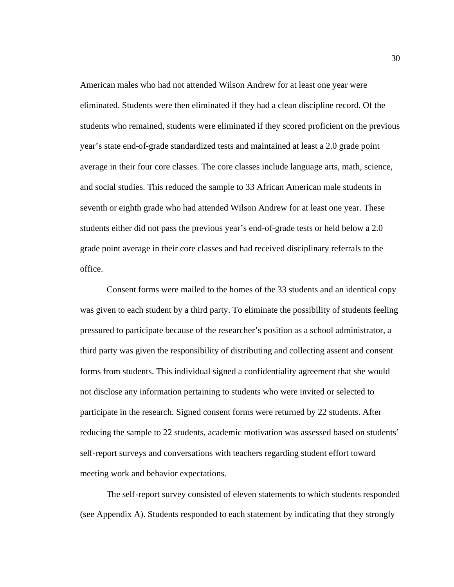American males who had not attended Wilson Andrew for at least one year were eliminated. Students were then eliminated if they had a clean discipline record. Of the students who remained, students were eliminated if they scored proficient on the previous year's state end-of-grade standardized tests and maintained at least a 2.0 grade point average in their four core classes. The core classes include language arts, math, science, and social studies. This reduced the sample to 33 African American male students in seventh or eighth grade who had attended Wilson Andrew for at least one year. These students either did not pass the previous year's end-of-grade tests or held below a 2.0 grade point average in their core classes and had received disciplinary referrals to the office.

Consent forms were mailed to the homes of the 33 students and an identical copy was given to each student by a third party. To eliminate the possibility of students feeling pressured to participate because of the researcher's position as a school administrator, a third party was given the responsibility of distributing and collecting assent and consent forms from students. This individual signed a confidentiality agreement that she would not disclose any information pertaining to students who were invited or selected to participate in the research. Signed consent forms were returned by 22 students. After reducing the sample to 22 students, academic motivation was assessed based on students' self-report surveys and conversations with teachers regarding student effort toward meeting work and behavior expectations.

The self-report survey consisted of eleven statements to which students responded (see Appendix A). Students responded to each statement by indicating that they strongly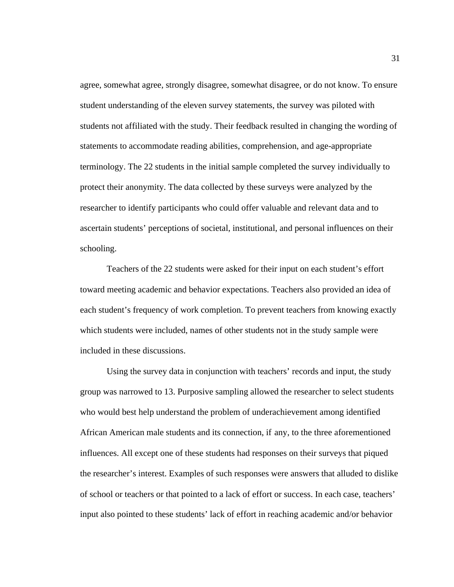agree, somewhat agree, strongly disagree, somewhat disagree, or do not know. To ensure student understanding of the eleven survey statements, the survey was piloted with students not affiliated with the study. Their feedback resulted in changing the wording of statements to accommodate reading abilities, comprehension, and age-appropriate terminology. The 22 students in the initial sample completed the survey individually to protect their anonymity. The data collected by these surveys were analyzed by the researcher to identify participants who could offer valuable and relevant data and to ascertain students' perceptions of societal, institutional, and personal influences on their schooling.

Teachers of the 22 students were asked for their input on each student's effort toward meeting academic and behavior expectations. Teachers also provided an idea of each student's frequency of work completion. To prevent teachers from knowing exactly which students were included, names of other students not in the study sample were included in these discussions.

Using the survey data in conjunction with teachers' records and input, the study group was narrowed to 13. Purposive sampling allowed the researcher to select students who would best help understand the problem of underachievement among identified African American male students and its connection, if any, to the three aforementioned influences. All except one of these students had responses on their surveys that piqued the researcher's interest. Examples of such responses were answers that alluded to dislike of school or teachers or that pointed to a lack of effort or success. In each case, teachers' input also pointed to these students' lack of effort in reaching academic and/or behavior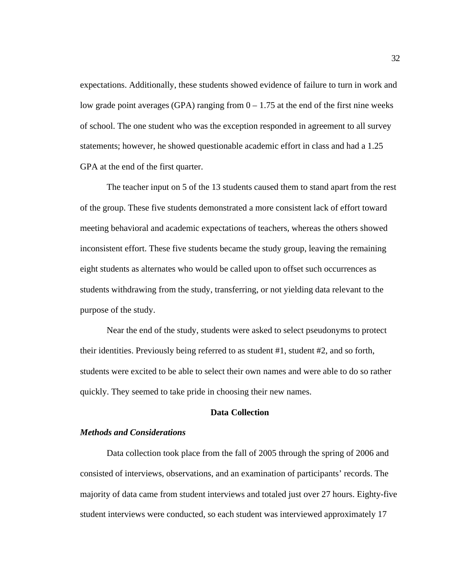expectations. Additionally, these students showed evidence of failure to turn in work and low grade point averages (GPA) ranging from  $0 - 1.75$  at the end of the first nine weeks of school. The one student who was the exception responded in agreement to all survey statements; however, he showed questionable academic effort in class and had a 1.25 GPA at the end of the first quarter.

The teacher input on 5 of the 13 students caused them to stand apart from the rest of the group. These five students demonstrated a more consistent lack of effort toward meeting behavioral and academic expectations of teachers, whereas the others showed inconsistent effort. These five students became the study group, leaving the remaining eight students as alternates who would be called upon to offset such occurrences as students withdrawing from the study, transferring, or not yielding data relevant to the purpose of the study.

Near the end of the study, students were asked to select pseudonyms to protect their identities. Previously being referred to as student #1, student #2, and so forth, students were excited to be able to select their own names and were able to do so rather quickly. They seemed to take pride in choosing their new names.

## **Data Collection**

## *Methods and Considerations*

Data collection took place from the fall of 2005 through the spring of 2006 and consisted of interviews, observations, and an examination of participants' records. The majority of data came from student interviews and totaled just over 27 hours. Eighty-five student interviews were conducted, so each student was interviewed approximately 17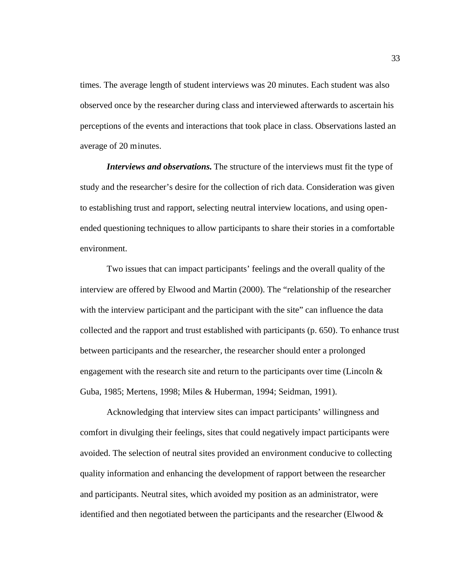times. The average length of student interviews was 20 minutes. Each student was also observed once by the researcher during class and interviewed afterwards to ascertain his perceptions of the events and interactions that took place in class. Observations lasted an average of 20 minutes.

*Interviews and observations.* The structure of the interviews must fit the type of study and the researcher's desire for the collection of rich data. Consideration was given to establishing trust and rapport, selecting neutral interview locations, and using openended questioning techniques to allow participants to share their stories in a comfortable environment.

Two issues that can impact participants' feelings and the overall quality of the interview are offered by Elwood and Martin (2000). The "relationship of the researcher with the interview participant and the participant with the site" can influence the data collected and the rapport and trust established with participants (p. 650). To enhance trust between participants and the researcher, the researcher should enter a prolonged engagement with the research site and return to the participants over time (Lincoln  $\&$ Guba, 1985; Mertens, 1998; Miles & Huberman, 1994; Seidman, 1991).

Acknowledging that interview sites can impact participants' willingness and comfort in divulging their feelings, sites that could negatively impact participants were avoided. The selection of neutral sites provided an environment conducive to collecting quality information and enhancing the development of rapport between the researcher and participants. Neutral sites, which avoided my position as an administrator, were identified and then negotiated between the participants and the researcher (Elwood  $\&$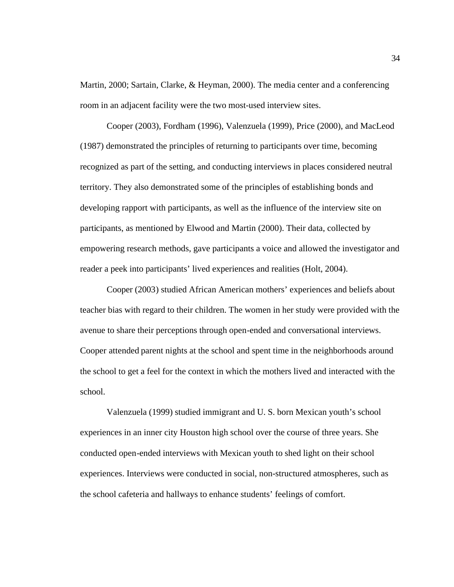Martin, 2000; Sartain, Clarke, & Heyman, 2000). The media center and a conferencing room in an adjacent facility were the two most-used interview sites.

Cooper (2003), Fordham (1996), Valenzuela (1999), Price (2000), and MacLeod (1987) demonstrated the principles of returning to participants over time, becoming recognized as part of the setting, and conducting interviews in places considered neutral territory. They also demonstrated some of the principles of establishing bonds and developing rapport with participants, as well as the influence of the interview site on participants, as mentioned by Elwood and Martin (2000). Their data, collected by empowering research methods, gave participants a voice and allowed the investigator and reader a peek into participants' lived experiences and realities (Holt, 2004).

Cooper (2003) studied African American mothers' experiences and beliefs about teacher bias with regard to their children. The women in her study were provided with the avenue to share their perceptions through open-ended and conversational interviews. Cooper attended parent nights at the school and spent time in the neighborhoods around the school to get a feel for the context in which the mothers lived and interacted with the school.

Valenzuela (1999) studied immigrant and U. S. born Mexican youth's school experiences in an inner city Houston high school over the course of three years. She conducted open-ended interviews with Mexican youth to shed light on their school experiences. Interviews were conducted in social, non-structured atmospheres, such as the school cafeteria and hallways to enhance students' feelings of comfort.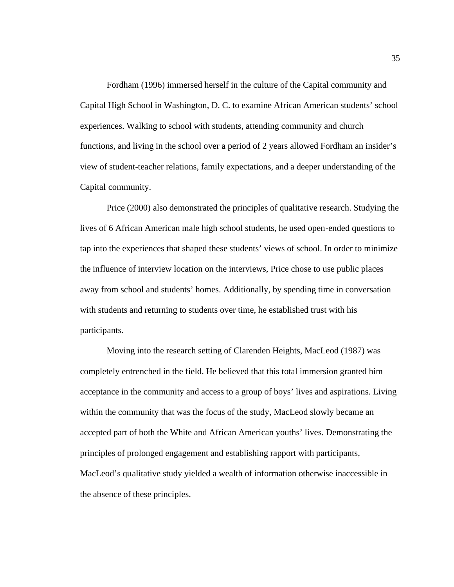Fordham (1996) immersed herself in the culture of the Capital community and Capital High School in Washington, D. C. to examine African American students' school experiences. Walking to school with students, attending community and church functions, and living in the school over a period of 2 years allowed Fordham an insider's view of student-teacher relations, family expectations, and a deeper understanding of the Capital community.

Price (2000) also demonstrated the principles of qualitative research. Studying the lives of 6 African American male high school students, he used open-ended questions to tap into the experiences that shaped these students' views of school. In order to minimize the influence of interview location on the interviews, Price chose to use public places away from school and students' homes. Additionally, by spending time in conversation with students and returning to students over time, he established trust with his participants.

Moving into the research setting of Clarenden Heights, MacLeod (1987) was completely entrenched in the field. He believed that this total immersion granted him acceptance in the community and access to a group of boys' lives and aspirations. Living within the community that was the focus of the study, MacLeod slowly became an accepted part of both the White and African American youths' lives. Demonstrating the principles of prolonged engagement and establishing rapport with participants, MacLeod's qualitative study yielded a wealth of information otherwise inaccessible in the absence of these principles.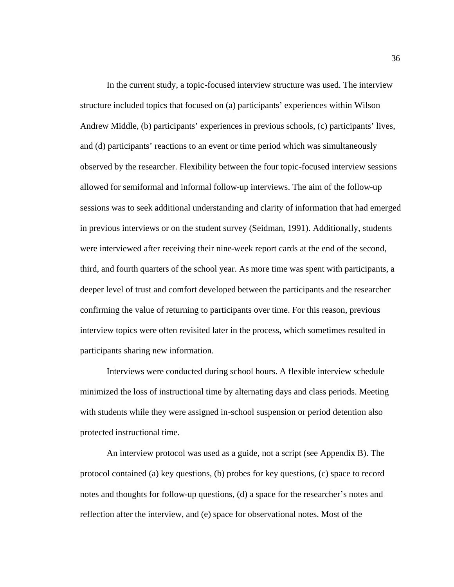In the current study, a topic-focused interview structure was used. The interview structure included topics that focused on (a) participants' experiences within Wilson Andrew Middle, (b) participants' experiences in previous schools, (c) participants' lives, and (d) participants' reactions to an event or time period which was simultaneously observed by the researcher. Flexibility between the four topic-focused interview sessions allowed for semiformal and informal follow-up interviews. The aim of the follow-up sessions was to seek additional understanding and clarity of information that had emerged in previous interviews or on the student survey (Seidman, 1991). Additionally, students were interviewed after receiving their nine-week report cards at the end of the second, third, and fourth quarters of the school year. As more time was spent with participants, a deeper level of trust and comfort developed between the participants and the researcher confirming the value of returning to participants over time. For this reason, previous interview topics were often revisited later in the process, which sometimes resulted in participants sharing new information.

Interviews were conducted during school hours. A flexible interview schedule minimized the loss of instructional time by alternating days and class periods. Meeting with students while they were assigned in-school suspension or period detention also protected instructional time.

An interview protocol was used as a guide, not a script (see Appendix B). The protocol contained (a) key questions, (b) probes for key questions, (c) space to record notes and thoughts for follow-up questions, (d) a space for the researcher's notes and reflection after the interview, and (e) space for observational notes. Most of the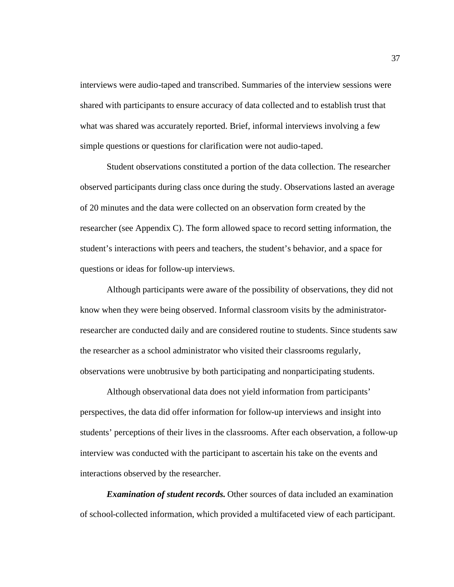interviews were audio-taped and transcribed. Summaries of the interview sessions were shared with participants to ensure accuracy of data collected and to establish trust that what was shared was accurately reported. Brief, informal interviews involving a few simple questions or questions for clarification were not audio-taped.

Student observations constituted a portion of the data collection. The researcher observed participants during class once during the study. Observations lasted an average of 20 minutes and the data were collected on an observation form created by the researcher (see Appendix C). The form allowed space to record setting information, the student's interactions with peers and teachers, the student's behavior, and a space for questions or ideas for follow-up interviews.

Although participants were aware of the possibility of observations, they did not know when they were being observed. Informal classroom visits by the administratorresearcher are conducted daily and are considered routine to students. Since students saw the researcher as a school administrator who visited their classrooms regularly, observations were unobtrusive by both participating and nonparticipating students.

Although observational data does not yield information from participants' perspectives, the data did offer information for follow-up interviews and insight into students' perceptions of their lives in the classrooms. After each observation, a follow-up interview was conducted with the participant to ascertain his take on the events and interactions observed by the researcher.

*Examination of student records.* Other sources of data included an examination of school-collected information, which provided a multifaceted view of each participant.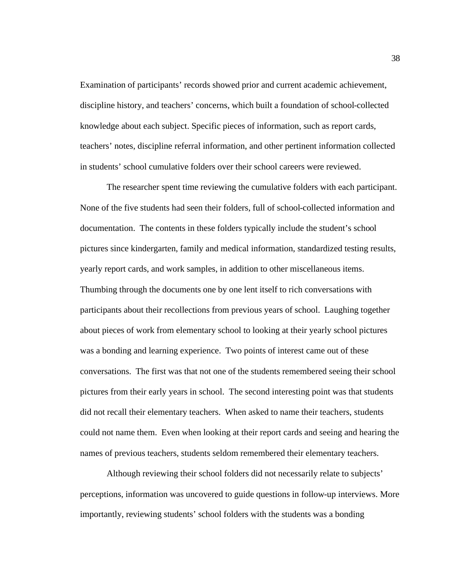Examination of participants' records showed prior and current academic achievement, discipline history, and teachers' concerns, which built a foundation of school-collected knowledge about each subject. Specific pieces of information, such as report cards, teachers' notes, discipline referral information, and other pertinent information collected in students' school cumulative folders over their school careers were reviewed.

The researcher spent time reviewing the cumulative folders with each participant. None of the five students had seen their folders, full of school-collected information and documentation. The contents in these folders typically include the student's school pictures since kindergarten, family and medical information, standardized testing results, yearly report cards, and work samples, in addition to other miscellaneous items. Thumbing through the documents one by one lent itself to rich conversations with participants about their recollections from previous years of school. Laughing together about pieces of work from elementary school to looking at their yearly school pictures was a bonding and learning experience. Two points of interest came out of these conversations. The first was that not one of the students remembered seeing their school pictures from their early years in school. The second interesting point was that students did not recall their elementary teachers. When asked to name their teachers, students could not name them. Even when looking at their report cards and seeing and hearing the names of previous teachers, students seldom remembered their elementary teachers.

Although reviewing their school folders did not necessarily relate to subjects' perceptions, information was uncovered to guide questions in follow-up interviews. More importantly, reviewing students' school folders with the students was a bonding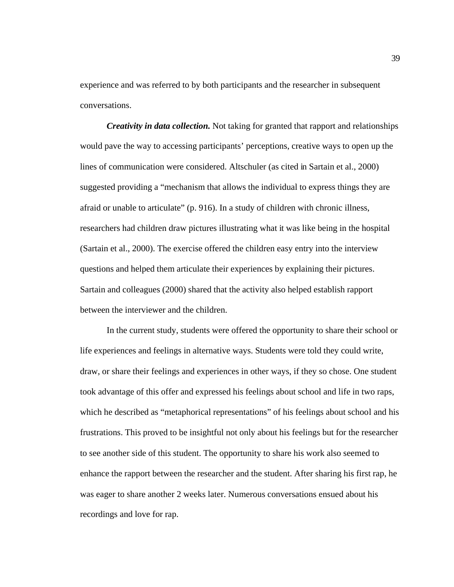experience and was referred to by both participants and the researcher in subsequent conversations.

*Creativity in data collection.* Not taking for granted that rapport and relationships would pave the way to accessing participants' perceptions, creative ways to open up the lines of communication were considered. Altschuler (as cited in Sartain et al., 2000) suggested providing a "mechanism that allows the individual to express things they are afraid or unable to articulate" (p. 916). In a study of children with chronic illness, researchers had children draw pictures illustrating what it was like being in the hospital (Sartain et al., 2000). The exercise offered the children easy entry into the interview questions and helped them articulate their experiences by explaining their pictures. Sartain and colleagues (2000) shared that the activity also helped establish rapport between the interviewer and the children.

In the current study, students were offered the opportunity to share their school or life experiences and feelings in alternative ways. Students were told they could write, draw, or share their feelings and experiences in other ways, if they so chose. One student took advantage of this offer and expressed his feelings about school and life in two raps, which he described as "metaphorical representations" of his feelings about school and his frustrations. This proved to be insightful not only about his feelings but for the researcher to see another side of this student. The opportunity to share his work also seemed to enhance the rapport between the researcher and the student. After sharing his first rap, he was eager to share another 2 weeks later. Numerous conversations ensued about his recordings and love for rap.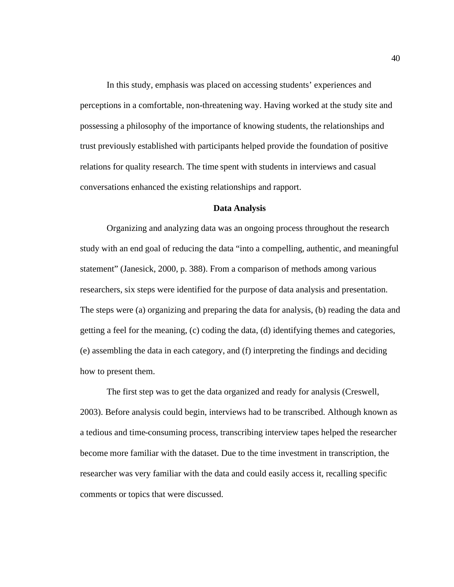In this study, emphasis was placed on accessing students' experiences and perceptions in a comfortable, non-threatening way. Having worked at the study site and possessing a philosophy of the importance of knowing students, the relationships and trust previously established with participants helped provide the foundation of positive relations for quality research. The time spent with students in interviews and casual conversations enhanced the existing relationships and rapport.

# **Data Analysis**

Organizing and analyzing data was an ongoing process throughout the research study with an end goal of reducing the data "into a compelling, authentic, and meaningful statement" (Janesick, 2000, p. 388). From a comparison of methods among various researchers, six steps were identified for the purpose of data analysis and presentation. The steps were (a) organizing and preparing the data for analysis, (b) reading the data and getting a feel for the meaning, (c) coding the data, (d) identifying themes and categories, (e) assembling the data in each category, and (f) interpreting the findings and deciding how to present them.

The first step was to get the data organized and ready for analysis (Creswell, 2003). Before analysis could begin, interviews had to be transcribed. Although known as a tedious and time-consuming process, transcribing interview tapes helped the researcher become more familiar with the dataset. Due to the time investment in transcription, the researcher was very familiar with the data and could easily access it, recalling specific comments or topics that were discussed.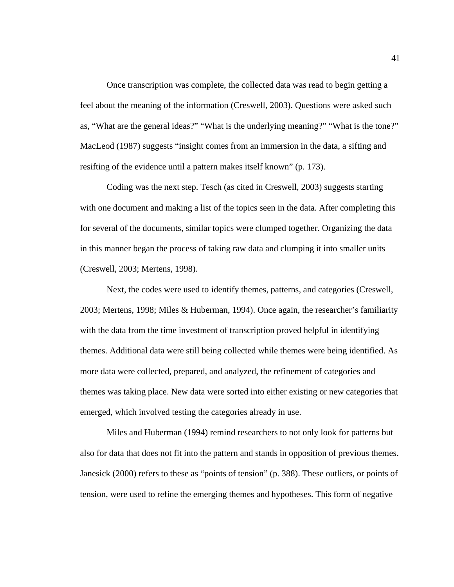Once transcription was complete, the collected data was read to begin getting a feel about the meaning of the information (Creswell, 2003). Questions were asked such as, "What are the general ideas?" "What is the underlying meaning?" "What is the tone?" MacLeod (1987) suggests "insight comes from an immersion in the data, a sifting and resifting of the evidence until a pattern makes itself known" (p. 173).

Coding was the next step. Tesch (as cited in Creswell, 2003) suggests starting with one document and making a list of the topics seen in the data. After completing this for several of the documents, similar topics were clumped together. Organizing the data in this manner began the process of taking raw data and clumping it into smaller units (Creswell, 2003; Mertens, 1998).

Next, the codes were used to identify themes, patterns, and categories (Creswell, 2003; Mertens, 1998; Miles & Huberman, 1994). Once again, the researcher's familiarity with the data from the time investment of transcription proved helpful in identifying themes. Additional data were still being collected while themes were being identified. As more data were collected, prepared, and analyzed, the refinement of categories and themes was taking place. New data were sorted into either existing or new categories that emerged, which involved testing the categories already in use.

Miles and Huberman (1994) remind researchers to not only look for patterns but also for data that does not fit into the pattern and stands in opposition of previous themes. Janesick (2000) refers to these as "points of tension" (p. 388). These outliers, or points of tension, were used to refine the emerging themes and hypotheses. This form of negative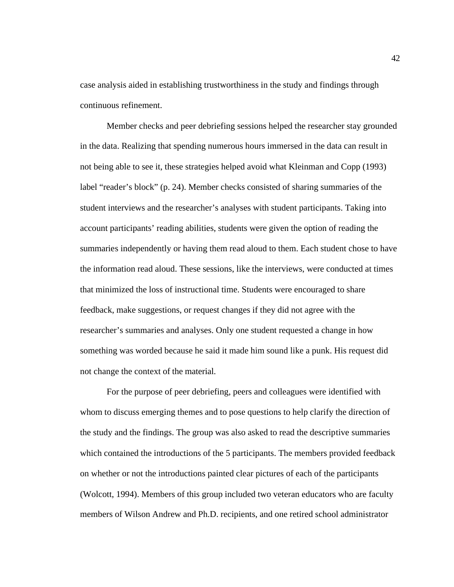case analysis aided in establishing trustworthiness in the study and findings through continuous refinement.

Member checks and peer debriefing sessions helped the researcher stay grounded in the data. Realizing that spending numerous hours immersed in the data can result in not being able to see it, these strategies helped avoid what Kleinman and Copp (1993) label "reader's block" (p. 24). Member checks consisted of sharing summaries of the student interviews and the researcher's analyses with student participants. Taking into account participants' reading abilities, students were given the option of reading the summaries independently or having them read aloud to them. Each student chose to have the information read aloud. These sessions, like the interviews, were conducted at times that minimized the loss of instructional time. Students were encouraged to share feedback, make suggestions, or request changes if they did not agree with the researcher's summaries and analyses. Only one student requested a change in how something was worded because he said it made him sound like a punk. His request did not change the context of the material.

For the purpose of peer debriefing, peers and colleagues were identified with whom to discuss emerging themes and to pose questions to help clarify the direction of the study and the findings. The group was also asked to read the descriptive summaries which contained the introductions of the 5 participants. The members provided feedback on whether or not the introductions painted clear pictures of each of the participants (Wolcott, 1994). Members of this group included two veteran educators who are faculty members of Wilson Andrew and Ph.D. recipients, and one retired school administrator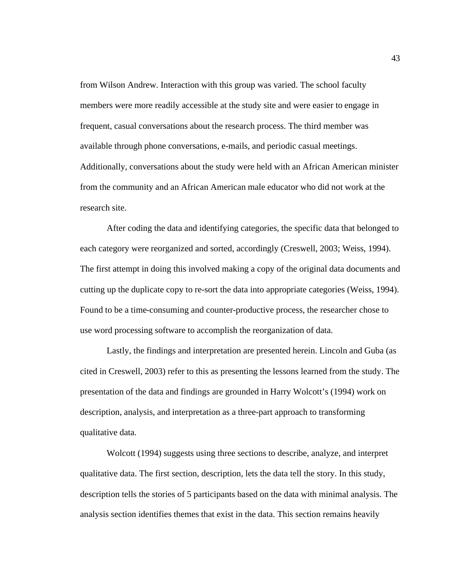from Wilson Andrew. Interaction with this group was varied. The school faculty members were more readily accessible at the study site and were easier to engage in frequent, casual conversations about the research process. The third member was available through phone conversations, e-mails, and periodic casual meetings. Additionally, conversations about the study were held with an African American minister from the community and an African American male educator who did not work at the research site.

After coding the data and identifying categories, the specific data that belonged to each category were reorganized and sorted, accordingly (Creswell, 2003; Weiss, 1994). The first attempt in doing this involved making a copy of the original data documents and cutting up the duplicate copy to re-sort the data into appropriate categories (Weiss, 1994). Found to be a time-consuming and counter-productive process, the researcher chose to use word processing software to accomplish the reorganization of data.

Lastly, the findings and interpretation are presented herein. Lincoln and Guba (as cited in Creswell, 2003) refer to this as presenting the lessons learned from the study. The presentation of the data and findings are grounded in Harry Wolcott's (1994) work on description, analysis, and interpretation as a three-part approach to transforming qualitative data.

Wolcott (1994) suggests using three sections to describe, analyze, and interpret qualitative data. The first section, description, lets the data tell the story. In this study, description tells the stories of 5 participants based on the data with minimal analysis. The analysis section identifies themes that exist in the data. This section remains heavily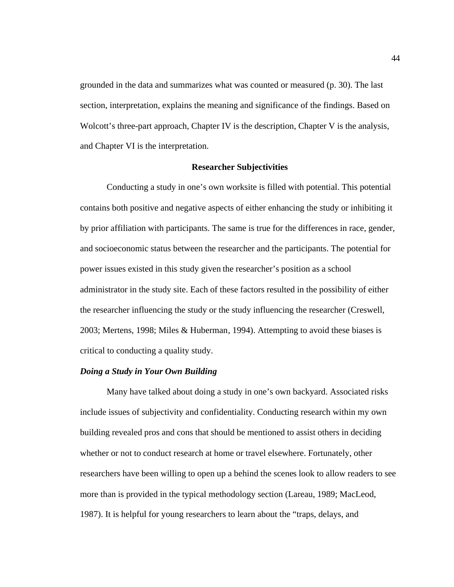grounded in the data and summarizes what was counted or measured (p. 30). The last section, interpretation, explains the meaning and significance of the findings. Based on Wolcott's three-part approach, Chapter IV is the description, Chapter V is the analysis, and Chapter VI is the interpretation.

#### **Researcher Subjectivities**

Conducting a study in one's own worksite is filled with potential. This potential contains both positive and negative aspects of either enhancing the study or inhibiting it by prior affiliation with participants. The same is true for the differences in race, gender, and socioeconomic status between the researcher and the participants. The potential for power issues existed in this study given the researcher's position as a school administrator in the study site. Each of these factors resulted in the possibility of either the researcher influencing the study or the study influencing the researcher (Creswell, 2003; Mertens, 1998; Miles & Huberman, 1994). Attempting to avoid these biases is critical to conducting a quality study.

## *Doing a Study in Your Own Building*

Many have talked about doing a study in one's own backyard. Associated risks include issues of subjectivity and confidentiality. Conducting research within my own building revealed pros and cons that should be mentioned to assist others in deciding whether or not to conduct research at home or travel elsewhere. Fortunately, other researchers have been willing to open up a behind the scenes look to allow readers to see more than is provided in the typical methodology section (Lareau, 1989; MacLeod, 1987). It is helpful for young researchers to learn about the "traps, delays, and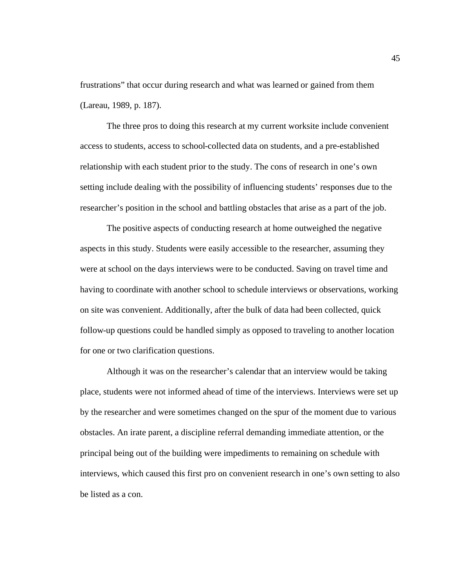frustrations" that occur during research and what was learned or gained from them (Lareau, 1989, p. 187).

The three pros to doing this research at my current worksite include convenient access to students, access to school-collected data on students, and a pre-established relationship with each student prior to the study. The cons of research in one's own setting include dealing with the possibility of influencing students' responses due to the researcher's position in the school and battling obstacles that arise as a part of the job.

The positive aspects of conducting research at home outweighed the negative aspects in this study. Students were easily accessible to the researcher, assuming they were at school on the days interviews were to be conducted. Saving on travel time and having to coordinate with another school to schedule interviews or observations, working on site was convenient. Additionally, after the bulk of data had been collected, quick follow-up questions could be handled simply as opposed to traveling to another location for one or two clarification questions.

Although it was on the researcher's calendar that an interview would be taking place, students were not informed ahead of time of the interviews. Interviews were set up by the researcher and were sometimes changed on the spur of the moment due to various obstacles. An irate parent, a discipline referral demanding immediate attention, or the principal being out of the building were impediments to remaining on schedule with interviews, which caused this first pro on convenient research in one's own setting to also be listed as a con.

45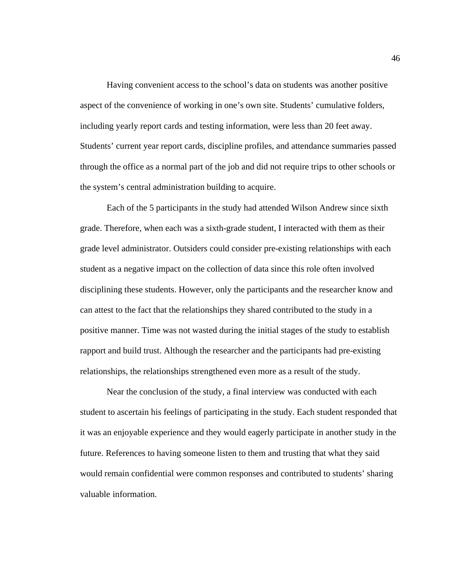Having convenient access to the school's data on students was another positive aspect of the convenience of working in one's own site. Students' cumulative folders, including yearly report cards and testing information, were less than 20 feet away. Students' current year report cards, discipline profiles, and attendance summaries passed through the office as a normal part of the job and did not require trips to other schools or the system's central administration building to acquire.

Each of the 5 participants in the study had attended Wilson Andrew since sixth grade. Therefore, when each was a sixth-grade student, I interacted with them as their grade level administrator. Outsiders could consider pre-existing relationships with each student as a negative impact on the collection of data since this role often involved disciplining these students. However, only the participants and the researcher know and can attest to the fact that the relationships they shared contributed to the study in a positive manner. Time was not wasted during the initial stages of the study to establish rapport and build trust. Although the researcher and the participants had pre-existing relationships, the relationships strengthened even more as a result of the study.

Near the conclusion of the study, a final interview was conducted with each student to ascertain his feelings of participating in the study. Each student responded that it was an enjoyable experience and they would eagerly participate in another study in the future. References to having someone listen to them and trusting that what they said would remain confidential were common responses and contributed to students' sharing valuable information.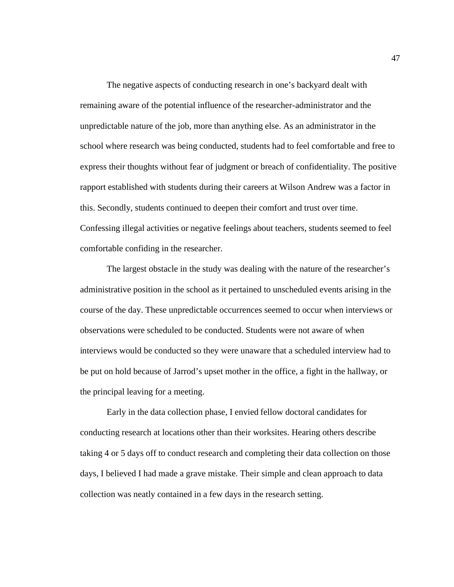The negative aspects of conducting research in one's backyard dealt with remaining aware of the potential influence of the researcher-administrator and the unpredictable nature of the job, more than anything else. As an administrator in the school where research was being conducted, students had to feel comfortable and free to express their thoughts without fear of judgment or breach of confidentiality. The positive rapport established with students during their careers at Wilson Andrew was a factor in this. Secondly, students continued to deepen their comfort and trust over time. Confessing illegal activities or negative feelings about teachers, students seemed to feel comfortable confiding in the researcher.

The largest obstacle in the study was dealing with the nature of the researcher's administrative position in the school as it pertained to unscheduled events arising in the course of the day. These unpredictable occurrences seemed to occur when interviews or observations were scheduled to be conducted. Students were not aware of when interviews would be conducted so they were unaware that a scheduled interview had to be put on hold because of Jarrod's upset mother in the office, a fight in the hallway, or the principal leaving for a meeting.

Early in the data collection phase, I envied fellow doctoral candidates for conducting research at locations other than their worksites. Hearing others describe taking 4 or 5 days off to conduct research and completing their data collection on those days, I believed I had made a grave mistake. Their simple and clean approach to data collection was neatly contained in a few days in the research setting.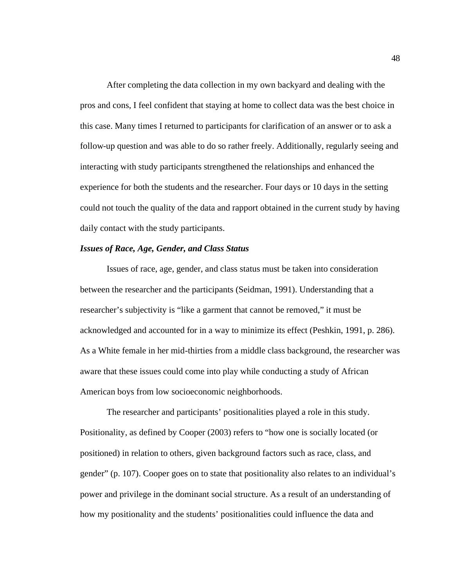After completing the data collection in my own backyard and dealing with the pros and cons, I feel confident that staying at home to collect data was the best choice in this case. Many times I returned to participants for clarification of an answer or to ask a follow-up question and was able to do so rather freely. Additionally, regularly seeing and interacting with study participants strengthened the relationships and enhanced the experience for both the students and the researcher. Four days or 10 days in the setting could not touch the quality of the data and rapport obtained in the current study by having daily contact with the study participants.

## *Issues of Race, Age, Gender, and Class Status*

Issues of race, age, gender, and class status must be taken into consideration between the researcher and the participants (Seidman, 1991). Understanding that a researcher's subjectivity is "like a garment that cannot be removed," it must be acknowledged and accounted for in a way to minimize its effect (Peshkin, 1991, p. 286). As a White female in her mid-thirties from a middle class background, the researcher was aware that these issues could come into play while conducting a study of African American boys from low socioeconomic neighborhoods.

The researcher and participants' positionalities played a role in this study. Positionality, as defined by Cooper (2003) refers to "how one is socially located (or positioned) in relation to others, given background factors such as race, class, and gender" (p. 107). Cooper goes on to state that positionality also relates to an individual's power and privilege in the dominant social structure. As a result of an understanding of how my positionality and the students' positionalities could influence the data and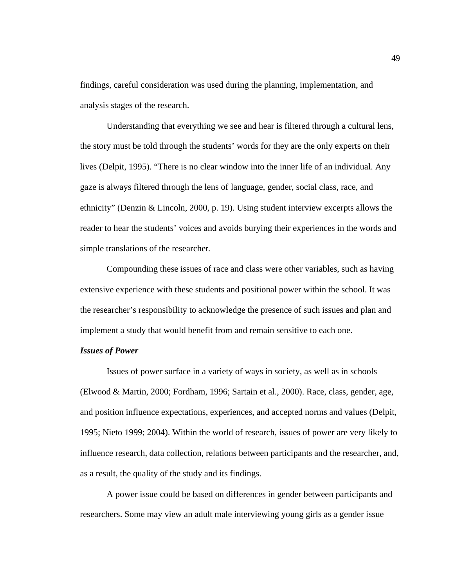findings, careful consideration was used during the planning, implementation, and analysis stages of the research.

Understanding that everything we see and hear is filtered through a cultural lens, the story must be told through the students' words for they are the only experts on their lives (Delpit, 1995). "There is no clear window into the inner life of an individual. Any gaze is always filtered through the lens of language, gender, social class, race, and ethnicity" (Denzin & Lincoln, 2000, p. 19). Using student interview excerpts allows the reader to hear the students' voices and avoids burying their experiences in the words and simple translations of the researcher.

Compounding these issues of race and class were other variables, such as having extensive experience with these students and positional power within the school. It was the researcher's responsibility to acknowledge the presence of such issues and plan and implement a study that would benefit from and remain sensitive to each one.

#### *Issues of Power*

Issues of power surface in a variety of ways in society, as well as in schools (Elwood & Martin, 2000; Fordham, 1996; Sartain et al., 2000). Race, class, gender, age, and position influence expectations, experiences, and accepted norms and values (Delpit, 1995; Nieto 1999; 2004). Within the world of research, issues of power are very likely to influence research, data collection, relations between participants and the researcher, and, as a result, the quality of the study and its findings.

A power issue could be based on differences in gender between participants and researchers. Some may view an adult male interviewing young girls as a gender issue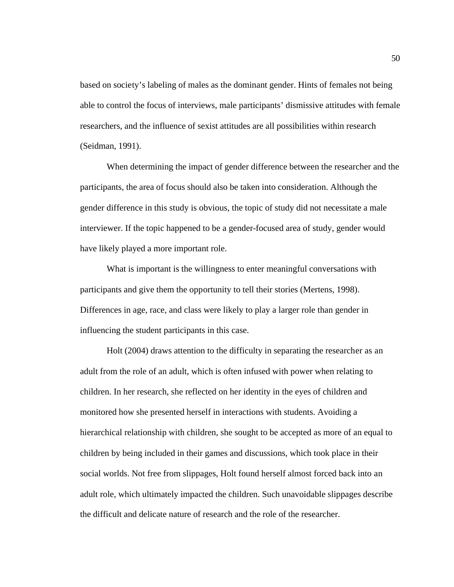based on society's labeling of males as the dominant gender. Hints of females not being able to control the focus of interviews, male participants' dismissive attitudes with female researchers, and the influence of sexist attitudes are all possibilities within research (Seidman, 1991).

When determining the impact of gender difference between the researcher and the participants, the area of focus should also be taken into consideration. Although the gender difference in this study is obvious, the topic of study did not necessitate a male interviewer. If the topic happened to be a gender-focused area of study, gender would have likely played a more important role.

What is important is the willingness to enter meaningful conversations with participants and give them the opportunity to tell their stories (Mertens, 1998). Differences in age, race, and class were likely to play a larger role than gender in influencing the student participants in this case.

Holt (2004) draws attention to the difficulty in separating the researcher as an adult from the role of an adult, which is often infused with power when relating to children. In her research, she reflected on her identity in the eyes of children and monitored how she presented herself in interactions with students. Avoiding a hierarchical relationship with children, she sought to be accepted as more of an equal to children by being included in their games and discussions, which took place in their social worlds. Not free from slippages, Holt found herself almost forced back into an adult role, which ultimately impacted the children. Such unavoidable slippages describe the difficult and delicate nature of research and the role of the researcher.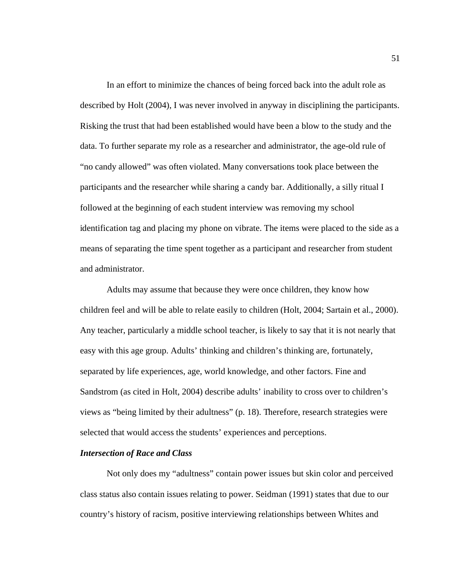In an effort to minimize the chances of being forced back into the adult role as described by Holt (2004), I was never involved in anyway in disciplining the participants. Risking the trust that had been established would have been a blow to the study and the data. To further separate my role as a researcher and administrator, the age-old rule of "no candy allowed" was often violated. Many conversations took place between the participants and the researcher while sharing a candy bar. Additionally, a silly ritual I followed at the beginning of each student interview was removing my school identification tag and placing my phone on vibrate. The items were placed to the side as a means of separating the time spent together as a participant and researcher from student and administrator.

Adults may assume that because they were once children, they know how children feel and will be able to relate easily to children (Holt, 2004; Sartain et al., 2000). Any teacher, particularly a middle school teacher, is likely to say that it is not nearly that easy with this age group. Adults' thinking and children's thinking are, fortunately, separated by life experiences, age, world knowledge, and other factors. Fine and Sandstrom (as cited in Holt, 2004) describe adults' inability to cross over to children's views as "being limited by their adultness" (p. 18). Therefore, research strategies were selected that would access the students' experiences and perceptions.

#### *Intersection of Race and Class*

Not only does my "adultness" contain power issues but skin color and perceived class status also contain issues relating to power. Seidman (1991) states that due to our country's history of racism, positive interviewing relationships between Whites and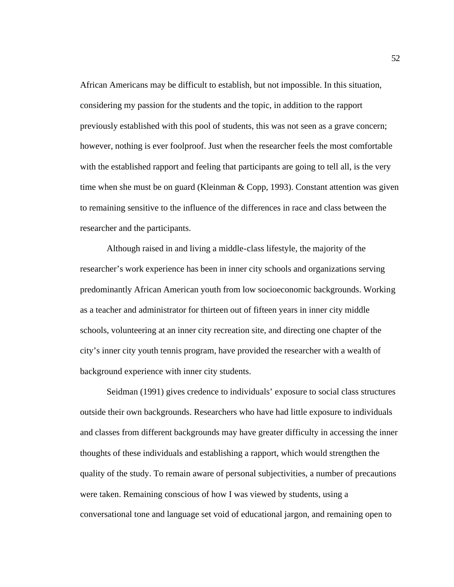African Americans may be difficult to establish, but not impossible. In this situation, considering my passion for the students and the topic, in addition to the rapport previously established with this pool of students, this was not seen as a grave concern; however, nothing is ever foolproof. Just when the researcher feels the most comfortable with the established rapport and feeling that participants are going to tell all, is the very time when she must be on guard (Kleinman & Copp, 1993). Constant attention was given to remaining sensitive to the influence of the differences in race and class between the researcher and the participants.

Although raised in and living a middle-class lifestyle, the majority of the researcher's work experience has been in inner city schools and organizations serving predominantly African American youth from low socioeconomic backgrounds. Working as a teacher and administrator for thirteen out of fifteen years in inner city middle schools, volunteering at an inner city recreation site, and directing one chapter of the city's inner city youth tennis program, have provided the researcher with a wealth of background experience with inner city students.

Seidman (1991) gives credence to individuals' exposure to social class structures outside their own backgrounds. Researchers who have had little exposure to individuals and classes from different backgrounds may have greater difficulty in accessing the inner thoughts of these individuals and establishing a rapport, which would strengthen the quality of the study. To remain aware of personal subjectivities, a number of precautions were taken. Remaining conscious of how I was viewed by students, using a conversational tone and language set void of educational jargon, and remaining open to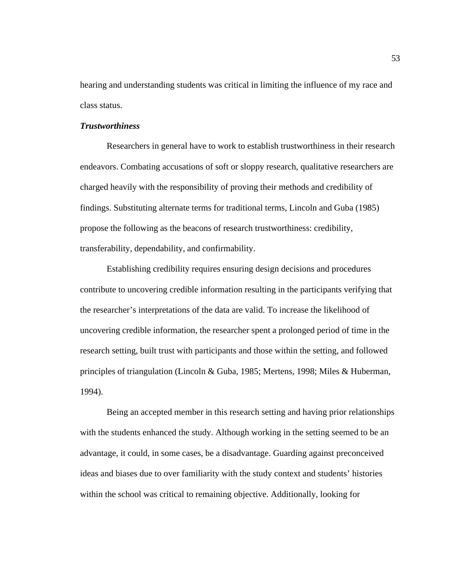hearing and understanding students was critical in limiting the influence of my race and class status.

## *Trustworthiness*

Researchers in general have to work to establish trustworthiness in their research endeavors. Combating accusations of soft or sloppy research, qualitative researchers are charged heavily with the responsibility of proving their methods and credibility of findings. Substituting alternate terms for traditional terms, Lincoln and Guba (1985) propose the following as the beacons of research trustworthiness: credibility, transferability, dependability, and confirmability.

Establishing credibility requires ensuring design decisions and procedures contribute to uncovering credible information resulting in the participants verifying that the researcher's interpretations of the data are valid. To increase the likelihood of uncovering credible information, the researcher spent a prolonged period of time in the research setting, built trust with participants and those within the setting, and followed principles of triangulation (Lincoln & Guba, 1985; Mertens, 1998; Miles & Huberman, 1994).

Being an accepted member in this research setting and having prior relationships with the students enhanced the study. Although working in the setting seemed to be an advantage, it could, in some cases, be a disadvantage. Guarding against preconceived ideas and biases due to over familiarity with the study context and students' histories within the school was critical to remaining objective. Additionally, looking for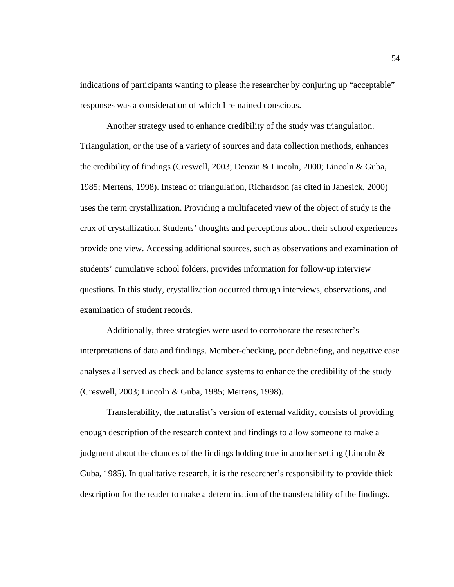indications of participants wanting to please the researcher by conjuring up "acceptable" responses was a consideration of which I remained conscious.

Another strategy used to enhance credibility of the study was triangulation. Triangulation, or the use of a variety of sources and data collection methods, enhances the credibility of findings (Creswell, 2003; Denzin & Lincoln, 2000; Lincoln & Guba, 1985; Mertens, 1998). Instead of triangulation, Richardson (as cited in Janesick, 2000) uses the term crystallization. Providing a multifaceted view of the object of study is the crux of crystallization. Students' thoughts and perceptions about their school experiences provide one view. Accessing additional sources, such as observations and examination of students' cumulative school folders, provides information for follow-up interview questions. In this study, crystallization occurred through interviews, observations, and examination of student records.

Additionally, three strategies were used to corroborate the researcher's interpretations of data and findings. Member-checking, peer debriefing, and negative case analyses all served as check and balance systems to enhance the credibility of the study (Creswell, 2003; Lincoln & Guba, 1985; Mertens, 1998).

Transferability, the naturalist's version of external validity, consists of providing enough description of the research context and findings to allow someone to make a judgment about the chances of the findings holding true in another setting (Lincoln  $\&$ Guba, 1985). In qualitative research, it is the researcher's responsibility to provide thick description for the reader to make a determination of the transferability of the findings.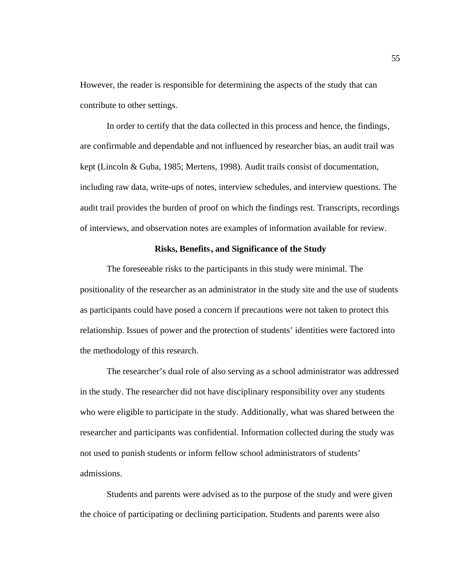However, the reader is responsible for determining the aspects of the study that can contribute to other settings.

In order to certify that the data collected in this process and hence, the findings, are confirmable and dependable and not influenced by researcher bias, an audit trail was kept (Lincoln & Guba, 1985; Mertens, 1998). Audit trails consist of documentation, including raw data, write-ups of notes, interview schedules, and interview questions. The audit trail provides the burden of proof on which the findings rest. Transcripts, recordings of interviews, and observation notes are examples of information available for review.

## **Risks, Benefits, and Significance of the Study**

The foreseeable risks to the participants in this study were minimal. The positionality of the researcher as an administrator in the study site and the use of students as participants could have posed a concern if precautions were not taken to protect this relationship. Issues of power and the protection of students' identities were factored into the methodology of this research.

The researcher's dual role of also serving as a school administrator was addressed in the study. The researcher did not have disciplinary responsibility over any students who were eligible to participate in the study. Additionally, what was shared between the researcher and participants was confidential. Information collected during the study was not used to punish students or inform fellow school administrators of students' admissions.

Students and parents were advised as to the purpose of the study and were given the choice of participating or declining participation. Students and parents were also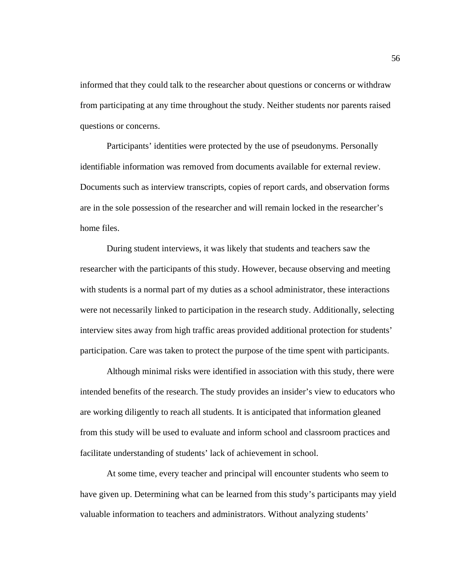informed that they could talk to the researcher about questions or concerns or withdraw from participating at any time throughout the study. Neither students nor parents raised questions or concerns.

Participants' identities were protected by the use of pseudonyms. Personally identifiable information was removed from documents available for external review. Documents such as interview transcripts, copies of report cards, and observation forms are in the sole possession of the researcher and will remain locked in the researcher's home files.

During student interviews, it was likely that students and teachers saw the researcher with the participants of this study. However, because observing and meeting with students is a normal part of my duties as a school administrator, these interactions were not necessarily linked to participation in the research study. Additionally, selecting interview sites away from high traffic areas provided additional protection for students' participation. Care was taken to protect the purpose of the time spent with participants.

Although minimal risks were identified in association with this study, there were intended benefits of the research. The study provides an insider's view to educators who are working diligently to reach all students. It is anticipated that information gleaned from this study will be used to evaluate and inform school and classroom practices and facilitate understanding of students' lack of achievement in school.

At some time, every teacher and principal will encounter students who seem to have given up. Determining what can be learned from this study's participants may yield valuable information to teachers and administrators. Without analyzing students'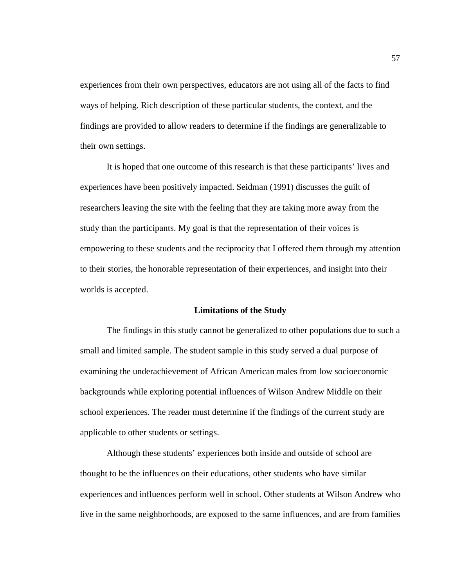experiences from their own perspectives, educators are not using all of the facts to find ways of helping. Rich description of these particular students, the context, and the findings are provided to allow readers to determine if the findings are generalizable to their own settings.

It is hoped that one outcome of this research is that these participants' lives and experiences have been positively impacted. Seidman (1991) discusses the guilt of researchers leaving the site with the feeling that they are taking more away from the study than the participants. My goal is that the representation of their voices is empowering to these students and the reciprocity that I offered them through my attention to their stories, the honorable representation of their experiences, and insight into their worlds is accepted.

## **Limitations of the Study**

The findings in this study cannot be generalized to other populations due to such a small and limited sample. The student sample in this study served a dual purpose of examining the underachievement of African American males from low socioeconomic backgrounds while exploring potential influences of Wilson Andrew Middle on their school experiences. The reader must determine if the findings of the current study are applicable to other students or settings.

Although these students' experiences both inside and outside of school are thought to be the influences on their educations, other students who have similar experiences and influences perform well in school. Other students at Wilson Andrew who live in the same neighborhoods, are exposed to the same influences, and are from families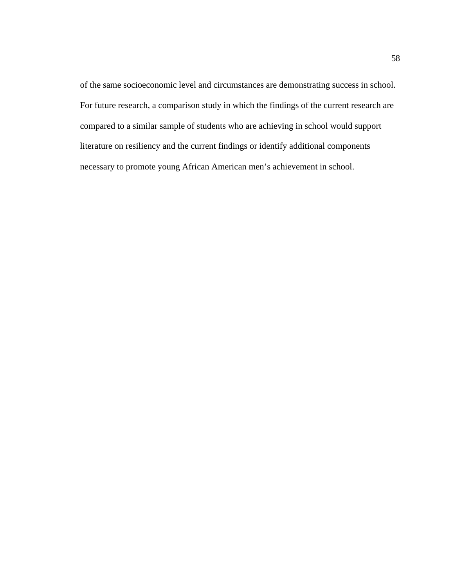of the same socioeconomic level and circumstances are demonstrating success in school. For future research, a comparison study in which the findings of the current research are compared to a similar sample of students who are achieving in school would support literature on resiliency and the current findings or identify additional components necessary to promote young African American men's achievement in school.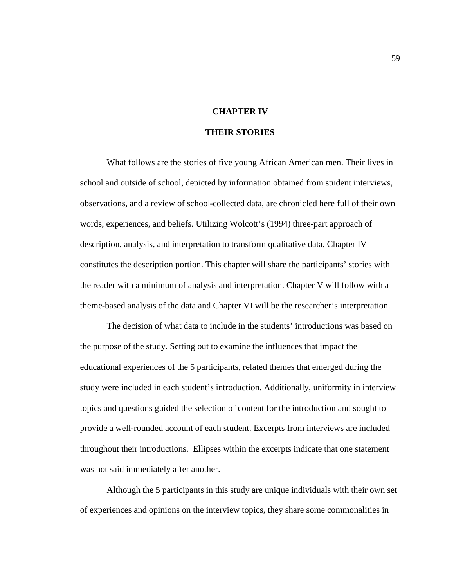## **CHAPTER IV**

# **THEIR STORIES**

What follows are the stories of five young African American men. Their lives in school and outside of school, depicted by information obtained from student interviews, observations, and a review of school-collected data, are chronicled here full of their own words, experiences, and beliefs. Utilizing Wolcott's (1994) three-part approach of description, analysis, and interpretation to transform qualitative data, Chapter IV constitutes the description portion. This chapter will share the participants' stories with the reader with a minimum of analysis and interpretation. Chapter V will follow with a theme-based analysis of the data and Chapter VI will be the researcher's interpretation.

The decision of what data to include in the students' introductions was based on the purpose of the study. Setting out to examine the influences that impact the educational experiences of the 5 participants, related themes that emerged during the study were included in each student's introduction. Additionally, uniformity in interview topics and questions guided the selection of content for the introduction and sought to provide a well-rounded account of each student. Excerpts from interviews are included throughout their introductions. Ellipses within the excerpts indicate that one statement was not said immediately after another.

Although the 5 participants in this study are unique individuals with their own set of experiences and opinions on the interview topics, they share some commonalities in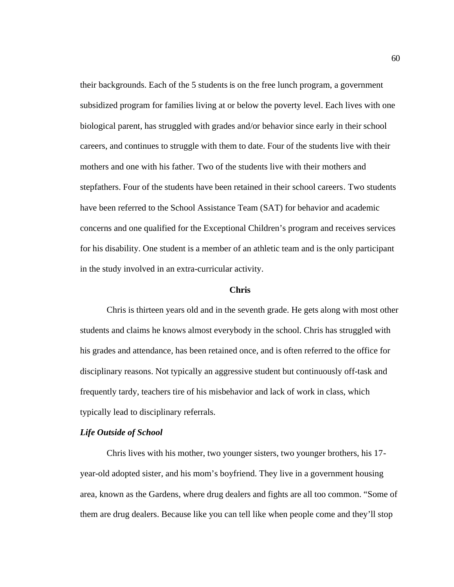their backgrounds. Each of the 5 students is on the free lunch program, a government subsidized program for families living at or below the poverty level. Each lives with one biological parent, has struggled with grades and/or behavior since early in their school careers, and continues to struggle with them to date. Four of the students live with their mothers and one with his father. Two of the students live with their mothers and stepfathers. Four of the students have been retained in their school careers. Two students have been referred to the School Assistance Team (SAT) for behavior and academic concerns and one qualified for the Exceptional Children's program and receives services for his disability. One student is a member of an athletic team and is the only participant in the study involved in an extra-curricular activity.

#### **Chris**

Chris is thirteen years old and in the seventh grade. He gets along with most other students and claims he knows almost everybody in the school. Chris has struggled with his grades and attendance, has been retained once, and is often referred to the office for disciplinary reasons. Not typically an aggressive student but continuously off-task and frequently tardy, teachers tire of his misbehavior and lack of work in class, which typically lead to disciplinary referrals.

#### *Life Outside of School*

Chris lives with his mother, two younger sisters, two younger brothers, his 17 year-old adopted sister, and his mom's boyfriend. They live in a government housing area, known as the Gardens, where drug dealers and fights are all too common. "Some of them are drug dealers. Because like you can tell like when people come and they'll stop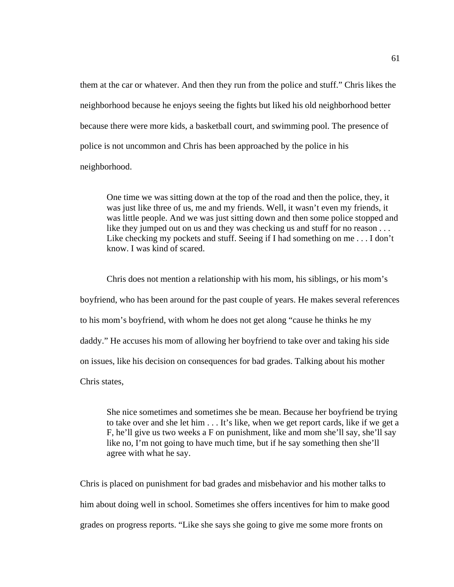them at the car or whatever. And then they run from the police and stuff." Chris likes the neighborhood because he enjoys seeing the fights but liked his old neighborhood better because there were more kids, a basketball court, and swimming pool. The presence of police is not uncommon and Chris has been approached by the police in his neighborhood.

One time we was sitting down at the top of the road and then the police, they, it was just like three of us, me and my friends. Well, it wasn't even my friends, it was little people. And we was just sitting down and then some police stopped and like they jumped out on us and they was checking us and stuff for no reason . . . Like checking my pockets and stuff. Seeing if I had something on me . . . I don't know. I was kind of scared.

Chris does not mention a relationship with his mom, his siblings, or his mom's boyfriend, who has been around for the past couple of years. He makes several references to his mom's boyfriend, with whom he does not get along "cause he thinks he my daddy." He accuses his mom of allowing her boyfriend to take over and taking his side on issues, like his decision on consequences for bad grades. Talking about his mother Chris states,

She nice sometimes and sometimes she be mean. Because her boyfriend be trying to take over and she let him . . . It's like, when we get report cards, like if we get a F, he'll give us two weeks a F on punishment, like and mom she'll say, she'll say like no, I'm not going to have much time, but if he say something then she'll agree with what he say.

Chris is placed on punishment for bad grades and misbehavior and his mother talks to him about doing well in school. Sometimes she offers incentives for him to make good grades on progress reports. "Like she says she going to give me some more fronts on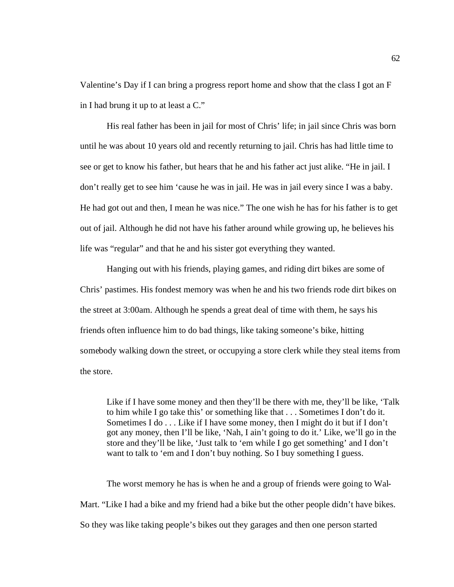Valentine's Day if I can bring a progress report home and show that the class I got an F in I had brung it up to at least a C."

His real father has been in jail for most of Chris' life; in jail since Chris was born until he was about 10 years old and recently returning to jail. Chris has had little time to see or get to know his father, but hears that he and his father act just alike. "He in jail. I don't really get to see him 'cause he was in jail. He was in jail every since I was a baby. He had got out and then, I mean he was nice." The one wish he has for his father is to get out of jail. Although he did not have his father around while growing up, he believes his life was "regular" and that he and his sister got everything they wanted.

Hanging out with his friends, playing games, and riding dirt bikes are some of Chris' pastimes. His fondest memory was when he and his two friends rode dirt bikes on the street at 3:00am. Although he spends a great deal of time with them, he says his friends often influence him to do bad things, like taking someone's bike, hitting somebody walking down the street, or occupying a store clerk while they steal items from the store.

Like if I have some money and then they'll be there with me, they'll be like, 'Talk to him while I go take this' or something like that . . . Sometimes I don't do it. Sometimes I do . . . Like if I have some money, then I might do it but if I don't got any money, then I'll be like, 'Nah, I ain't going to do it.' Like, we'll go in the store and they'll be like, 'Just talk to 'em while I go get something' and I don't want to talk to 'em and I don't buy nothing. So I buy something I guess.

The worst memory he has is when he and a group of friends were going to Wal-Mart. "Like I had a bike and my friend had a bike but the other people didn't have bikes. So they was like taking people's bikes out they garages and then one person started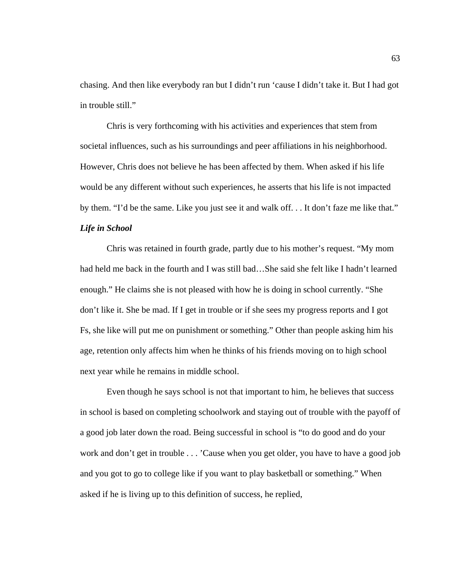chasing. And then like everybody ran but I didn't run 'cause I didn't take it. But I had got in trouble still."

Chris is very forthcoming with his activities and experiences that stem from societal influences, such as his surroundings and peer affiliations in his neighborhood. However, Chris does not believe he has been affected by them. When asked if his life would be any different without such experiences, he asserts that his life is not impacted by them. "I'd be the same. Like you just see it and walk off. . . It don't faze me like that." *Life in School*

Chris was retained in fourth grade, partly due to his mother's request. "My mom had held me back in the fourth and I was still bad…She said she felt like I hadn't learned enough." He claims she is not pleased with how he is doing in school currently. "She don't like it. She be mad. If I get in trouble or if she sees my progress reports and I got Fs, she like will put me on punishment or something." Other than people asking him his age, retention only affects him when he thinks of his friends moving on to high school next year while he remains in middle school.

Even though he says school is not that important to him, he believes that success in school is based on completing schoolwork and staying out of trouble with the payoff of a good job later down the road. Being successful in school is "to do good and do your work and don't get in trouble . . . 'Cause when you get older, you have to have a good job and you got to go to college like if you want to play basketball or something." When asked if he is living up to this definition of success, he replied,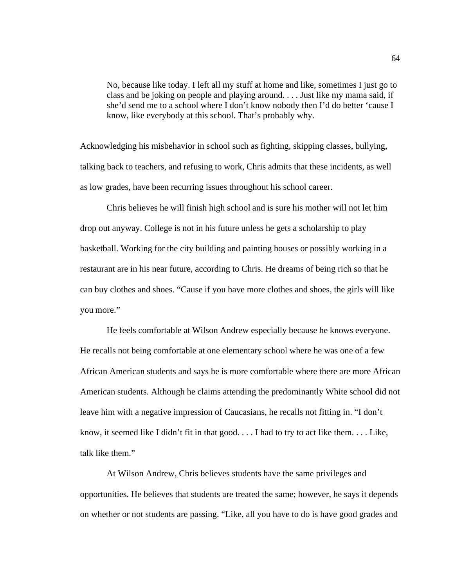No, because like today. I left all my stuff at home and like, sometimes I just go to class and be joking on people and playing around. . . . Just like my mama said, if she'd send me to a school where I don't know nobody then I'd do better 'cause I know, like everybody at this school. That's probably why.

Acknowledging his misbehavior in school such as fighting, skipping classes, bullying, talking back to teachers, and refusing to work, Chris admits that these incidents, as well as low grades, have been recurring issues throughout his school career.

Chris believes he will finish high school and is sure his mother will not let him drop out anyway. College is not in his future unless he gets a scholarship to play basketball. Working for the city building and painting houses or possibly working in a restaurant are in his near future, according to Chris. He dreams of being rich so that he can buy clothes and shoes. "Cause if you have more clothes and shoes, the girls will like you more."

He feels comfortable at Wilson Andrew especially because he knows everyone. He recalls not being comfortable at one elementary school where he was one of a few African American students and says he is more comfortable where there are more African American students. Although he claims attending the predominantly White school did not leave him with a negative impression of Caucasians, he recalls not fitting in. "I don't know, it seemed like I didn't fit in that good. . . . I had to try to act like them. . . . Like, talk like them."

At Wilson Andrew, Chris believes students have the same privileges and opportunities. He believes that students are treated the same; however, he says it depends on whether or not students are passing. "Like, all you have to do is have good grades and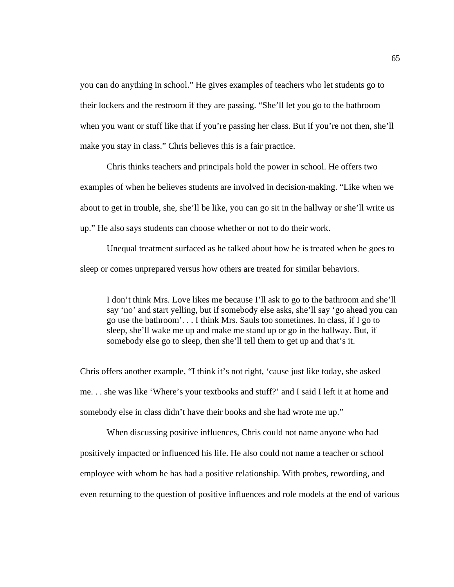you can do anything in school." He gives examples of teachers who let students go to their lockers and the restroom if they are passing. "She'll let you go to the bathroom when you want or stuff like that if you're passing her class. But if you're not then, she'll make you stay in class." Chris believes this is a fair practice.

Chris thinks teachers and principals hold the power in school. He offers two examples of when he believes students are involved in decision-making. "Like when we about to get in trouble, she, she'll be like, you can go sit in the hallway or she'll write us up." He also says students can choose whether or not to do their work.

Unequal treatment surfaced as he talked about how he is treated when he goes to sleep or comes unprepared versus how others are treated for similar behaviors.

I don't think Mrs. Love likes me because I'll ask to go to the bathroom and she'll say 'no' and start yelling, but if somebody else asks, she'll say 'go ahead you can go use the bathroom'. . . I think Mrs. Sauls too sometimes. In class, if I go to sleep, she'll wake me up and make me stand up or go in the hallway. But, if somebody else go to sleep, then she'll tell them to get up and that's it.

Chris offers another example, "I think it's not right, 'cause just like today, she asked me. . . she was like 'Where's your textbooks and stuff?' and I said I left it at home and somebody else in class didn't have their books and she had wrote me up."

When discussing positive influences, Chris could not name anyone who had positively impacted or influenced his life. He also could not name a teacher or school employee with whom he has had a positive relationship. With probes, rewording, and even returning to the question of positive influences and role models at the end of various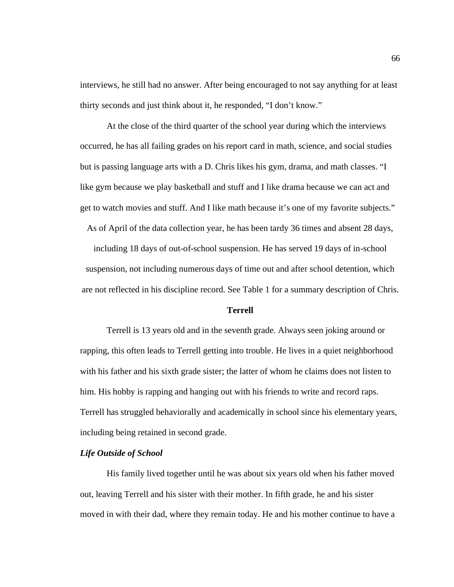interviews, he still had no answer. After being encouraged to not say anything for at least thirty seconds and just think about it, he responded, "I don't know."

At the close of the third quarter of the school year during which the interviews occurred, he has all failing grades on his report card in math, science, and social studies but is passing language arts with a D. Chris likes his gym, drama, and math classes. "I like gym because we play basketball and stuff and I like drama because we can act and get to watch movies and stuff. And I like math because it's one of my favorite subjects."

As of April of the data collection year, he has been tardy 36 times and absent 28 days,

including 18 days of out-of-school suspension. He has served 19 days of in-school suspension, not including numerous days of time out and after school detention, which are not reflected in his discipline record. See Table 1 for a summary description of Chris.

# **Terrell**

Terrell is 13 years old and in the seventh grade. Always seen joking around or rapping, this often leads to Terrell getting into trouble. He lives in a quiet neighborhood with his father and his sixth grade sister; the latter of whom he claims does not listen to him. His hobby is rapping and hanging out with his friends to write and record raps. Terrell has struggled behaviorally and academically in school since his elementary years, including being retained in second grade.

### *Life Outside of School*

His family lived together until he was about six years old when his father moved out, leaving Terrell and his sister with their mother. In fifth grade, he and his sister moved in with their dad, where they remain today. He and his mother continue to have a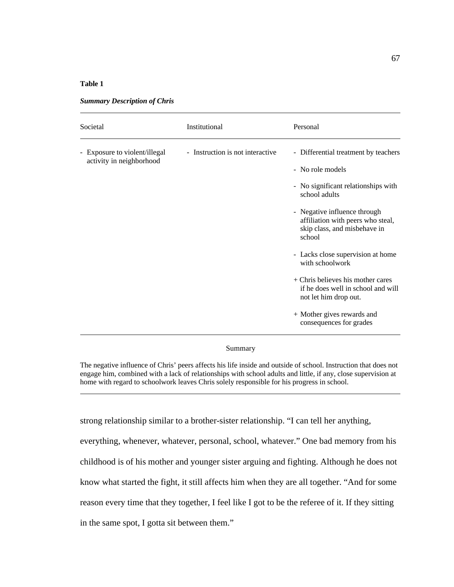### **Table 1**

| Societal                                                  | Institutional                    | Personal                                                                                                                                                                                                                                                                                                                                                                                                                                               |
|-----------------------------------------------------------|----------------------------------|--------------------------------------------------------------------------------------------------------------------------------------------------------------------------------------------------------------------------------------------------------------------------------------------------------------------------------------------------------------------------------------------------------------------------------------------------------|
| - Exposure to violent/illegal<br>activity in neighborhood | - Instruction is not interactive | - Differential treatment by teachers<br>- No role models<br>- No significant relationships with<br>school adults<br>- Negative influence through<br>affiliation with peers who steal,<br>skip class, and misbehave in<br>school<br>- Lacks close supervision at home<br>with schoolwork<br>$+$ Chris believes his mother cares<br>if he does well in school and will<br>not let him drop out.<br>+ Mother gives rewards and<br>consequences for grades |

*Summary Description of Chris*

#### Summary

The negative influence of Chris' peers affects his life inside and outside of school. Instruction that does not engage him, combined with a lack of relationships with school adults and little, if any, close supervision at home with regard to schoolwork leaves Chris solely responsible for his progress in school.

strong relationship similar to a brother-sister relationship. "I can tell her anything, everything, whenever, whatever, personal, school, whatever." One bad memory from his childhood is of his mother and younger sister arguing and fighting. Although he does not know what started the fight, it still affects him when they are all together. "And for some reason every time that they together, I feel like I got to be the referee of it. If they sitting in the same spot, I gotta sit between them."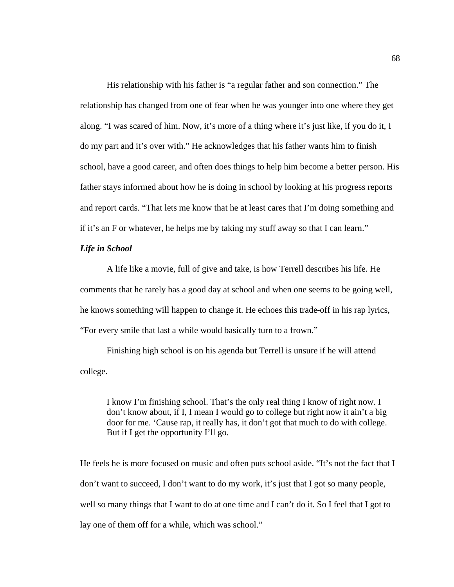His relationship with his father is "a regular father and son connection." The relationship has changed from one of fear when he was younger into one where they get along. "I was scared of him. Now, it's more of a thing where it's just like, if you do it, I do my part and it's over with." He acknowledges that his father wants him to finish school, have a good career, and often does things to help him become a better person. His father stays informed about how he is doing in school by looking at his progress reports and report cards. "That lets me know that he at least cares that I'm doing something and if it's an F or whatever, he helps me by taking my stuff away so that I can learn."

# *Life in School*

A life like a movie, full of give and take, is how Terrell describes his life. He comments that he rarely has a good day at school and when one seems to be going well, he knows something will happen to change it. He echoes this trade-off in his rap lyrics, "For every smile that last a while would basically turn to a frown."

Finishing high school is on his agenda but Terrell is unsure if he will attend college.

I know I'm finishing school. That's the only real thing I know of right now. I don't know about, if I, I mean I would go to college but right now it ain't a big door for me. 'Cause rap, it really has, it don't got that much to do with college. But if I get the opportunity I'll go.

He feels he is more focused on music and often puts school aside. "It's not the fact that I don't want to succeed, I don't want to do my work, it's just that I got so many people, well so many things that I want to do at one time and I can't do it. So I feel that I got to lay one of them off for a while, which was school."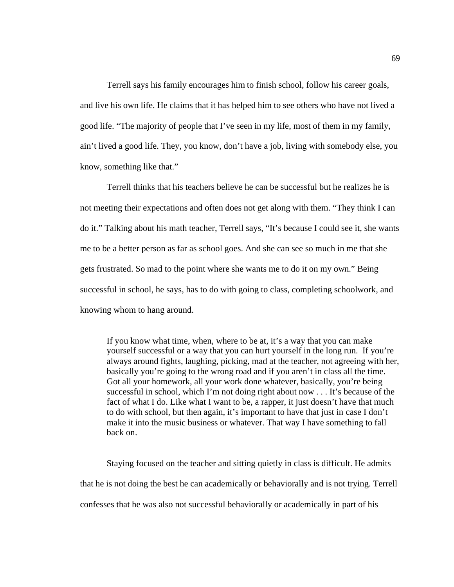Terrell says his family encourages him to finish school, follow his career goals, and live his own life. He claims that it has helped him to see others who have not lived a good life. "The majority of people that I've seen in my life, most of them in my family, ain't lived a good life. They, you know, don't have a job, living with somebody else, you know, something like that."

Terrell thinks that his teachers believe he can be successful but he realizes he is not meeting their expectations and often does not get along with them. "They think I can do it." Talking about his math teacher, Terrell says, "It's because I could see it, she wants me to be a better person as far as school goes. And she can see so much in me that she gets frustrated. So mad to the point where she wants me to do it on my own." Being successful in school, he says, has to do with going to class, completing schoolwork, and knowing whom to hang around.

If you know what time, when, where to be at, it's a way that you can make yourself successful or a way that you can hurt yourself in the long run. If you're always around fights, laughing, picking, mad at the teacher, not agreeing with her, basically you're going to the wrong road and if you aren't in class all the time. Got all your homework, all your work done whatever, basically, you're being successful in school, which I'm not doing right about now . . . It's because of the fact of what I do. Like what I want to be, a rapper, it just doesn't have that much to do with school, but then again, it's important to have that just in case I don't make it into the music business or whatever. That way I have something to fall back on.

Staying focused on the teacher and sitting quietly in class is difficult. He admits that he is not doing the best he can academically or behaviorally and is not trying. Terrell confesses that he was also not successful behaviorally or academically in part of his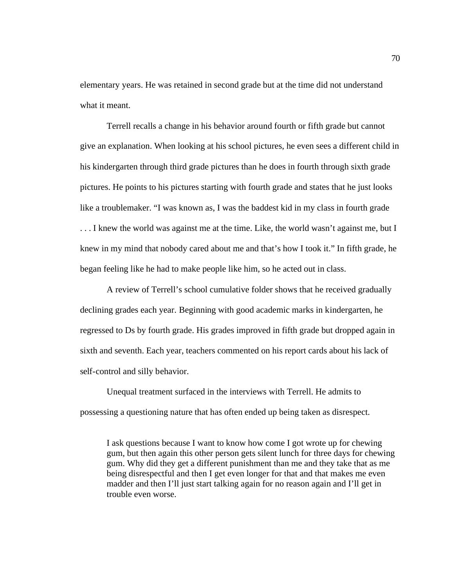elementary years. He was retained in second grade but at the time did not understand what it meant.

Terrell recalls a change in his behavior around fourth or fifth grade but cannot give an explanation. When looking at his school pictures, he even sees a different child in his kindergarten through third grade pictures than he does in fourth through sixth grade pictures. He points to his pictures starting with fourth grade and states that he just looks like a troublemaker. "I was known as, I was the baddest kid in my class in fourth grade . . . I knew the world was against me at the time. Like, the world wasn't against me, but I knew in my mind that nobody cared about me and that's how I took it." In fifth grade, he began feeling like he had to make people like him, so he acted out in class.

A review of Terrell's school cumulative folder shows that he received gradually declining grades each year. Beginning with good academic marks in kindergarten, he regressed to Ds by fourth grade. His grades improved in fifth grade but dropped again in sixth and seventh. Each year, teachers commented on his report cards about his lack of self-control and silly behavior.

Unequal treatment surfaced in the interviews with Terrell. He admits to possessing a questioning nature that has often ended up being taken as disrespect.

I ask questions because I want to know how come I got wrote up for chewing gum, but then again this other person gets silent lunch for three days for chewing gum. Why did they get a different punishment than me and they take that as me being disrespectful and then I get even longer for that and that makes me even madder and then I'll just start talking again for no reason again and I'll get in trouble even worse.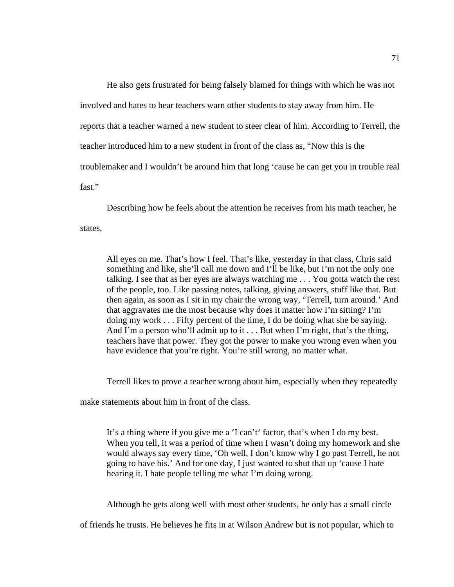He also gets frustrated for being falsely blamed for things with which he was not involved and hates to hear teachers warn other students to stay away from him. He reports that a teacher warned a new student to steer clear of him. According to Terrell, the teacher introduced him to a new student in front of the class as, "Now this is the troublemaker and I wouldn't be around him that long 'cause he can get you in trouble real fast."

Describing how he feels about the attention he receives from his math teacher, he states,

All eyes on me. That's how I feel. That's like, yesterday in that class, Chris said something and like, she'll call me down and I'll be like, but I'm not the only one talking. I see that as her eyes are always watching me . . . You gotta watch the rest of the people, too. Like passing notes, talking, giving answers, stuff like that. But then again, as soon as I sit in my chair the wrong way, 'Terrell, turn around.' And that aggravates me the most because why does it matter how I'm sitting? I'm doing my work . . . Fifty percent of the time, I do be doing what she be saying. And I'm a person who'll admit up to it . . . But when I'm right, that's the thing, teachers have that power. They got the power to make you wrong even when you have evidence that you're right. You're still wrong, no matter what.

Terrell likes to prove a teacher wrong about him, especially when they repeatedly

make statements about him in front of the class.

It's a thing where if you give me a 'I can't' factor, that's when I do my best. When you tell, it was a period of time when I wasn't doing my homework and she would always say every time, 'Oh well, I don't know why I go past Terrell, he not going to have his.' And for one day, I just wanted to shut that up 'cause I hate hearing it. I hate people telling me what I'm doing wrong.

Although he gets along well with most other students, he only has a small circle

of friends he trusts. He believes he fits in at Wilson Andrew but is not popular, which to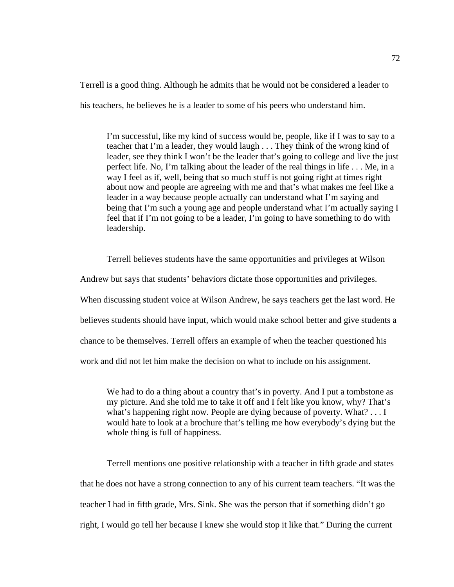Terrell is a good thing. Although he admits that he would not be considered a leader to

his teachers, he believes he is a leader to some of his peers who understand him.

I'm successful, like my kind of success would be, people, like if I was to say to a teacher that I'm a leader, they would laugh . . . They think of the wrong kind of leader, see they think I won't be the leader that's going to college and live the just perfect life. No, I'm talking about the leader of the real things in life . . . Me, in a way I feel as if, well, being that so much stuff is not going right at times right about now and people are agreeing with me and that's what makes me feel like a leader in a way because people actually can understand what I'm saying and being that I'm such a young age and people understand what I'm actually saying I feel that if I'm not going to be a leader, I'm going to have something to do with leadership.

Terrell believes students have the same opportunities and privileges at Wilson

Andrew but says that students' behaviors dictate those opportunities and privileges.

When discussing student voice at Wilson Andrew, he says teachers get the last word. He

believes students should have input, which would make school better and give students a

chance to be themselves. Terrell offers an example of when the teacher questioned his

work and did not let him make the decision on what to include on his assignment.

We had to do a thing about a country that's in poverty. And I put a tombstone as my picture. And she told me to take it off and I felt like you know, why? That's what's happening right now. People are dying because of poverty. What? . . . I would hate to look at a brochure that's telling me how everybody's dying but the whole thing is full of happiness.

Terrell mentions one positive relationship with a teacher in fifth grade and states that he does not have a strong connection to any of his current team teachers. "It was the teacher I had in fifth grade, Mrs. Sink. She was the person that if something didn't go right, I would go tell her because I knew she would stop it like that." During the current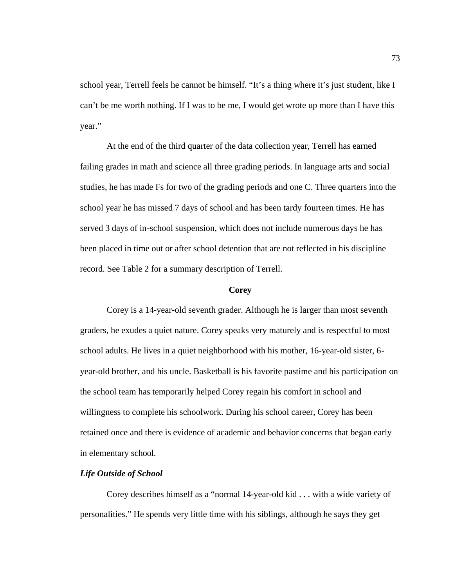school year, Terrell feels he cannot be himself. "It's a thing where it's just student, like I can't be me worth nothing. If I was to be me, I would get wrote up more than I have this year."

At the end of the third quarter of the data collection year, Terrell has earned failing grades in math and science all three grading periods. In language arts and social studies, he has made Fs for two of the grading periods and one C. Three quarters into the school year he has missed 7 days of school and has been tardy fourteen times. He has served 3 days of in-school suspension, which does not include numerous days he has been placed in time out or after school detention that are not reflected in his discipline record. See Table 2 for a summary description of Terrell.

### **Corey**

Corey is a 14-year-old seventh grader. Although he is larger than most seventh graders, he exudes a quiet nature. Corey speaks very maturely and is respectful to most school adults. He lives in a quiet neighborhood with his mother, 16-year-old sister, 6 year-old brother, and his uncle. Basketball is his favorite pastime and his participation on the school team has temporarily helped Corey regain his comfort in school and willingness to complete his schoolwork. During his school career, Corey has been retained once and there is evidence of academic and behavior concerns that began early in elementary school.

# *Life Outside of School*

Corey describes himself as a "normal 14-year-old kid . . . with a wide variety of personalities." He spends very little time with his siblings, although he says they get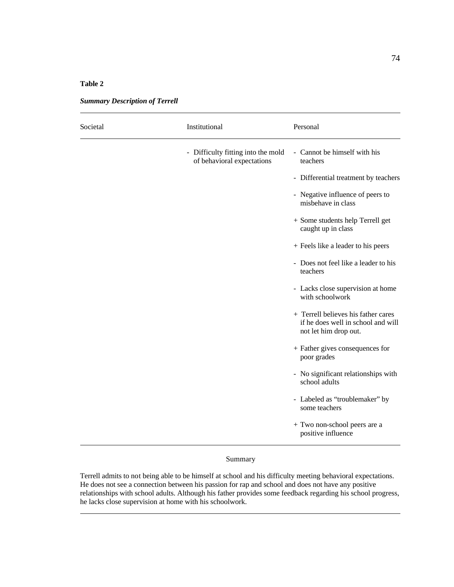### **Table 2**

| Societal | Institutional                                                    | Personal                                                                                           |
|----------|------------------------------------------------------------------|----------------------------------------------------------------------------------------------------|
|          | - Difficulty fitting into the mold<br>of behavioral expectations | - Cannot be himself with his<br>teachers                                                           |
|          |                                                                  | - Differential treatment by teachers                                                               |
|          |                                                                  | - Negative influence of peers to<br>misbehave in class                                             |
|          |                                                                  | + Some students help Terrell get<br>caught up in class                                             |
|          |                                                                  | + Feels like a leader to his peers                                                                 |
|          |                                                                  | - Does not feel like a leader to his<br>teachers                                                   |
|          |                                                                  | - Lacks close supervision at home<br>with schoolwork                                               |
|          |                                                                  | + Terrell believes his father cares<br>if he does well in school and will<br>not let him drop out. |
|          |                                                                  | + Father gives consequences for<br>poor grades                                                     |
|          |                                                                  | - No significant relationships with<br>school adults                                               |
|          |                                                                  | - Labeled as "troublemaker" by<br>some teachers                                                    |
|          |                                                                  | + Two non-school peers are a<br>positive influence                                                 |

*Summary Description of Terrell*

### Summary

Terrell admits to not being able to be himself at school and his difficulty meeting behavioral expectations. He does not see a connection between his passion for rap and school and does not have any positive relationships with school adults. Although his father provides some feedback regarding his school progress, he lacks close supervision at home with his schoolwork.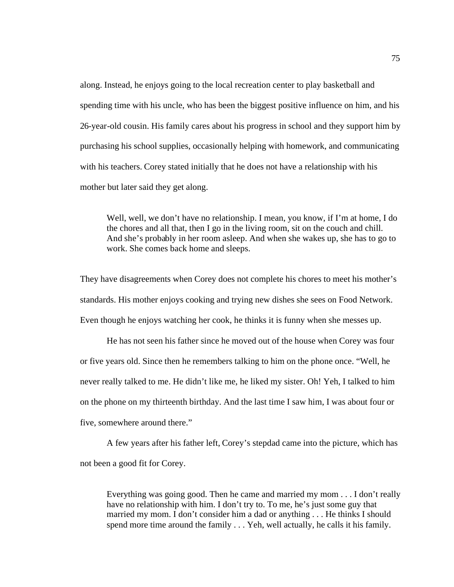along. Instead, he enjoys going to the local recreation center to play basketball and spending time with his uncle, who has been the biggest positive influence on him, and his 26-year-old cousin. His family cares about his progress in school and they support him by purchasing his school supplies, occasionally helping with homework, and communicating with his teachers. Corey stated initially that he does not have a relationship with his mother but later said they get along.

Well, well, we don't have no relationship. I mean, you know, if I'm at home, I do the chores and all that, then I go in the living room, sit on the couch and chill. And she's probably in her room asleep. And when she wakes up, she has to go to work. She comes back home and sleeps.

They have disagreements when Corey does not complete his chores to meet his mother's standards. His mother enjoys cooking and trying new dishes she sees on Food Network. Even though he enjoys watching her cook, he thinks it is funny when she messes up.

He has not seen his father since he moved out of the house when Corey was four or five years old. Since then he remembers talking to him on the phone once. "Well, he never really talked to me. He didn't like me, he liked my sister. Oh! Yeh, I talked to him on the phone on my thirteenth birthday. And the last time I saw him, I was about four or five, somewhere around there."

A few years after his father left, Corey's stepdad came into the picture, which has not been a good fit for Corey.

Everything was going good. Then he came and married my mom . . . I don't really have no relationship with him. I don't try to. To me, he's just some guy that married my mom. I don't consider him a dad or anything . . . He thinks I should spend more time around the family . . . Yeh, well actually, he calls it his family.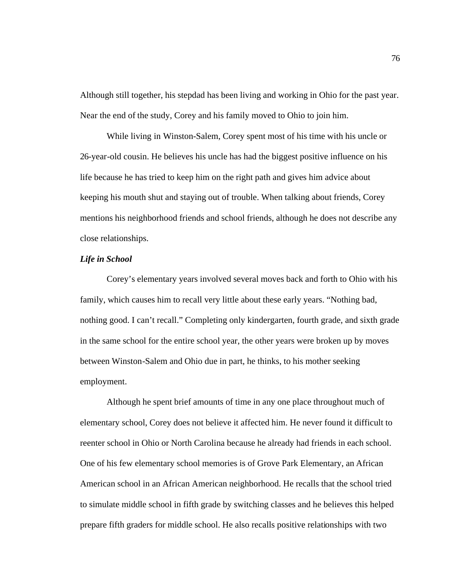Although still together, his stepdad has been living and working in Ohio for the past year. Near the end of the study, Corey and his family moved to Ohio to join him.

While living in Winston-Salem, Corey spent most of his time with his uncle or 26-year-old cousin. He believes his uncle has had the biggest positive influence on his life because he has tried to keep him on the right path and gives him advice about keeping his mouth shut and staying out of trouble. When talking about friends, Corey mentions his neighborhood friends and school friends, although he does not describe any close relationships.

# *Life in School*

Corey's elementary years involved several moves back and forth to Ohio with his family, which causes him to recall very little about these early years. "Nothing bad, nothing good. I can't recall." Completing only kindergarten, fourth grade, and sixth grade in the same school for the entire school year, the other years were broken up by moves between Winston-Salem and Ohio due in part, he thinks, to his mother seeking employment.

Although he spent brief amounts of time in any one place throughout much of elementary school, Corey does not believe it affected him. He never found it difficult to reenter school in Ohio or North Carolina because he already had friends in each school. One of his few elementary school memories is of Grove Park Elementary, an African American school in an African American neighborhood. He recalls that the school tried to simulate middle school in fifth grade by switching classes and he believes this helped prepare fifth graders for middle school. He also recalls positive relationships with two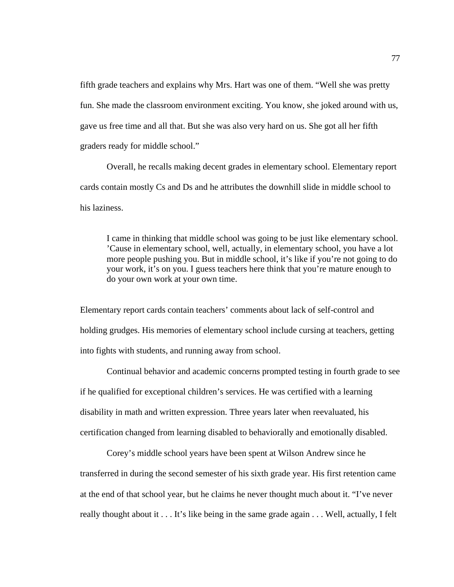fifth grade teachers and explains why Mrs. Hart was one of them. "Well she was pretty fun. She made the classroom environment exciting. You know, she joked around with us, gave us free time and all that. But she was also very hard on us. She got all her fifth graders ready for middle school."

Overall, he recalls making decent grades in elementary school. Elementary report cards contain mostly Cs and Ds and he attributes the downhill slide in middle school to his laziness.

I came in thinking that middle school was going to be just like elementary school. 'Cause in elementary school, well, actually, in elementary school, you have a lot more people pushing you. But in middle school, it's like if you're not going to do your work, it's on you. I guess teachers here think that you're mature enough to do your own work at your own time.

Elementary report cards contain teachers' comments about lack of self-control and holding grudges. His memories of elementary school include cursing at teachers, getting into fights with students, and running away from school.

Continual behavior and academic concerns prompted testing in fourth grade to see if he qualified for exceptional children's services. He was certified with a learning disability in math and written expression. Three years later when reevaluated, his certification changed from learning disabled to behaviorally and emotionally disabled.

Corey's middle school years have been spent at Wilson Andrew since he transferred in during the second semester of his sixth grade year. His first retention came at the end of that school year, but he claims he never thought much about it. "I've never really thought about it . . . It's like being in the same grade again . . . Well, actually, I felt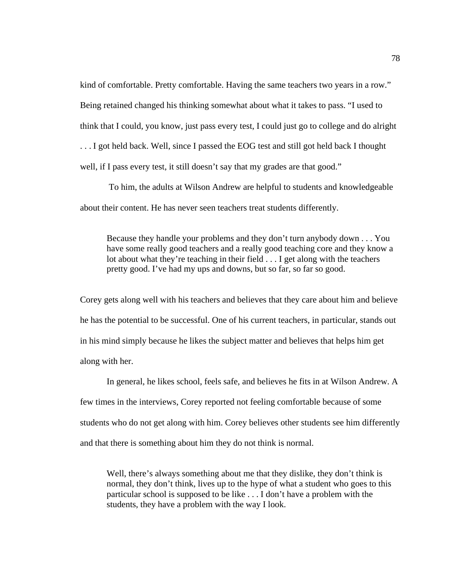kind of comfortable. Pretty comfortable. Having the same teachers two years in a row." Being retained changed his thinking somewhat about what it takes to pass. "I used to think that I could, you know, just pass every test, I could just go to college and do alright ... I got held back. Well, since I passed the EOG test and still got held back I thought well, if I pass every test, it still doesn't say that my grades are that good."

 To him, the adults at Wilson Andrew are helpful to students and knowledgeable about their content. He has never seen teachers treat students differently.

Because they handle your problems and they don't turn anybody down . . . You have some really good teachers and a really good teaching core and they know a lot about what they're teaching in their field . . . I get along with the teachers pretty good. I've had my ups and downs, but so far, so far so good.

Corey gets along well with his teachers and believes that they care about him and believe he has the potential to be successful. One of his current teachers, in particular, stands out in his mind simply because he likes the subject matter and believes that helps him get along with her.

In general, he likes school, feels safe, and believes he fits in at Wilson Andrew. A few times in the interviews, Corey reported not feeling comfortable because of some students who do not get along with him. Corey believes other students see him differently and that there is something about him they do not think is normal.

Well, there's always something about me that they dislike, they don't think is normal, they don't think, lives up to the hype of what a student who goes to this particular school is supposed to be like . . . I don't have a problem with the students, they have a problem with the way I look.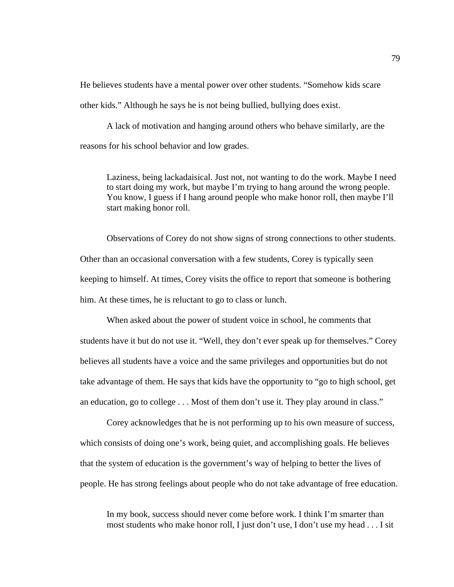He believes students have a mental power over other students. "Somehow kids scare other kids." Although he says he is not being bullied, bullying does exist.

A lack of motivation and hanging around others who behave similarly, are the reasons for his school behavior and low grades.

Laziness, being lackadaisical. Just not, not wanting to do the work. Maybe I need to start doing my work, but maybe I'm trying to hang around the wrong people. You know, I guess if I hang around people who make honor roll, then maybe I'll start making honor roll.

Observations of Corey do not show signs of strong connections to other students. Other than an occasional conversation with a few students, Corey is typically seen keeping to himself. At times, Corey visits the office to report that someone is bothering him. At these times, he is reluctant to go to class or lunch.

When asked about the power of student voice in school, he comments that students have it but do not use it. "Well, they don't ever speak up for themselves." Corey believes all students have a voice and the same privileges and opportunities but do not take advantage of them. He says that kids have the opportunity to "go to high school, get an education, go to college . . . Most of them don't use it. They play around in class."

Corey acknowledges that he is not performing up to his own measure of success, which consists of doing one's work, being quiet, and accomplishing goals. He believes that the system of education is the government's way of helping to better the lives of people. He has strong feelings about people who do not take advantage of free education.

In my book, success should never come before work. I think I'm smarter than most students who make honor roll, I just don't use, I don't use my head . . . I sit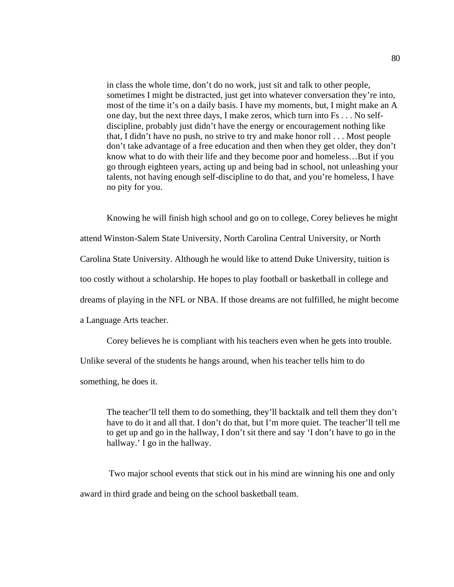in class the whole time, don't do no work, just sit and talk to other people, sometimes I might be distracted, just get into whatever conversation they're into, most of the time it's on a daily basis. I have my moments, but, I might make an A one day, but the next three days, I make zeros, which turn into Fs . . . No selfdiscipline, probably just didn't have the energy or encouragement nothing like that, I didn't have no push, no strive to try and make honor roll . . . Most people don't take advantage of a free education and then when they get older, they don't know what to do with their life and they become poor and homeless…But if you go through eighteen years, acting up and being bad in school, not unleashing your talents, not having enough self-discipline to do that, and you're homeless, I have no pity for you.

Knowing he will finish high school and go on to college, Corey believes he might attend Winston-Salem State University, North Carolina Central University, or North Carolina State University. Although he would like to attend Duke University, tuition is too costly without a scholarship. He hopes to play football or basketball in college and dreams of playing in the NFL or NBA. If those dreams are not fulfilled, he might become a Language Arts teacher.

Corey believes he is compliant with his teachers even when he gets into trouble. Unlike several of the students he hangs around, when his teacher tells him to do something, he does it.

The teacher'll tell them to do something, they'll backtalk and tell them they don't have to do it and all that. I don't do that, but I'm more quiet. The teacher'll tell me to get up and go in the hallway, I don't sit there and say 'I don't have to go in the hallway.' I go in the hallway.

 Two major school events that stick out in his mind are winning his one and only award in third grade and being on the school basketball team.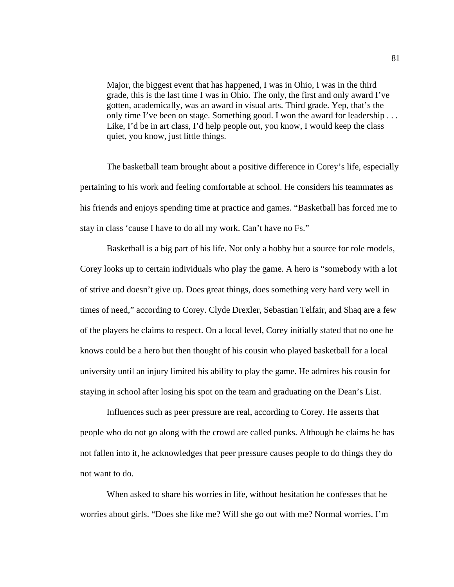Major, the biggest event that has happened, I was in Ohio, I was in the third grade, this is the last time I was in Ohio. The only, the first and only award I've gotten, academically, was an award in visual arts. Third grade. Yep, that's the only time I've been on stage. Something good. I won the award for leadership . . . Like, I'd be in art class, I'd help people out, you know, I would keep the class quiet, you know, just little things.

The basketball team brought about a positive difference in Corey's life, especially pertaining to his work and feeling comfortable at school. He considers his teammates as his friends and enjoys spending time at practice and games. "Basketball has forced me to stay in class 'cause I have to do all my work. Can't have no Fs."

Basketball is a big part of his life. Not only a hobby but a source for role models, Corey looks up to certain individuals who play the game. A hero is "somebody with a lot of strive and doesn't give up. Does great things, does something very hard very well in times of need," according to Corey. Clyde Drexler, Sebastian Telfair, and Shaq are a few of the players he claims to respect. On a local level, Corey initially stated that no one he knows could be a hero but then thought of his cousin who played basketball for a local university until an injury limited his ability to play the game. He admires his cousin for staying in school after losing his spot on the team and graduating on the Dean's List.

Influences such as peer pressure are real, according to Corey. He asserts that people who do not go along with the crowd are called punks. Although he claims he has not fallen into it, he acknowledges that peer pressure causes people to do things they do not want to do.

When asked to share his worries in life, without hesitation he confesses that he worries about girls. "Does she like me? Will she go out with me? Normal worries. I'm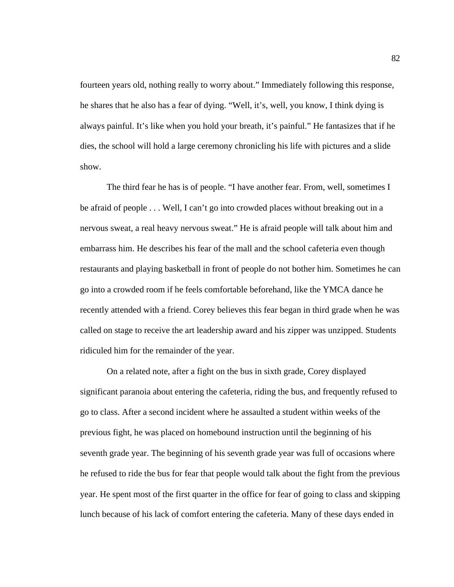fourteen years old, nothing really to worry about." Immediately following this response, he shares that he also has a fear of dying. "Well, it's, well, you know, I think dying is always painful. It's like when you hold your breath, it's painful." He fantasizes that if he dies, the school will hold a large ceremony chronicling his life with pictures and a slide show.

The third fear he has is of people. "I have another fear. From, well, sometimes I be afraid of people . . . Well, I can't go into crowded places without breaking out in a nervous sweat, a real heavy nervous sweat." He is afraid people will talk about him and embarrass him. He describes his fear of the mall and the school cafeteria even though restaurants and playing basketball in front of people do not bother him. Sometimes he can go into a crowded room if he feels comfortable beforehand, like the YMCA dance he recently attended with a friend. Corey believes this fear began in third grade when he was called on stage to receive the art leadership award and his zipper was unzipped. Students ridiculed him for the remainder of the year.

On a related note, after a fight on the bus in sixth grade, Corey displayed significant paranoia about entering the cafeteria, riding the bus, and frequently refused to go to class. After a second incident where he assaulted a student within weeks of the previous fight, he was placed on homebound instruction until the beginning of his seventh grade year. The beginning of his seventh grade year was full of occasions where he refused to ride the bus for fear that people would talk about the fight from the previous year. He spent most of the first quarter in the office for fear of going to class and skipping lunch because of his lack of comfort entering the cafeteria. Many of these days ended in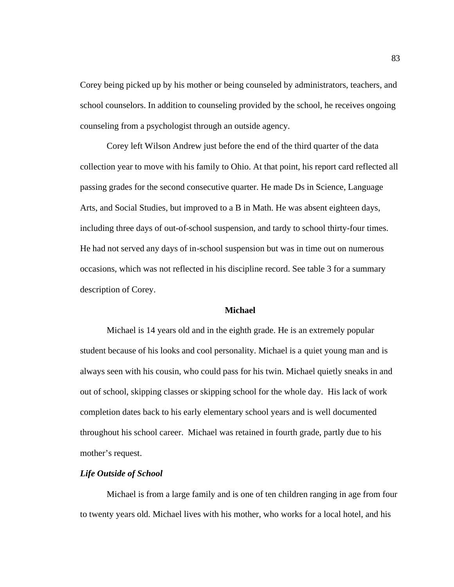Corey being picked up by his mother or being counseled by administrators, teachers, and school counselors. In addition to counseling provided by the school, he receives ongoing counseling from a psychologist through an outside agency.

Corey left Wilson Andrew just before the end of the third quarter of the data collection year to move with his family to Ohio. At that point, his report card reflected all passing grades for the second consecutive quarter. He made Ds in Science, Language Arts, and Social Studies, but improved to a B in Math. He was absent eighteen days, including three days of out-of-school suspension, and tardy to school thirty-four times. He had not served any days of in-school suspension but was in time out on numerous occasions, which was not reflected in his discipline record. See table 3 for a summary description of Corey.

# **Michael**

Michael is 14 years old and in the eighth grade. He is an extremely popular student because of his looks and cool personality. Michael is a quiet young man and is always seen with his cousin, who could pass for his twin. Michael quietly sneaks in and out of school, skipping classes or skipping school for the whole day. His lack of work completion dates back to his early elementary school years and is well documented throughout his school career. Michael was retained in fourth grade, partly due to his mother's request.

# *Life Outside of School*

Michael is from a large family and is one of ten children ranging in age from four to twenty years old. Michael lives with his mother, who works for a local hotel, and his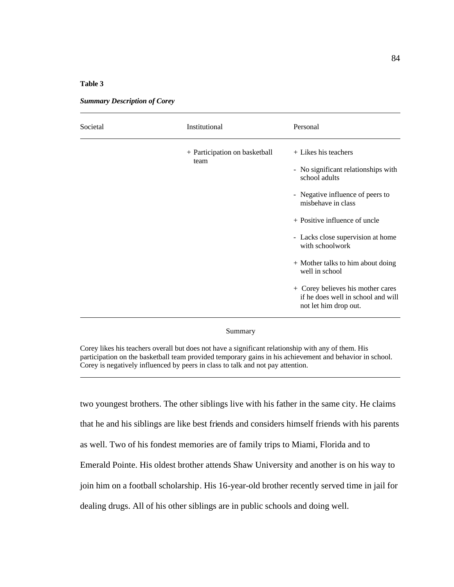### **Table 3**

| Societal | Institutional                         | Personal                                                                                         |
|----------|---------------------------------------|--------------------------------------------------------------------------------------------------|
|          | + Participation on basketball<br>team | + Likes his teachers<br>- No significant relationships with<br>school adults                     |
|          |                                       | - Negative influence of peers to<br>misbehave in class                                           |
|          |                                       | $+$ Positive influence of uncle<br>- Lacks close supervision at home<br>with schoolwork          |
|          |                                       | + Mother talks to him about doing<br>well in school                                              |
|          |                                       | + Corey believes his mother cares<br>if he does well in school and will<br>not let him drop out. |

*Summary Description of Corey*

#### Summary

Corey likes his teachers overall but does not have a significant relationship with any of them. His participation on the basketball team provided temporary gains in his achievement and behavior in school. Corey is negatively influenced by peers in class to talk and not pay attention.

two youngest brothers. The other siblings live with his father in the same city. He claims that he and his siblings are like best friends and considers himself friends with his parents as well. Two of his fondest memories are of family trips to Miami, Florida and to Emerald Pointe. His oldest brother attends Shaw University and another is on his way to join him on a football scholarship. His 16-year-old brother recently served time in jail for dealing drugs. All of his other siblings are in public schools and doing well.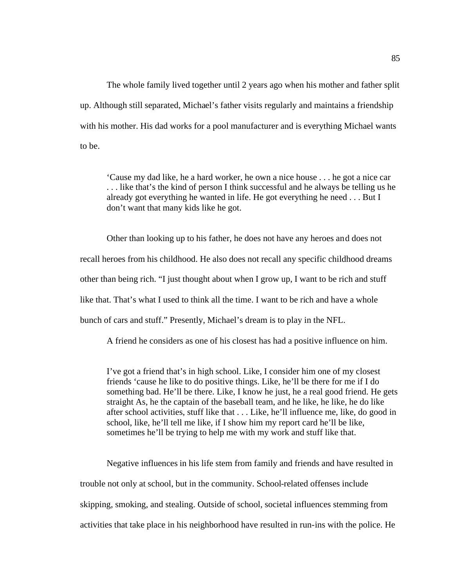The whole family lived together until 2 years ago when his mother and father split up. Although still separated, Michael's father visits regularly and maintains a friendship with his mother. His dad works for a pool manufacturer and is everything Michael wants to be.

'Cause my dad like, he a hard worker, he own a nice house . . . he got a nice car . . . like that's the kind of person I think successful and he always be telling us he already got everything he wanted in life. He got everything he need . . . But I don't want that many kids like he got.

Other than looking up to his father, he does not have any heroes and does not recall heroes from his childhood. He also does not recall any specific childhood dreams other than being rich. "I just thought about when I grow up, I want to be rich and stuff like that. That's what I used to think all the time. I want to be rich and have a whole bunch of cars and stuff." Presently, Michael's dream is to play in the NFL.

A friend he considers as one of his closest has had a positive influence on him.

I've got a friend that's in high school. Like, I consider him one of my closest friends 'cause he like to do positive things. Like, he'll be there for me if I do something bad. He'll be there. Like, I know he just, he a real good friend. He gets straight As, he the captain of the baseball team, and he like, he like, he do like after school activities, stuff like that . . . Like, he'll influence me, like, do good in school, like, he'll tell me like, if I show him my report card he'll be like, sometimes he'll be trying to help me with my work and stuff like that.

Negative influences in his life stem from family and friends and have resulted in trouble not only at school, but in the community. School-related offenses include skipping, smoking, and stealing. Outside of school, societal influences stemming from activities that take place in his neighborhood have resulted in run-ins with the police. He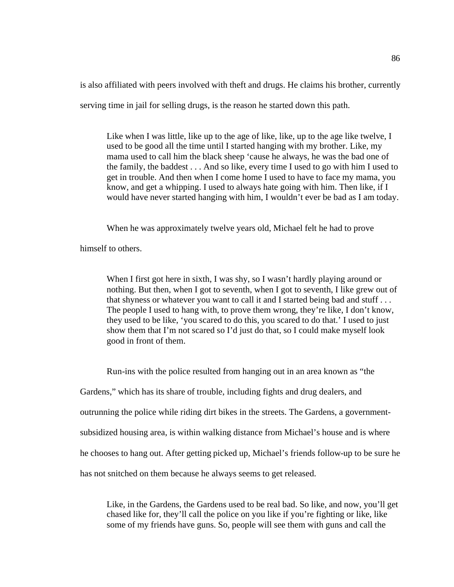is also affiliated with peers involved with theft and drugs. He claims his brother, currently serving time in jail for selling drugs, is the reason he started down this path.

Like when I was little, like up to the age of like, like, up to the age like twelve, I used to be good all the time until I started hanging with my brother. Like, my mama used to call him the black sheep 'cause he always, he was the bad one of the family, the baddest . . . And so like, every time I used to go with him I used to get in trouble. And then when I come home I used to have to face my mama, you know, and get a whipping. I used to always hate going with him. Then like, if I would have never started hanging with him, I wouldn't ever be bad as I am today.

When he was approximately twelve years old, Michael felt he had to prove

himself to others.

When I first got here in sixth, I was shy, so I wasn't hardly playing around or nothing. But then, when I got to seventh, when I got to seventh, I like grew out of that shyness or whatever you want to call it and I started being bad and stuff . . . The people I used to hang with, to prove them wrong, they're like, I don't know, they used to be like, 'you scared to do this, you scared to do that.' I used to just show them that I'm not scared so I'd just do that, so I could make myself look good in front of them.

Run-ins with the police resulted from hanging out in an area known as "the

Gardens," which has its share of trouble, including fights and drug dealers, and outrunning the police while riding dirt bikes in the streets. The Gardens, a governmentsubsidized housing area, is within walking distance from Michael's house and is where he chooses to hang out. After getting picked up, Michael's friends follow-up to be sure he

has not snitched on them because he always seems to get released.

Like, in the Gardens, the Gardens used to be real bad. So like, and now, you'll get chased like for, they'll call the police on you like if you're fighting or like, like some of my friends have guns. So, people will see them with guns and call the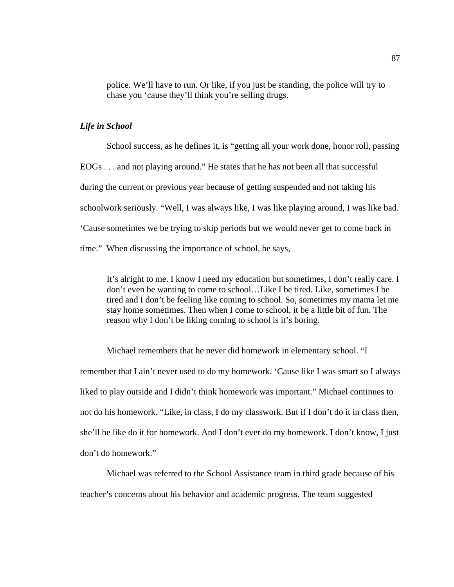police. We'll have to run. Or like, if you just be standing, the police will try to chase you 'cause they'll think you're selling drugs.

### *Life in School*

School success, as he defines it, is "getting all your work done, honor roll, passing EOGs . . . and not playing around." He states that he has not been all that successful during the current or previous year because of getting suspended and not taking his schoolwork seriously. "Well, I was always like, I was like playing around, I was like bad. 'Cause sometimes we be trying to skip periods but we would never get to come back in time." When discussing the importance of school, he says,

It's alright to me. I know I need my education but sometimes, I don't really care. I don't even be wanting to come to school…Like I be tired. Like, sometimes I be tired and I don't be feeling like coming to school. So, sometimes my mama let me stay home sometimes. Then when I come to school, it be a little bit of fun. The reason why I don't be liking coming to school is it's boring.

Michael remembers that he never did homework in elementary school. "I remember that I ain't never used to do my homework. 'Cause like I was smart so I always liked to play outside and I didn't think homework was important." Michael continues to not do his homework. "Like, in class, I do my classwork. But if I don't do it in class then, she'll be like do it for homework. And I don't ever do my homework. I don't know, I just don't do homework."

Michael was referred to the School Assistance team in third grade because of his teacher's concerns about his behavior and academic progress. The team suggested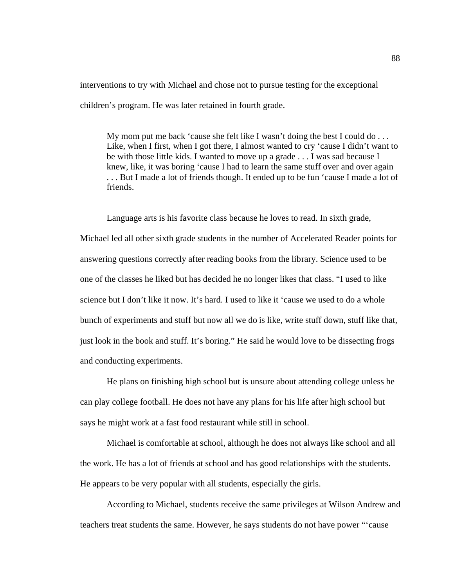interventions to try with Michael and chose not to pursue testing for the exceptional children's program. He was later retained in fourth grade.

My mom put me back 'cause she felt like I wasn't doing the best I could  $do \ldots$ Like, when I first, when I got there, I almost wanted to cry 'cause I didn't want to be with those little kids. I wanted to move up a grade . . . I was sad because I knew, like, it was boring 'cause I had to learn the same stuff over and over again . . . But I made a lot of friends though. It ended up to be fun 'cause I made a lot of friends.

Language arts is his favorite class because he loves to read. In sixth grade, Michael led all other sixth grade students in the number of Accelerated Reader points for answering questions correctly after reading books from the library. Science used to be one of the classes he liked but has decided he no longer likes that class. "I used to like science but I don't like it now. It's hard. I used to like it 'cause we used to do a whole bunch of experiments and stuff but now all we do is like, write stuff down, stuff like that, just look in the book and stuff. It's boring." He said he would love to be dissecting frogs and conducting experiments.

He plans on finishing high school but is unsure about attending college unless he can play college football. He does not have any plans for his life after high school but says he might work at a fast food restaurant while still in school.

Michael is comfortable at school, although he does not always like school and all the work. He has a lot of friends at school and has good relationships with the students. He appears to be very popular with all students, especially the girls.

According to Michael, students receive the same privileges at Wilson Andrew and teachers treat students the same. However, he says students do not have power "'cause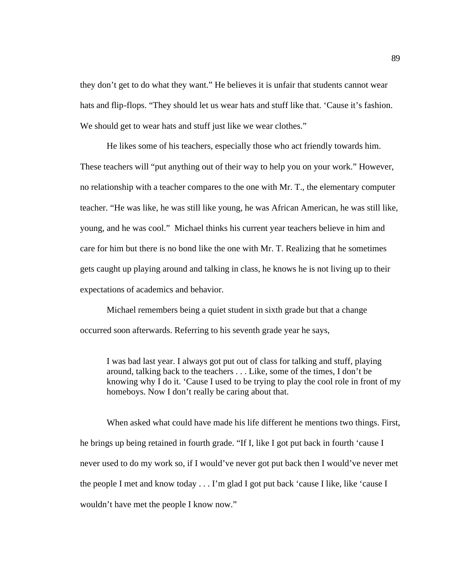they don't get to do what they want." He believes it is unfair that students cannot wear hats and flip-flops. "They should let us wear hats and stuff like that. 'Cause it's fashion. We should get to wear hats and stuff just like we wear clothes."

He likes some of his teachers, especially those who act friendly towards him. These teachers will "put anything out of their way to help you on your work." However, no relationship with a teacher compares to the one with Mr. T., the elementary computer teacher. "He was like, he was still like young, he was African American, he was still like, young, and he was cool." Michael thinks his current year teachers believe in him and care for him but there is no bond like the one with Mr. T. Realizing that he sometimes gets caught up playing around and talking in class, he knows he is not living up to their expectations of academics and behavior.

Michael remembers being a quiet student in sixth grade but that a change occurred soon afterwards. Referring to his seventh grade year he says,

I was bad last year. I always got put out of class for talking and stuff, playing around, talking back to the teachers . . . Like, some of the times, I don't be knowing why I do it. 'Cause I used to be trying to play the cool role in front of my homeboys. Now I don't really be caring about that.

When asked what could have made his life different he mentions two things. First, he brings up being retained in fourth grade. "If I, like I got put back in fourth 'cause I never used to do my work so, if I would've never got put back then I would've never met the people I met and know today . . . I'm glad I got put back 'cause I like, like 'cause I wouldn't have met the people I know now."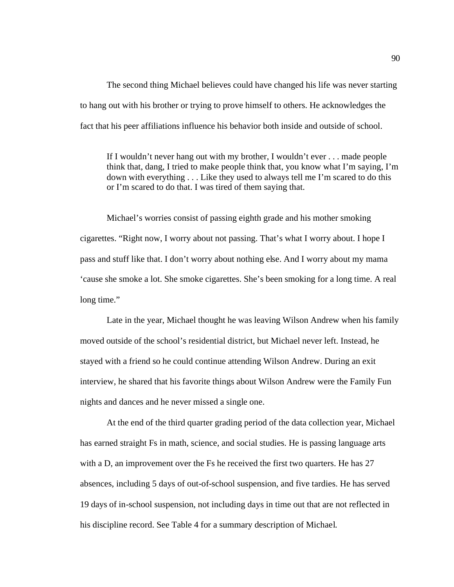The second thing Michael believes could have changed his life was never starting to hang out with his brother or trying to prove himself to others. He acknowledges the fact that his peer affiliations influence his behavior both inside and outside of school.

If I wouldn't never hang out with my brother, I wouldn't ever . . . made people think that, dang, I tried to make people think that, you know what I'm saying, I'm down with everything . . . Like they used to always tell me I'm scared to do this or I'm scared to do that. I was tired of them saying that.

Michael's worries consist of passing eighth grade and his mother smoking cigarettes. "Right now, I worry about not passing. That's what I worry about. I hope I pass and stuff like that. I don't worry about nothing else. And I worry about my mama 'cause she smoke a lot. She smoke cigarettes. She's been smoking for a long time. A real long time."

Late in the year, Michael thought he was leaving Wilson Andrew when his family moved outside of the school's residential district, but Michael never left. Instead, he stayed with a friend so he could continue attending Wilson Andrew. During an exit interview, he shared that his favorite things about Wilson Andrew were the Family Fun nights and dances and he never missed a single one.

At the end of the third quarter grading period of the data collection year, Michael has earned straight Fs in math, science, and social studies. He is passing language arts with a D, an improvement over the Fs he received the first two quarters. He has 27 absences, including 5 days of out-of-school suspension, and five tardies. He has served 19 days of in-school suspension, not including days in time out that are not reflected in his discipline record. See Table 4 for a summary description of Michael.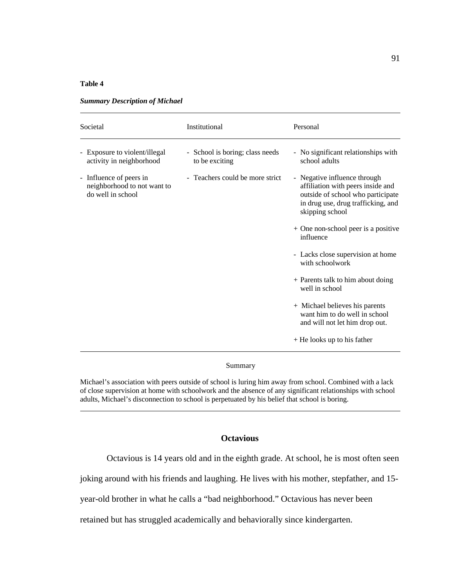### **Table 4**

| Societal                                                                            | Institutional                                     | Personal                                                                                                                                                        |
|-------------------------------------------------------------------------------------|---------------------------------------------------|-----------------------------------------------------------------------------------------------------------------------------------------------------------------|
| Exposure to violent/illegal<br>$\overline{\phantom{0}}$<br>activity in neighborhood | - School is boring; class needs<br>to be exciting | - No significant relationships with<br>school adults                                                                                                            |
| - Influence of peers in<br>neighborhood to not want to<br>do well in school         | - Teachers could be more strict                   | - Negative influence through<br>affiliation with peers inside and<br>outside of school who participate<br>in drug use, drug trafficking, and<br>skipping school |
|                                                                                     |                                                   | + One non-school peer is a positive<br>influence                                                                                                                |
|                                                                                     |                                                   | - Lacks close supervision at home<br>with schoolwork                                                                                                            |
|                                                                                     |                                                   | + Parents talk to him about doing<br>well in school                                                                                                             |
|                                                                                     |                                                   | + Michael believes his parents<br>want him to do well in school<br>and will not let him drop out.                                                               |
|                                                                                     |                                                   | $+$ He looks up to his father                                                                                                                                   |
|                                                                                     |                                                   |                                                                                                                                                                 |

*Summary Description of Michael*

#### Summary

Michael's association with peers outside of school is luring him away from school. Combined with a lack of close supervision at home with schoolwork and the absence of any significant relationships with school adults, Michael's disconnection to school is perpetuated by his belief that school is boring.

# **Octavious**

Octavious is 14 years old and in the eighth grade. At school, he is most often seen

joking around with his friends and laughing. He lives with his mother, stepfather, and 15-

year-old brother in what he calls a "bad neighborhood." Octavious has never been

retained but has struggled academically and behaviorally since kindergarten.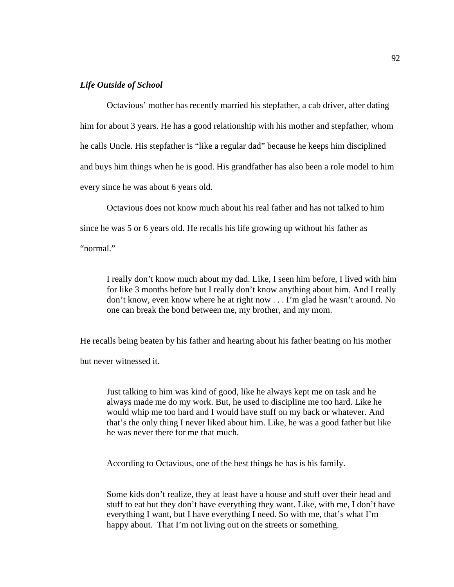## *Life Outside of School*

Octavious' mother has recently married his stepfather, a cab driver, after dating him for about 3 years. He has a good relationship with his mother and stepfather, whom he calls Uncle. His stepfather is "like a regular dad" because he keeps him disciplined and buys him things when he is good. His grandfather has also been a role model to him every since he was about 6 years old.

Octavious does not know much about his real father and has not talked to him since he was 5 or 6 years old. He recalls his life growing up without his father as "normal."

I really don't know much about my dad. Like, I seen him before, I lived with him for like 3 months before but I really don't know anything about him. And I really don't know, even know where he at right now . . . I'm glad he wasn't around. No one can break the bond between me, my brother, and my mom.

He recalls being beaten by his father and hearing about his father beating on his mother

but never witnessed it.

Just talking to him was kind of good, like he always kept me on task and he always made me do my work. But, he used to discipline me too hard. Like he would whip me too hard and I would have stuff on my back or whatever. And that's the only thing I never liked about him. Like, he was a good father but like he was never there for me that much.

According to Octavious, one of the best things he has is his family.

Some kids don't realize, they at least have a house and stuff over their head and stuff to eat but they don't have everything they want. Like, with me, I don't have everything I want, but I have everything I need. So with me, that's what I'm happy about. That I'm not living out on the streets or something.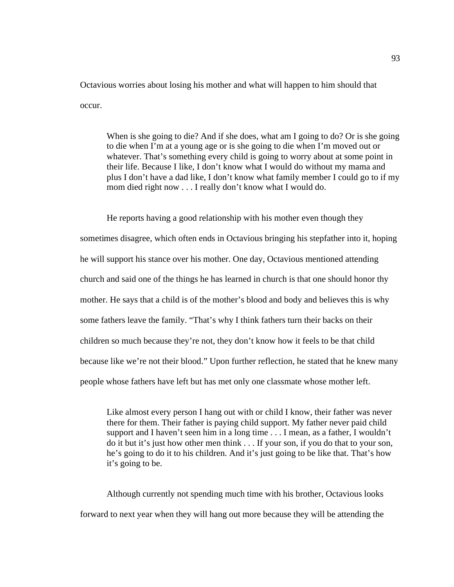Octavious worries about losing his mother and what will happen to him should that occur.

When is she going to die? And if she does, what am I going to do? Or is she going to die when I'm at a young age or is she going to die when I'm moved out or whatever. That's something every child is going to worry about at some point in their life. Because I like, I don't know what I would do without my mama and plus I don't have a dad like, I don't know what family member I could go to if my mom died right now . . . I really don't know what I would do.

He reports having a good relationship with his mother even though they sometimes disagree, which often ends in Octavious bringing his stepfather into it, hoping he will support his stance over his mother. One day, Octavious mentioned attending church and said one of the things he has learned in church is that one should honor thy mother. He says that a child is of the mother's blood and body and believes this is why some fathers leave the family. "That's why I think fathers turn their backs on their children so much because they're not, they don't know how it feels to be that child because like we're not their blood." Upon further reflection, he stated that he knew many people whose fathers have left but has met only one classmate whose mother left.

Like almost every person I hang out with or child I know, their father was never there for them. Their father is paying child support. My father never paid child support and I haven't seen him in a long time . . . I mean, as a father, I wouldn't do it but it's just how other men think . . . If your son, if you do that to your son, he's going to do it to his children. And it's just going to be like that. That's how it's going to be.

Although currently not spending much time with his brother, Octavious looks forward to next year when they will hang out more because they will be attending the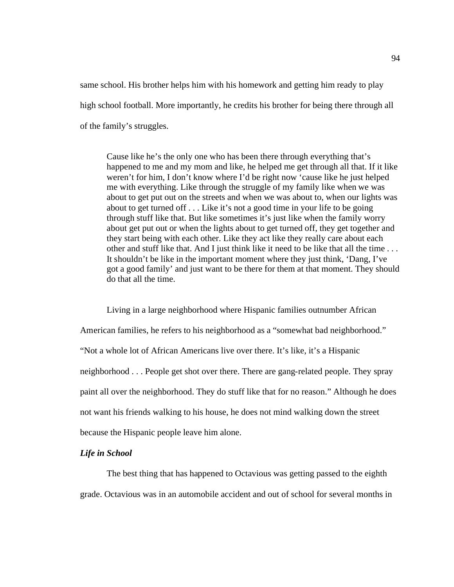same school. His brother helps him with his homework and getting him ready to play high school football. More importantly, he credits his brother for being there through all of the family's struggles.

Cause like he's the only one who has been there through everything that's happened to me and my mom and like, he helped me get through all that. If it like weren't for him, I don't know where I'd be right now 'cause like he just helped me with everything. Like through the struggle of my family like when we was about to get put out on the streets and when we was about to, when our lights was about to get turned off . . . Like it's not a good time in your life to be going through stuff like that. But like sometimes it's just like when the family worry about get put out or when the lights about to get turned off, they get together and they start being with each other. Like they act like they really care about each other and stuff like that. And I just think like it need to be like that all the time . . . It shouldn't be like in the important moment where they just think, 'Dang, I've got a good family' and just want to be there for them at that moment. They should do that all the time.

Living in a large neighborhood where Hispanic families outnumber African American families, he refers to his neighborhood as a "somewhat bad neighborhood." "Not a whole lot of African Americans live over there. It's like, it's a Hispanic neighborhood . . . People get shot over there. There are gang-related people. They spray paint all over the neighborhood. They do stuff like that for no reason." Although he does not want his friends walking to his house, he does not mind walking down the street because the Hispanic people leave him alone.

### *Life in School*

The best thing that has happened to Octavious was getting passed to the eighth grade. Octavious was in an automobile accident and out of school for several months in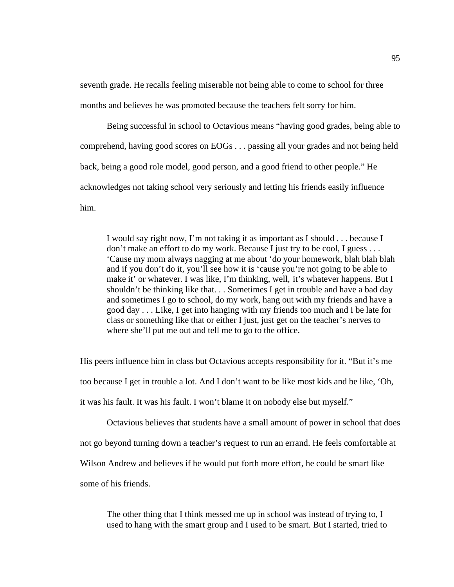seventh grade. He recalls feeling miserable not being able to come to school for three months and believes he was promoted because the teachers felt sorry for him.

Being successful in school to Octavious means "having good grades, being able to comprehend, having good scores on EOGs . . . passing all your grades and not being held back, being a good role model, good person, and a good friend to other people." He acknowledges not taking school very seriously and letting his friends easily influence him.

I would say right now, I'm not taking it as important as I should . . . because I don't make an effort to do my work. Because I just try to be cool, I guess . . . 'Cause my mom always nagging at me about 'do your homework, blah blah blah and if you don't do it, you'll see how it is 'cause you're not going to be able to make it' or whatever. I was like, I'm thinking, well, it's whatever happens. But I shouldn't be thinking like that. . . Sometimes I get in trouble and have a bad day and sometimes I go to school, do my work, hang out with my friends and have a good day . . . Like, I get into hanging with my friends too much and I be late for class or something like that or either I just, just get on the teacher's nerves to where she'll put me out and tell me to go to the office.

His peers influence him in class but Octavious accepts responsibility for it. "But it's me too because I get in trouble a lot. And I don't want to be like most kids and be like, 'Oh, it was his fault. It was his fault. I won't blame it on nobody else but myself."

Octavious believes that students have a small amount of power in school that does not go beyond turning down a teacher's request to run an errand. He feels comfortable at Wilson Andrew and believes if he would put forth more effort, he could be smart like some of his friends.

The other thing that I think messed me up in school was instead of trying to, I used to hang with the smart group and I used to be smart. But I started, tried to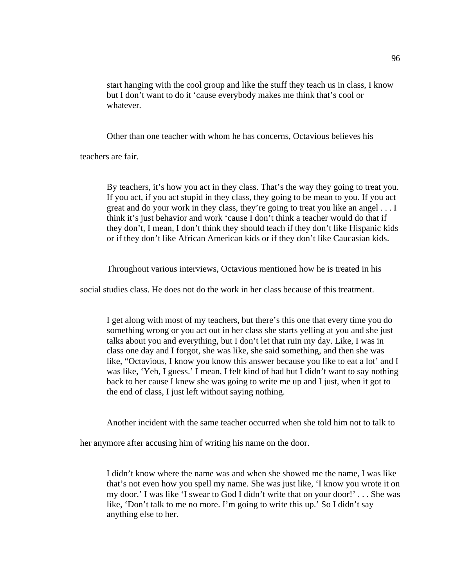start hanging with the cool group and like the stuff they teach us in class, I know but I don't want to do it 'cause everybody makes me think that's cool or whatever.

Other than one teacher with whom he has concerns, Octavious believes his

teachers are fair.

By teachers, it's how you act in they class. That's the way they going to treat you. If you act, if you act stupid in they class, they going to be mean to you. If you act great and do your work in they class, they're going to treat you like an angel . . . I think it's just behavior and work 'cause I don't think a teacher would do that if they don't, I mean, I don't think they should teach if they don't like Hispanic kids or if they don't like African American kids or if they don't like Caucasian kids.

Throughout various interviews, Octavious mentioned how he is treated in his

social studies class. He does not do the work in her class because of this treatment.

I get along with most of my teachers, but there's this one that every time you do something wrong or you act out in her class she starts yelling at you and she just talks about you and everything, but I don't let that ruin my day. Like, I was in class one day and I forgot, she was like, she said something, and then she was like, "Octavious, I know you know this answer because you like to eat a lot' and I was like, 'Yeh, I guess.' I mean, I felt kind of bad but I didn't want to say nothing back to her cause I knew she was going to write me up and I just, when it got to the end of class, I just left without saying nothing.

Another incident with the same teacher occurred when she told him not to talk to

her anymore after accusing him of writing his name on the door.

I didn't know where the name was and when she showed me the name, I was like that's not even how you spell my name. She was just like, 'I know you wrote it on my door.' I was like 'I swear to God I didn't write that on your door!' . . . She was like, 'Don't talk to me no more. I'm going to write this up.' So I didn't say anything else to her.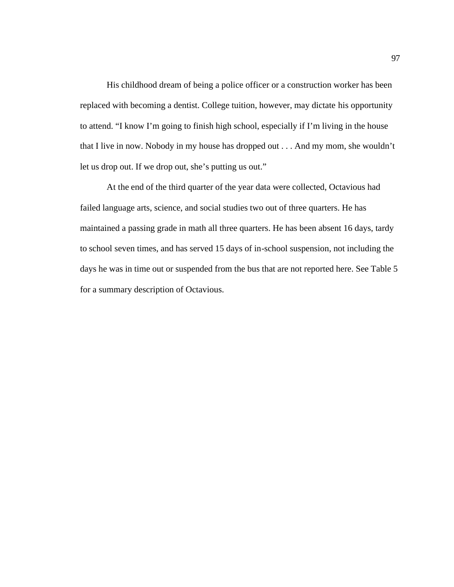His childhood dream of being a police officer or a construction worker has been replaced with becoming a dentist. College tuition, however, may dictate his opportunity to attend. "I know I'm going to finish high school, especially if I'm living in the house that I live in now. Nobody in my house has dropped out . . . And my mom, she wouldn't let us drop out. If we drop out, she's putting us out."

At the end of the third quarter of the year data were collected, Octavious had failed language arts, science, and social studies two out of three quarters. He has maintained a passing grade in math all three quarters. He has been absent 16 days, tardy to school seven times, and has served 15 days of in-school suspension, not including the days he was in time out or suspended from the bus that are not reported here. See Table 5 for a summary description of Octavious.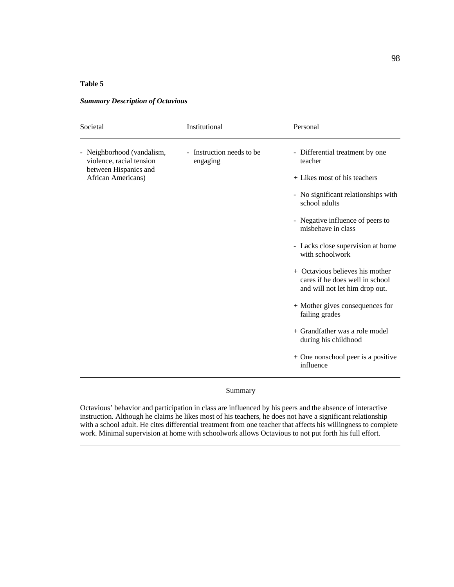### **Table 5**

| - Instruction needs to be.<br>Neighborhood (vandalism,<br>- Differential treatment by one<br>-<br>violence, racial tension<br>teacher<br>engaging<br>between Hispanics and<br>African Americans)<br>+ Likes most of his teachers<br>school adults<br>- Negative influence of peers to<br>misbehave in class<br>with schoolwork | Societal | Institutional | Personal                                                                                                       |
|--------------------------------------------------------------------------------------------------------------------------------------------------------------------------------------------------------------------------------------------------------------------------------------------------------------------------------|----------|---------------|----------------------------------------------------------------------------------------------------------------|
| + Octavious believes his mother<br>cares if he does well in school<br>and will not let him drop out.<br>+ Mother gives consequences for<br>failing grades<br>+ Grandfather was a role model<br>during his childhood<br>influence                                                                                               |          |               | - No significant relationships with<br>- Lacks close supervision at home<br>+ One nonschool peer is a positive |

*Summary Description of Octavious*

Summary

Octavious' behavior and participation in class are influenced by his peers and the absence of interactive instruction. Although he claims he likes most of his teachers, he does not have a significant relationship with a school adult. He cites differential treatment from one teacher that affects his willingness to complete work. Minimal supervision at home with schoolwork allows Octavious to not put forth his full effort.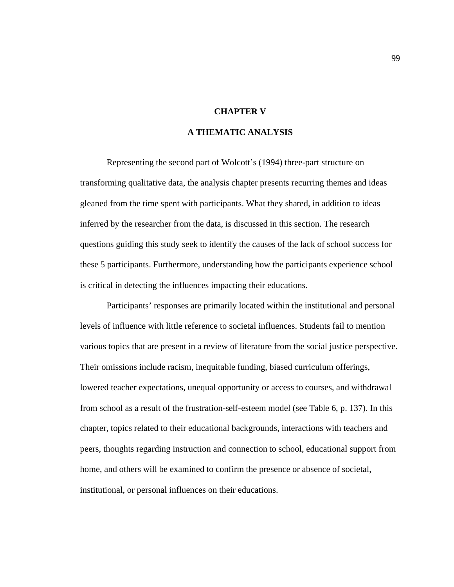# **CHAPTER V**

# **A THEMATIC ANALYSIS**

Representing the second part of Wolcott's (1994) three-part structure on transforming qualitative data, the analysis chapter presents recurring themes and ideas gleaned from the time spent with participants. What they shared, in addition to ideas inferred by the researcher from the data, is discussed in this section. The research questions guiding this study seek to identify the causes of the lack of school success for these 5 participants. Furthermore, understanding how the participants experience school is critical in detecting the influences impacting their educations.

Participants' responses are primarily located within the institutional and personal levels of influence with little reference to societal influences. Students fail to mention various topics that are present in a review of literature from the social justice perspective. Their omissions include racism, inequitable funding, biased curriculum offerings, lowered teacher expectations, unequal opportunity or access to courses, and withdrawal from school as a result of the frustration-self-esteem model (see Table 6, p. 137). In this chapter, topics related to their educational backgrounds, interactions with teachers and peers, thoughts regarding instruction and connection to school, educational support from home, and others will be examined to confirm the presence or absence of societal, institutional, or personal influences on their educations.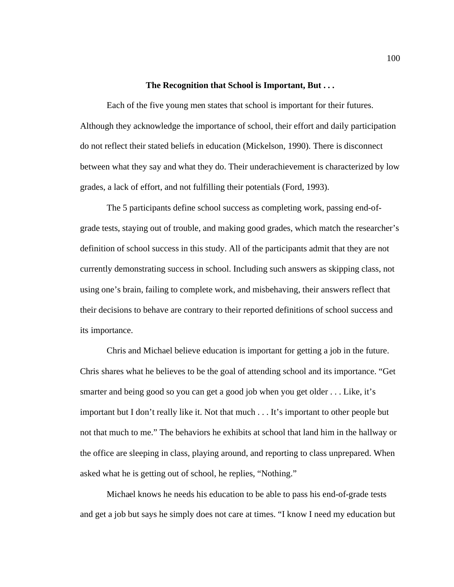#### **The Recognition that School is Important, But . . .**

Each of the five young men states that school is important for their futures. Although they acknowledge the importance of school, their effort and daily participation do not reflect their stated beliefs in education (Mickelson, 1990). There is disconnect between what they say and what they do. Their underachievement is characterized by low grades, a lack of effort, and not fulfilling their potentials (Ford, 1993).

The 5 participants define school success as completing work, passing end-ofgrade tests, staying out of trouble, and making good grades, which match the researcher's definition of school success in this study. All of the participants admit that they are not currently demonstrating success in school. Including such answers as skipping class, not using one's brain, failing to complete work, and misbehaving, their answers reflect that their decisions to behave are contrary to their reported definitions of school success and its importance.

Chris and Michael believe education is important for getting a job in the future. Chris shares what he believes to be the goal of attending school and its importance. "Get smarter and being good so you can get a good job when you get older . . . Like, it's important but I don't really like it. Not that much . . . It's important to other people but not that much to me." The behaviors he exhibits at school that land him in the hallway or the office are sleeping in class, playing around, and reporting to class unprepared. When asked what he is getting out of school, he replies, "Nothing."

Michael knows he needs his education to be able to pass his end-of-grade tests and get a job but says he simply does not care at times. "I know I need my education but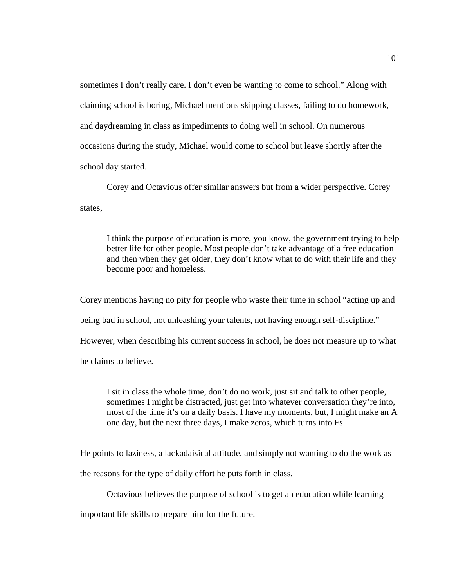sometimes I don't really care. I don't even be wanting to come to school." Along with claiming school is boring, Michael mentions skipping classes, failing to do homework, and daydreaming in class as impediments to doing well in school. On numerous occasions during the study, Michael would come to school but leave shortly after the school day started.

Corey and Octavious offer similar answers but from a wider perspective. Corey states,

I think the purpose of education is more, you know, the government trying to help better life for other people. Most people don't take advantage of a free education and then when they get older, they don't know what to do with their life and they become poor and homeless.

Corey mentions having no pity for people who waste their time in school "acting up and being bad in school, not unleashing your talents, not having enough self-discipline." However, when describing his current success in school, he does not measure up to what he claims to believe.

I sit in class the whole time, don't do no work, just sit and talk to other people, sometimes I might be distracted, just get into whatever conversation they're into, most of the time it's on a daily basis. I have my moments, but, I might make an A one day, but the next three days, I make zeros, which turns into Fs.

He points to laziness, a lackadaisical attitude, and simply not wanting to do the work as

the reasons for the type of daily effort he puts forth in class.

Octavious believes the purpose of school is to get an education while learning

important life skills to prepare him for the future.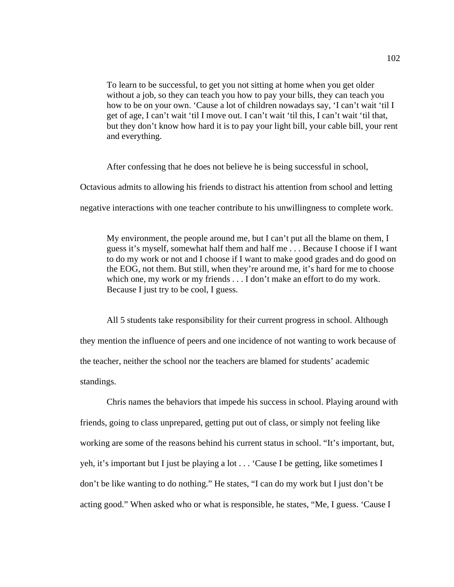To learn to be successful, to get you not sitting at home when you get older without a job, so they can teach you how to pay your bills, they can teach you how to be on your own. 'Cause a lot of children nowadays say, 'I can't wait 'til I get of age, I can't wait 'til I move out. I can't wait 'til this, I can't wait 'til that, but they don't know how hard it is to pay your light bill, your cable bill, your rent and everything.

After confessing that he does not believe he is being successful in school,

Octavious admits to allowing his friends to distract his attention from school and letting

negative interactions with one teacher contribute to his unwillingness to complete work.

My environment, the people around me, but I can't put all the blame on them, I guess it's myself, somewhat half them and half me . . . Because I choose if I want to do my work or not and I choose if I want to make good grades and do good on the EOG, not them. But still, when they're around me, it's hard for me to choose which one, my work or my friends . . . I don't make an effort to do my work. Because I just try to be cool, I guess.

All 5 students take responsibility for their current progress in school. Although they mention the influence of peers and one incidence of not wanting to work because of the teacher, neither the school nor the teachers are blamed for students' academic standings.

Chris names the behaviors that impede his success in school. Playing around with friends, going to class unprepared, getting put out of class, or simply not feeling like working are some of the reasons behind his current status in school. "It's important, but, yeh, it's important but I just be playing a lot . . . 'Cause I be getting, like sometimes I don't be like wanting to do nothing." He states, "I can do my work but I just don't be acting good." When asked who or what is responsible, he states, "Me, I guess. 'Cause I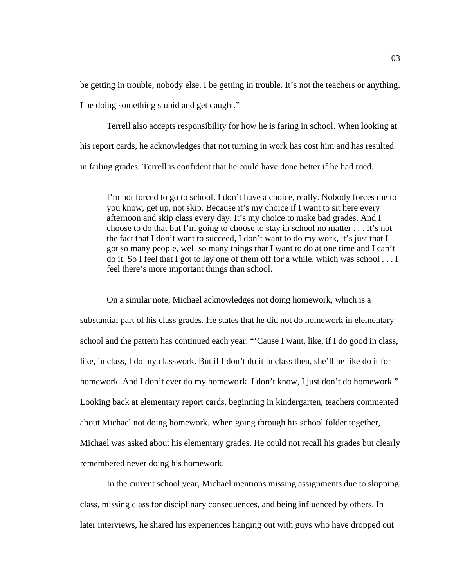be getting in trouble, nobody else. I be getting in trouble. It's not the teachers or anything.

I be doing something stupid and get caught."

Terrell also accepts responsibility for how he is faring in school. When looking at his report cards, he acknowledges that not turning in work has cost him and has resulted in failing grades. Terrell is confident that he could have done better if he had tried.

I'm not forced to go to school. I don't have a choice, really. Nobody forces me to you know, get up, not skip. Because it's my choice if I want to sit here every afternoon and skip class every day. It's my choice to make bad grades. And I choose to do that but I'm going to choose to stay in school no matter . . . It's not the fact that I don't want to succeed, I don't want to do my work, it's just that I got so many people, well so many things that I want to do at one time and I can't do it. So I feel that I got to lay one of them off for a while, which was school . . . I feel there's more important things than school.

On a similar note, Michael acknowledges not doing homework, which is a substantial part of his class grades. He states that he did not do homework in elementary school and the pattern has continued each year. "'Cause I want, like, if I do good in class, like, in class, I do my classwork. But if I don't do it in class then, she'll be like do it for homework. And I don't ever do my homework. I don't know, I just don't do homework." Looking back at elementary report cards, beginning in kindergarten, teachers commented about Michael not doing homework. When going through his school folder together, Michael was asked about his elementary grades. He could not recall his grades but clearly remembered never doing his homework.

In the current school year, Michael mentions missing assignments due to skipping class, missing class for disciplinary consequences, and being influenced by others. In later interviews, he shared his experiences hanging out with guys who have dropped out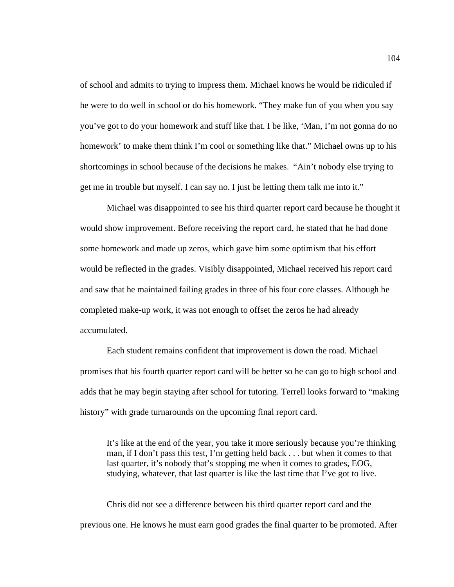of school and admits to trying to impress them. Michael knows he would be ridiculed if he were to do well in school or do his homework. "They make fun of you when you say you've got to do your homework and stuff like that. I be like, 'Man, I'm not gonna do no homework' to make them think I'm cool or something like that." Michael owns up to his shortcomings in school because of the decisions he makes. "Ain't nobody else trying to get me in trouble but myself. I can say no. I just be letting them talk me into it."

Michael was disappointed to see his third quarter report card because he thought it would show improvement. Before receiving the report card, he stated that he had done some homework and made up zeros, which gave him some optimism that his effort would be reflected in the grades. Visibly disappointed, Michael received his report card and saw that he maintained failing grades in three of his four core classes. Although he completed make-up work, it was not enough to offset the zeros he had already accumulated.

Each student remains confident that improvement is down the road. Michael promises that his fourth quarter report card will be better so he can go to high school and adds that he may begin staying after school for tutoring. Terrell looks forward to "making history" with grade turnarounds on the upcoming final report card.

It's like at the end of the year, you take it more seriously because you're thinking man, if I don't pass this test, I'm getting held back . . . but when it comes to that last quarter, it's nobody that's stopping me when it comes to grades, EOG, studying, whatever, that last quarter is like the last time that I've got to live.

Chris did not see a difference between his third quarter report card and the previous one. He knows he must earn good grades the final quarter to be promoted. After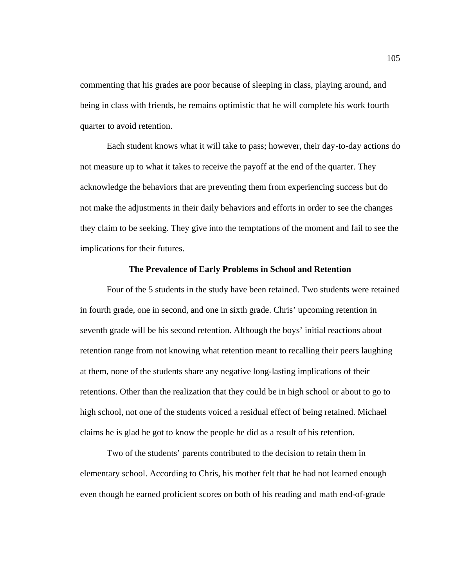commenting that his grades are poor because of sleeping in class, playing around, and being in class with friends, he remains optimistic that he will complete his work fourth quarter to avoid retention.

Each student knows what it will take to pass; however, their day-to-day actions do not measure up to what it takes to receive the payoff at the end of the quarter. They acknowledge the behaviors that are preventing them from experiencing success but do not make the adjustments in their daily behaviors and efforts in order to see the changes they claim to be seeking. They give into the temptations of the moment and fail to see the implications for their futures.

## **The Prevalence of Early Problems in School and Retention**

Four of the 5 students in the study have been retained. Two students were retained in fourth grade, one in second, and one in sixth grade. Chris' upcoming retention in seventh grade will be his second retention. Although the boys' initial reactions about retention range from not knowing what retention meant to recalling their peers laughing at them, none of the students share any negative long-lasting implications of their retentions. Other than the realization that they could be in high school or about to go to high school, not one of the students voiced a residual effect of being retained. Michael claims he is glad he got to know the people he did as a result of his retention.

Two of the students' parents contributed to the decision to retain them in elementary school. According to Chris, his mother felt that he had not learned enough even though he earned proficient scores on both of his reading and math end-of-grade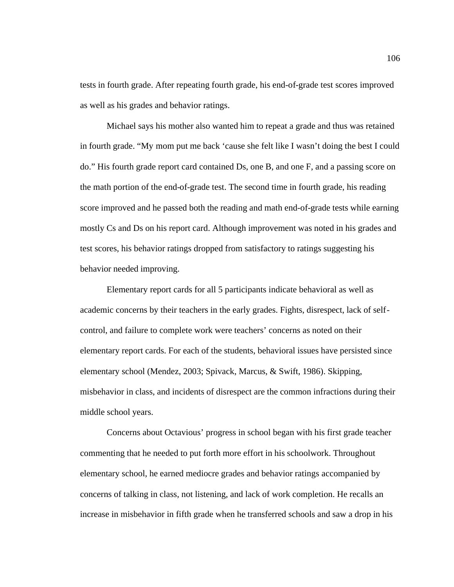tests in fourth grade. After repeating fourth grade, his end-of-grade test scores improved as well as his grades and behavior ratings.

Michael says his mother also wanted him to repeat a grade and thus was retained in fourth grade. "My mom put me back 'cause she felt like I wasn't doing the best I could do." His fourth grade report card contained Ds, one B, and one F, and a passing score on the math portion of the end-of-grade test. The second time in fourth grade, his reading score improved and he passed both the reading and math end-of-grade tests while earning mostly Cs and Ds on his report card. Although improvement was noted in his grades and test scores, his behavior ratings dropped from satisfactory to ratings suggesting his behavior needed improving.

Elementary report cards for all 5 participants indicate behavioral as well as academic concerns by their teachers in the early grades. Fights, disrespect, lack of selfcontrol, and failure to complete work were teachers' concerns as noted on their elementary report cards. For each of the students, behavioral issues have persisted since elementary school (Mendez, 2003; Spivack, Marcus, & Swift, 1986). Skipping, misbehavior in class, and incidents of disrespect are the common infractions during their middle school years.

Concerns about Octavious' progress in school began with his first grade teacher commenting that he needed to put forth more effort in his schoolwork. Throughout elementary school, he earned mediocre grades and behavior ratings accompanied by concerns of talking in class, not listening, and lack of work completion. He recalls an increase in misbehavior in fifth grade when he transferred schools and saw a drop in his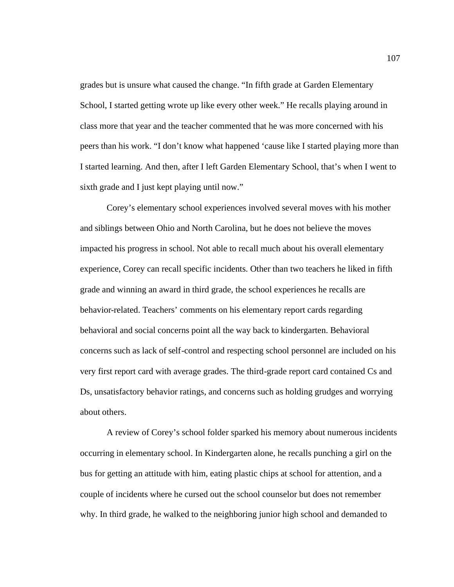grades but is unsure what caused the change. "In fifth grade at Garden Elementary School, I started getting wrote up like every other week." He recalls playing around in class more that year and the teacher commented that he was more concerned with his peers than his work. "I don't know what happened 'cause like I started playing more than I started learning. And then, after I left Garden Elementary School, that's when I went to sixth grade and I just kept playing until now."

Corey's elementary school experiences involved several moves with his mother and siblings between Ohio and North Carolina, but he does not believe the moves impacted his progress in school. Not able to recall much about his overall elementary experience, Corey can recall specific incidents. Other than two teachers he liked in fifth grade and winning an award in third grade, the school experiences he recalls are behavior-related. Teachers' comments on his elementary report cards regarding behavioral and social concerns point all the way back to kindergarten. Behavioral concerns such as lack of self-control and respecting school personnel are included on his very first report card with average grades. The third-grade report card contained Cs and Ds, unsatisfactory behavior ratings, and concerns such as holding grudges and worrying about others.

A review of Corey's school folder sparked his memory about numerous incidents occurring in elementary school. In Kindergarten alone, he recalls punching a girl on the bus for getting an attitude with him, eating plastic chips at school for attention, and a couple of incidents where he cursed out the school counselor but does not remember why. In third grade, he walked to the neighboring junior high school and demanded to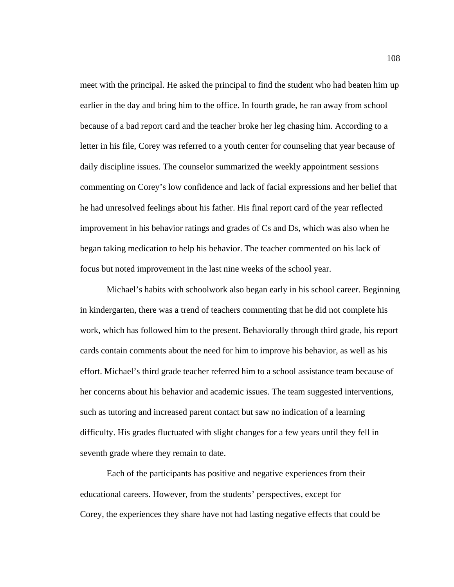meet with the principal. He asked the principal to find the student who had beaten him up earlier in the day and bring him to the office. In fourth grade, he ran away from school because of a bad report card and the teacher broke her leg chasing him. According to a letter in his file, Corey was referred to a youth center for counseling that year because of daily discipline issues. The counselor summarized the weekly appointment sessions commenting on Corey's low confidence and lack of facial expressions and her belief that he had unresolved feelings about his father. His final report card of the year reflected improvement in his behavior ratings and grades of Cs and Ds, which was also when he began taking medication to help his behavior. The teacher commented on his lack of focus but noted improvement in the last nine weeks of the school year.

Michael's habits with schoolwork also began early in his school career. Beginning in kindergarten, there was a trend of teachers commenting that he did not complete his work, which has followed him to the present. Behaviorally through third grade, his report cards contain comments about the need for him to improve his behavior, as well as his effort. Michael's third grade teacher referred him to a school assistance team because of her concerns about his behavior and academic issues. The team suggested interventions, such as tutoring and increased parent contact but saw no indication of a learning difficulty. His grades fluctuated with slight changes for a few years until they fell in seventh grade where they remain to date.

Each of the participants has positive and negative experiences from their educational careers. However, from the students' perspectives, except for Corey, the experiences they share have not had lasting negative effects that could be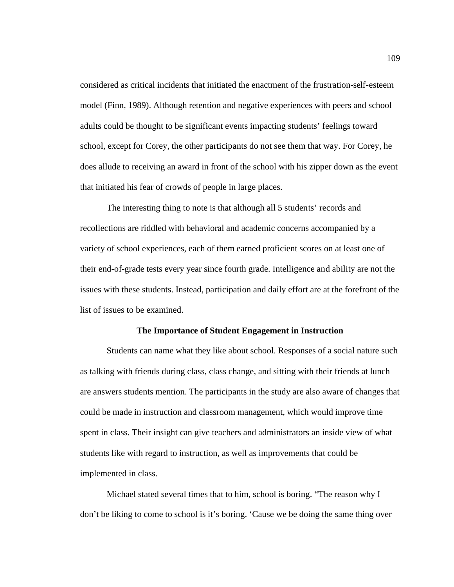considered as critical incidents that initiated the enactment of the frustration-self-esteem model (Finn, 1989). Although retention and negative experiences with peers and school adults could be thought to be significant events impacting students' feelings toward school, except for Corey, the other participants do not see them that way. For Corey, he does allude to receiving an award in front of the school with his zipper down as the event that initiated his fear of crowds of people in large places.

The interesting thing to note is that although all 5 students' records and recollections are riddled with behavioral and academic concerns accompanied by a variety of school experiences, each of them earned proficient scores on at least one of their end-of-grade tests every year since fourth grade. Intelligence and ability are not the issues with these students. Instead, participation and daily effort are at the forefront of the list of issues to be examined.

## **The Importance of Student Engagement in Instruction**

Students can name what they like about school. Responses of a social nature such as talking with friends during class, class change, and sitting with their friends at lunch are answers students mention. The participants in the study are also aware of changes that could be made in instruction and classroom management, which would improve time spent in class. Their insight can give teachers and administrators an inside view of what students like with regard to instruction, as well as improvements that could be implemented in class.

Michael stated several times that to him, school is boring. "The reason why I don't be liking to come to school is it's boring. 'Cause we be doing the same thing over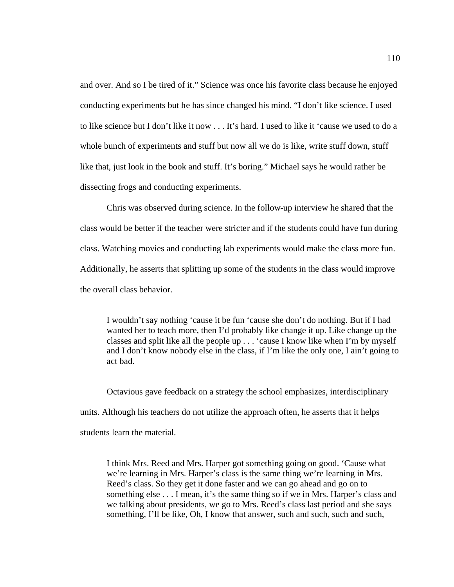and over. And so I be tired of it." Science was once his favorite class because he enjoyed conducting experiments but he has since changed his mind. "I don't like science. I used to like science but I don't like it now . . . It's hard. I used to like it 'cause we used to do a whole bunch of experiments and stuff but now all we do is like, write stuff down, stuff like that, just look in the book and stuff. It's boring." Michael says he would rather be dissecting frogs and conducting experiments.

Chris was observed during science. In the follow-up interview he shared that the class would be better if the teacher were stricter and if the students could have fun during class. Watching movies and conducting lab experiments would make the class more fun. Additionally, he asserts that splitting up some of the students in the class would improve the overall class behavior.

I wouldn't say nothing 'cause it be fun 'cause she don't do nothing. But if I had wanted her to teach more, then I'd probably like change it up. Like change up the classes and split like all the people up . . . 'cause I know like when I'm by myself and I don't know nobody else in the class, if I'm like the only one, I ain't going to act bad.

Octavious gave feedback on a strategy the school emphasizes, interdisciplinary units. Although his teachers do not utilize the approach often, he asserts that it helps students learn the material.

I think Mrs. Reed and Mrs. Harper got something going on good. 'Cause what we're learning in Mrs. Harper's class is the same thing we're learning in Mrs. Reed's class. So they get it done faster and we can go ahead and go on to something else . . . I mean, it's the same thing so if we in Mrs. Harper's class and we talking about presidents, we go to Mrs. Reed's class last period and she says something, I'll be like, Oh, I know that answer, such and such, such and such,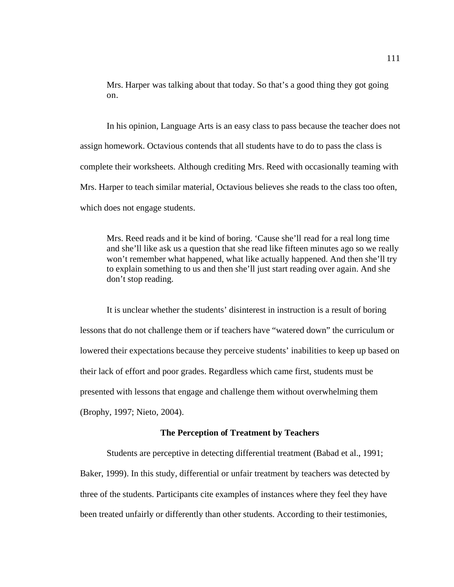Mrs. Harper was talking about that today. So that's a good thing they got going on.

In his opinion, Language Arts is an easy class to pass because the teacher does not assign homework. Octavious contends that all students have to do to pass the class is complete their worksheets. Although crediting Mrs. Reed with occasionally teaming with Mrs. Harper to teach similar material, Octavious believes she reads to the class too often, which does not engage students.

Mrs. Reed reads and it be kind of boring. 'Cause she'll read for a real long time and she'll like ask us a question that she read like fifteen minutes ago so we really won't remember what happened, what like actually happened. And then she'll try to explain something to us and then she'll just start reading over again. And she don't stop reading.

It is unclear whether the students' disinterest in instruction is a result of boring lessons that do not challenge them or if teachers have "watered down" the curriculum or lowered their expectations because they perceive students' inabilities to keep up based on their lack of effort and poor grades. Regardless which came first, students must be presented with lessons that engage and challenge them without overwhelming them (Brophy, 1997; Nieto, 2004).

## **The Perception of Treatment by Teachers**

Students are perceptive in detecting differential treatment (Babad et al., 1991; Baker, 1999). In this study, differential or unfair treatment by teachers was detected by three of the students. Participants cite examples of instances where they feel they have been treated unfairly or differently than other students. According to their testimonies,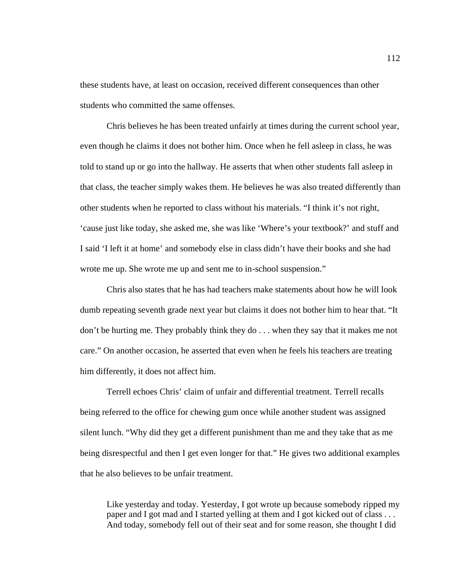these students have, at least on occasion, received different consequences than other students who committed the same offenses.

Chris believes he has been treated unfairly at times during the current school year, even though he claims it does not bother him. Once when he fell asleep in class, he was told to stand up or go into the hallway. He asserts that when other students fall asleep in that class, the teacher simply wakes them. He believes he was also treated differently than other students when he reported to class without his materials. "I think it's not right, 'cause just like today, she asked me, she was like 'Where's your textbook?' and stuff and I said 'I left it at home' and somebody else in class didn't have their books and she had wrote me up. She wrote me up and sent me to in-school suspension."

Chris also states that he has had teachers make statements about how he will look dumb repeating seventh grade next year but claims it does not bother him to hear that. "It don't be hurting me. They probably think they do . . . when they say that it makes me not care." On another occasion, he asserted that even when he feels his teachers are treating him differently, it does not affect him.

Terrell echoes Chris' claim of unfair and differential treatment. Terrell recalls being referred to the office for chewing gum once while another student was assigned silent lunch. "Why did they get a different punishment than me and they take that as me being disrespectful and then I get even longer for that." He gives two additional examples that he also believes to be unfair treatment.

Like yesterday and today. Yesterday, I got wrote up because somebody ripped my paper and I got mad and I started yelling at them and I got kicked out of class . . . And today, somebody fell out of their seat and for some reason, she thought I did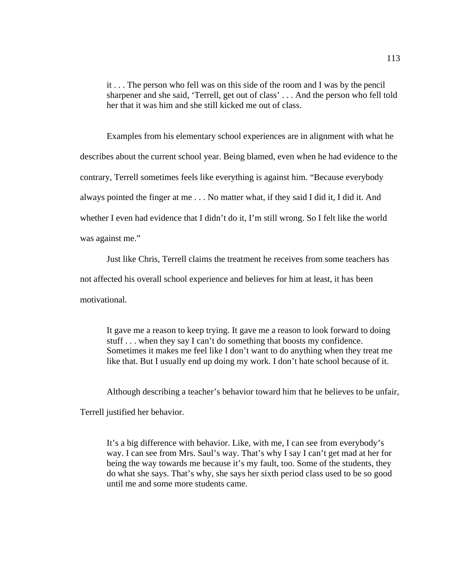it . . . The person who fell was on this side of the room and I was by the pencil sharpener and she said, 'Terrell, get out of class' . . . And the person who fell told her that it was him and she still kicked me out of class.

Examples from his elementary school experiences are in alignment with what he describes about the current school year. Being blamed, even when he had evidence to the contrary, Terrell sometimes feels like everything is against him. "Because everybody always pointed the finger at me . . . No matter what, if they said I did it, I did it. And whether I even had evidence that I didn't do it, I'm still wrong. So I felt like the world was against me."

Just like Chris, Terrell claims the treatment he receives from some teachers has

not affected his overall school experience and believes for him at least, it has been

motivational.

It gave me a reason to keep trying. It gave me a reason to look forward to doing stuff . . . when they say I can't do something that boosts my confidence. Sometimes it makes me feel like I don't want to do anything when they treat me like that. But I usually end up doing my work. I don't hate school because of it.

Although describing a teacher's behavior toward him that he believes to be unfair,

Terrell justified her behavior.

It's a big difference with behavior. Like, with me, I can see from everybody's way. I can see from Mrs. Saul's way. That's why I say I can't get mad at her for being the way towards me because it's my fault, too. Some of the students, they do what she says. That's why, she says her sixth period class used to be so good until me and some more students came.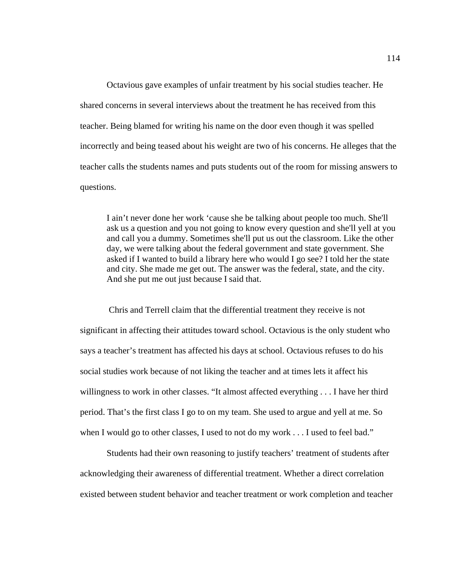Octavious gave examples of unfair treatment by his social studies teacher. He shared concerns in several interviews about the treatment he has received from this teacher. Being blamed for writing his name on the door even though it was spelled incorrectly and being teased about his weight are two of his concerns. He alleges that the teacher calls the students names and puts students out of the room for missing answers to questions.

I ain't never done her work 'cause she be talking about people too much. She'll ask us a question and you not going to know every question and she'll yell at you and call you a dummy. Sometimes she'll put us out the classroom. Like the other day, we were talking about the federal government and state government. She asked if I wanted to build a library here who would I go see? I told her the state and city. She made me get out. The answer was the federal, state, and the city. And she put me out just because I said that.

 Chris and Terrell claim that the differential treatment they receive is not significant in affecting their attitudes toward school. Octavious is the only student who says a teacher's treatment has affected his days at school. Octavious refuses to do his social studies work because of not liking the teacher and at times lets it affect his willingness to work in other classes. "It almost affected everything . . . I have her third period. That's the first class I go to on my team. She used to argue and yell at me. So when I would go to other classes, I used to not do my work . . . I used to feel bad."

Students had their own reasoning to justify teachers' treatment of students after acknowledging their awareness of differential treatment. Whether a direct correlation existed between student behavior and teacher treatment or work completion and teacher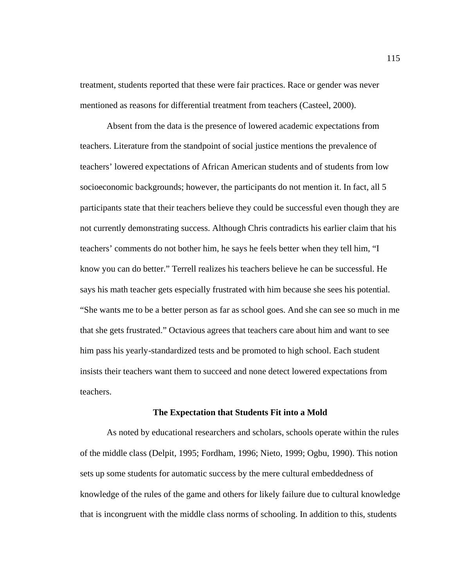treatment, students reported that these were fair practices. Race or gender was never mentioned as reasons for differential treatment from teachers (Casteel, 2000).

Absent from the data is the presence of lowered academic expectations from teachers. Literature from the standpoint of social justice mentions the prevalence of teachers' lowered expectations of African American students and of students from low socioeconomic backgrounds; however, the participants do not mention it. In fact, all 5 participants state that their teachers believe they could be successful even though they are not currently demonstrating success. Although Chris contradicts his earlier claim that his teachers' comments do not bother him, he says he feels better when they tell him, "I know you can do better." Terrell realizes his teachers believe he can be successful. He says his math teacher gets especially frustrated with him because she sees his potential. "She wants me to be a better person as far as school goes. And she can see so much in me that she gets frustrated." Octavious agrees that teachers care about him and want to see him pass his yearly-standardized tests and be promoted to high school. Each student insists their teachers want them to succeed and none detect lowered expectations from teachers.

#### **The Expectation that Students Fit into a Mold**

As noted by educational researchers and scholars, schools operate within the rules of the middle class (Delpit, 1995; Fordham, 1996; Nieto, 1999; Ogbu, 1990). This notion sets up some students for automatic success by the mere cultural embeddedness of knowledge of the rules of the game and others for likely failure due to cultural knowledge that is incongruent with the middle class norms of schooling. In addition to this, students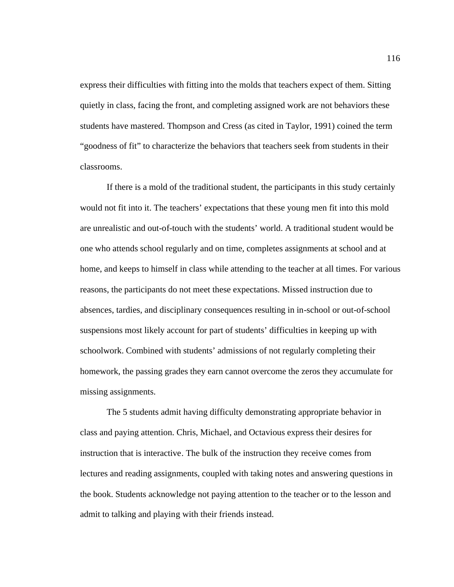express their difficulties with fitting into the molds that teachers expect of them. Sitting quietly in class, facing the front, and completing assigned work are not behaviors these students have mastered. Thompson and Cress (as cited in Taylor, 1991) coined the term "goodness of fit" to characterize the behaviors that teachers seek from students in their classrooms.

If there is a mold of the traditional student, the participants in this study certainly would not fit into it. The teachers' expectations that these young men fit into this mold are unrealistic and out-of-touch with the students' world. A traditional student would be one who attends school regularly and on time, completes assignments at school and at home, and keeps to himself in class while attending to the teacher at all times. For various reasons, the participants do not meet these expectations. Missed instruction due to absences, tardies, and disciplinary consequences resulting in in-school or out-of-school suspensions most likely account for part of students' difficulties in keeping up with schoolwork. Combined with students' admissions of not regularly completing their homework, the passing grades they earn cannot overcome the zeros they accumulate for missing assignments.

The 5 students admit having difficulty demonstrating appropriate behavior in class and paying attention. Chris, Michael, and Octavious express their desires for instruction that is interactive. The bulk of the instruction they receive comes from lectures and reading assignments, coupled with taking notes and answering questions in the book. Students acknowledge not paying attention to the teacher or to the lesson and admit to talking and playing with their friends instead.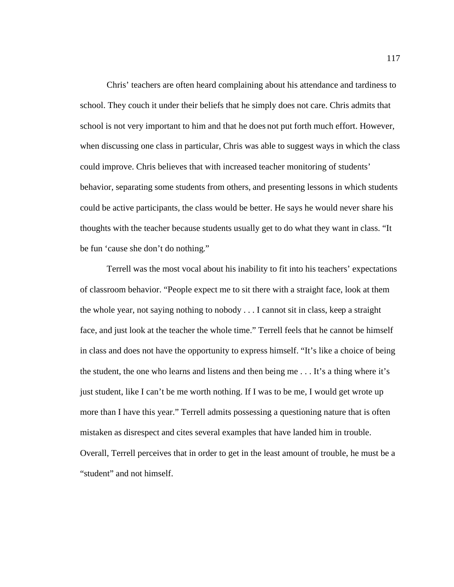Chris' teachers are often heard complaining about his attendance and tardiness to school. They couch it under their beliefs that he simply does not care. Chris admits that school is not very important to him and that he does not put forth much effort. However, when discussing one class in particular, Chris was able to suggest ways in which the class could improve. Chris believes that with increased teacher monitoring of students' behavior, separating some students from others, and presenting lessons in which students could be active participants, the class would be better. He says he would never share his thoughts with the teacher because students usually get to do what they want in class. "It be fun 'cause she don't do nothing."

Terrell was the most vocal about his inability to fit into his teachers' expectations of classroom behavior. "People expect me to sit there with a straight face, look at them the whole year, not saying nothing to nobody . . . I cannot sit in class, keep a straight face, and just look at the teacher the whole time." Terrell feels that he cannot be himself in class and does not have the opportunity to express himself. "It's like a choice of being the student, the one who learns and listens and then being me . . . It's a thing where it's just student, like I can't be me worth nothing. If I was to be me, I would get wrote up more than I have this year." Terrell admits possessing a questioning nature that is often mistaken as disrespect and cites several examples that have landed him in trouble. Overall, Terrell perceives that in order to get in the least amount of trouble, he must be a "student" and not himself.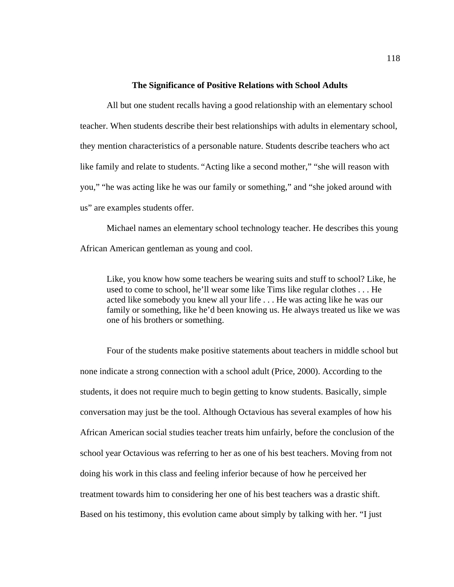#### **The Significance of Positive Relations with School Adults**

All but one student recalls having a good relationship with an elementary school teacher. When students describe their best relationships with adults in elementary school, they mention characteristics of a personable nature. Students describe teachers who act like family and relate to students. "Acting like a second mother," "she will reason with you," "he was acting like he was our family or something," and "she joked around with us" are examples students offer.

Michael names an elementary school technology teacher. He describes this young African American gentleman as young and cool.

Like, you know how some teachers be wearing suits and stuff to school? Like, he used to come to school, he'll wear some like Tims like regular clothes . . . He acted like somebody you knew all your life . . . He was acting like he was our family or something, like he'd been knowing us. He always treated us like we was one of his brothers or something.

Four of the students make positive statements about teachers in middle school but none indicate a strong connection with a school adult (Price, 2000). According to the students, it does not require much to begin getting to know students. Basically, simple conversation may just be the tool. Although Octavious has several examples of how his African American social studies teacher treats him unfairly, before the conclusion of the school year Octavious was referring to her as one of his best teachers. Moving from not doing his work in this class and feeling inferior because of how he perceived her treatment towards him to considering her one of his best teachers was a drastic shift. Based on his testimony, this evolution came about simply by talking with her. "I just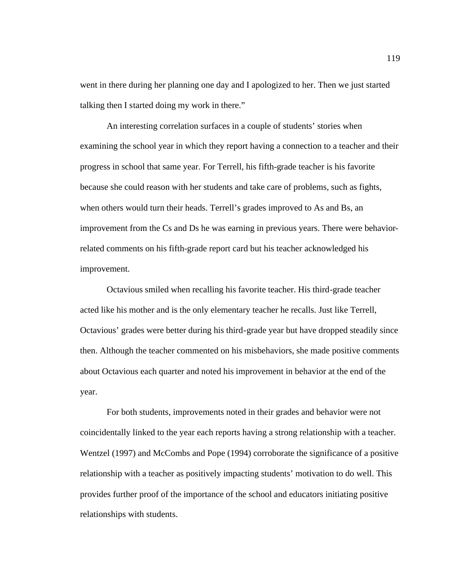went in there during her planning one day and I apologized to her. Then we just started talking then I started doing my work in there."

An interesting correlation surfaces in a couple of students' stories when examining the school year in which they report having a connection to a teacher and their progress in school that same year. For Terrell, his fifth-grade teacher is his favorite because she could reason with her students and take care of problems, such as fights, when others would turn their heads. Terrell's grades improved to As and Bs, an improvement from the Cs and Ds he was earning in previous years. There were behaviorrelated comments on his fifth-grade report card but his teacher acknowledged his improvement.

Octavious smiled when recalling his favorite teacher. His third-grade teacher acted like his mother and is the only elementary teacher he recalls. Just like Terrell, Octavious' grades were better during his third-grade year but have dropped steadily since then. Although the teacher commented on his misbehaviors, she made positive comments about Octavious each quarter and noted his improvement in behavior at the end of the year.

For both students, improvements noted in their grades and behavior were not coincidentally linked to the year each reports having a strong relationship with a teacher. Wentzel (1997) and McCombs and Pope (1994) corroborate the significance of a positive relationship with a teacher as positively impacting students' motivation to do well. This provides further proof of the importance of the school and educators initiating positive relationships with students.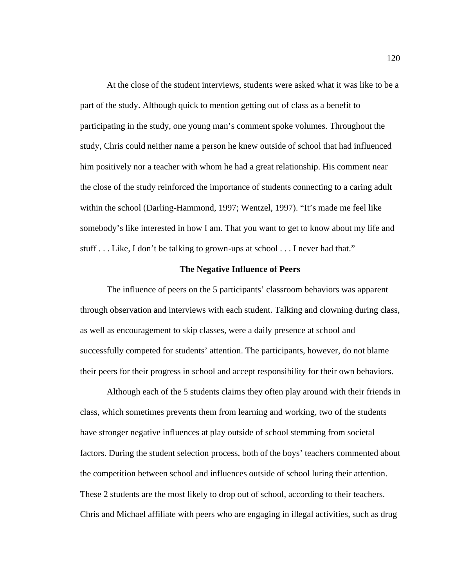At the close of the student interviews, students were asked what it was like to be a part of the study. Although quick to mention getting out of class as a benefit to participating in the study, one young man's comment spoke volumes. Throughout the study, Chris could neither name a person he knew outside of school that had influenced him positively nor a teacher with whom he had a great relationship. His comment near the close of the study reinforced the importance of students connecting to a caring adult within the school (Darling-Hammond, 1997; Wentzel, 1997). "It's made me feel like somebody's like interested in how I am. That you want to get to know about my life and stuff . . . Like, I don't be talking to grown-ups at school . . . I never had that."

# **The Negative Influence of Peers**

The influence of peers on the 5 participants' classroom behaviors was apparent through observation and interviews with each student. Talking and clowning during class, as well as encouragement to skip classes, were a daily presence at school and successfully competed for students' attention. The participants, however, do not blame their peers for their progress in school and accept responsibility for their own behaviors.

Although each of the 5 students claims they often play around with their friends in class, which sometimes prevents them from learning and working, two of the students have stronger negative influences at play outside of school stemming from societal factors. During the student selection process, both of the boys' teachers commented about the competition between school and influences outside of school luring their attention. These 2 students are the most likely to drop out of school, according to their teachers. Chris and Michael affiliate with peers who are engaging in illegal activities, such as drug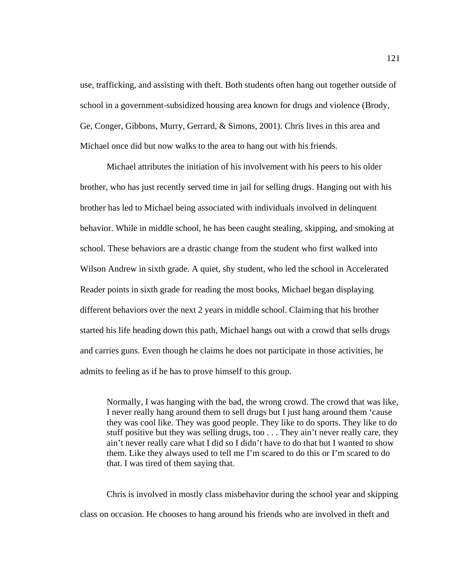use, trafficking, and assisting with theft. Both students often hang out together outside of school in a government-subsidized housing area known for drugs and violence (Brody, Ge, Conger, Gibbons, Murry, Gerrard, & Simons, 2001). Chris lives in this area and Michael once did but now walks to the area to hang out with his friends.

Michael attributes the initiation of his involvement with his peers to his older brother, who has just recently served time in jail for selling drugs. Hanging out with his brother has led to Michael being associated with individuals involved in delinquent behavior. While in middle school, he has been caught stealing, skipping, and smoking at school. These behaviors are a drastic change from the student who first walked into Wilson Andrew in sixth grade. A quiet, shy student, who led the school in Accelerated Reader points in sixth grade for reading the most books, Michael began displaying different behaviors over the next 2 years in middle school. Claiming that his brother started his life heading down this path, Michael hangs out with a crowd that sells drugs and carries guns. Even though he claims he does not participate in those activities, he admits to feeling as if he has to prove himself to this group.

Normally, I was hanging with the bad, the wrong crowd. The crowd that was like, I never really hang around them to sell drugs but I just hang around them 'cause they was cool like. They was good people. They like to do sports. They like to do stuff positive but they was selling drugs, too . . . They ain't never really care, they ain't never really care what I did so I didn't have to do that but I wanted to show them. Like they always used to tell me I'm scared to do this or I'm scared to do that. I was tired of them saying that.

Chris is involved in mostly class misbehavior during the school year and skipping class on occasion. He chooses to hang around his friends who are involved in theft and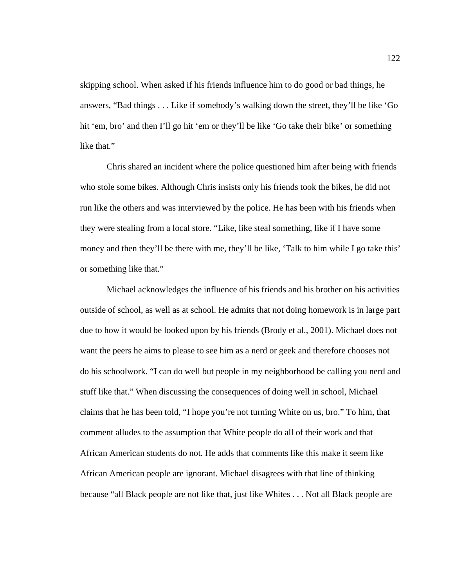skipping school. When asked if his friends influence him to do good or bad things, he answers, "Bad things . . . Like if somebody's walking down the street, they'll be like 'Go hit 'em, bro' and then I'll go hit 'em or they'll be like 'Go take their bike' or something like that."

Chris shared an incident where the police questioned him after being with friends who stole some bikes. Although Chris insists only his friends took the bikes, he did not run like the others and was interviewed by the police. He has been with his friends when they were stealing from a local store. "Like, like steal something, like if I have some money and then they'll be there with me, they'll be like, 'Talk to him while I go take this' or something like that."

Michael acknowledges the influence of his friends and his brother on his activities outside of school, as well as at school. He admits that not doing homework is in large part due to how it would be looked upon by his friends (Brody et al., 2001). Michael does not want the peers he aims to please to see him as a nerd or geek and therefore chooses not do his schoolwork. "I can do well but people in my neighborhood be calling you nerd and stuff like that." When discussing the consequences of doing well in school, Michael claims that he has been told, "I hope you're not turning White on us, bro." To him, that comment alludes to the assumption that White people do all of their work and that African American students do not. He adds that comments like this make it seem like African American people are ignorant. Michael disagrees with that line of thinking because "all Black people are not like that, just like Whites . . . Not all Black people are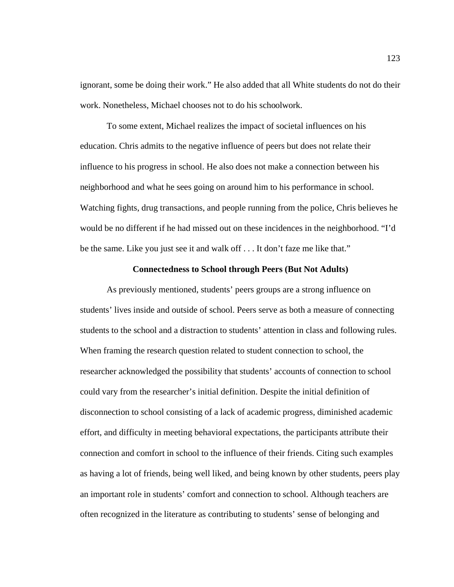ignorant, some be doing their work." He also added that all White students do not do their work. Nonetheless, Michael chooses not to do his schoolwork.

To some extent, Michael realizes the impact of societal influences on his education. Chris admits to the negative influence of peers but does not relate their influence to his progress in school. He also does not make a connection between his neighborhood and what he sees going on around him to his performance in school. Watching fights, drug transactions, and people running from the police, Chris believes he would be no different if he had missed out on these incidences in the neighborhood. "I'd be the same. Like you just see it and walk off . . . It don't faze me like that."

## **Connectedness to School through Peers (But Not Adults)**

As previously mentioned, students' peers groups are a strong influence on students' lives inside and outside of school. Peers serve as both a measure of connecting students to the school and a distraction to students' attention in class and following rules. When framing the research question related to student connection to school, the researcher acknowledged the possibility that students' accounts of connection to school could vary from the researcher's initial definition. Despite the initial definition of disconnection to school consisting of a lack of academic progress, diminished academic effort, and difficulty in meeting behavioral expectations, the participants attribute their connection and comfort in school to the influence of their friends. Citing such examples as having a lot of friends, being well liked, and being known by other students, peers play an important role in students' comfort and connection to school. Although teachers are often recognized in the literature as contributing to students' sense of belonging and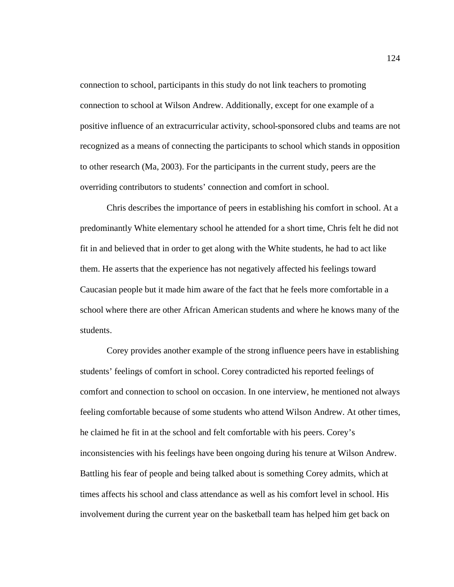connection to school, participants in this study do not link teachers to promoting connection to school at Wilson Andrew. Additionally, except for one example of a positive influence of an extracurricular activity, school-sponsored clubs and teams are not recognized as a means of connecting the participants to school which stands in opposition to other research (Ma, 2003). For the participants in the current study, peers are the overriding contributors to students' connection and comfort in school.

Chris describes the importance of peers in establishing his comfort in school. At a predominantly White elementary school he attended for a short time, Chris felt he did not fit in and believed that in order to get along with the White students, he had to act like them. He asserts that the experience has not negatively affected his feelings toward Caucasian people but it made him aware of the fact that he feels more comfortable in a school where there are other African American students and where he knows many of the students.

Corey provides another example of the strong influence peers have in establishing students' feelings of comfort in school. Corey contradicted his reported feelings of comfort and connection to school on occasion. In one interview, he mentioned not always feeling comfortable because of some students who attend Wilson Andrew. At other times, he claimed he fit in at the school and felt comfortable with his peers. Corey's inconsistencies with his feelings have been ongoing during his tenure at Wilson Andrew. Battling his fear of people and being talked about is something Corey admits, which at times affects his school and class attendance as well as his comfort level in school. His involvement during the current year on the basketball team has helped him get back on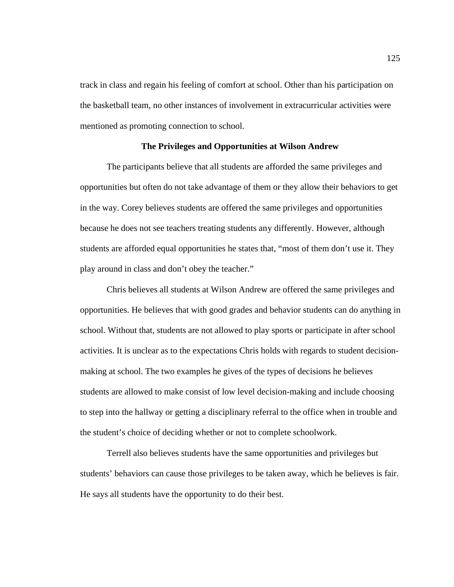track in class and regain his feeling of comfort at school. Other than his participation on the basketball team, no other instances of involvement in extracurricular activities were mentioned as promoting connection to school.

## **The Privileges and Opportunities at Wilson Andrew**

The participants believe that all students are afforded the same privileges and opportunities but often do not take advantage of them or they allow their behaviors to get in the way. Corey believes students are offered the same privileges and opportunities because he does not see teachers treating students any differently. However, although students are afforded equal opportunities he states that, "most of them don't use it. They play around in class and don't obey the teacher."

Chris believes all students at Wilson Andrew are offered the same privileges and opportunities. He believes that with good grades and behavior students can do anything in school. Without that, students are not allowed to play sports or participate in after school activities. It is unclear as to the expectations Chris holds with regards to student decisionmaking at school. The two examples he gives of the types of decisions he believes students are allowed to make consist of low level decision-making and include choosing to step into the hallway or getting a disciplinary referral to the office when in trouble and the student's choice of deciding whether or not to complete schoolwork.

Terrell also believes students have the same opportunities and privileges but students' behaviors can cause those privileges to be taken away, which he believes is fair. He says all students have the opportunity to do their best.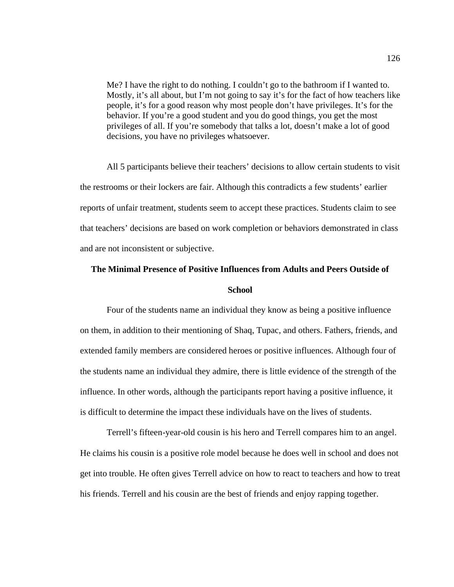Me? I have the right to do nothing. I couldn't go to the bathroom if I wanted to. Mostly, it's all about, but I'm not going to say it's for the fact of how teachers like people, it's for a good reason why most people don't have privileges. It's for the behavior. If you're a good student and you do good things, you get the most privileges of all. If you're somebody that talks a lot, doesn't make a lot of good decisions, you have no privileges whatsoever.

All 5 participants believe their teachers' decisions to allow certain students to visit the restrooms or their lockers are fair. Although this contradicts a few students' earlier reports of unfair treatment, students seem to accept these practices. Students claim to see that teachers' decisions are based on work completion or behaviors demonstrated in class and are not inconsistent or subjective.

# **The Minimal Presence of Positive Influences from Adults and Peers Outside of School**

Four of the students name an individual they know as being a positive influence on them, in addition to their mentioning of Shaq, Tupac, and others. Fathers, friends, and extended family members are considered heroes or positive influences. Although four of the students name an individual they admire, there is little evidence of the strength of the influence. In other words, although the participants report having a positive influence, it is difficult to determine the impact these individuals have on the lives of students.

Terrell's fifteen-year-old cousin is his hero and Terrell compares him to an angel. He claims his cousin is a positive role model because he does well in school and does not get into trouble. He often gives Terrell advice on how to react to teachers and how to treat his friends. Terrell and his cousin are the best of friends and enjoy rapping together.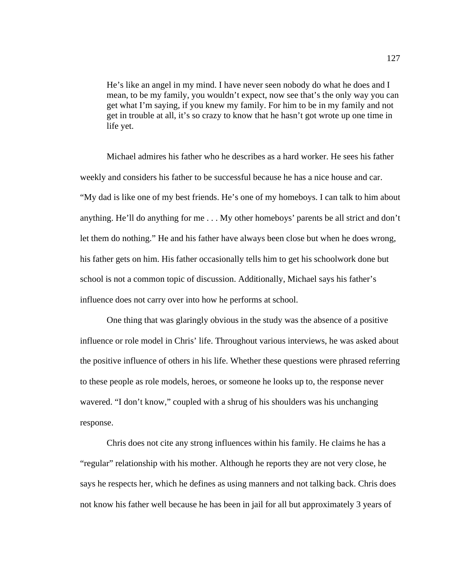He's like an angel in my mind. I have never seen nobody do what he does and I mean, to be my family, you wouldn't expect, now see that's the only way you can get what I'm saying, if you knew my family. For him to be in my family and not get in trouble at all, it's so crazy to know that he hasn't got wrote up one time in life yet.

Michael admires his father who he describes as a hard worker. He sees his father weekly and considers his father to be successful because he has a nice house and car. "My dad is like one of my best friends. He's one of my homeboys. I can talk to him about anything. He'll do anything for me . . . My other homeboys' parents be all strict and don't let them do nothing." He and his father have always been close but when he does wrong, his father gets on him. His father occasionally tells him to get his schoolwork done but school is not a common topic of discussion. Additionally, Michael says his father's influence does not carry over into how he performs at school.

One thing that was glaringly obvious in the study was the absence of a positive influence or role model in Chris' life. Throughout various interviews, he was asked about the positive influence of others in his life. Whether these questions were phrased referring to these people as role models, heroes, or someone he looks up to, the response never wavered. "I don't know," coupled with a shrug of his shoulders was his unchanging response.

Chris does not cite any strong influences within his family. He claims he has a "regular" relationship with his mother. Although he reports they are not very close, he says he respects her, which he defines as using manners and not talking back. Chris does not know his father well because he has been in jail for all but approximately 3 years of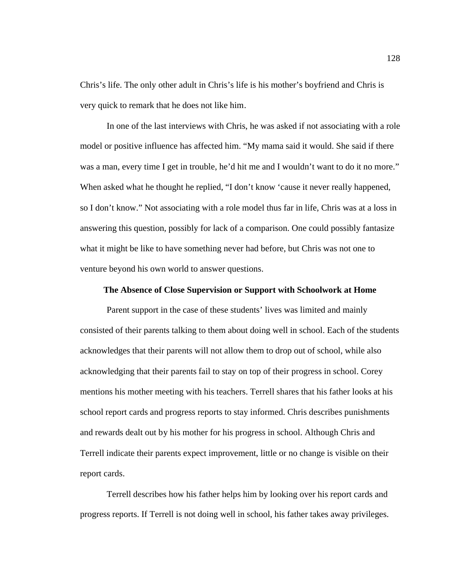Chris's life. The only other adult in Chris's life is his mother's boyfriend and Chris is very quick to remark that he does not like him.

In one of the last interviews with Chris, he was asked if not associating with a role model or positive influence has affected him. "My mama said it would. She said if there was a man, every time I get in trouble, he'd hit me and I wouldn't want to do it no more." When asked what he thought he replied, "I don't know 'cause it never really happened, so I don't know." Not associating with a role model thus far in life, Chris was at a loss in answering this question, possibly for lack of a comparison. One could possibly fantasize what it might be like to have something never had before, but Chris was not one to venture beyond his own world to answer questions.

#### **The Absence of Close Supervision or Support with Schoolwork at Home**

Parent support in the case of these students' lives was limited and mainly consisted of their parents talking to them about doing well in school. Each of the students acknowledges that their parents will not allow them to drop out of school, while also acknowledging that their parents fail to stay on top of their progress in school. Corey mentions his mother meeting with his teachers. Terrell shares that his father looks at his school report cards and progress reports to stay informed. Chris describes punishments and rewards dealt out by his mother for his progress in school. Although Chris and Terrell indicate their parents expect improvement, little or no change is visible on their report cards.

Terrell describes how his father helps him by looking over his report cards and progress reports. If Terrell is not doing well in school, his father takes away privileges.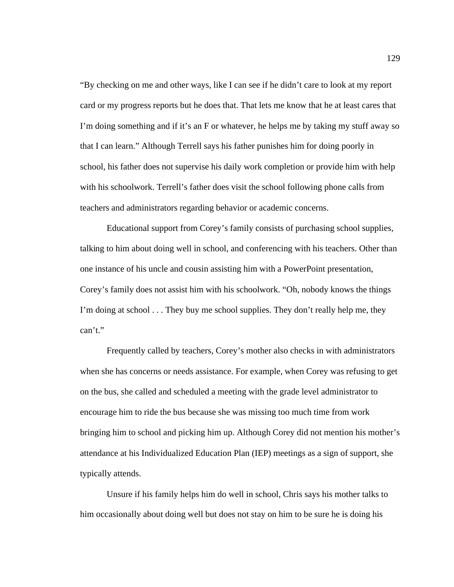"By checking on me and other ways, like I can see if he didn't care to look at my report card or my progress reports but he does that. That lets me know that he at least cares that I'm doing something and if it's an F or whatever, he helps me by taking my stuff away so that I can learn." Although Terrell says his father punishes him for doing poorly in school, his father does not supervise his daily work completion or provide him with help with his schoolwork. Terrell's father does visit the school following phone calls from teachers and administrators regarding behavior or academic concerns.

Educational support from Corey's family consists of purchasing school supplies, talking to him about doing well in school, and conferencing with his teachers. Other than one instance of his uncle and cousin assisting him with a PowerPoint presentation, Corey's family does not assist him with his schoolwork. "Oh, nobody knows the things I'm doing at school . . . They buy me school supplies. They don't really help me, they can't."

Frequently called by teachers, Corey's mother also checks in with administrators when she has concerns or needs assistance. For example, when Corey was refusing to get on the bus, she called and scheduled a meeting with the grade level administrator to encourage him to ride the bus because she was missing too much time from work bringing him to school and picking him up. Although Corey did not mention his mother's attendance at his Individualized Education Plan (IEP) meetings as a sign of support, she typically attends.

Unsure if his family helps him do well in school, Chris says his mother talks to him occasionally about doing well but does not stay on him to be sure he is doing his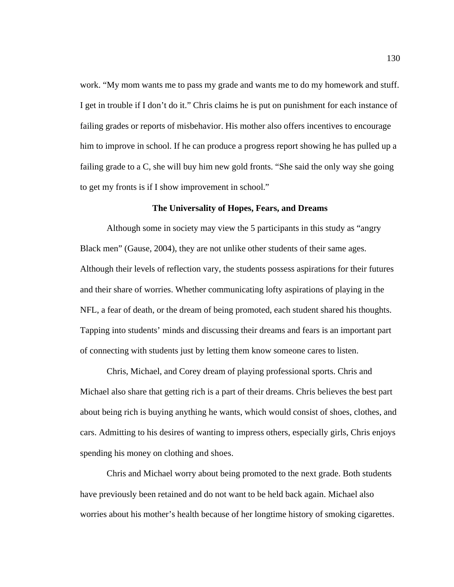work. "My mom wants me to pass my grade and wants me to do my homework and stuff. I get in trouble if I don't do it." Chris claims he is put on punishment for each instance of failing grades or reports of misbehavior. His mother also offers incentives to encourage him to improve in school. If he can produce a progress report showing he has pulled up a failing grade to a C, she will buy him new gold fronts. "She said the only way she going to get my fronts is if I show improvement in school."

# **The Universality of Hopes, Fears, and Dreams**

Although some in society may view the 5 participants in this study as "angry Black men" (Gause, 2004), they are not unlike other students of their same ages. Although their levels of reflection vary, the students possess aspirations for their futures and their share of worries. Whether communicating lofty aspirations of playing in the NFL, a fear of death, or the dream of being promoted, each student shared his thoughts. Tapping into students' minds and discussing their dreams and fears is an important part of connecting with students just by letting them know someone cares to listen.

Chris, Michael, and Corey dream of playing professional sports. Chris and Michael also share that getting rich is a part of their dreams. Chris believes the best part about being rich is buying anything he wants, which would consist of shoes, clothes, and cars. Admitting to his desires of wanting to impress others, especially girls, Chris enjoys spending his money on clothing and shoes.

Chris and Michael worry about being promoted to the next grade. Both students have previously been retained and do not want to be held back again. Michael also worries about his mother's health because of her longtime history of smoking cigarettes.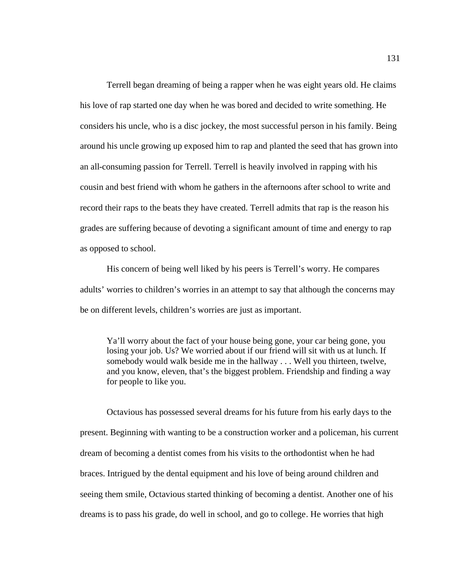Terrell began dreaming of being a rapper when he was eight years old. He claims his love of rap started one day when he was bored and decided to write something. He considers his uncle, who is a disc jockey, the most successful person in his family. Being around his uncle growing up exposed him to rap and planted the seed that has grown into an all-consuming passion for Terrell. Terrell is heavily involved in rapping with his cousin and best friend with whom he gathers in the afternoons after school to write and record their raps to the beats they have created. Terrell admits that rap is the reason his grades are suffering because of devoting a significant amount of time and energy to rap as opposed to school.

His concern of being well liked by his peers is Terrell's worry. He compares adults' worries to children's worries in an attempt to say that although the concerns may be on different levels, children's worries are just as important.

Ya'll worry about the fact of your house being gone, your car being gone, you losing your job. Us? We worried about if our friend will sit with us at lunch. If somebody would walk beside me in the hallway . . . Well you thirteen, twelve, and you know, eleven, that's the biggest problem. Friendship and finding a way for people to like you.

Octavious has possessed several dreams for his future from his early days to the present. Beginning with wanting to be a construction worker and a policeman, his current dream of becoming a dentist comes from his visits to the orthodontist when he had braces. Intrigued by the dental equipment and his love of being around children and seeing them smile, Octavious started thinking of becoming a dentist. Another one of his dreams is to pass his grade, do well in school, and go to college. He worries that high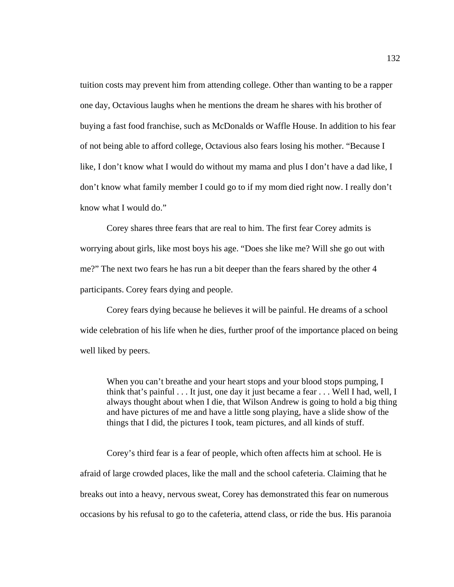tuition costs may prevent him from attending college. Other than wanting to be a rapper one day, Octavious laughs when he mentions the dream he shares with his brother of buying a fast food franchise, such as McDonalds or Waffle House. In addition to his fear of not being able to afford college, Octavious also fears losing his mother. "Because I like, I don't know what I would do without my mama and plus I don't have a dad like, I don't know what family member I could go to if my mom died right now. I really don't know what I would do."

Corey shares three fears that are real to him. The first fear Corey admits is worrying about girls, like most boys his age. "Does she like me? Will she go out with me?" The next two fears he has run a bit deeper than the fears shared by the other 4 participants. Corey fears dying and people.

Corey fears dying because he believes it will be painful. He dreams of a school wide celebration of his life when he dies, further proof of the importance placed on being well liked by peers.

When you can't breathe and your heart stops and your blood stops pumping, I think that's painful . . . It just, one day it just became a fear . . . Well I had, well, I always thought about when I die, that Wilson Andrew is going to hold a big thing and have pictures of me and have a little song playing, have a slide show of the things that I did, the pictures I took, team pictures, and all kinds of stuff.

Corey's third fear is a fear of people, which often affects him at school. He is afraid of large crowded places, like the mall and the school cafeteria. Claiming that he breaks out into a heavy, nervous sweat, Corey has demonstrated this fear on numerous occasions by his refusal to go to the cafeteria, attend class, or ride the bus. His paranoia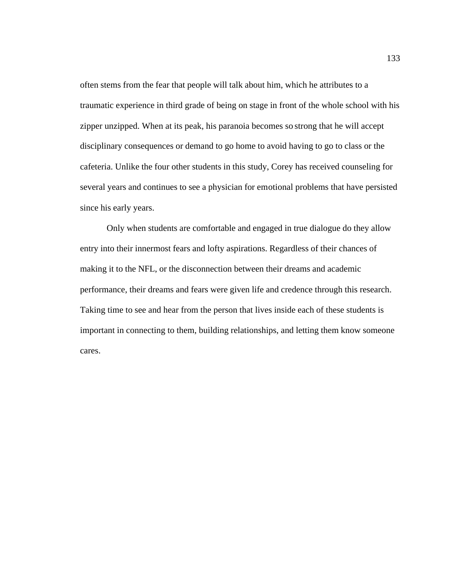often stems from the fear that people will talk about him, which he attributes to a traumatic experience in third grade of being on stage in front of the whole school with his zipper unzipped. When at its peak, his paranoia becomes so strong that he will accept disciplinary consequences or demand to go home to avoid having to go to class or the cafeteria. Unlike the four other students in this study, Corey has received counseling for several years and continues to see a physician for emotional problems that have persisted since his early years.

Only when students are comfortable and engaged in true dialogue do they allow entry into their innermost fears and lofty aspirations. Regardless of their chances of making it to the NFL, or the disconnection between their dreams and academic performance, their dreams and fears were given life and credence through this research. Taking time to see and hear from the person that lives inside each of these students is important in connecting to them, building relationships, and letting them know someone cares.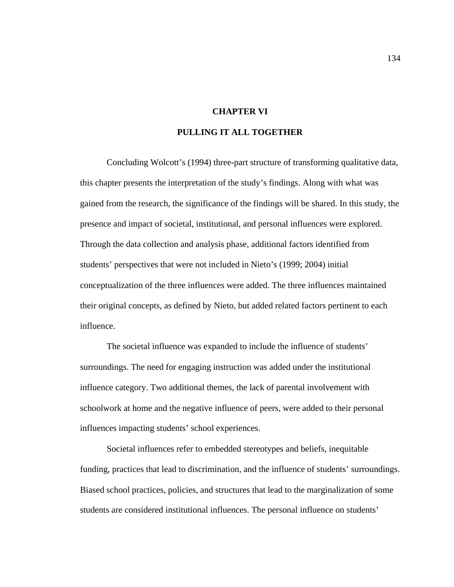# **CHAPTER VI**

# **PULLING IT ALL TOGETHER**

Concluding Wolcott's (1994) three-part structure of transforming qualitative data, this chapter presents the interpretation of the study's findings. Along with what was gained from the research, the significance of the findings will be shared. In this study, the presence and impact of societal, institutional, and personal influences were explored. Through the data collection and analysis phase, additional factors identified from students' perspectives that were not included in Nieto's (1999; 2004) initial conceptualization of the three influences were added. The three influences maintained their original concepts, as defined by Nieto, but added related factors pertinent to each influence.

The societal influence was expanded to include the influence of students' surroundings. The need for engaging instruction was added under the institutional influence category. Two additional themes, the lack of parental involvement with schoolwork at home and the negative influence of peers, were added to their personal influences impacting students' school experiences.

Societal influences refer to embedded stereotypes and beliefs, inequitable funding, practices that lead to discrimination, and the influence of students' surroundings. Biased school practices, policies, and structures that lead to the marginalization of some students are considered institutional influences. The personal influence on students'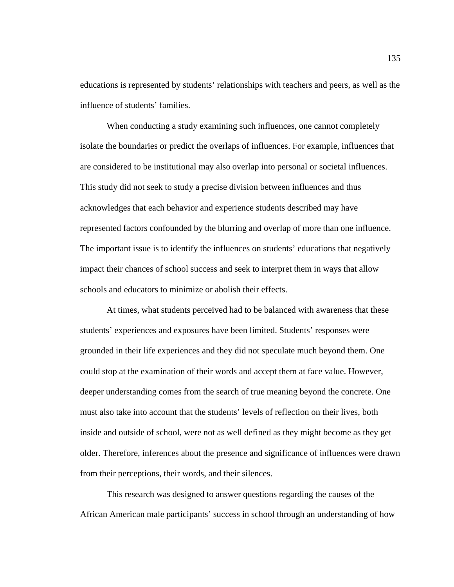educations is represented by students' relationships with teachers and peers, as well as the influence of students' families.

When conducting a study examining such influences, one cannot completely isolate the boundaries or predict the overlaps of influences. For example, influences that are considered to be institutional may also overlap into personal or societal influences. This study did not seek to study a precise division between influences and thus acknowledges that each behavior and experience students described may have represented factors confounded by the blurring and overlap of more than one influence. The important issue is to identify the influences on students' educations that negatively impact their chances of school success and seek to interpret them in ways that allow schools and educators to minimize or abolish their effects.

At times, what students perceived had to be balanced with awareness that these students' experiences and exposures have been limited. Students' responses were grounded in their life experiences and they did not speculate much beyond them. One could stop at the examination of their words and accept them at face value. However, deeper understanding comes from the search of true meaning beyond the concrete. One must also take into account that the students' levels of reflection on their lives, both inside and outside of school, were not as well defined as they might become as they get older. Therefore, inferences about the presence and significance of influences were drawn from their perceptions, their words, and their silences.

This research was designed to answer questions regarding the causes of the African American male participants' success in school through an understanding of how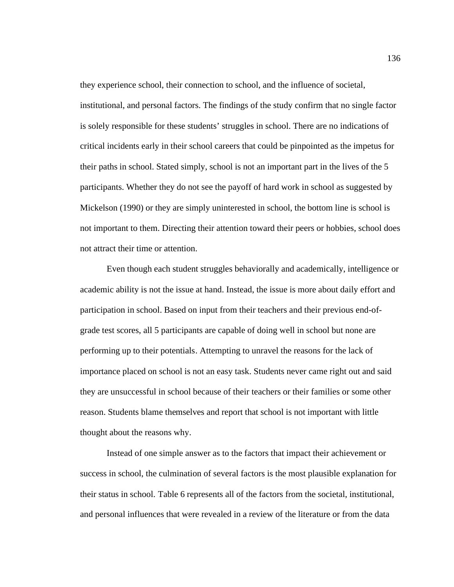they experience school, their connection to school, and the influence of societal, institutional, and personal factors. The findings of the study confirm that no single factor is solely responsible for these students' struggles in school. There are no indications of critical incidents early in their school careers that could be pinpointed as the impetus for their paths in school. Stated simply, school is not an important part in the lives of the 5 participants. Whether they do not see the payoff of hard work in school as suggested by Mickelson (1990) or they are simply uninterested in school, the bottom line is school is not important to them. Directing their attention toward their peers or hobbies, school does not attract their time or attention.

Even though each student struggles behaviorally and academically, intelligence or academic ability is not the issue at hand. Instead, the issue is more about daily effort and participation in school. Based on input from their teachers and their previous end-ofgrade test scores, all 5 participants are capable of doing well in school but none are performing up to their potentials. Attempting to unravel the reasons for the lack of importance placed on school is not an easy task. Students never came right out and said they are unsuccessful in school because of their teachers or their families or some other reason. Students blame themselves and report that school is not important with little thought about the reasons why.

Instead of one simple answer as to the factors that impact their achievement or success in school, the culmination of several factors is the most plausible explanation for their status in school. Table 6 represents all of the factors from the societal, institutional, and personal influences that were revealed in a review of the literature or from the data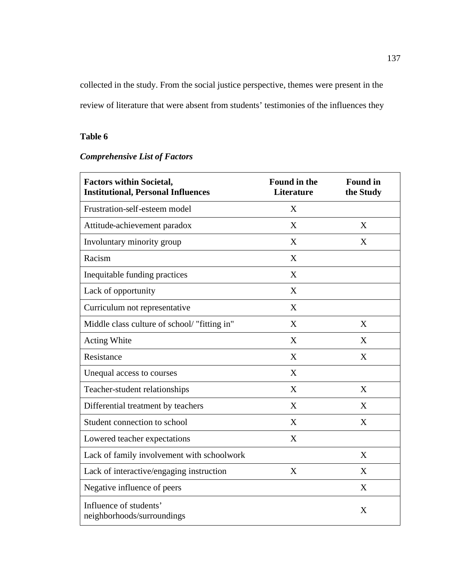collected in the study. From the social justice perspective, themes were present in the review of literature that were absent from students' testimonies of the influences they

# **Table 6**

## *Comprehensive List of Factors*

| <b>Factors within Societal,</b><br><b>Institutional, Personal Influences</b> | <b>Found in the</b><br><b>Literature</b> | <b>Found in</b><br>the Study |
|------------------------------------------------------------------------------|------------------------------------------|------------------------------|
| Frustration-self-esteem model                                                | X                                        |                              |
| Attitude-achievement paradox                                                 | X                                        | X                            |
| Involuntary minority group                                                   | X                                        | X                            |
| Racism                                                                       | X                                        |                              |
| Inequitable funding practices                                                | X                                        |                              |
| Lack of opportunity                                                          | X                                        |                              |
| Curriculum not representative                                                | X                                        |                              |
| Middle class culture of school/ "fitting in"                                 | X                                        | X                            |
| <b>Acting White</b>                                                          | $\boldsymbol{\mathrm{X}}$                | X                            |
| Resistance                                                                   | X                                        | X                            |
| Unequal access to courses                                                    | X                                        |                              |
| Teacher-student relationships                                                | X                                        | X                            |
| Differential treatment by teachers                                           | X                                        | X                            |
| Student connection to school                                                 | X                                        | X                            |
| Lowered teacher expectations                                                 | X                                        |                              |
| Lack of family involvement with schoolwork                                   |                                          | X                            |
| Lack of interactive/engaging instruction                                     | X                                        | X                            |
| Negative influence of peers                                                  |                                          | X                            |
| Influence of students'<br>neighborhoods/surroundings                         |                                          | X                            |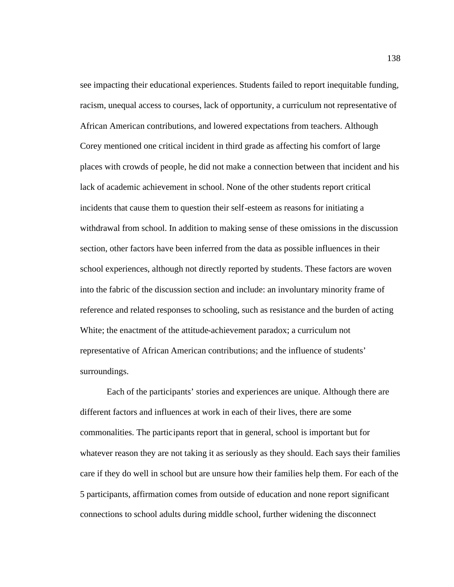see impacting their educational experiences. Students failed to report inequitable funding, racism, unequal access to courses, lack of opportunity, a curriculum not representative of African American contributions, and lowered expectations from teachers. Although Corey mentioned one critical incident in third grade as affecting his comfort of large places with crowds of people, he did not make a connection between that incident and his lack of academic achievement in school. None of the other students report critical incidents that cause them to question their self-esteem as reasons for initiating a withdrawal from school. In addition to making sense of these omissions in the discussion section, other factors have been inferred from the data as possible influences in their school experiences, although not directly reported by students. These factors are woven into the fabric of the discussion section and include: an involuntary minority frame of reference and related responses to schooling, such as resistance and the burden of acting White; the enactment of the attitude-achievement paradox; a curriculum not representative of African American contributions; and the influence of students' surroundings.

Each of the participants' stories and experiences are unique. Although there are different factors and influences at work in each of their lives, there are some commonalities. The participants report that in general, school is important but for whatever reason they are not taking it as seriously as they should. Each says their families care if they do well in school but are unsure how their families help them. For each of the 5 participants, affirmation comes from outside of education and none report significant connections to school adults during middle school, further widening the disconnect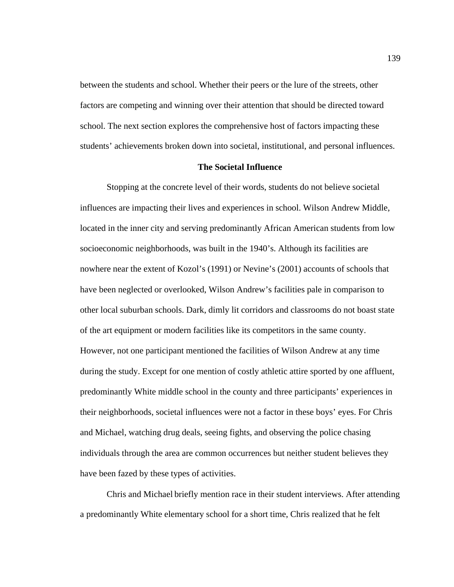between the students and school. Whether their peers or the lure of the streets, other factors are competing and winning over their attention that should be directed toward school. The next section explores the comprehensive host of factors impacting these students' achievements broken down into societal, institutional, and personal influences.

### **The Societal Influence**

Stopping at the concrete level of their words, students do not believe societal influences are impacting their lives and experiences in school. Wilson Andrew Middle, located in the inner city and serving predominantly African American students from low socioeconomic neighborhoods, was built in the 1940's. Although its facilities are nowhere near the extent of Kozol's (1991) or Nevine's (2001) accounts of schools that have been neglected or overlooked, Wilson Andrew's facilities pale in comparison to other local suburban schools. Dark, dimly lit corridors and classrooms do not boast state of the art equipment or modern facilities like its competitors in the same county. However, not one participant mentioned the facilities of Wilson Andrew at any time during the study. Except for one mention of costly athletic attire sported by one affluent, predominantly White middle school in the county and three participants' experiences in their neighborhoods, societal influences were not a factor in these boys' eyes. For Chris and Michael, watching drug deals, seeing fights, and observing the police chasing individuals through the area are common occurrences but neither student believes they have been fazed by these types of activities.

Chris and Michael briefly mention race in their student interviews. After attending a predominantly White elementary school for a short time, Chris realized that he felt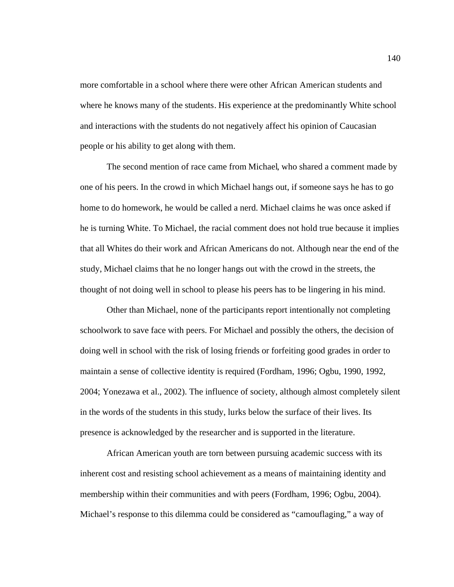more comfortable in a school where there were other African American students and where he knows many of the students. His experience at the predominantly White school and interactions with the students do not negatively affect his opinion of Caucasian people or his ability to get along with them.

The second mention of race came from Michael, who shared a comment made by one of his peers. In the crowd in which Michael hangs out, if someone says he has to go home to do homework, he would be called a nerd. Michael claims he was once asked if he is turning White. To Michael, the racial comment does not hold true because it implies that all Whites do their work and African Americans do not. Although near the end of the study, Michael claims that he no longer hangs out with the crowd in the streets, the thought of not doing well in school to please his peers has to be lingering in his mind.

Other than Michael, none of the participants report intentionally not completing schoolwork to save face with peers. For Michael and possibly the others, the decision of doing well in school with the risk of losing friends or forfeiting good grades in order to maintain a sense of collective identity is required (Fordham, 1996; Ogbu, 1990, 1992, 2004; Yonezawa et al., 2002). The influence of society, although almost completely silent in the words of the students in this study, lurks below the surface of their lives. Its presence is acknowledged by the researcher and is supported in the literature.

African American youth are torn between pursuing academic success with its inherent cost and resisting school achievement as a means of maintaining identity and membership within their communities and with peers (Fordham, 1996; Ogbu, 2004). Michael's response to this dilemma could be considered as "camouflaging," a way of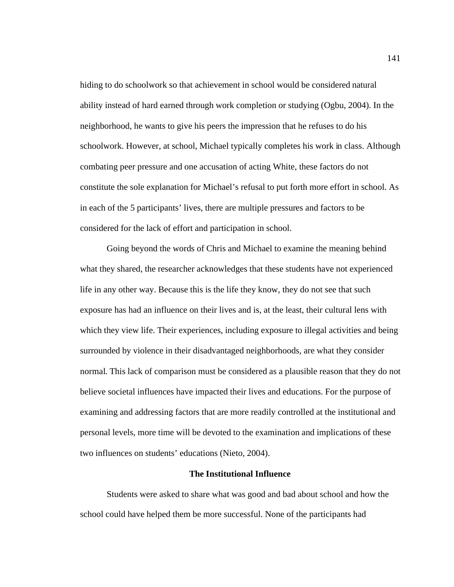hiding to do schoolwork so that achievement in school would be considered natural ability instead of hard earned through work completion or studying (Ogbu, 2004). In the neighborhood, he wants to give his peers the impression that he refuses to do his schoolwork. However, at school, Michael typically completes his work in class. Although combating peer pressure and one accusation of acting White, these factors do not constitute the sole explanation for Michael's refusal to put forth more effort in school. As in each of the 5 participants' lives, there are multiple pressures and factors to be considered for the lack of effort and participation in school.

Going beyond the words of Chris and Michael to examine the meaning behind what they shared, the researcher acknowledges that these students have not experienced life in any other way. Because this is the life they know, they do not see that such exposure has had an influence on their lives and is, at the least, their cultural lens with which they view life. Their experiences, including exposure to illegal activities and being surrounded by violence in their disadvantaged neighborhoods, are what they consider normal. This lack of comparison must be considered as a plausible reason that they do not believe societal influences have impacted their lives and educations. For the purpose of examining and addressing factors that are more readily controlled at the institutional and personal levels, more time will be devoted to the examination and implications of these two influences on students' educations (Nieto, 2004).

#### **The Institutional Influence**

Students were asked to share what was good and bad about school and how the school could have helped them be more successful. None of the participants had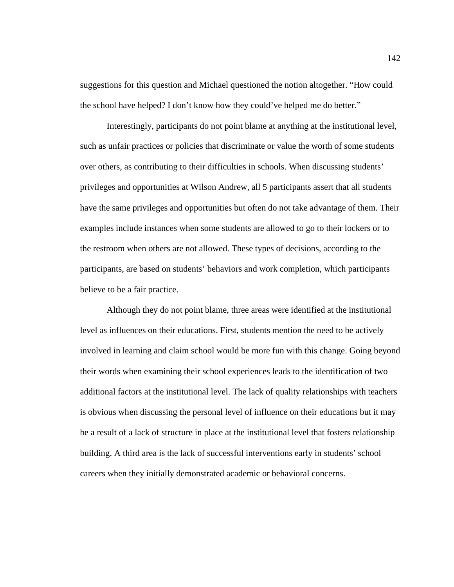suggestions for this question and Michael questioned the notion altogether. "How could the school have helped? I don't know how they could've helped me do better."

Interestingly, participants do not point blame at anything at the institutional level, such as unfair practices or policies that discriminate or value the worth of some students over others, as contributing to their difficulties in schools. When discussing students' privileges and opportunities at Wilson Andrew, all 5 participants assert that all students have the same privileges and opportunities but often do not take advantage of them. Their examples include instances when some students are allowed to go to their lockers or to the restroom when others are not allowed. These types of decisions, according to the participants, are based on students' behaviors and work completion, which participants believe to be a fair practice.

Although they do not point blame, three areas were identified at the institutional level as influences on their educations. First, students mention the need to be actively involved in learning and claim school would be more fun with this change. Going beyond their words when examining their school experiences leads to the identification of two additional factors at the institutional level. The lack of quality relationships with teachers is obvious when discussing the personal level of influence on their educations but it may be a result of a lack of structure in place at the institutional level that fosters relationship building. A third area is the lack of successful interventions early in students' school careers when they initially demonstrated academic or behavioral concerns.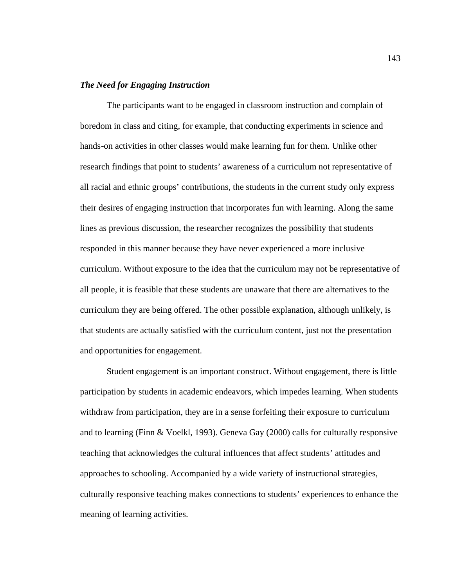### *The Need for Engaging Instruction*

The participants want to be engaged in classroom instruction and complain of boredom in class and citing, for example, that conducting experiments in science and hands-on activities in other classes would make learning fun for them. Unlike other research findings that point to students' awareness of a curriculum not representative of all racial and ethnic groups' contributions, the students in the current study only express their desires of engaging instruction that incorporates fun with learning. Along the same lines as previous discussion, the researcher recognizes the possibility that students responded in this manner because they have never experienced a more inclusive curriculum. Without exposure to the idea that the curriculum may not be representative of all people, it is feasible that these students are unaware that there are alternatives to the curriculum they are being offered. The other possible explanation, although unlikely, is that students are actually satisfied with the curriculum content, just not the presentation and opportunities for engagement.

Student engagement is an important construct. Without engagement, there is little participation by students in academic endeavors, which impedes learning. When students withdraw from participation, they are in a sense forfeiting their exposure to curriculum and to learning (Finn & Voelkl, 1993). Geneva Gay (2000) calls for culturally responsive teaching that acknowledges the cultural influences that affect students' attitudes and approaches to schooling. Accompanied by a wide variety of instructional strategies, culturally responsive teaching makes connections to students' experiences to enhance the meaning of learning activities.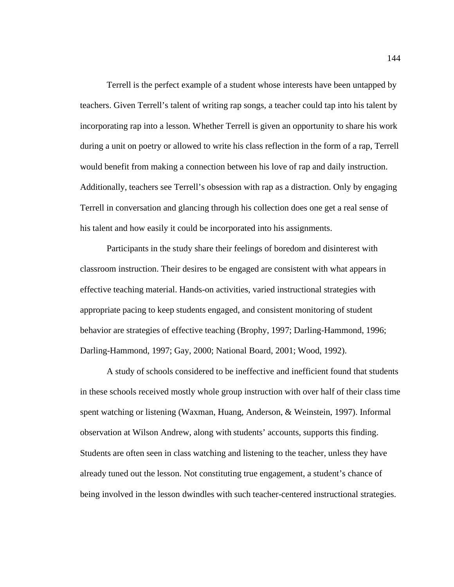Terrell is the perfect example of a student whose interests have been untapped by teachers. Given Terrell's talent of writing rap songs, a teacher could tap into his talent by incorporating rap into a lesson. Whether Terrell is given an opportunity to share his work during a unit on poetry or allowed to write his class reflection in the form of a rap, Terrell would benefit from making a connection between his love of rap and daily instruction. Additionally, teachers see Terrell's obsession with rap as a distraction. Only by engaging Terrell in conversation and glancing through his collection does one get a real sense of his talent and how easily it could be incorporated into his assignments.

Participants in the study share their feelings of boredom and disinterest with classroom instruction. Their desires to be engaged are consistent with what appears in effective teaching material. Hands-on activities, varied instructional strategies with appropriate pacing to keep students engaged, and consistent monitoring of student behavior are strategies of effective teaching (Brophy, 1997; Darling-Hammond, 1996; Darling-Hammond, 1997; Gay, 2000; National Board, 2001; Wood, 1992).

A study of schools considered to be ineffective and inefficient found that students in these schools received mostly whole group instruction with over half of their class time spent watching or listening (Waxman, Huang, Anderson, & Weinstein, 1997). Informal observation at Wilson Andrew, along with students' accounts, supports this finding. Students are often seen in class watching and listening to the teacher, unless they have already tuned out the lesson. Not constituting true engagement, a student's chance of being involved in the lesson dwindles with such teacher-centered instructional strategies.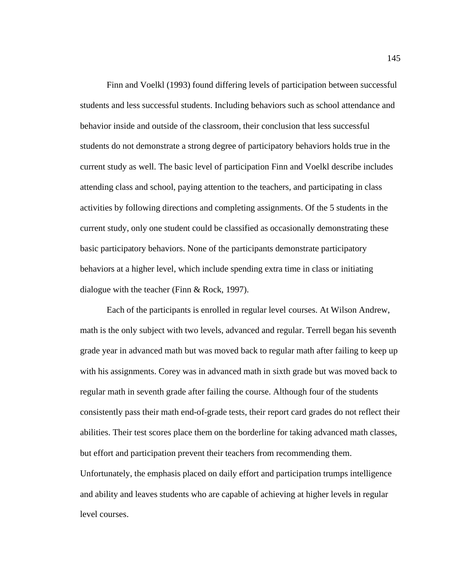Finn and Voelkl (1993) found differing levels of participation between successful students and less successful students. Including behaviors such as school attendance and behavior inside and outside of the classroom, their conclusion that less successful students do not demonstrate a strong degree of participatory behaviors holds true in the current study as well. The basic level of participation Finn and Voelkl describe includes attending class and school, paying attention to the teachers, and participating in class activities by following directions and completing assignments. Of the 5 students in the current study, only one student could be classified as occasionally demonstrating these basic participatory behaviors. None of the participants demonstrate participatory behaviors at a higher level, which include spending extra time in class or initiating dialogue with the teacher (Finn & Rock, 1997).

Each of the participants is enrolled in regular level courses. At Wilson Andrew, math is the only subject with two levels, advanced and regular. Terrell began his seventh grade year in advanced math but was moved back to regular math after failing to keep up with his assignments. Corey was in advanced math in sixth grade but was moved back to regular math in seventh grade after failing the course. Although four of the students consistently pass their math end-of-grade tests, their report card grades do not reflect their abilities. Their test scores place them on the borderline for taking advanced math classes, but effort and participation prevent their teachers from recommending them. Unfortunately, the emphasis placed on daily effort and participation trumps intelligence and ability and leaves students who are capable of achieving at higher levels in regular level courses.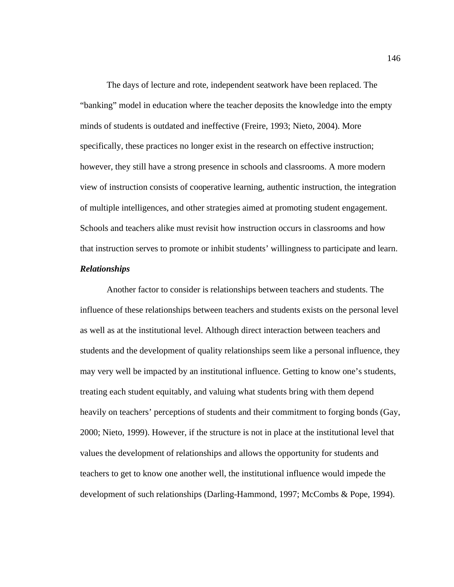The days of lecture and rote, independent seatwork have been replaced. The "banking" model in education where the teacher deposits the knowledge into the empty minds of students is outdated and ineffective (Freire, 1993; Nieto, 2004). More specifically, these practices no longer exist in the research on effective instruction; however, they still have a strong presence in schools and classrooms. A more modern view of instruction consists of cooperative learning, authentic instruction, the integration of multiple intelligences, and other strategies aimed at promoting student engagement. Schools and teachers alike must revisit how instruction occurs in classrooms and how that instruction serves to promote or inhibit students' willingness to participate and learn.

### *Relationships*

Another factor to consider is relationships between teachers and students. The influence of these relationships between teachers and students exists on the personal level as well as at the institutional level. Although direct interaction between teachers and students and the development of quality relationships seem like a personal influence, they may very well be impacted by an institutional influence. Getting to know one's students, treating each student equitably, and valuing what students bring with them depend heavily on teachers' perceptions of students and their commitment to forging bonds (Gay, 2000; Nieto, 1999). However, if the structure is not in place at the institutional level that values the development of relationships and allows the opportunity for students and teachers to get to know one another well, the institutional influence would impede the development of such relationships (Darling-Hammond, 1997; McCombs & Pope, 1994).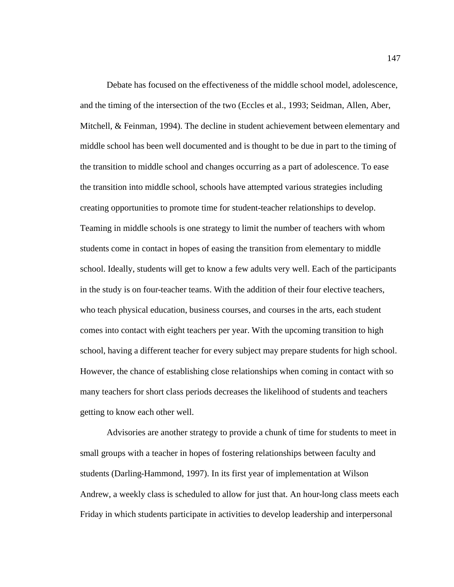Debate has focused on the effectiveness of the middle school model, adolescence, and the timing of the intersection of the two (Eccles et al., 1993; Seidman, Allen, Aber, Mitchell, & Feinman, 1994). The decline in student achievement between elementary and middle school has been well documented and is thought to be due in part to the timing of the transition to middle school and changes occurring as a part of adolescence. To ease the transition into middle school, schools have attempted various strategies including creating opportunities to promote time for student-teacher relationships to develop. Teaming in middle schools is one strategy to limit the number of teachers with whom students come in contact in hopes of easing the transition from elementary to middle school. Ideally, students will get to know a few adults very well. Each of the participants in the study is on four-teacher teams. With the addition of their four elective teachers, who teach physical education, business courses, and courses in the arts, each student comes into contact with eight teachers per year. With the upcoming transition to high school, having a different teacher for every subject may prepare students for high school. However, the chance of establishing close relationships when coming in contact with so many teachers for short class periods decreases the likelihood of students and teachers getting to know each other well.

Advisories are another strategy to provide a chunk of time for students to meet in small groups with a teacher in hopes of fostering relationships between faculty and students (Darling-Hammond, 1997). In its first year of implementation at Wilson Andrew, a weekly class is scheduled to allow for just that. An hour-long class meets each Friday in which students participate in activities to develop leadership and interpersonal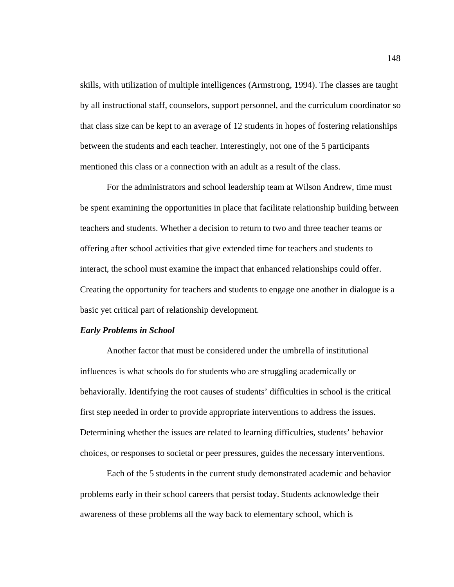skills, with utilization of multiple intelligences (Armstrong, 1994). The classes are taught by all instructional staff, counselors, support personnel, and the curriculum coordinator so that class size can be kept to an average of 12 students in hopes of fostering relationships between the students and each teacher. Interestingly, not one of the 5 participants mentioned this class or a connection with an adult as a result of the class.

For the administrators and school leadership team at Wilson Andrew, time must be spent examining the opportunities in place that facilitate relationship building between teachers and students. Whether a decision to return to two and three teacher teams or offering after school activities that give extended time for teachers and students to interact, the school must examine the impact that enhanced relationships could offer. Creating the opportunity for teachers and students to engage one another in dialogue is a basic yet critical part of relationship development.

### *Early Problems in School*

Another factor that must be considered under the umbrella of institutional influences is what schools do for students who are struggling academically or behaviorally. Identifying the root causes of students' difficulties in school is the critical first step needed in order to provide appropriate interventions to address the issues. Determining whether the issues are related to learning difficulties, students' behavior choices, or responses to societal or peer pressures, guides the necessary interventions.

Each of the 5 students in the current study demonstrated academic and behavior problems early in their school careers that persist today. Students acknowledge their awareness of these problems all the way back to elementary school, which is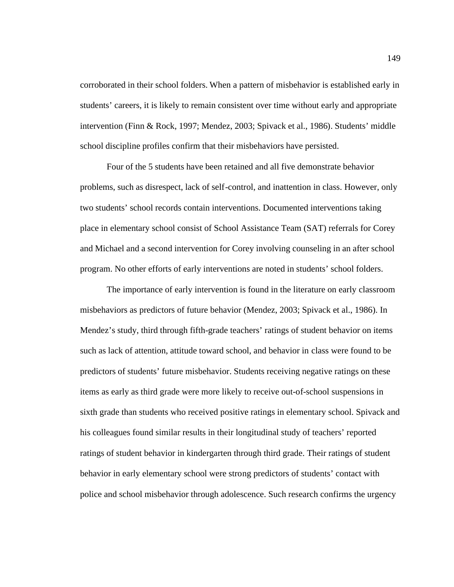corroborated in their school folders. When a pattern of misbehavior is established early in students' careers, it is likely to remain consistent over time without early and appropriate intervention (Finn & Rock, 1997; Mendez, 2003; Spivack et al., 1986). Students' middle school discipline profiles confirm that their misbehaviors have persisted.

Four of the 5 students have been retained and all five demonstrate behavior problems, such as disrespect, lack of self-control, and inattention in class. However, only two students' school records contain interventions. Documented interventions taking place in elementary school consist of School Assistance Team (SAT) referrals for Corey and Michael and a second intervention for Corey involving counseling in an after school program. No other efforts of early interventions are noted in students' school folders.

The importance of early intervention is found in the literature on early classroom misbehaviors as predictors of future behavior (Mendez, 2003; Spivack et al., 1986). In Mendez's study, third through fifth-grade teachers' ratings of student behavior on items such as lack of attention, attitude toward school, and behavior in class were found to be predictors of students' future misbehavior. Students receiving negative ratings on these items as early as third grade were more likely to receive out-of-school suspensions in sixth grade than students who received positive ratings in elementary school. Spivack and his colleagues found similar results in their longitudinal study of teachers' reported ratings of student behavior in kindergarten through third grade. Their ratings of student behavior in early elementary school were strong predictors of students' contact with police and school misbehavior through adolescence. Such research confirms the urgency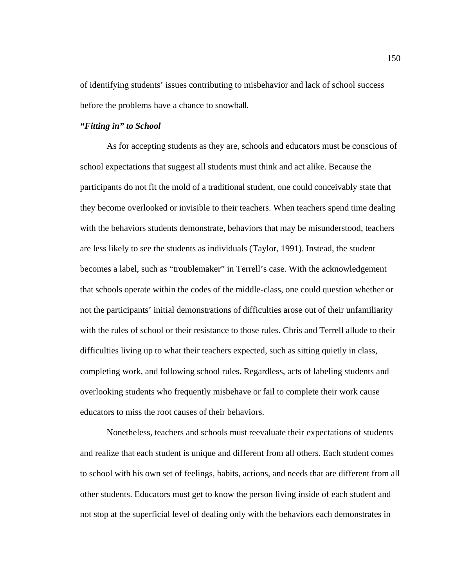of identifying students' issues contributing to misbehavior and lack of school success before the problems have a chance to snowball.

### *"Fitting in" to School*

As for accepting students as they are, schools and educators must be conscious of school expectations that suggest all students must think and act alike. Because the participants do not fit the mold of a traditional student, one could conceivably state that they become overlooked or invisible to their teachers. When teachers spend time dealing with the behaviors students demonstrate, behaviors that may be misunderstood, teachers are less likely to see the students as individuals (Taylor, 1991). Instead, the student becomes a label, such as "troublemaker" in Terrell's case. With the acknowledgement that schools operate within the codes of the middle-class, one could question whether or not the participants' initial demonstrations of difficulties arose out of their unfamiliarity with the rules of school or their resistance to those rules. Chris and Terrell allude to their difficulties living up to what their teachers expected, such as sitting quietly in class, completing work, and following school rules**.** Regardless, acts of labeling students and overlooking students who frequently misbehave or fail to complete their work cause educators to miss the root causes of their behaviors.

Nonetheless, teachers and schools must reevaluate their expectations of students and realize that each student is unique and different from all others. Each student comes to school with his own set of feelings, habits, actions, and needs that are different from all other students. Educators must get to know the person living inside of each student and not stop at the superficial level of dealing only with the behaviors each demonstrates in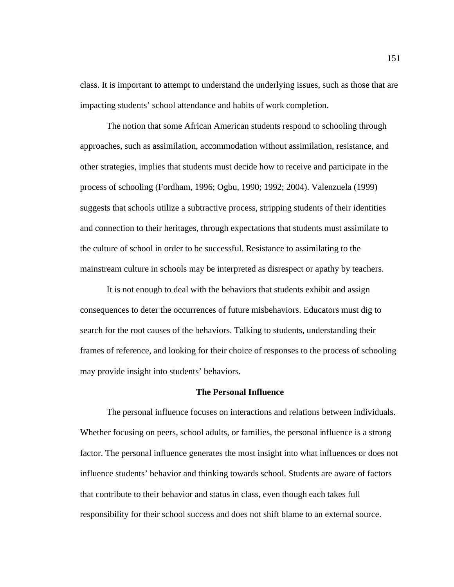class. It is important to attempt to understand the underlying issues, such as those that are impacting students' school attendance and habits of work completion.

The notion that some African American students respond to schooling through approaches, such as assimilation, accommodation without assimilation, resistance, and other strategies, implies that students must decide how to receive and participate in the process of schooling (Fordham, 1996; Ogbu, 1990; 1992; 2004). Valenzuela (1999) suggests that schools utilize a subtractive process, stripping students of their identities and connection to their heritages, through expectations that students must assimilate to the culture of school in order to be successful. Resistance to assimilating to the mainstream culture in schools may be interpreted as disrespect or apathy by teachers.

It is not enough to deal with the behaviors that students exhibit and assign consequences to deter the occurrences of future misbehaviors. Educators must dig to search for the root causes of the behaviors. Talking to students, understanding their frames of reference, and looking for their choice of responses to the process of schooling may provide insight into students' behaviors.

### **The Personal Influence**

The personal influence focuses on interactions and relations between individuals. Whether focusing on peers, school adults, or families, the personal influence is a strong factor. The personal influence generates the most insight into what influences or does not influence students' behavior and thinking towards school. Students are aware of factors that contribute to their behavior and status in class, even though each takes full responsibility for their school success and does not shift blame to an external source.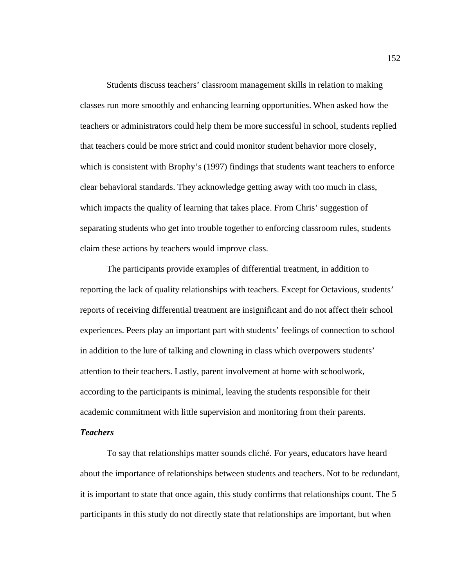Students discuss teachers' classroom management skills in relation to making classes run more smoothly and enhancing learning opportunities. When asked how the teachers or administrators could help them be more successful in school, students replied that teachers could be more strict and could monitor student behavior more closely, which is consistent with Brophy's (1997) findings that students want teachers to enforce clear behavioral standards. They acknowledge getting away with too much in class, which impacts the quality of learning that takes place. From Chris' suggestion of separating students who get into trouble together to enforcing classroom rules, students claim these actions by teachers would improve class.

The participants provide examples of differential treatment, in addition to reporting the lack of quality relationships with teachers. Except for Octavious, students' reports of receiving differential treatment are insignificant and do not affect their school experiences. Peers play an important part with students' feelings of connection to school in addition to the lure of talking and clowning in class which overpowers students' attention to their teachers. Lastly, parent involvement at home with schoolwork, according to the participants is minimal, leaving the students responsible for their academic commitment with little supervision and monitoring from their parents.

## *Teachers*

To say that relationships matter sounds cliché. For years, educators have heard about the importance of relationships between students and teachers. Not to be redundant, it is important to state that once again, this study confirms that relationships count. The 5 participants in this study do not directly state that relationships are important, but when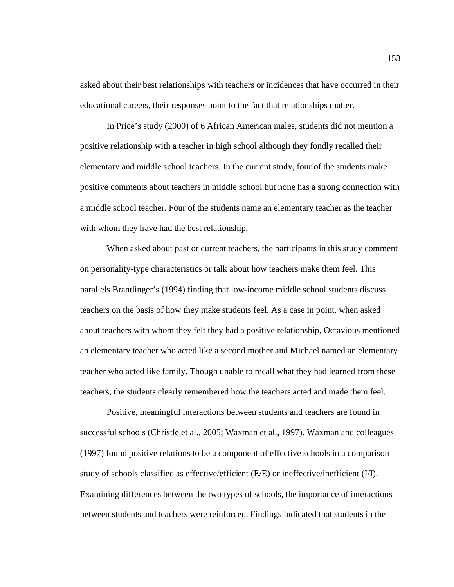asked about their best relationships with teachers or incidences that have occurred in their educational careers, their responses point to the fact that relationships matter.

In Price's study (2000) of 6 African American males, students did not mention a positive relationship with a teacher in high school although they fondly recalled their elementary and middle school teachers. In the current study, four of the students make positive comments about teachers in middle school but none has a strong connection with a middle school teacher. Four of the students name an elementary teacher as the teacher with whom they have had the best relationship.

When asked about past or current teachers, the participants in this study comment on personality-type characteristics or talk about how teachers make them feel. This parallels Brantlinger's (1994) finding that low-income middle school students discuss teachers on the basis of how they make students feel. As a case in point, when asked about teachers with whom they felt they had a positive relationship, Octavious mentioned an elementary teacher who acted like a second mother and Michael named an elementary teacher who acted like family. Though unable to recall what they had learned from these teachers, the students clearly remembered how the teachers acted and made them feel.

Positive, meaningful interactions between students and teachers are found in successful schools (Christle et al., 2005; Waxman et al., 1997). Waxman and colleagues (1997) found positive relations to be a component of effective schools in a comparison study of schools classified as effective/efficient (E/E) or ineffective/inefficient (I/I). Examining differences between the two types of schools, the importance of interactions between students and teachers were reinforced. Findings indicated that students in the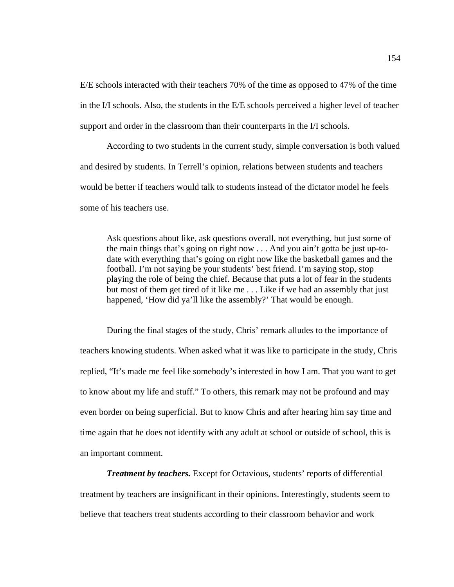E/E schools interacted with their teachers 70% of the time as opposed to 47% of the time in the I/I schools. Also, the students in the E/E schools perceived a higher level of teacher support and order in the classroom than their counterparts in the I/I schools.

According to two students in the current study, simple conversation is both valued and desired by students. In Terrell's opinion, relations between students and teachers would be better if teachers would talk to students instead of the dictator model he feels some of his teachers use.

Ask questions about like, ask questions overall, not everything, but just some of the main things that's going on right now . . . And you ain't gotta be just up-todate with everything that's going on right now like the basketball games and the football. I'm not saying be your students' best friend. I'm saying stop, stop playing the role of being the chief. Because that puts a lot of fear in the students but most of them get tired of it like me . . . Like if we had an assembly that just happened, 'How did ya'll like the assembly?' That would be enough.

During the final stages of the study, Chris' remark alludes to the importance of teachers knowing students. When asked what it was like to participate in the study, Chris replied, "It's made me feel like somebody's interested in how I am. That you want to get to know about my life and stuff." To others, this remark may not be profound and may even border on being superficial. But to know Chris and after hearing him say time and time again that he does not identify with any adult at school or outside of school, this is an important comment.

*Treatment by teachers.* Except for Octavious, students' reports of differential treatment by teachers are insignificant in their opinions. Interestingly, students seem to believe that teachers treat students according to their classroom behavior and work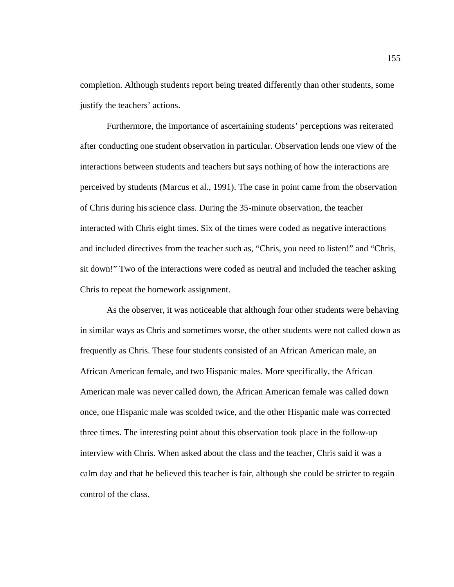completion. Although students report being treated differently than other students, some justify the teachers' actions.

Furthermore, the importance of ascertaining students' perceptions was reiterated after conducting one student observation in particular. Observation lends one view of the interactions between students and teachers but says nothing of how the interactions are perceived by students (Marcus et al., 1991). The case in point came from the observation of Chris during his science class. During the 35-minute observation, the teacher interacted with Chris eight times. Six of the times were coded as negative interactions and included directives from the teacher such as, "Chris, you need to listen!" and "Chris, sit down!" Two of the interactions were coded as neutral and included the teacher asking Chris to repeat the homework assignment.

As the observer, it was noticeable that although four other students were behaving in similar ways as Chris and sometimes worse, the other students were not called down as frequently as Chris. These four students consisted of an African American male, an African American female, and two Hispanic males. More specifically, the African American male was never called down, the African American female was called down once, one Hispanic male was scolded twice, and the other Hispanic male was corrected three times. The interesting point about this observation took place in the follow-up interview with Chris. When asked about the class and the teacher, Chris said it was a calm day and that he believed this teacher is fair, although she could be stricter to regain control of the class.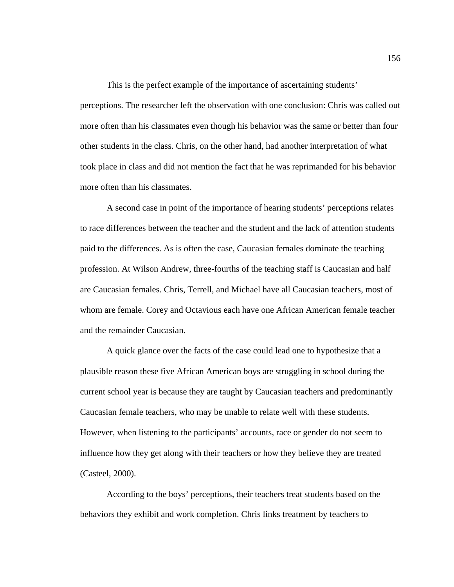This is the perfect example of the importance of ascertaining students' perceptions. The researcher left the observation with one conclusion: Chris was called out more often than his classmates even though his behavior was the same or better than four other students in the class. Chris, on the other hand, had another interpretation of what took place in class and did not mention the fact that he was reprimanded for his behavior more often than his classmates.

A second case in point of the importance of hearing students' perceptions relates to race differences between the teacher and the student and the lack of attention students paid to the differences. As is often the case, Caucasian females dominate the teaching profession. At Wilson Andrew, three-fourths of the teaching staff is Caucasian and half are Caucasian females. Chris, Terrell, and Michael have all Caucasian teachers, most of whom are female. Corey and Octavious each have one African American female teacher and the remainder Caucasian.

A quick glance over the facts of the case could lead one to hypothesize that a plausible reason these five African American boys are struggling in school during the current school year is because they are taught by Caucasian teachers and predominantly Caucasian female teachers, who may be unable to relate well with these students. However, when listening to the participants' accounts, race or gender do not seem to influence how they get along with their teachers or how they believe they are treated (Casteel, 2000).

According to the boys' perceptions, their teachers treat students based on the behaviors they exhibit and work completion. Chris links treatment by teachers to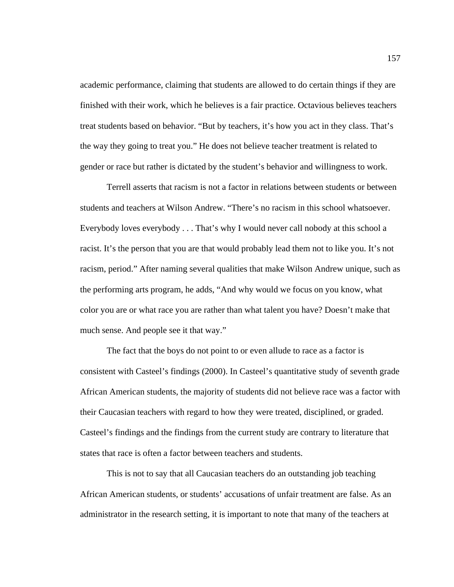academic performance, claiming that students are allowed to do certain things if they are finished with their work, which he believes is a fair practice. Octavious believes teachers treat students based on behavior. "But by teachers, it's how you act in they class. That's the way they going to treat you." He does not believe teacher treatment is related to gender or race but rather is dictated by the student's behavior and willingness to work.

Terrell asserts that racism is not a factor in relations between students or between students and teachers at Wilson Andrew. "There's no racism in this school whatsoever. Everybody loves everybody . . . That's why I would never call nobody at this school a racist. It's the person that you are that would probably lead them not to like you. It's not racism, period." After naming several qualities that make Wilson Andrew unique, such as the performing arts program, he adds, "And why would we focus on you know, what color you are or what race you are rather than what talent you have? Doesn't make that much sense. And people see it that way."

The fact that the boys do not point to or even allude to race as a factor is consistent with Casteel's findings (2000). In Casteel's quantitative study of seventh grade African American students, the majority of students did not believe race was a factor with their Caucasian teachers with regard to how they were treated, disciplined, or graded. Casteel's findings and the findings from the current study are contrary to literature that states that race is often a factor between teachers and students.

This is not to say that all Caucasian teachers do an outstanding job teaching African American students, or students' accusations of unfair treatment are false. As an administrator in the research setting, it is important to note that many of the teachers at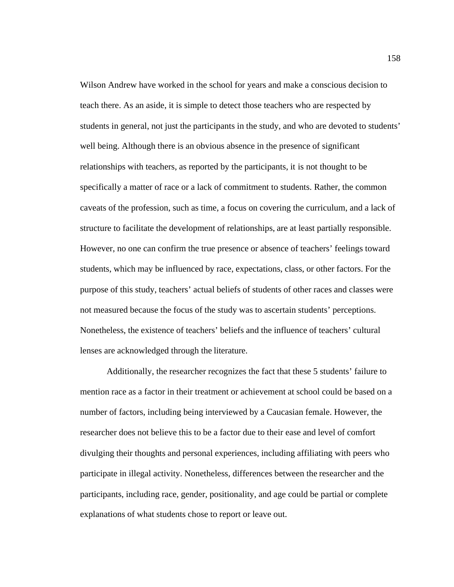Wilson Andrew have worked in the school for years and make a conscious decision to teach there. As an aside, it is simple to detect those teachers who are respected by students in general, not just the participants in the study, and who are devoted to students' well being. Although there is an obvious absence in the presence of significant relationships with teachers, as reported by the participants, it is not thought to be specifically a matter of race or a lack of commitment to students. Rather, the common caveats of the profession, such as time, a focus on covering the curriculum, and a lack of structure to facilitate the development of relationships, are at least partially responsible. However, no one can confirm the true presence or absence of teachers' feelings toward students, which may be influenced by race, expectations, class, or other factors. For the purpose of this study, teachers' actual beliefs of students of other races and classes were not measured because the focus of the study was to ascertain students' perceptions. Nonetheless, the existence of teachers' beliefs and the influence of teachers' cultural lenses are acknowledged through the literature.

Additionally, the researcher recognizes the fact that these 5 students' failure to mention race as a factor in their treatment or achievement at school could be based on a number of factors, including being interviewed by a Caucasian female. However, the researcher does not believe this to be a factor due to their ease and level of comfort divulging their thoughts and personal experiences, including affiliating with peers who participate in illegal activity. Nonetheless, differences between the researcher and the participants, including race, gender, positionality, and age could be partial or complete explanations of what students chose to report or leave out.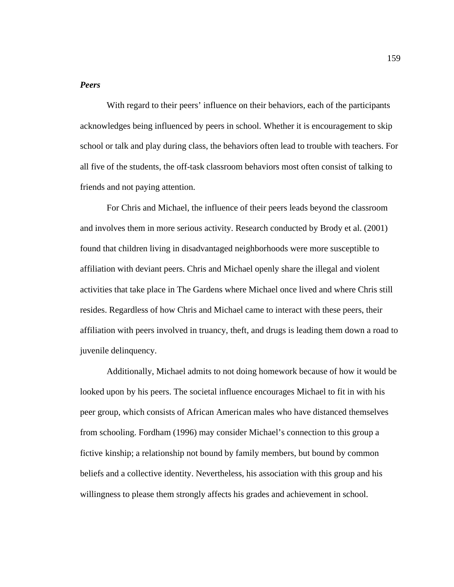### *Peers*

With regard to their peers' influence on their behaviors, each of the participants acknowledges being influenced by peers in school. Whether it is encouragement to skip school or talk and play during class, the behaviors often lead to trouble with teachers. For all five of the students, the off-task classroom behaviors most often consist of talking to friends and not paying attention.

For Chris and Michael, the influence of their peers leads beyond the classroom and involves them in more serious activity. Research conducted by Brody et al. (2001) found that children living in disadvantaged neighborhoods were more susceptible to affiliation with deviant peers. Chris and Michael openly share the illegal and violent activities that take place in The Gardens where Michael once lived and where Chris still resides. Regardless of how Chris and Michael came to interact with these peers, their affiliation with peers involved in truancy, theft, and drugs is leading them down a road to juvenile delinquency.

Additionally, Michael admits to not doing homework because of how it would be looked upon by his peers. The societal influence encourages Michael to fit in with his peer group, which consists of African American males who have distanced themselves from schooling. Fordham (1996) may consider Michael's connection to this group a fictive kinship; a relationship not bound by family members, but bound by common beliefs and a collective identity. Nevertheless, his association with this group and his willingness to please them strongly affects his grades and achievement in school.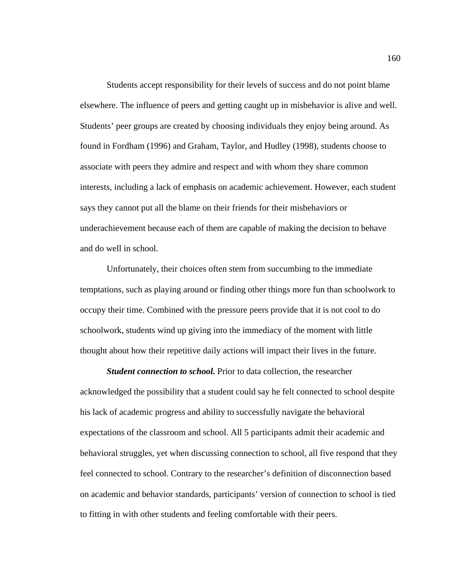Students accept responsibility for their levels of success and do not point blame elsewhere. The influence of peers and getting caught up in misbehavior is alive and well. Students' peer groups are created by choosing individuals they enjoy being around. As found in Fordham (1996) and Graham, Taylor, and Hudley (1998), students choose to associate with peers they admire and respect and with whom they share common interests, including a lack of emphasis on academic achievement. However, each student says they cannot put all the blame on their friends for their misbehaviors or underachievement because each of them are capable of making the decision to behave and do well in school.

Unfortunately, their choices often stem from succumbing to the immediate temptations, such as playing around or finding other things more fun than schoolwork to occupy their time. Combined with the pressure peers provide that it is not cool to do schoolwork, students wind up giving into the immediacy of the moment with little thought about how their repetitive daily actions will impact their lives in the future.

*Student connection to school.* Prior to data collection, the researcher acknowledged the possibility that a student could say he felt connected to school despite his lack of academic progress and ability to successfully navigate the behavioral expectations of the classroom and school. All 5 participants admit their academic and behavioral struggles, yet when discussing connection to school, all five respond that they feel connected to school. Contrary to the researcher's definition of disconnection based on academic and behavior standards, participants' version of connection to school is tied to fitting in with other students and feeling comfortable with their peers.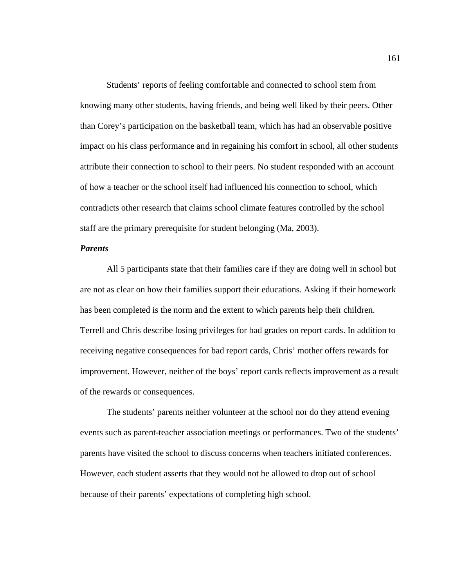Students' reports of feeling comfortable and connected to school stem from knowing many other students, having friends, and being well liked by their peers. Other than Corey's participation on the basketball team, which has had an observable positive impact on his class performance and in regaining his comfort in school, all other students attribute their connection to school to their peers. No student responded with an account of how a teacher or the school itself had influenced his connection to school, which contradicts other research that claims school climate features controlled by the school staff are the primary prerequisite for student belonging (Ma, 2003).

### *Parents*

All 5 participants state that their families care if they are doing well in school but are not as clear on how their families support their educations. Asking if their homework has been completed is the norm and the extent to which parents help their children. Terrell and Chris describe losing privileges for bad grades on report cards. In addition to receiving negative consequences for bad report cards, Chris' mother offers rewards for improvement. However, neither of the boys' report cards reflects improvement as a result of the rewards or consequences.

The students' parents neither volunteer at the school nor do they attend evening events such as parent-teacher association meetings or performances. Two of the students' parents have visited the school to discuss concerns when teachers initiated conferences. However, each student asserts that they would not be allowed to drop out of school because of their parents' expectations of completing high school.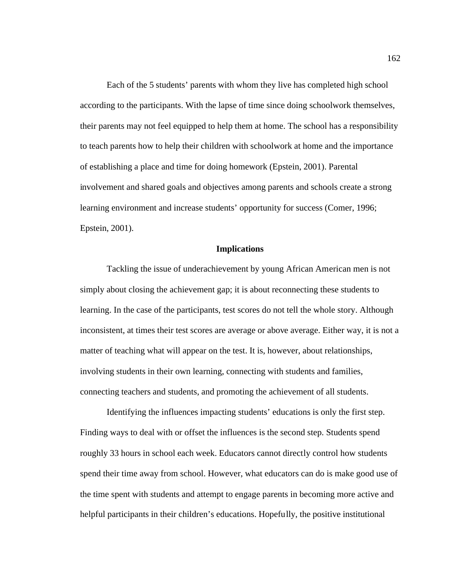Each of the 5 students' parents with whom they live has completed high school according to the participants. With the lapse of time since doing schoolwork themselves, their parents may not feel equipped to help them at home. The school has a responsibility to teach parents how to help their children with schoolwork at home and the importance of establishing a place and time for doing homework (Epstein, 2001). Parental involvement and shared goals and objectives among parents and schools create a strong learning environment and increase students' opportunity for success (Comer, 1996; Epstein, 2001).

### **Implications**

Tackling the issue of underachievement by young African American men is not simply about closing the achievement gap; it is about reconnecting these students to learning. In the case of the participants, test scores do not tell the whole story. Although inconsistent, at times their test scores are average or above average. Either way, it is not a matter of teaching what will appear on the test. It is, however, about relationships, involving students in their own learning, connecting with students and families, connecting teachers and students, and promoting the achievement of all students.

Identifying the influences impacting students' educations is only the first step. Finding ways to deal with or offset the influences is the second step. Students spend roughly 33 hours in school each week. Educators cannot directly control how students spend their time away from school. However, what educators can do is make good use of the time spent with students and attempt to engage parents in becoming more active and helpful participants in their children's educations. Hopefully, the positive institutional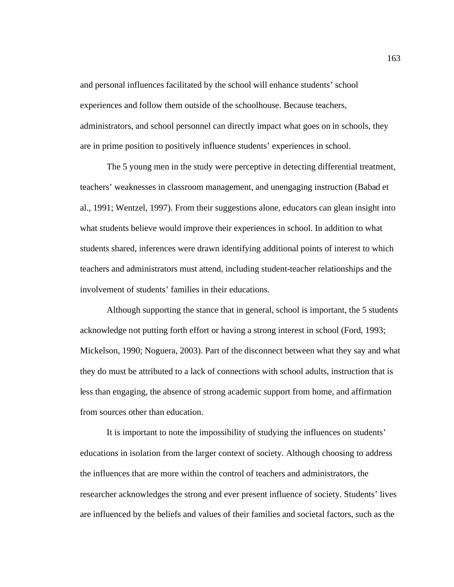and personal influences facilitated by the school will enhance students' school experiences and follow them outside of the schoolhouse. Because teachers, administrators, and school personnel can directly impact what goes on in schools, they are in prime position to positively influence students' experiences in school.

The 5 young men in the study were perceptive in detecting differential treatment, teachers' weaknesses in classroom management, and unengaging instruction (Babad et al., 1991; Wentzel, 1997). From their suggestions alone, educators can glean insight into what students believe would improve their experiences in school. In addition to what students shared, inferences were drawn identifying additional points of interest to which teachers and administrators must attend, including student-teacher relationships and the involvement of students' families in their educations.

Although supporting the stance that in general, school is important, the 5 students acknowledge not putting forth effort or having a strong interest in school (Ford, 1993; Mickelson, 1990; Noguera, 2003). Part of the disconnect between what they say and what they do must be attributed to a lack of connections with school adults, instruction that is less than engaging, the absence of strong academic support from home, and affirmation from sources other than education.

It is important to note the impossibility of studying the influences on students' educations in isolation from the larger context of society. Although choosing to address the influences that are more within the control of teachers and administrators, the researcher acknowledges the strong and ever present influence of society. Students' lives are influenced by the beliefs and values of their families and societal factors, such as the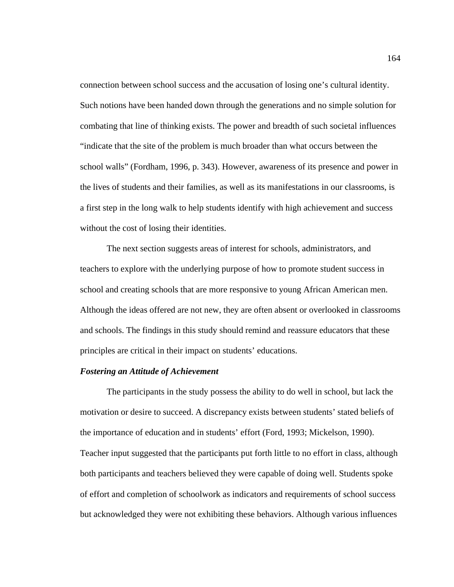connection between school success and the accusation of losing one's cultural identity. Such notions have been handed down through the generations and no simple solution for combating that line of thinking exists. The power and breadth of such societal influences "indicate that the site of the problem is much broader than what occurs between the school walls" (Fordham, 1996, p. 343). However, awareness of its presence and power in the lives of students and their families, as well as its manifestations in our classrooms, is a first step in the long walk to help students identify with high achievement and success without the cost of losing their identities.

The next section suggests areas of interest for schools, administrators, and teachers to explore with the underlying purpose of how to promote student success in school and creating schools that are more responsive to young African American men. Although the ideas offered are not new, they are often absent or overlooked in classrooms and schools. The findings in this study should remind and reassure educators that these principles are critical in their impact on students' educations.

#### *Fostering an Attitude of Achievement*

The participants in the study possess the ability to do well in school, but lack the motivation or desire to succeed. A discrepancy exists between students' stated beliefs of the importance of education and in students' effort (Ford, 1993; Mickelson, 1990). Teacher input suggested that the participants put forth little to no effort in class, although both participants and teachers believed they were capable of doing well. Students spoke of effort and completion of schoolwork as indicators and requirements of school success but acknowledged they were not exhibiting these behaviors. Although various influences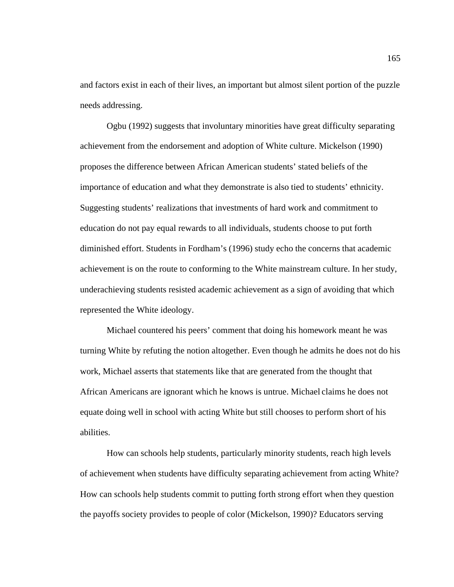and factors exist in each of their lives, an important but almost silent portion of the puzzle needs addressing.

Ogbu (1992) suggests that involuntary minorities have great difficulty separating achievement from the endorsement and adoption of White culture. Mickelson (1990) proposes the difference between African American students' stated beliefs of the importance of education and what they demonstrate is also tied to students' ethnicity. Suggesting students' realizations that investments of hard work and commitment to education do not pay equal rewards to all individuals, students choose to put forth diminished effort. Students in Fordham's (1996) study echo the concerns that academic achievement is on the route to conforming to the White mainstream culture. In her study, underachieving students resisted academic achievement as a sign of avoiding that which represented the White ideology.

Michael countered his peers' comment that doing his homework meant he was turning White by refuting the notion altogether. Even though he admits he does not do his work, Michael asserts that statements like that are generated from the thought that African Americans are ignorant which he knows is untrue. Michael claims he does not equate doing well in school with acting White but still chooses to perform short of his abilities.

How can schools help students, particularly minority students, reach high levels of achievement when students have difficulty separating achievement from acting White? How can schools help students commit to putting forth strong effort when they question the payoffs society provides to people of color (Mickelson, 1990)? Educators serving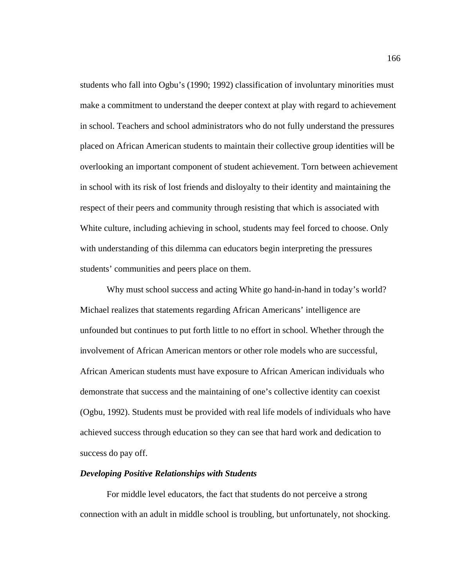students who fall into Ogbu's (1990; 1992) classification of involuntary minorities must make a commitment to understand the deeper context at play with regard to achievement in school. Teachers and school administrators who do not fully understand the pressures placed on African American students to maintain their collective group identities will be overlooking an important component of student achievement. Torn between achievement in school with its risk of lost friends and disloyalty to their identity and maintaining the respect of their peers and community through resisting that which is associated with White culture, including achieving in school, students may feel forced to choose. Only with understanding of this dilemma can educators begin interpreting the pressures students' communities and peers place on them.

Why must school success and acting White go hand-in-hand in today's world? Michael realizes that statements regarding African Americans' intelligence are unfounded but continues to put forth little to no effort in school. Whether through the involvement of African American mentors or other role models who are successful, African American students must have exposure to African American individuals who demonstrate that success and the maintaining of one's collective identity can coexist (Ogbu, 1992). Students must be provided with real life models of individuals who have achieved success through education so they can see that hard work and dedication to success do pay off.

### *Developing Positive Relationships with Students*

For middle level educators, the fact that students do not perceive a strong connection with an adult in middle school is troubling, but unfortunately, not shocking.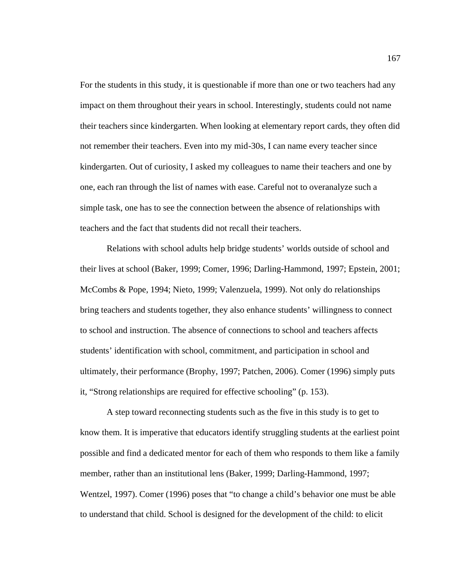For the students in this study, it is questionable if more than one or two teachers had any impact on them throughout their years in school. Interestingly, students could not name their teachers since kindergarten. When looking at elementary report cards, they often did not remember their teachers. Even into my mid-30s, I can name every teacher since kindergarten. Out of curiosity, I asked my colleagues to name their teachers and one by one, each ran through the list of names with ease. Careful not to overanalyze such a simple task, one has to see the connection between the absence of relationships with teachers and the fact that students did not recall their teachers.

Relations with school adults help bridge students' worlds outside of school and their lives at school (Baker, 1999; Comer, 1996; Darling-Hammond, 1997; Epstein, 2001; McCombs & Pope, 1994; Nieto, 1999; Valenzuela, 1999). Not only do relationships bring teachers and students together, they also enhance students' willingness to connect to school and instruction. The absence of connections to school and teachers affects students' identification with school, commitment, and participation in school and ultimately, their performance (Brophy, 1997; Patchen, 2006). Comer (1996) simply puts it, "Strong relationships are required for effective schooling" (p. 153).

A step toward reconnecting students such as the five in this study is to get to know them. It is imperative that educators identify struggling students at the earliest point possible and find a dedicated mentor for each of them who responds to them like a family member, rather than an institutional lens (Baker, 1999; Darling-Hammond, 1997; Wentzel, 1997). Comer (1996) poses that "to change a child's behavior one must be able to understand that child. School is designed for the development of the child: to elicit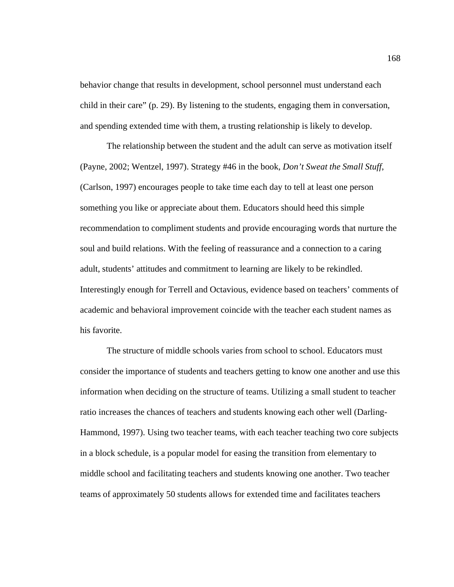behavior change that results in development, school personnel must understand each child in their care" (p. 29). By listening to the students, engaging them in conversation, and spending extended time with them, a trusting relationship is likely to develop.

The relationship between the student and the adult can serve as motivation itself (Payne, 2002; Wentzel, 1997). Strategy #46 in the book, *Don't Sweat the Small Stuff*, (Carlson, 1997) encourages people to take time each day to tell at least one person something you like or appreciate about them. Educators should heed this simple recommendation to compliment students and provide encouraging words that nurture the soul and build relations. With the feeling of reassurance and a connection to a caring adult, students' attitudes and commitment to learning are likely to be rekindled. Interestingly enough for Terrell and Octavious, evidence based on teachers' comments of academic and behavioral improvement coincide with the teacher each student names as his favorite.

The structure of middle schools varies from school to school. Educators must consider the importance of students and teachers getting to know one another and use this information when deciding on the structure of teams. Utilizing a small student to teacher ratio increases the chances of teachers and students knowing each other well (Darling-Hammond, 1997). Using two teacher teams, with each teacher teaching two core subjects in a block schedule, is a popular model for easing the transition from elementary to middle school and facilitating teachers and students knowing one another. Two teacher teams of approximately 50 students allows for extended time and facilitates teachers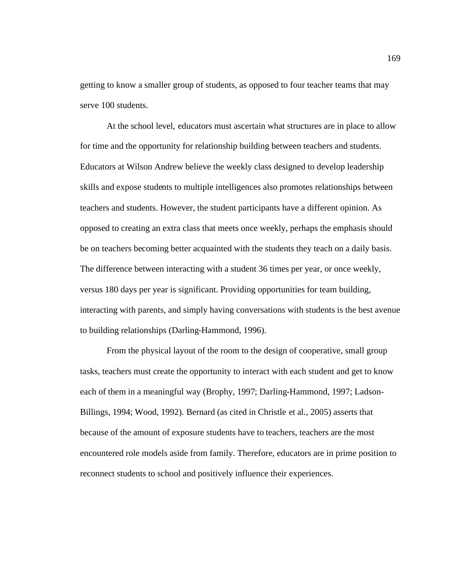getting to know a smaller group of students, as opposed to four teacher teams that may serve 100 students.

At the school level, educators must ascertain what structures are in place to allow for time and the opportunity for relationship building between teachers and students. Educators at Wilson Andrew believe the weekly class designed to develop leadership skills and expose students to multiple intelligences also promotes relationships between teachers and students. However, the student participants have a different opinion. As opposed to creating an extra class that meets once weekly, perhaps the emphasis should be on teachers becoming better acquainted with the students they teach on a daily basis. The difference between interacting with a student 36 times per year, or once weekly, versus 180 days per year is significant. Providing opportunities for team building, interacting with parents, and simply having conversations with students is the best avenue to building relationships (Darling-Hammond, 1996).

From the physical layout of the room to the design of cooperative, small group tasks, teachers must create the opportunity to interact with each student and get to know each of them in a meaningful way (Brophy, 1997; Darling-Hammond, 1997; Ladson-Billings, 1994; Wood, 1992). Bernard (as cited in Christle et al., 2005) asserts that because of the amount of exposure students have to teachers, teachers are the most encountered role models aside from family. Therefore, educators are in prime position to reconnect students to school and positively influence their experiences.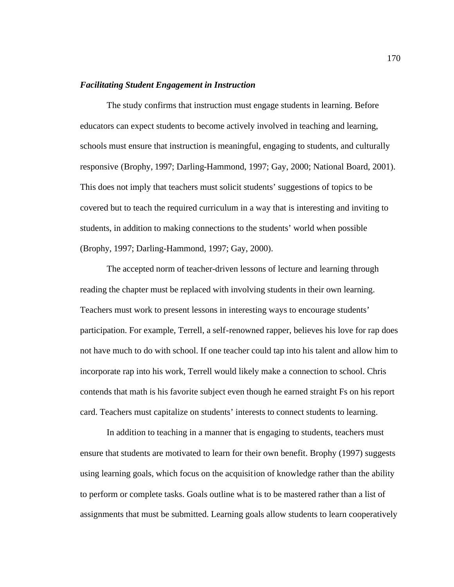### *Facilitating Student Engagement in Instruction*

The study confirms that instruction must engage students in learning. Before educators can expect students to become actively involved in teaching and learning, schools must ensure that instruction is meaningful, engaging to students, and culturally responsive (Brophy, 1997; Darling-Hammond, 1997; Gay, 2000; National Board, 2001). This does not imply that teachers must solicit students' suggestions of topics to be covered but to teach the required curriculum in a way that is interesting and inviting to students, in addition to making connections to the students' world when possible (Brophy, 1997; Darling-Hammond, 1997; Gay, 2000).

The accepted norm of teacher-driven lessons of lecture and learning through reading the chapter must be replaced with involving students in their own learning. Teachers must work to present lessons in interesting ways to encourage students' participation. For example, Terrell, a self-renowned rapper, believes his love for rap does not have much to do with school. If one teacher could tap into his talent and allow him to incorporate rap into his work, Terrell would likely make a connection to school. Chris contends that math is his favorite subject even though he earned straight Fs on his report card. Teachers must capitalize on students' interests to connect students to learning.

In addition to teaching in a manner that is engaging to students, teachers must ensure that students are motivated to learn for their own benefit. Brophy (1997) suggests using learning goals, which focus on the acquisition of knowledge rather than the ability to perform or complete tasks. Goals outline what is to be mastered rather than a list of assignments that must be submitted. Learning goals allow students to learn cooperatively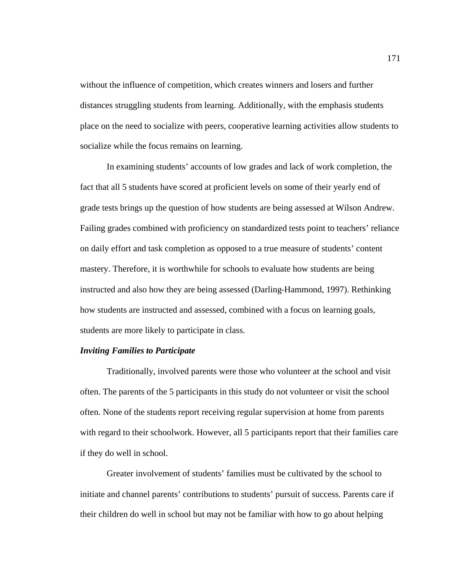without the influence of competition, which creates winners and losers and further distances struggling students from learning. Additionally, with the emphasis students place on the need to socialize with peers, cooperative learning activities allow students to socialize while the focus remains on learning.

In examining students' accounts of low grades and lack of work completion, the fact that all 5 students have scored at proficient levels on some of their yearly end of grade tests brings up the question of how students are being assessed at Wilson Andrew. Failing grades combined with proficiency on standardized tests point to teachers' reliance on daily effort and task completion as opposed to a true measure of students' content mastery. Therefore, it is worthwhile for schools to evaluate how students are being instructed and also how they are being assessed (Darling-Hammond, 1997). Rethinking how students are instructed and assessed, combined with a focus on learning goals, students are more likely to participate in class.

### *Inviting Families to Participate*

Traditionally, involved parents were those who volunteer at the school and visit often. The parents of the 5 participants in this study do not volunteer or visit the school often. None of the students report receiving regular supervision at home from parents with regard to their schoolwork. However, all 5 participants report that their families care if they do well in school.

Greater involvement of students' families must be cultivated by the school to initiate and channel parents' contributions to students' pursuit of success. Parents care if their children do well in school but may not be familiar with how to go about helping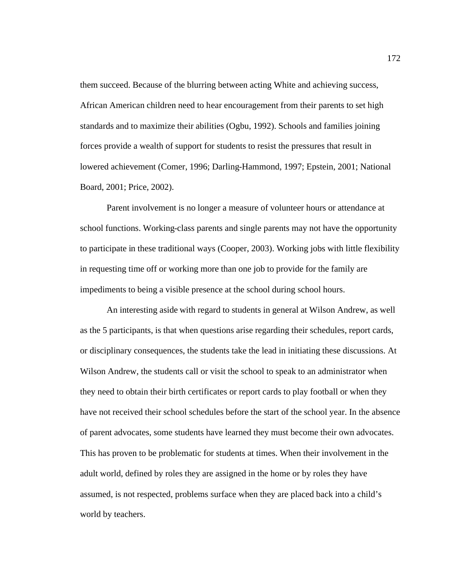them succeed. Because of the blurring between acting White and achieving success, African American children need to hear encouragement from their parents to set high standards and to maximize their abilities (Ogbu, 1992). Schools and families joining forces provide a wealth of support for students to resist the pressures that result in lowered achievement (Comer, 1996; Darling-Hammond, 1997; Epstein, 2001; National Board, 2001; Price, 2002).

Parent involvement is no longer a measure of volunteer hours or attendance at school functions. Working-class parents and single parents may not have the opportunity to participate in these traditional ways (Cooper, 2003). Working jobs with little flexibility in requesting time off or working more than one job to provide for the family are impediments to being a visible presence at the school during school hours.

An interesting aside with regard to students in general at Wilson Andrew, as well as the 5 participants, is that when questions arise regarding their schedules, report cards, or disciplinary consequences, the students take the lead in initiating these discussions. At Wilson Andrew, the students call or visit the school to speak to an administrator when they need to obtain their birth certificates or report cards to play football or when they have not received their school schedules before the start of the school year. In the absence of parent advocates, some students have learned they must become their own advocates. This has proven to be problematic for students at times. When their involvement in the adult world, defined by roles they are assigned in the home or by roles they have assumed, is not respected, problems surface when they are placed back into a child's world by teachers.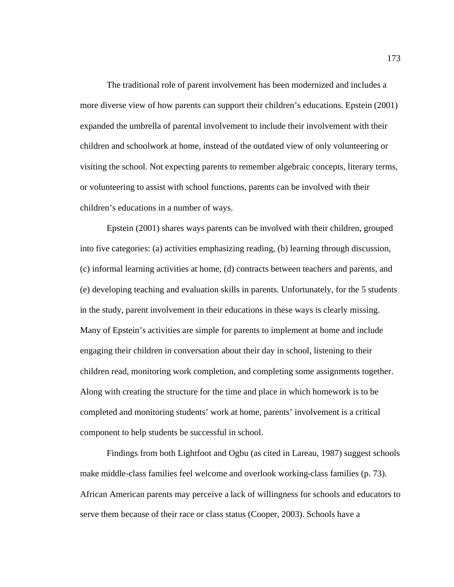The traditional role of parent involvement has been modernized and includes a more diverse view of how parents can support their children's educations. Epstein (2001) expanded the umbrella of parental involvement to include their involvement with their children and schoolwork at home, instead of the outdated view of only volunteering or visiting the school. Not expecting parents to remember algebraic concepts, literary terms, or volunteering to assist with school functions, parents can be involved with their children's educations in a number of ways.

Epstein (2001) shares ways parents can be involved with their children, grouped into five categories: (a) activities emphasizing reading, (b) learning through discussion, (c) informal learning activities at home, (d) contracts between teachers and parents, and (e) developing teaching and evaluation skills in parents. Unfortunately, for the 5 students in the study, parent involvement in their educations in these ways is clearly missing. Many of Epstein's activities are simple for parents to implement at home and include engaging their children in conversation about their day in school, listening to their children read, monitoring work completion, and completing some assignments together. Along with creating the structure for the time and place in which homework is to be completed and monitoring students' work at home, parents' involvement is a critical component to help students be successful in school.

Findings from both Lightfoot and Ogbu (as cited in Lareau, 1987) suggest schools make middle-class families feel welcome and overlook working-class families (p. 73). African American parents may perceive a lack of willingness for schools and educators to serve them because of their race or class status (Cooper, 2003). Schools have a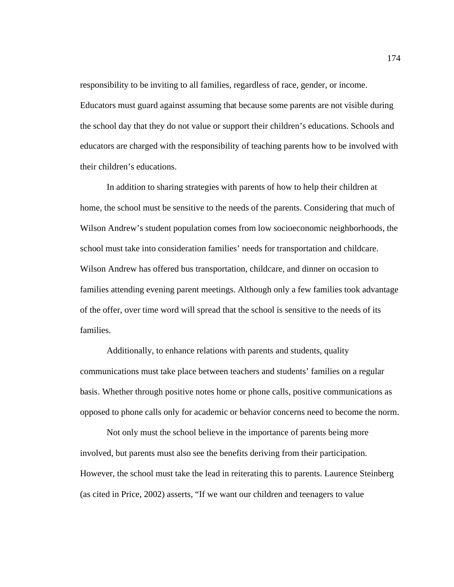responsibility to be inviting to all families, regardless of race, gender, or income. Educators must guard against assuming that because some parents are not visible during the school day that they do not value or support their children's educations. Schools and educators are charged with the responsibility of teaching parents how to be involved with their children's educations.

In addition to sharing strategies with parents of how to help their children at home, the school must be sensitive to the needs of the parents. Considering that much of Wilson Andrew's student population comes from low socioeconomic neighborhoods, the school must take into consideration families' needs for transportation and childcare. Wilson Andrew has offered bus transportation, childcare, and dinner on occasion to families attending evening parent meetings. Although only a few families took advantage of the offer, over time word will spread that the school is sensitive to the needs of its families.

Additionally, to enhance relations with parents and students, quality communications must take place between teachers and students' families on a regular basis. Whether through positive notes home or phone calls, positive communications as opposed to phone calls only for academic or behavior concerns need to become the norm.

Not only must the school believe in the importance of parents being more involved, but parents must also see the benefits deriving from their participation. However, the school must take the lead in reiterating this to parents. Laurence Steinberg (as cited in Price, 2002) asserts, "If we want our children and teenagers to value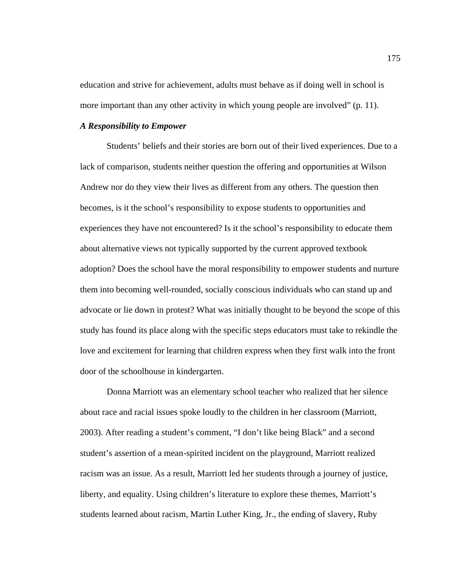education and strive for achievement, adults must behave as if doing well in school is more important than any other activity in which young people are involved" (p. 11).

#### *A Responsibility to Empower*

Students' beliefs and their stories are born out of their lived experiences. Due to a lack of comparison, students neither question the offering and opportunities at Wilson Andrew nor do they view their lives as different from any others. The question then becomes, is it the school's responsibility to expose students to opportunities and experiences they have not encountered? Is it the school's responsibility to educate them about alternative views not typically supported by the current approved textbook adoption? Does the school have the moral responsibility to empower students and nurture them into becoming well-rounded, socially conscious individuals who can stand up and advocate or lie down in protest? What was initially thought to be beyond the scope of this study has found its place along with the specific steps educators must take to rekindle the love and excitement for learning that children express when they first walk into the front door of the schoolhouse in kindergarten.

Donna Marriott was an elementary school teacher who realized that her silence about race and racial issues spoke loudly to the children in her classroom (Marriott, 2003). After reading a student's comment, "I don't like being Black" and a second student's assertion of a mean-spirited incident on the playground, Marriott realized racism was an issue. As a result, Marriott led her students through a journey of justice, liberty, and equality. Using children's literature to explore these themes, Marriott's students learned about racism, Martin Luther King, Jr., the ending of slavery, Ruby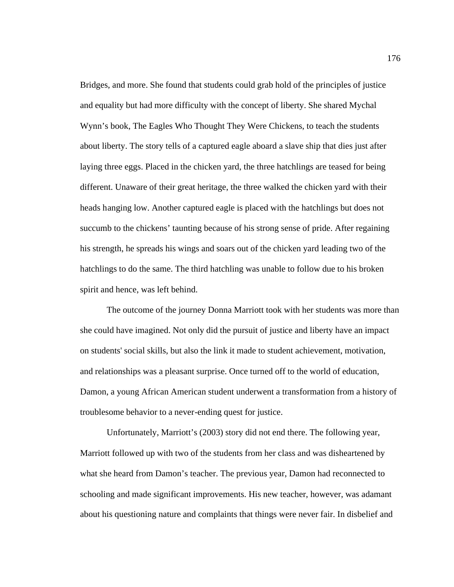Bridges, and more. She found that students could grab hold of the principles of justice and equality but had more difficulty with the concept of liberty. She shared Mychal Wynn's book, The Eagles Who Thought They Were Chickens, to teach the students about liberty. The story tells of a captured eagle aboard a slave ship that dies just after laying three eggs. Placed in the chicken yard, the three hatchlings are teased for being different. Unaware of their great heritage, the three walked the chicken yard with their heads hanging low. Another captured eagle is placed with the hatchlings but does not succumb to the chickens' taunting because of his strong sense of pride. After regaining his strength, he spreads his wings and soars out of the chicken yard leading two of the hatchlings to do the same. The third hatchling was unable to follow due to his broken spirit and hence, was left behind.

The outcome of the journey Donna Marriott took with her students was more than she could have imagined. Not only did the pursuit of justice and liberty have an impact on students' social skills, but also the link it made to student achievement, motivation, and relationships was a pleasant surprise. Once turned off to the world of education, Damon, a young African American student underwent a transformation from a history of troublesome behavior to a never-ending quest for justice.

Unfortunately, Marriott's (2003) story did not end there. The following year, Marriott followed up with two of the students from her class and was disheartened by what she heard from Damon's teacher. The previous year, Damon had reconnected to schooling and made significant improvements. His new teacher, however, was adamant about his questioning nature and complaints that things were never fair. In disbelief and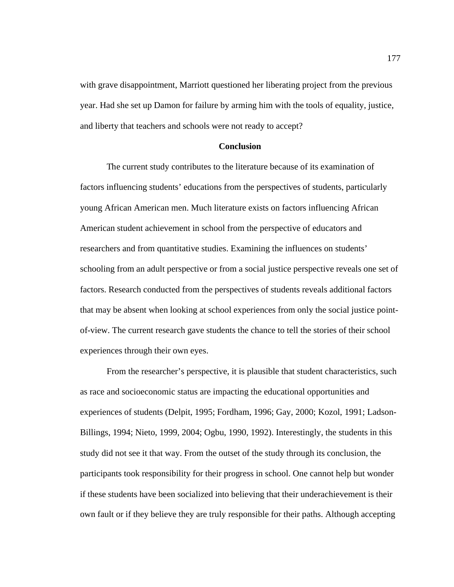with grave disappointment, Marriott questioned her liberating project from the previous year. Had she set up Damon for failure by arming him with the tools of equality, justice, and liberty that teachers and schools were not ready to accept?

### **Conclusion**

The current study contributes to the literature because of its examination of factors influencing students' educations from the perspectives of students, particularly young African American men. Much literature exists on factors influencing African American student achievement in school from the perspective of educators and researchers and from quantitative studies. Examining the influences on students' schooling from an adult perspective or from a social justice perspective reveals one set of factors. Research conducted from the perspectives of students reveals additional factors that may be absent when looking at school experiences from only the social justice pointof-view. The current research gave students the chance to tell the stories of their school experiences through their own eyes.

From the researcher's perspective, it is plausible that student characteristics, such as race and socioeconomic status are impacting the educational opportunities and experiences of students (Delpit, 1995; Fordham, 1996; Gay, 2000; Kozol, 1991; Ladson-Billings, 1994; Nieto, 1999, 2004; Ogbu, 1990, 1992). Interestingly, the students in this study did not see it that way. From the outset of the study through its conclusion, the participants took responsibility for their progress in school. One cannot help but wonder if these students have been socialized into believing that their underachievement is their own fault or if they believe they are truly responsible for their paths. Although accepting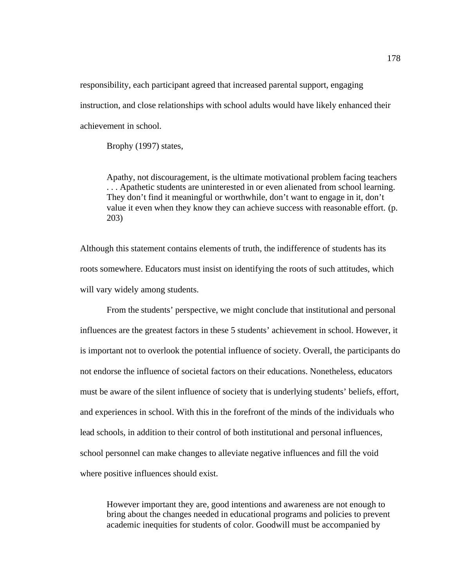responsibility, each participant agreed that increased parental support, engaging instruction, and close relationships with school adults would have likely enhanced their achievement in school.

Brophy (1997) states,

Apathy, not discouragement, is the ultimate motivational problem facing teachers . . . Apathetic students are uninterested in or even alienated from school learning. They don't find it meaningful or worthwhile, don't want to engage in it, don't value it even when they know they can achieve success with reasonable effort. (p. 203)

Although this statement contains elements of truth, the indifference of students has its roots somewhere. Educators must insist on identifying the roots of such attitudes, which will vary widely among students.

From the students' perspective, we might conclude that institutional and personal influences are the greatest factors in these 5 students' achievement in school. However, it is important not to overlook the potential influence of society. Overall, the participants do not endorse the influence of societal factors on their educations. Nonetheless, educators must be aware of the silent influence of society that is underlying students' beliefs, effort, and experiences in school. With this in the forefront of the minds of the individuals who lead schools, in addition to their control of both institutional and personal influences, school personnel can make changes to alleviate negative influences and fill the void where positive influences should exist.

However important they are, good intentions and awareness are not enough to bring about the changes needed in educational programs and policies to prevent academic inequities for students of color. Goodwill must be accompanied by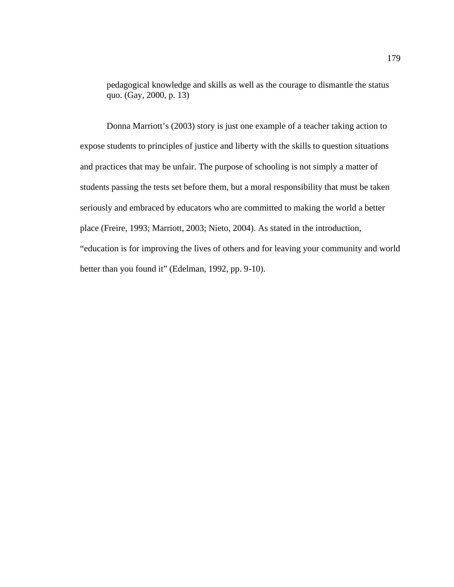pedagogical knowledge and skills as well as the courage to dismantle the status quo. (Gay, 2000, p. 13)

Donna Marriott's (2003) story is just one example of a teacher taking action to expose students to principles of justice and liberty with the skills to question situations and practices that may be unfair. The purpose of schooling is not simply a matter of students passing the tests set before them, but a moral responsibility that must be taken seriously and embraced by educators who are committed to making the world a better place (Freire, 1993; Marriott, 2003; Nieto, 2004). As stated in the introduction, "education is for improving the lives of others and for leaving your community and world better than you found it" (Edelman, 1992, pp. 9-10).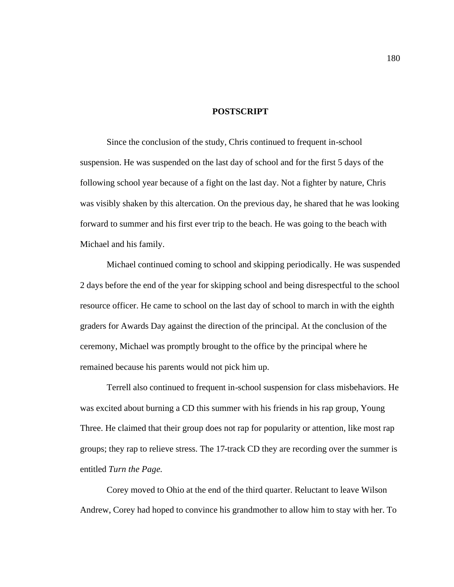#### **POSTSCRIPT**

Since the conclusion of the study, Chris continued to frequent in-school suspension. He was suspended on the last day of school and for the first 5 days of the following school year because of a fight on the last day. Not a fighter by nature, Chris was visibly shaken by this altercation. On the previous day, he shared that he was looking forward to summer and his first ever trip to the beach. He was going to the beach with Michael and his family.

Michael continued coming to school and skipping periodically. He was suspended 2 days before the end of the year for skipping school and being disrespectful to the school resource officer. He came to school on the last day of school to march in with the eighth graders for Awards Day against the direction of the principal. At the conclusion of the ceremony, Michael was promptly brought to the office by the principal where he remained because his parents would not pick him up.

Terrell also continued to frequent in-school suspension for class misbehaviors. He was excited about burning a CD this summer with his friends in his rap group, Young Three. He claimed that their group does not rap for popularity or attention, like most rap groups; they rap to relieve stress. The 17-track CD they are recording over the summer is entitled *Turn the Page*.

Corey moved to Ohio at the end of the third quarter. Reluctant to leave Wilson Andrew, Corey had hoped to convince his grandmother to allow him to stay with her. To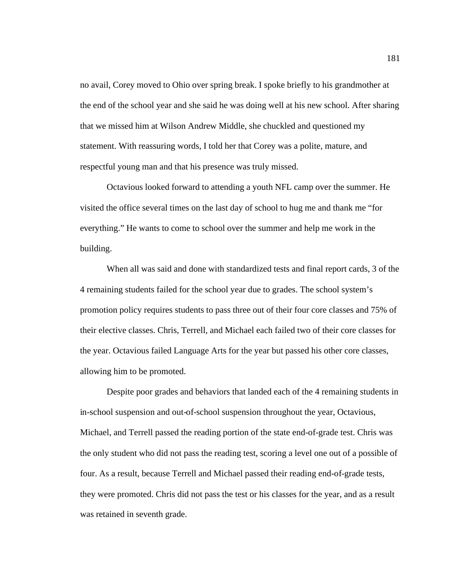no avail, Corey moved to Ohio over spring break. I spoke briefly to his grandmother at the end of the school year and she said he was doing well at his new school. After sharing that we missed him at Wilson Andrew Middle, she chuckled and questioned my statement. With reassuring words, I told her that Corey was a polite, mature, and respectful young man and that his presence was truly missed.

Octavious looked forward to attending a youth NFL camp over the summer. He visited the office several times on the last day of school to hug me and thank me "for everything." He wants to come to school over the summer and help me work in the building.

When all was said and done with standardized tests and final report cards, 3 of the 4 remaining students failed for the school year due to grades. The school system's promotion policy requires students to pass three out of their four core classes and 75% of their elective classes. Chris, Terrell, and Michael each failed two of their core classes for the year. Octavious failed Language Arts for the year but passed his other core classes, allowing him to be promoted.

Despite poor grades and behaviors that landed each of the 4 remaining students in in-school suspension and out-of-school suspension throughout the year, Octavious, Michael, and Terrell passed the reading portion of the state end-of-grade test. Chris was the only student who did not pass the reading test, scoring a level one out of a possible of four. As a result, because Terrell and Michael passed their reading end-of-grade tests, they were promoted. Chris did not pass the test or his classes for the year, and as a result was retained in seventh grade.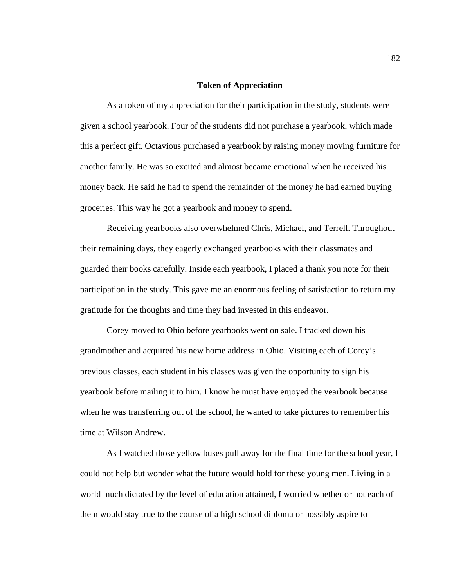#### **Token of Appreciation**

As a token of my appreciation for their participation in the study, students were given a school yearbook. Four of the students did not purchase a yearbook, which made this a perfect gift. Octavious purchased a yearbook by raising money moving furniture for another family. He was so excited and almost became emotional when he received his money back. He said he had to spend the remainder of the money he had earned buying groceries. This way he got a yearbook and money to spend.

Receiving yearbooks also overwhelmed Chris, Michael, and Terrell. Throughout their remaining days, they eagerly exchanged yearbooks with their classmates and guarded their books carefully. Inside each yearbook, I placed a thank you note for their participation in the study. This gave me an enormous feeling of satisfaction to return my gratitude for the thoughts and time they had invested in this endeavor.

Corey moved to Ohio before yearbooks went on sale. I tracked down his grandmother and acquired his new home address in Ohio. Visiting each of Corey's previous classes, each student in his classes was given the opportunity to sign his yearbook before mailing it to him. I know he must have enjoyed the yearbook because when he was transferring out of the school, he wanted to take pictures to remember his time at Wilson Andrew.

As I watched those yellow buses pull away for the final time for the school year, I could not help but wonder what the future would hold for these young men. Living in a world much dictated by the level of education attained, I worried whether or not each of them would stay true to the course of a high school diploma or possibly aspire to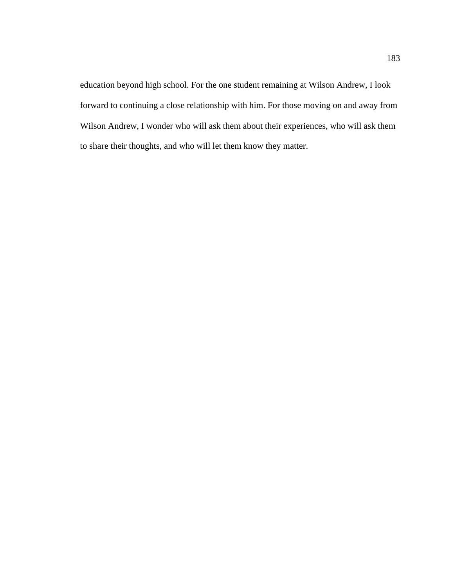education beyond high school. For the one student remaining at Wilson Andrew, I look forward to continuing a close relationship with him. For those moving on and away from Wilson Andrew, I wonder who will ask them about their experiences, who will ask them to share their thoughts, and who will let them know they matter.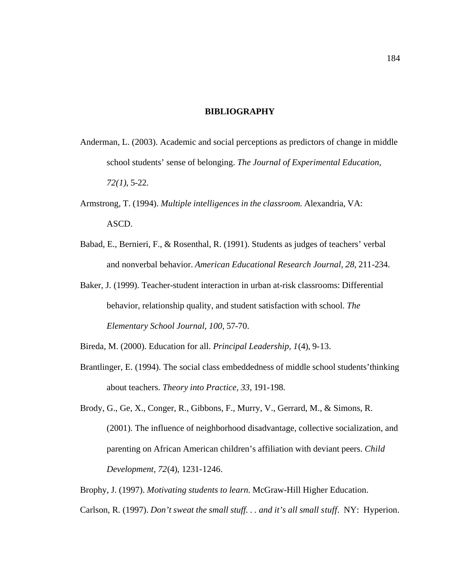#### **BIBLIOGRAPHY**

- Anderman, L. (2003). Academic and social perceptions as predictors of change in middle school students' sense of belonging. *The Journal of Experimental Education, 72(1)*, 5-22.
- Armstrong, T. (1994). *Multiple intelligences in the classroom*. Alexandria, VA: ASCD.
- Babad, E., Bernieri, F., & Rosenthal, R. (1991). Students as judges of teachers' verbal and nonverbal behavior. *American Educational Research Journal, 28*, 211-234.
- Baker, J. (1999). Teacher-student interaction in urban at-risk classrooms: Differential behavior, relationship quality, and student satisfaction with school. *The Elementary School Journal, 100*, 57-70.

Bireda, M. (2000). Education for all. *Principal Leadership, 1*(4), 9-13.

- Brantlinger, E. (1994). The social class embeddedness of middle school students'thinking about teachers. *Theory into Practice, 33*, 191-198.
- Brody, G., Ge, X., Conger, R., Gibbons, F., Murry, V., Gerrard, M., & Simons, R. (2001). The influence of neighborhood disadvantage, collective socialization, and parenting on African American children's affiliation with deviant peers. *Child Development, 72*(4), 1231-1246.
- Brophy, J. (1997). *Motivating students to learn.* McGraw-Hill Higher Education. Carlson, R. (1997). *Don't sweat the small stuff. . . and it's all small stuff*. NY: Hyperion.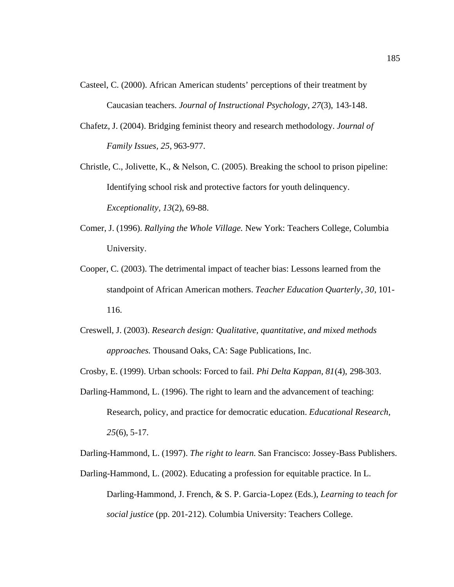- Casteel, C. (2000). African American students' perceptions of their treatment by Caucasian teachers. *Journal of Instructional Psychology, 27*(3), 143-148.
- Chafetz, J. (2004). Bridging feminist theory and research methodology. *Journal of Family Issues, 25*, 963-977.
- Christle, C., Jolivette, K., & Nelson, C. (2005). Breaking the school to prison pipeline: Identifying school risk and protective factors for youth delinquency. *Exceptionality, 13*(2), 69-88.
- Comer, J. (1996). *Rallying the Whole Village.* New York: Teachers College, Columbia University.
- Cooper, C. (2003). The detrimental impact of teacher bias: Lessons learned from the standpoint of African American mothers. *Teacher Education Quarterly*, *30*, 101- 116.
- Creswell, J. (2003). *Research design: Qualitative, quantitative, and mixed methods approaches.* Thousand Oaks, CA: Sage Publications, Inc.
- Crosby, E. (1999). Urban schools: Forced to fail. *Phi Delta Kappan, 81*(4), 298-303.
- Darling-Hammond, L. (1996). The right to learn and the advancement of teaching: Research, policy, and practice for democratic education. *Educational Research, 25*(6), 5-17.

Darling-Hammond, L. (1997). *The right to learn.* San Francisco: Jossey-Bass Publishers.

Darling-Hammond, L. (2002). Educating a profession for equitable practice. In L. Darling-Hammond, J. French, & S. P. Garcia-Lopez (Eds.), *Learning to teach for social justice* (pp. 201-212). Columbia University: Teachers College.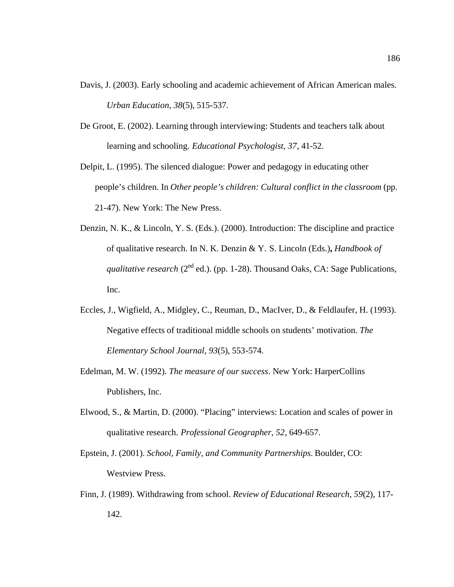- Davis, J. (2003). Early schooling and academic achievement of African American males. *Urban Education, 38*(5), 515-537.
- De Groot, E. (2002). Learning through interviewing: Students and teachers talk about learning and schooling. *Educational Psychologist, 37*, 41-52.
- Delpit, L. (1995). The silenced dialogue: Power and pedagogy in educating other people's children. In *Other people's children: Cultural conflict in the classroom* (pp. 21-47). New York: The New Press.
- Denzin, N. K., & Lincoln, Y. S. (Eds.). (2000). Introduction: The discipline and practice of qualitative research. In N. K. Denzin & Y. S. Lincoln (Eds.)**,** *Handbook of qualitative research* ( $2^{nd}$  ed.). (pp. 1-28). Thousand Oaks, CA: Sage Publications, Inc.
- Eccles, J., Wigfield, A., Midgley, C., Reuman, D., MacIver, D., & Feldlaufer, H. (1993). Negative effects of traditional middle schools on students' motivation. *The Elementary School Journal, 93*(5), 553-574.
- Edelman, M. W. (1992). *The measure of our success*. New York: HarperCollins Publishers, Inc.
- Elwood, S., & Martin, D. (2000). "Placing" interviews: Location and scales of power in qualitative research. *Professional Geographer, 52*, 649-657.
- Epstein, J. (2001). *School, Family, and Community Partnerships.* Boulder, CO: Westview Press.
- Finn, J. (1989). Withdrawing from school. *Review of Educational Research, 59*(2), 117- 142.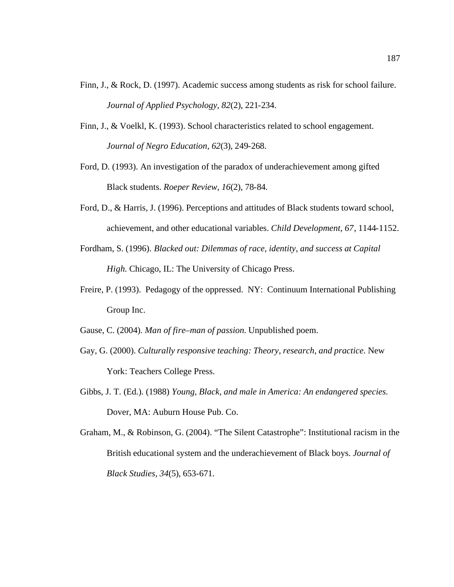- Finn, J., & Rock, D. (1997). Academic success among students as risk for school failure. *Journal of Applied Psychology, 82*(2), 221-234.
- Finn, J., & Voelkl, K. (1993). School characteristics related to school engagement. *Journal of Negro Education, 62*(3), 249-268.
- Ford, D. (1993). An investigation of the paradox of underachievement among gifted Black students. *Roeper Review, 16*(2), 78-84.
- Ford, D., & Harris, J. (1996). Perceptions and attitudes of Black students toward school, achievement, and other educational variables. *Child Development, 67*, 1144-1152.
- Fordham, S. (1996). *Blacked out: Dilemmas of race, identity, and success at Capital High.* Chicago, IL: The University of Chicago Press.
- Freire, P. (1993). Pedagogy of the oppressed. NY: Continuum International Publishing Group Inc.

Gause, C. (2004). *Man of fire–man of passion.* Unpublished poem.

- Gay, G. (2000). *Culturally responsive teaching: Theory, research, and practice.* New York: Teachers College Press.
- Gibbs, J. T. (Ed.). (1988) *Young, Black, and male in America: An endangered species.* Dover, MA: Auburn House Pub. Co.

Graham, M., & Robinson, G. (2004). "The Silent Catastrophe": Institutional racism in the British educational system and the underachievement of Black boys. *Journal of Black Studies, 34*(5), 653-671.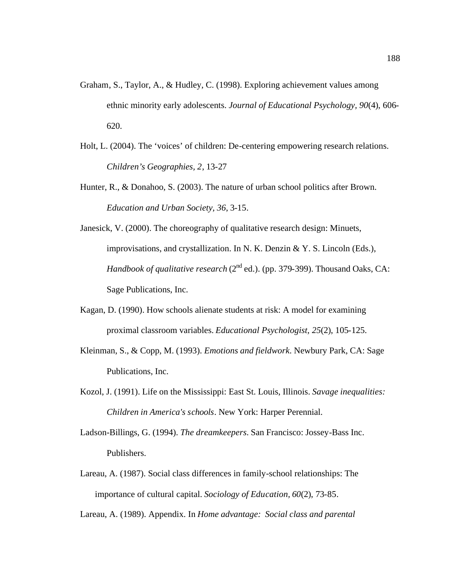- Graham, S., Taylor, A., & Hudley, C. (1998). Exploring achievement values among ethnic minority early adolescents. *Journal of Educational Psychology, 90*(4), 606- 620.
- Holt, L. (2004). The 'voices' of children: De-centering empowering research relations. *Children's Geographies, 2*, 13-27
- Hunter, R., & Donahoo, S. (2003). The nature of urban school politics after Brown. *Education and Urban Society, 36*, 3-15.
- Janesick, V. (2000). The choreography of qualitative research design: Minuets, improvisations, and crystallization. In N. K. Denzin & Y. S. Lincoln (Eds.), *Handbook of qualitative research* (2<sup>nd</sup> ed.). (pp. 379-399). Thousand Oaks, CA: Sage Publications, Inc.
- Kagan, D. (1990). How schools alienate students at risk: A model for examining proximal classroom variables. *Educational Psychologist, 25*(2), 105-125.
- Kleinman, S., & Copp, M. (1993). *Emotions and fieldwork*. Newbury Park, CA: Sage Publications, Inc.
- Kozol, J. (1991). Life on the Mississippi: East St. Louis, Illinois. *Savage inequalities: Children in America's schools*. New York: Harper Perennial.
- Ladson-Billings, G. (1994). *The dreamkeepers.* San Francisco: Jossey-Bass Inc. Publishers.
- Lareau, A. (1987). Social class differences in family-school relationships: The importance of cultural capital. *Sociology of Education, 60*(2), 73-85.

Lareau, A. (1989). Appendix. In *Home advantage: Social class and parental*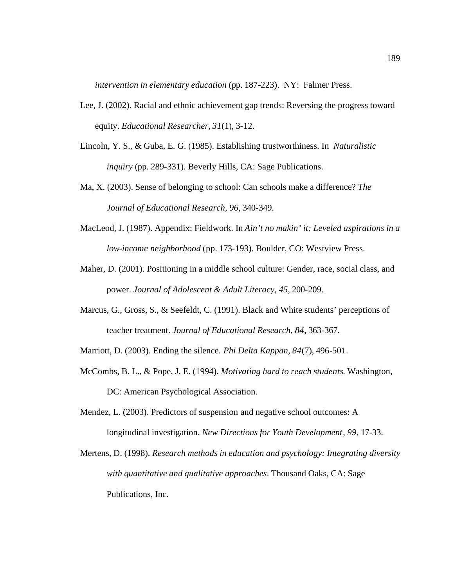*intervention in elementary education* (pp. 187-223). NY: Falmer Press.

- Lee, J. (2002). Racial and ethnic achievement gap trends: Reversing the progress toward equity. *Educational Researcher, 31*(1), 3-12.
- Lincoln, Y. S., & Guba, E. G. (1985). Establishing trustworthiness. In *Naturalistic inquiry* (pp. 289-331). Beverly Hills, CA: Sage Publications.
- Ma, X. (2003). Sense of belonging to school: Can schools make a difference? *The Journal of Educational Research, 96*, 340-349.
- MacLeod, J. (1987). Appendix: Fieldwork. In *Ain't no makin' it: Leveled aspirations in a low-income neighborhood* (pp. 173-193). Boulder, CO: Westview Press.
- Maher, D. (2001). Positioning in a middle school culture: Gender, race, social class, and power. *Journal of Adolescent & Adult Literacy, 45*, 200-209.
- Marcus, G., Gross, S., & Seefeldt, C. (1991). Black and White students' perceptions of teacher treatment. *Journal of Educational Research, 84*, 363-367.
- Marriott, D. (2003). Ending the silence. *Phi Delta Kappan, 84*(7), 496-501.
- McCombs, B. L., & Pope, J. E. (1994). *Motivating hard to reach students*. Washington, DC: American Psychological Association.
- Mendez, L. (2003). Predictors of suspension and negative school outcomes: A longitudinal investigation. *New Directions for Youth Development*, *99,* 17-33.
- Mertens, D. (1998). *Research methods in education and psychology: Integrating diversity with quantitative and qualitative approaches*. Thousand Oaks, CA: Sage Publications, Inc.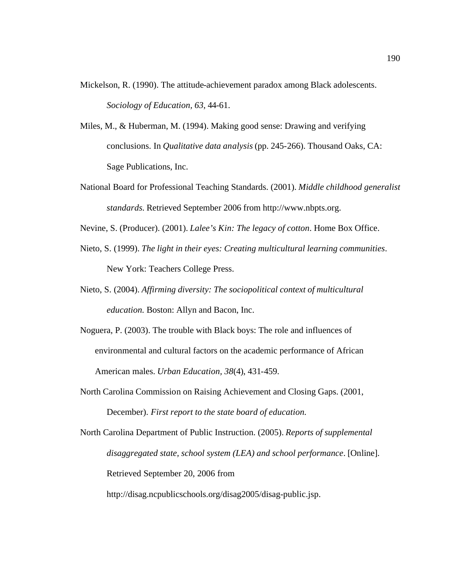- Mickelson, R. (1990). The attitude-achievement paradox among Black adolescents. *Sociology of Education, 63*, 44-61.
- Miles, M., & Huberman, M. (1994). Making good sense: Drawing and verifying conclusions. In *Qualitative data analysis* (pp. 245-266). Thousand Oaks, CA: Sage Publications, Inc.
- National Board for Professional Teaching Standards. (2001). *Middle childhood generalist standards.* Retrieved September 2006 from http://www.nbpts.org.
- Nevine, S. (Producer). (2001). *Lalee's Kin: The legacy of cotton*. Home Box Office.
- Nieto, S. (1999). *The light in their eyes: Creating multicultural learning communities*. New York: Teachers College Press.
- Nieto, S. (2004). *Affirming diversity: The sociopolitical context of multicultural education.* Boston: Allyn and Bacon, Inc.
- Noguera, P. (2003). The trouble with Black boys: The role and influences of environmental and cultural factors on the academic performance of African American males. *Urban Education, 38*(4), 431-459.
- North Carolina Commission on Raising Achievement and Closing Gaps. (2001, December). *First report to the state board of education.*

North Carolina Department of Public Instruction. (2005). *Reports of supplemental disaggregated state, school system (LEA) and school performance*. [Online]. Retrieved September 20, 2006 from

http://disag.ncpublicschools.org/disag2005/disag-public.jsp.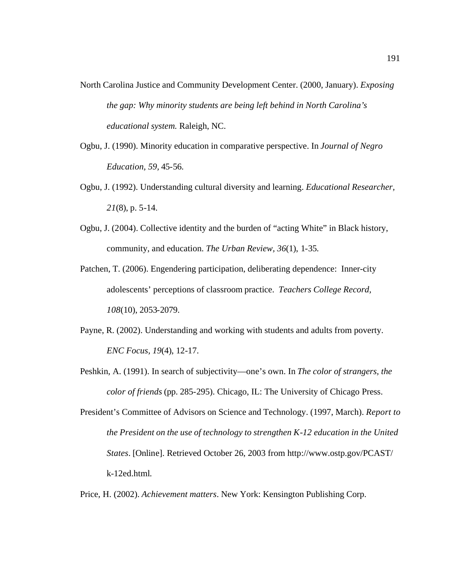- North Carolina Justice and Community Development Center. (2000, January). *Exposing the gap: Why minority students are being left behind in North Carolina's educational system.* Raleigh, NC.
- Ogbu, J. (1990). Minority education in comparative perspective. In *Journal of Negro Education, 59,* 45-56.
- Ogbu, J. (1992). Understanding cultural diversity and learning. *Educational Researcher, 21*(8), p. 5-14.
- Ogbu, J. (2004). Collective identity and the burden of "acting White" in Black history, community, and education. *The Urban Review, 36*(1), 1-35.
- Patchen, T. (2006). Engendering participation, deliberating dependence: Inner-city adolescents' perceptions of classroom practice. *Teachers College Record, 108*(10), 2053-2079.
- Payne, R. (2002). Understanding and working with students and adults from poverty. *ENC Focus, 19*(4), 12-17.
- Peshkin, A. (1991). In search of subjectivity—one's own. In *The color of strangers, the color of friends* (pp. 285-295). Chicago, IL: The University of Chicago Press.
- President's Committee of Advisors on Science and Technology. (1997, March). *Report to the President on the use of technology to strengthen K-12 education in the United States*. [Online]. Retrieved October 26, 2003 from http://www.ostp.gov/PCAST/ k-12ed.html.
- Price, H. (2002). *Achievement matters*. New York: Kensington Publishing Corp.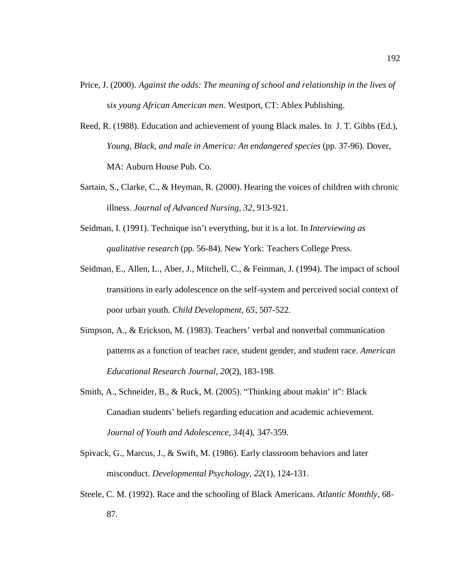- Price, J. (2000). *Against the odds: The meaning of school and relationship in the lives of six young African American men*. Westport, CT: Ablex Publishing.
- Reed, R. (1988). Education and achievement of young Black males. In J. T. Gibbs (Ed.), *Young, Black, and male in America: An endangered species* (pp. 37-96). Dover, MA: Auburn House Pub. Co.
- Sartain, S., Clarke, C., & Heyman, R. (2000). Hearing the voices of children with chronic illness. *Journal of Advanced Nursing, 32*, 913-921.
- Seidman, I. (1991). Technique isn't everything, but it is a lot. In *Interviewing as qualitative research* (pp. 56-84). New York: Teachers College Press.
- Seidman, E., Allen, L., Aber, J., Mitchell, C., & Feinman, J. (1994). The impact of school transitions in early adolescence on the self-system and perceived social context of poor urban youth. *Child Development, 65*, 507-522.
- Simpson, A., & Erickson, M. (1983). Teachers' verbal and nonverbal communication patterns as a function of teacher race, student gender, and student race. *American Educational Research Journal, 20*(2), 183-198.
- Smith, A., Schneider, B., & Ruck, M. (2005). "Thinking about makin' it": Black Canadian students' beliefs regarding education and academic achievement. *Journal of Youth and Adolescence*, *34*(4), 347-359.
- Spivack, G., Marcus, J., & Swift, M. (1986). Early classroom behaviors and later misconduct. *Developmental Psychology, 22*(1), 124-131.
- Steele, C. M. (1992). Race and the schooling of Black Americans. *Atlantic Monthly*, 68- 87.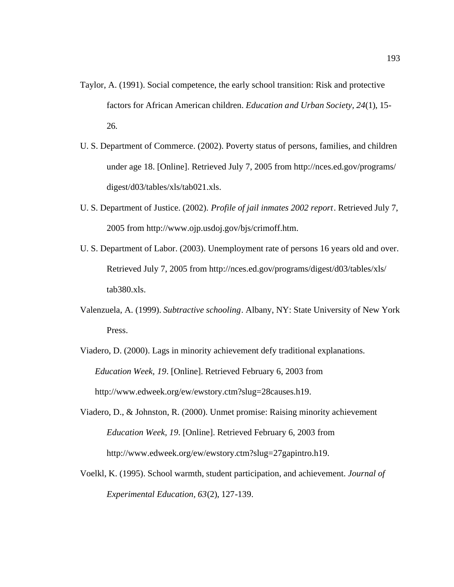- Taylor, A. (1991). Social competence, the early school transition: Risk and protective factors for African American children. *Education and Urban Society, 24*(1), 15- 26.
- U. S. Department of Commerce. (2002). Poverty status of persons, families, and children under age 18. [Online]. Retrieved July 7, 2005 from http://nces.ed.gov/programs/ digest/d03/tables/xls/tab021.xls.
- U. S. Department of Justice. (2002). *Profile of jail inmates 2002 report*. Retrieved July 7, 2005 from http://www.ojp.usdoj.gov/bjs/crimoff.htm.
- U. S. Department of Labor. (2003). Unemployment rate of persons 16 years old and over. Retrieved July 7, 2005 from http://nces.ed.gov/programs/digest/d03/tables/xls/ tab380.xls.
- Valenzuela, A. (1999). *Subtractive schooling*. Albany, NY: State University of New York Press.
- Viadero, D. (2000). Lags in minority achievement defy traditional explanations. *Education Week, 19*. [Online]. Retrieved February 6, 2003 from http://www.edweek.org/ew/ewstory.ctm?slug=28causes.h19.
- Viadero, D., & Johnston, R. (2000). Unmet promise: Raising minority achievement *Education Week, 19*. [Online]. Retrieved February 6, 2003 from http://www.edweek.org/ew/ewstory.ctm?slug=27gapintro.h19.
- Voelkl, K. (1995). School warmth, student participation, and achievement. *Journal of Experimental Education, 63*(2), 127-139.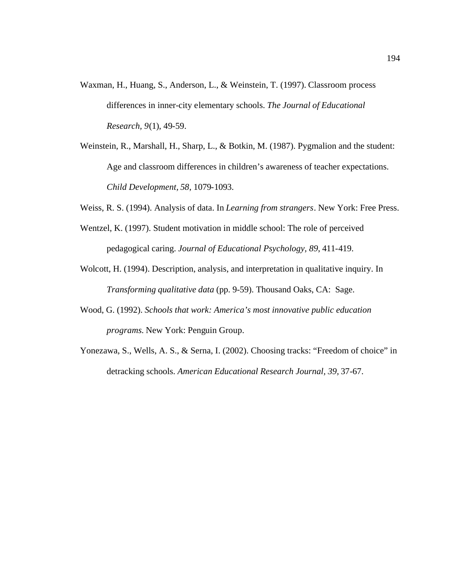- Waxman, H., Huang, S., Anderson, L., & Weinstein, T. (1997). Classroom process differences in inner-city elementary schools. *The Journal of Educational Research, 9*(1), 49-59.
- Weinstein, R., Marshall, H., Sharp, L., & Botkin, M. (1987). Pygmalion and the student: Age and classroom differences in children's awareness of teacher expectations. *Child Development, 58*, 1079-1093.
- Weiss, R. S. (1994). Analysis of data. In *Learning from strangers*. New York: Free Press.
- Wentzel, K. (1997). Student motivation in middle school: The role of perceived pedagogical caring. *Journal of Educational Psychology, 89*, 411-419.
- Wolcott, H. (1994). Description, analysis, and interpretation in qualitative inquiry. In *Transforming qualitative data* (pp. 9-59). Thousand Oaks, CA: Sage.
- Wood, G. (1992). *Schools that work: America's most innovative public education programs.* New York: Penguin Group.
- Yonezawa, S., Wells, A. S., & Serna, I. (2002). Choosing tracks: "Freedom of choice" in detracking schools. *American Educational Research Journal, 39,* 37-67.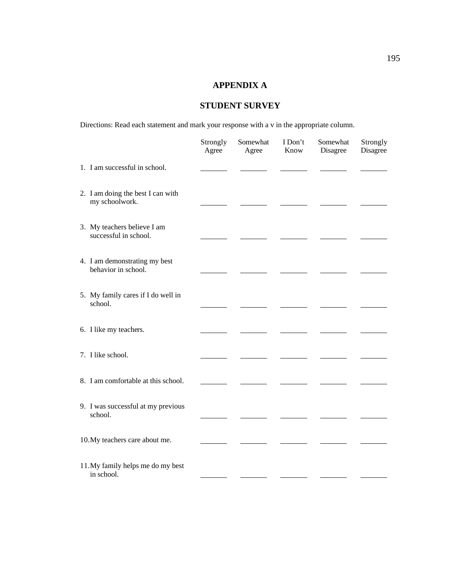# **APPENDIX A**

# **STUDENT SURVEY**

Directions: Read each statement and mark your response with a v in the appropriate column.

|                                                      | Strongly<br>Agree | Somewhat<br>Agree | I Don't<br>Know | Somewhat<br>Disagree | Strongly<br>Disagree |
|------------------------------------------------------|-------------------|-------------------|-----------------|----------------------|----------------------|
| 1. I am successful in school.                        |                   |                   |                 |                      |                      |
| 2. I am doing the best I can with<br>my schoolwork.  |                   |                   |                 |                      |                      |
| 3. My teachers believe I am<br>successful in school. |                   |                   |                 |                      |                      |
| 4. I am demonstrating my best<br>behavior in school. |                   |                   |                 |                      |                      |
| 5. My family cares if I do well in<br>school.        |                   |                   |                 |                      |                      |
| 6. I like my teachers.                               |                   |                   |                 |                      |                      |
| 7. I like school.                                    |                   |                   |                 |                      |                      |
| 8. I am comfortable at this school.                  |                   |                   |                 |                      |                      |
| 9. I was successful at my previous<br>school.        |                   |                   |                 |                      |                      |
| 10. My teachers care about me.                       |                   |                   |                 |                      |                      |
| 11. My family helps me do my best<br>in school.      |                   |                   |                 |                      |                      |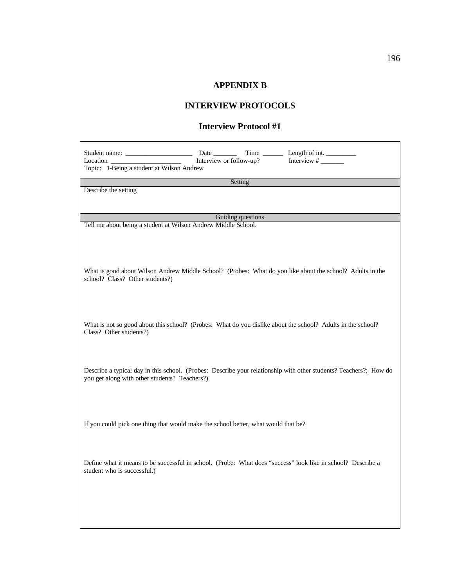## **APPENDIX B**

# **INTERVIEW PROTOCOLS**

### **Interview Protocol #1**

| Student name:<br>Interview or follow-up?<br>Location<br>Topic: 1-Being a student at Wilson Andrew                                                                  |  |  |  |  |  |
|--------------------------------------------------------------------------------------------------------------------------------------------------------------------|--|--|--|--|--|
| Setting                                                                                                                                                            |  |  |  |  |  |
| Describe the setting                                                                                                                                               |  |  |  |  |  |
|                                                                                                                                                                    |  |  |  |  |  |
| Guiding questions<br>Tell me about being a student at Wilson Andrew Middle School.                                                                                 |  |  |  |  |  |
|                                                                                                                                                                    |  |  |  |  |  |
| What is good about Wilson Andrew Middle School? (Probes: What do you like about the school? Adults in the<br>school? Class? Other students?)                       |  |  |  |  |  |
| What is not so good about this school? (Probes: What do you dislike about the school? Adults in the school?<br>Class? Other students?)                             |  |  |  |  |  |
| Describe a typical day in this school. (Probes: Describe your relationship with other students? Teachers?; How do<br>you get along with other students? Teachers?) |  |  |  |  |  |
| If you could pick one thing that would make the school better, what would that be?                                                                                 |  |  |  |  |  |
| Define what it means to be successful in school. (Probe: What does "success" look like in school? Describe a<br>student who is successful.)                        |  |  |  |  |  |
|                                                                                                                                                                    |  |  |  |  |  |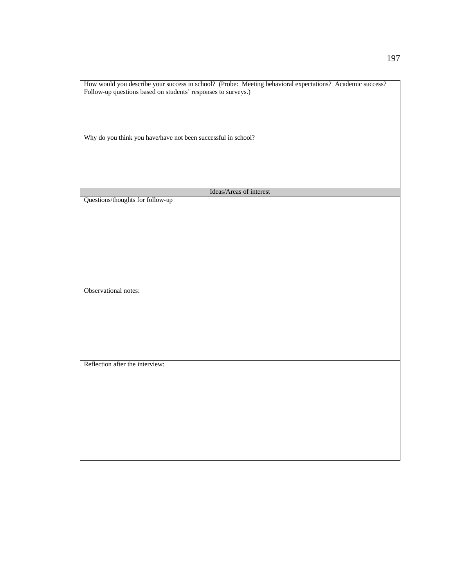How would you describe your success in school? (Probe: Meeting behavioral expectations? Academic success? Follow-up questions based on students' responses to surveys.)

Why do you think you have/have not been successful in school?

Ideas/Areas of interest

Questions/thoughts for follow-up

Observational notes:

Reflection after the interview: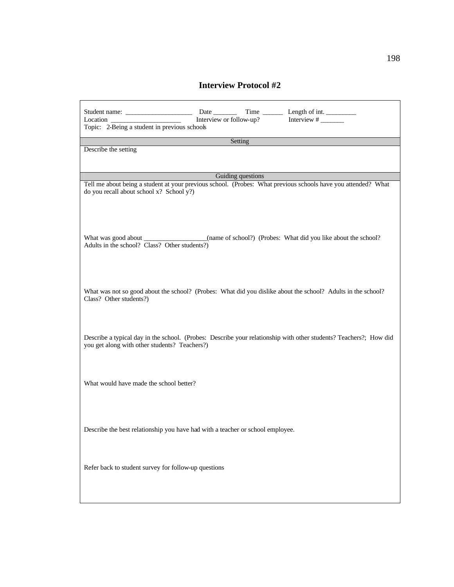## **Interview Protocol #2**

| Interview or follow-up?<br>Location<br>Topic: 2-Being a student in previous schools                                                                                |  |
|--------------------------------------------------------------------------------------------------------------------------------------------------------------------|--|
| Setting                                                                                                                                                            |  |
| Describe the setting                                                                                                                                               |  |
| Guiding questions                                                                                                                                                  |  |
| Tell me about being a student at your previous school. (Probes: What previous schools have you attended? What<br>do you recall about school x? School y?)          |  |
| What was good about ______________________(name of school?) (Probes: What did you like about the school?)<br>Adults in the school? Class? Other students?)         |  |
| What was not so good about the school? (Probes: What did you dislike about the school? Adults in the school?<br>Class? Other students?)                            |  |
| Describe a typical day in the school. (Probes: Describe your relationship with other students? Teachers?; How did<br>you get along with other students? Teachers?) |  |
| What would have made the school better?                                                                                                                            |  |
| Describe the best relationship you have had with a teacher or school employee.                                                                                     |  |
| Refer back to student survey for follow-up questions                                                                                                               |  |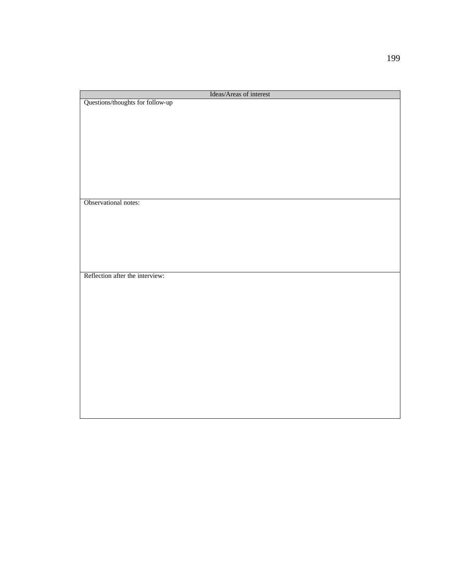| Ideas/Areas of interest          |
|----------------------------------|
| Questions/thoughts for follow-up |
|                                  |
|                                  |
|                                  |
|                                  |
|                                  |
|                                  |
|                                  |
|                                  |
|                                  |
|                                  |
| Observational notes:             |
|                                  |
|                                  |
|                                  |
|                                  |
|                                  |
|                                  |
|                                  |
| Reflection after the interview:  |
|                                  |
|                                  |
|                                  |
|                                  |
|                                  |
|                                  |
|                                  |
|                                  |
|                                  |
|                                  |
|                                  |
|                                  |
|                                  |
|                                  |
|                                  |
|                                  |
|                                  |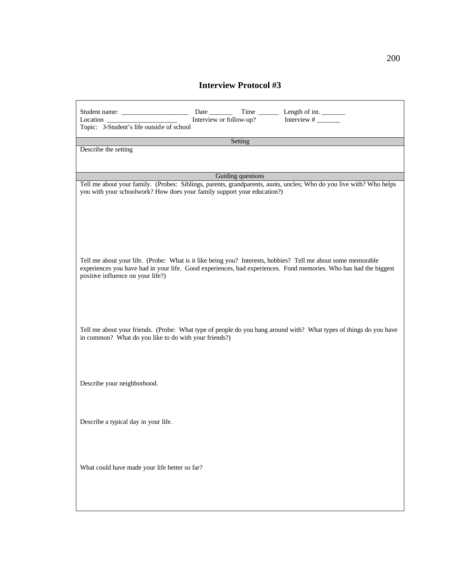## **Interview Protocol #3**

| Date has been a set of the set of the set of the set of the set of the set of the set of the set of the set of the set of the set of the set of the set of the set of the set of the set of the set of the set of the set of t<br>Interview or follow-up?<br>Location<br>Topic: 3-Student's life outside of school |
|--------------------------------------------------------------------------------------------------------------------------------------------------------------------------------------------------------------------------------------------------------------------------------------------------------------------|
|                                                                                                                                                                                                                                                                                                                    |
| Setting                                                                                                                                                                                                                                                                                                            |
| Describe the setting                                                                                                                                                                                                                                                                                               |
| Guiding questions                                                                                                                                                                                                                                                                                                  |
| Tell me about your family. (Probes: Siblings, parents, grandparents, aunts, uncles; Who do you live with? Who helps<br>you with your schoolwork? How does your family support your education?)                                                                                                                     |
|                                                                                                                                                                                                                                                                                                                    |
| Tell me about your life. (Probe: What is it like being you? Interests, hobbies? Tell me about some memorable<br>experiences you have had in your life. Good experiences, bad experiences. Fond memories. Who has had the biggest<br>positive influence on your life?)                                              |
| Tell me about your friends. (Probe: What type of people do you hang around with? What types of things do you have<br>in common? What do you like to do with your friends?)                                                                                                                                         |
| Describe your neighborhood.                                                                                                                                                                                                                                                                                        |
| Describe a typical day in your life.                                                                                                                                                                                                                                                                               |
| What could have made your life better so far?                                                                                                                                                                                                                                                                      |
|                                                                                                                                                                                                                                                                                                                    |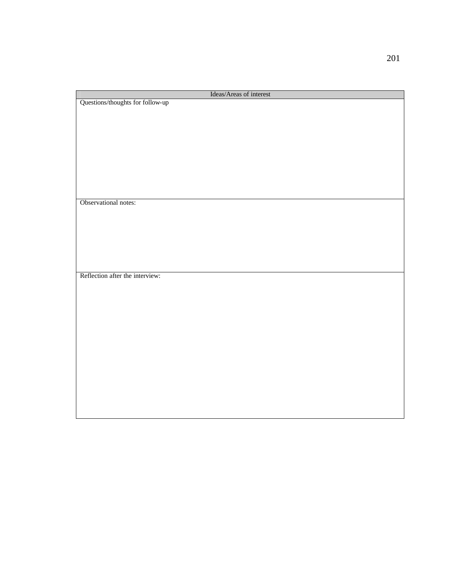| Ideas/Areas of interest          |
|----------------------------------|
| Questions/thoughts for follow-up |
|                                  |
|                                  |
|                                  |
|                                  |
|                                  |
|                                  |
|                                  |
|                                  |
|                                  |
|                                  |
|                                  |
|                                  |
|                                  |
| Observational notes:             |
|                                  |
|                                  |
|                                  |
|                                  |
|                                  |
|                                  |
|                                  |
|                                  |
|                                  |
| Reflection after the interview:  |
|                                  |
|                                  |
|                                  |
|                                  |
|                                  |
|                                  |
|                                  |
|                                  |
|                                  |
|                                  |
|                                  |
|                                  |
|                                  |
|                                  |
|                                  |
|                                  |
|                                  |
|                                  |
|                                  |